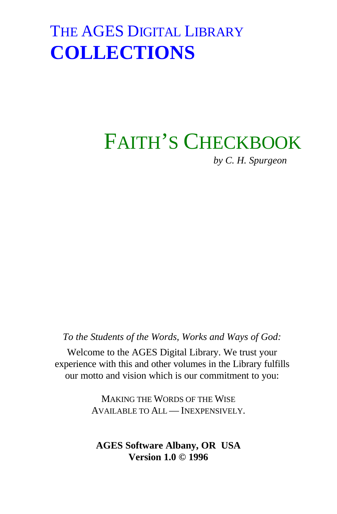# FAITH'S CHECKBOOK *by C. H. Spurgeon*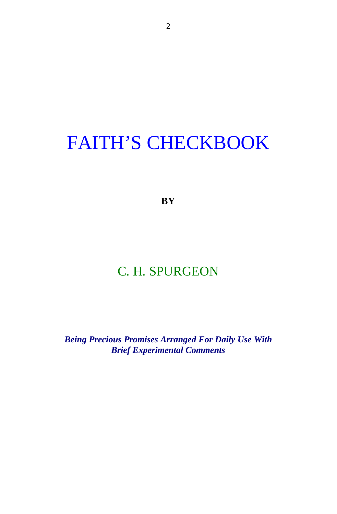# FAITH'S CHECKBOOK

**BY**

# C. H. SPURGEON

*Being Precious Promises Arranged For Daily Use With Brief Experimental Comments*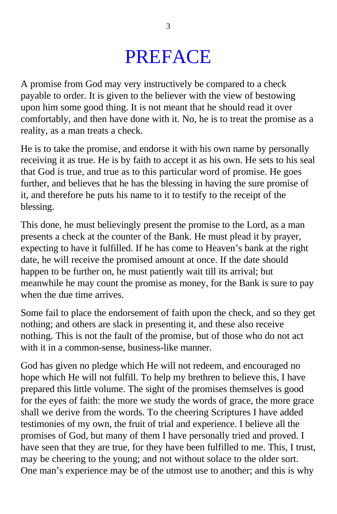# PREFACE

A promise from God may very instructively be compared to a check payable to order. It is given to the believer with the view of bestowing upon him some good thing. It is not meant that he should read it over comfortably, and then have done with it. No, he is to treat the promise as a reality, as a man treats a check.

He is to take the promise, and endorse it with his own name by personally receiving it as true. He is by faith to accept it as his own. He sets to his seal that God is true, and true as to this particular word of promise. He goes further, and believes that he has the blessing in having the sure promise of it, and therefore he puts his name to it to testify to the receipt of the blessing.

This done, he must believingly present the promise to the Lord, as a man presents a check at the counter of the Bank. He must plead it by prayer, expecting to have it fulfilled. If he has come to Heaven's bank at the right date, he will receive the promised amount at once. If the date should happen to be further on, he must patiently wait till its arrival; but meanwhile he may count the promise as money, for the Bank is sure to pay when the due time arrives.

Some fail to place the endorsement of faith upon the check, and so they get nothing; and others are slack in presenting it, and these also receive nothing. This is not the fault of the promise, but of those who do not act with it in a common-sense, business-like manner.

God has given no pledge which He will not redeem, and encouraged no hope which He will not fulfill. To help my brethren to believe this, I have prepared this little volume. The sight of the promises themselves is good for the eyes of faith: the more we study the words of grace, the more grace shall we derive from the words. To the cheering Scriptures I have added testimonies of my own, the fruit of trial and experience. I believe all the promises of God, but many of them I have personally tried and proved. I have seen that they are true, for they have been fulfilled to me. This, I trust, may be cheering to the young; and not without solace to the older sort. One man's experience may be of the utmost use to another; and this is why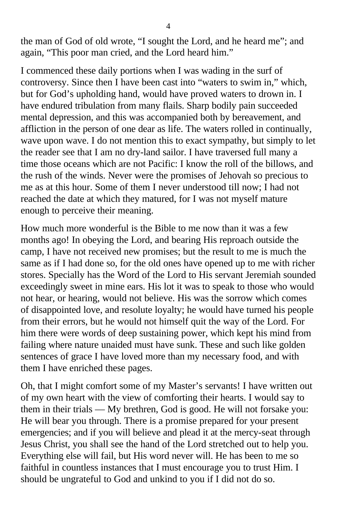the man of God of old wrote, "I sought the Lord, and he heard me"; and again, "This poor man cried, and the Lord heard him."

I commenced these daily portions when I was wading in the surf of controversy. Since then I have been cast into "waters to swim in," which, but for God's upholding hand, would have proved waters to drown in. I have endured tribulation from many flails. Sharp bodily pain succeeded mental depression, and this was accompanied both by bereavement, and affliction in the person of one dear as life. The waters rolled in continually, wave upon wave. I do not mention this to exact sympathy, but simply to let the reader see that I am no dry-land sailor. I have traversed full many a time those oceans which are not Pacific: I know the roll of the billows, and the rush of the winds. Never were the promises of Jehovah so precious to me as at this hour. Some of them I never understood till now; I had not reached the date at which they matured, for I was not myself mature enough to perceive their meaning.

How much more wonderful is the Bible to me now than it was a few months ago! In obeying the Lord, and bearing His reproach outside the camp, I have not received new promises; but the result to me is much the same as if I had done so, for the old ones have opened up to me with richer stores. Specially has the Word of the Lord to His servant Jeremiah sounded exceedingly sweet in mine ears. His lot it was to speak to those who would not hear, or hearing, would not believe. His was the sorrow which comes of disappointed love, and resolute loyalty; he would have turned his people from their errors, but he would not himself quit the way of the Lord. For him there were words of deep sustaining power, which kept his mind from failing where nature unaided must have sunk. These and such like golden sentences of grace I have loved more than my necessary food, and with them I have enriched these pages.

Oh, that I might comfort some of my Master's servants! I have written out of my own heart with the view of comforting their hearts. I would say to them in their trials — My brethren, God is good. He will not forsake you: He will bear you through. There is a promise prepared for your present emergencies; and if you will believe and plead it at the mercy-seat through Jesus Christ, you shall see the hand of the Lord stretched out to help you. Everything else will fail, but His word never will. He has been to me so faithful in countless instances that I must encourage you to trust Him. I should be ungrateful to God and unkind to you if I did not do so.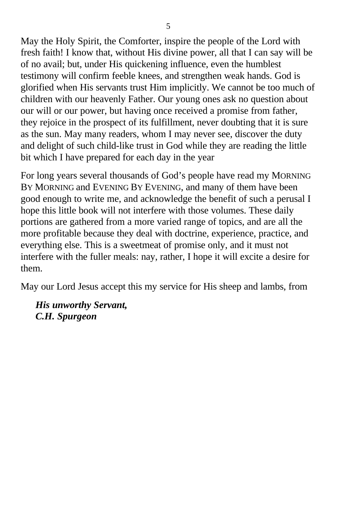May the Holy Spirit, the Comforter, inspire the people of the Lord with fresh faith! I know that, without His divine power, all that I can say will be of no avail; but, under His quickening influence, even the humblest testimony will confirm feeble knees, and strengthen weak hands. God is glorified when His servants trust Him implicitly. We cannot be too much of children with our heavenly Father. Our young ones ask no question about our will or our power, but having once received a promise from father, they rejoice in the prospect of its fulfillment, never doubting that it is sure as the sun. May many readers, whom I may never see, discover the duty and delight of such child-like trust in God while they are reading the little bit which I have prepared for each day in the year

For long years several thousands of God's people have read my MORNING BY MORNING and EVENING BY EVENING, and many of them have been good enough to write me, and acknowledge the benefit of such a perusal I hope this little book will not interfere with those volumes. These daily portions are gathered from a more varied range of topics, and are all the more profitable because they deal with doctrine, experience, practice, and everything else. This is a sweetmeat of promise only, and it must not interfere with the fuller meals: nay, rather, I hope it will excite a desire for them.

May our Lord Jesus accept this my service for His sheep and lambs, from

*His unworthy Servant, C.H. Spurgeon*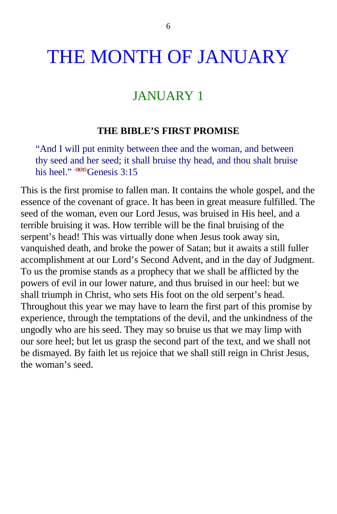# THE MONTH OF JANUARY

### JANUARY 1

#### **THE BIBLE'S FIRST PROMISE**

"And I will put enmity between thee and the woman, and between thy seed and her seed; it shall bruise thy head, and thou shalt bruise his heel."  $\frac{0.0815}{9}$ Genesis 3:15

This is the first promise to fallen man. It contains the whole gospel, and the essence of the covenant of grace. It has been in great measure fulfilled. The seed of the woman, even our Lord Jesus, was bruised in His heel, and a terrible bruising it was. How terrible will be the final bruising of the serpent's head! This was virtually done when Jesus took away sin, vanquished death, and broke the power of Satan; but it awaits a still fuller accomplishment at our Lord's Second Advent, and in the day of Judgment. To us the promise stands as a prophecy that we shall be afflicted by the powers of evil in our lower nature, and thus bruised in our heel: but we shall triumph in Christ, who sets His foot on the old serpent's head. Throughout this year we may have to learn the first part of this promise by experience, through the temptations of the devil, and the unkindness of the ungodly who are his seed. They may so bruise us that we may limp with our sore heel; but let us grasp the second part of the text, and we shall not be dismayed. By faith let us rejoice that we shall still reign in Christ Jesus, the woman's seed.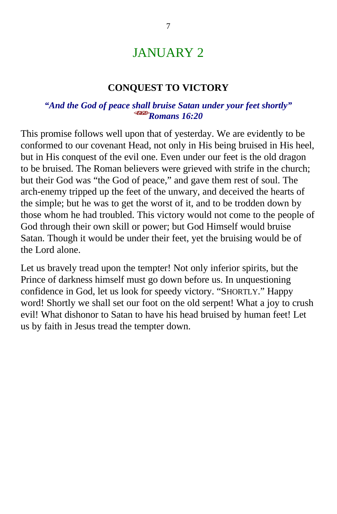#### **CONQUEST TO VICTORY**

#### *"And the God of peace shall bruise Satan under your feet shortly" <451620>Romans 16:20*

This promise follows well upon that of yesterday. We are evidently to be conformed to our covenant Head, not only in His being bruised in His heel, but in His conquest of the evil one. Even under our feet is the old dragon to be bruised. The Roman believers were grieved with strife in the church; but their God was "the God of peace," and gave them rest of soul. The arch-enemy tripped up the feet of the unwary, and deceived the hearts of the simple; but he was to get the worst of it, and to be trodden down by those whom he had troubled. This victory would not come to the people of God through their own skill or power; but God Himself would bruise Satan. Though it would be under their feet, yet the bruising would be of the Lord alone.

Let us bravely tread upon the tempter! Not only inferior spirits, but the Prince of darkness himself must go down before us. In unquestioning confidence in God, let us look for speedy victory. "SHORTLY." Happy word! Shortly we shall set our foot on the old serpent! What a joy to crush evil! What dishonor to Satan to have his head bruised by human feet! Let us by faith in Jesus tread the tempter down.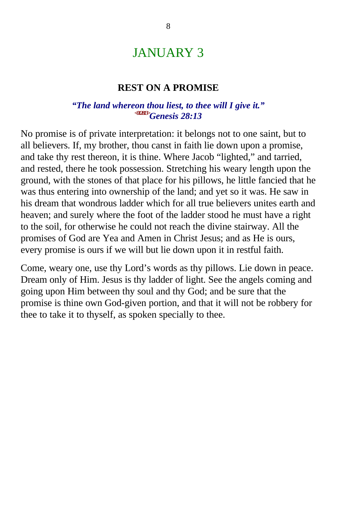#### **REST ON A PROMISE**

#### *"The land whereon thou liest, to thee will I give it." <012813>Genesis 28:13*

No promise is of private interpretation: it belongs not to one saint, but to all believers. If, my brother, thou canst in faith lie down upon a promise, and take thy rest thereon, it is thine. Where Jacob "lighted," and tarried, and rested, there he took possession. Stretching his weary length upon the ground, with the stones of that place for his pillows, he little fancied that he was thus entering into ownership of the land; and yet so it was. He saw in his dream that wondrous ladder which for all true believers unites earth and heaven; and surely where the foot of the ladder stood he must have a right to the soil, for otherwise he could not reach the divine stairway. All the promises of God are Yea and Amen in Christ Jesus; and as He is ours, every promise is ours if we will but lie down upon it in restful faith.

Come, weary one, use thy Lord's words as thy pillows. Lie down in peace. Dream only of Him. Jesus is thy ladder of light. See the angels coming and going upon Him between thy soul and thy God; and be sure that the promise is thine own God-given portion, and that it will not be robbery for thee to take it to thyself, as spoken specially to thee.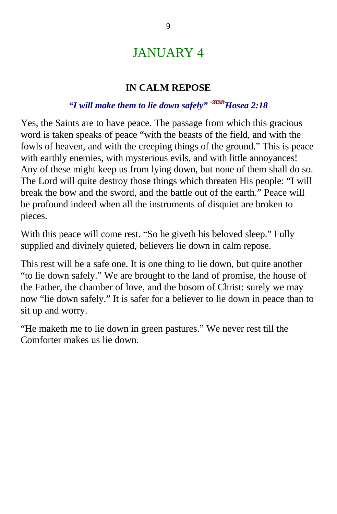#### **IN CALM REPOSE**

#### *"I will make them to lie down safely"* <sup>2028</sup>*Hosea* 2:18

Yes, the Saints are to have peace. The passage from which this gracious word is taken speaks of peace "with the beasts of the field, and with the fowls of heaven, and with the creeping things of the ground." This is peace with earthly enemies, with mysterious evils, and with little annoyances! Any of these might keep us from lying down, but none of them shall do so. The Lord will quite destroy those things which threaten His people: "I will break the bow and the sword, and the battle out of the earth." Peace will be profound indeed when all the instruments of disquiet are broken to pieces.

With this peace will come rest. "So he giveth his beloved sleep." Fully supplied and divinely quieted, believers lie down in calm repose.

This rest will be a safe one. It is one thing to lie down, but quite another "to lie down safely." We are brought to the land of promise, the house of the Father, the chamber of love, and the bosom of Christ: surely we may now "lie down safely." It is safer for a believer to lie down in peace than to sit up and worry.

"He maketh me to lie down in green pastures." We never rest till the Comforter makes us lie down.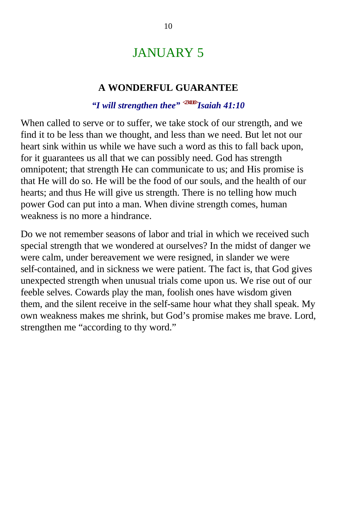#### **A WONDERFUL GUARANTEE**

#### *"I will strengthen thee" <234110>Isaiah 41:10*

When called to serve or to suffer, we take stock of our strength, and we find it to be less than we thought, and less than we need. But let not our heart sink within us while we have such a word as this to fall back upon, for it guarantees us all that we can possibly need. God has strength omnipotent; that strength He can communicate to us; and His promise is that He will do so. He will be the food of our souls, and the health of our hearts; and thus He will give us strength. There is no telling how much power God can put into a man. When divine strength comes, human weakness is no more a hindrance.

Do we not remember seasons of labor and trial in which we received such special strength that we wondered at ourselves? In the midst of danger we were calm, under bereavement we were resigned, in slander we were self-contained, and in sickness we were patient. The fact is, that God gives unexpected strength when unusual trials come upon us. We rise out of our feeble selves. Cowards play the man, foolish ones have wisdom given them, and the silent receive in the self-same hour what they shall speak. My own weakness makes me shrink, but God's promise makes me brave. Lord, strengthen me "according to thy word."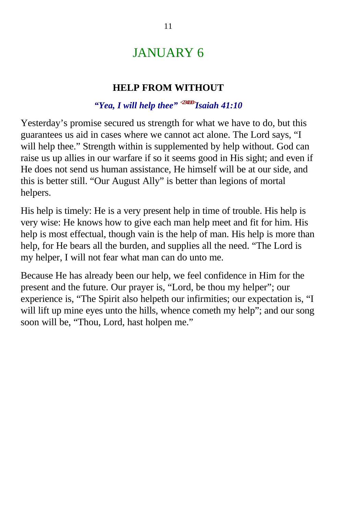#### **HELP FROM WITHOUT**

#### *"Yea, I will help thee" <234110>Isaiah 41:10*

Yesterday's promise secured us strength for what we have to do, but this guarantees us aid in cases where we cannot act alone. The Lord says, "I will help thee." Strength within is supplemented by help without. God can raise us up allies in our warfare if so it seems good in His sight; and even if He does not send us human assistance, He himself will be at our side, and this is better still. "Our August Ally" is better than legions of mortal helpers.

His help is timely: He is a very present help in time of trouble. His help is very wise: He knows how to give each man help meet and fit for him. His help is most effectual, though vain is the help of man. His help is more than help, for He bears all the burden, and supplies all the need. "The Lord is my helper, I will not fear what man can do unto me.

Because He has already been our help, we feel confidence in Him for the present and the future. Our prayer is, "Lord, be thou my helper"; our experience is, "The Spirit also helpeth our infirmities; our expectation is, "I will lift up mine eyes unto the hills, whence cometh my help"; and our song soon will be, "Thou, Lord, hast holpen me."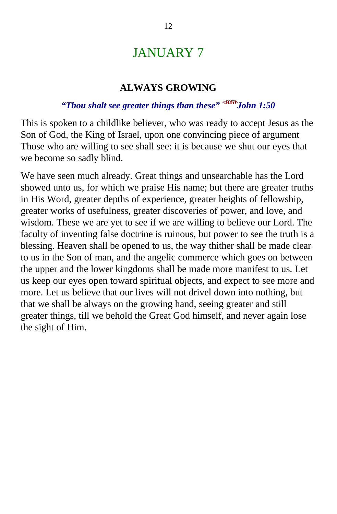#### **ALWAYS GROWING**

#### *"Thou shalt see greater things than these" <430150>John 1:50*

This is spoken to a childlike believer, who was ready to accept Jesus as the Son of God, the King of Israel, upon one convincing piece of argument Those who are willing to see shall see: it is because we shut our eyes that we become so sadly blind.

We have seen much already. Great things and unsearchable has the Lord showed unto us, for which we praise His name; but there are greater truths in His Word, greater depths of experience, greater heights of fellowship, greater works of usefulness, greater discoveries of power, and love, and wisdom. These we are yet to see if we are willing to believe our Lord. The faculty of inventing false doctrine is ruinous, but power to see the truth is a blessing. Heaven shall be opened to us, the way thither shall be made clear to us in the Son of man, and the angelic commerce which goes on between the upper and the lower kingdoms shall be made more manifest to us. Let us keep our eyes open toward spiritual objects, and expect to see more and more. Let us believe that our lives will not drivel down into nothing, but that we shall be always on the growing hand, seeing greater and still greater things, till we behold the Great God himself, and never again lose the sight of Him.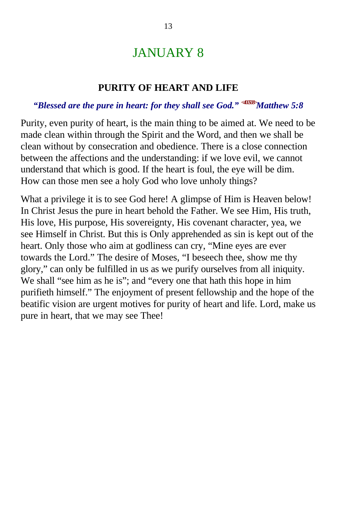#### **PURITY OF HEART AND LIFE**

#### *"Blessed are the pure in heart: for they shall see God." <400508>Matthew 5:8*

Purity, even purity of heart, is the main thing to be aimed at. We need to be made clean within through the Spirit and the Word, and then we shall be clean without by consecration and obedience. There is a close connection between the affections and the understanding: if we love evil, we cannot understand that which is good. If the heart is foul, the eye will be dim. How can those men see a holy God who love unholy things?

What a privilege it is to see God here! A glimpse of Him is Heaven below! In Christ Jesus the pure in heart behold the Father. We see Him, His truth, His love, His purpose, His sovereignty, His covenant character, yea, we see Himself in Christ. But this is Only apprehended as sin is kept out of the heart. Only those who aim at godliness can cry, "Mine eyes are ever towards the Lord." The desire of Moses, "I beseech thee, show me thy glory," can only be fulfilled in us as we purify ourselves from all iniquity. We shall "see him as he is"; and "every one that hath this hope in him purifieth himself." The enjoyment of present fellowship and the hope of the beatific vision are urgent motives for purity of heart and life. Lord, make us pure in heart, that we may see Thee!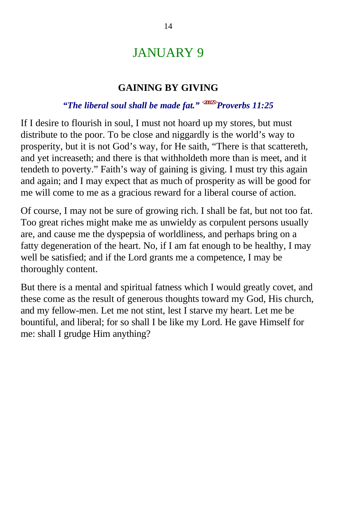#### **GAINING BY GIVING**

#### *"The liberal soul shall be made fat." <201125>Proverbs 11:25*

If I desire to flourish in soul, I must not hoard up my stores, but must distribute to the poor. To be close and niggardly is the world's way to prosperity, but it is not God's way, for He saith, "There is that scattereth, and yet increaseth; and there is that withholdeth more than is meet, and it tendeth to poverty." Faith's way of gaining is giving. I must try this again and again; and I may expect that as much of prosperity as will be good for me will come to me as a gracious reward for a liberal course of action.

Of course, I may not be sure of growing rich. I shall be fat, but not too fat. Too great riches might make me as unwieldy as corpulent persons usually are, and cause me the dyspepsia of worldliness, and perhaps bring on a fatty degeneration of the heart. No, if I am fat enough to be healthy, I may well be satisfied; and if the Lord grants me a competence, I may be thoroughly content.

But there is a mental and spiritual fatness which I would greatly covet, and these come as the result of generous thoughts toward my God, His church, and my fellow-men. Let me not stint, lest I starve my heart. Let me be bountiful, and liberal; for so shall I be like my Lord. He gave Himself for me: shall I grudge Him anything?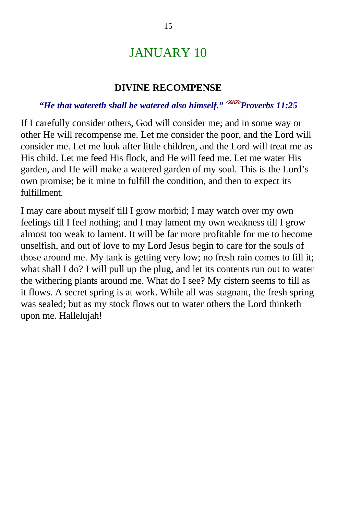#### **DIVINE RECOMPENSE**

#### *"He that watereth shall be watered also himself." <201125>Proverbs 11:25*

If I carefully consider others, God will consider me; and in some way or other He will recompense me. Let me consider the poor, and the Lord will consider me. Let me look after little children, and the Lord will treat me as His child. Let me feed His flock, and He will feed me. Let me water His garden, and He will make a watered garden of my soul. This is the Lord's own promise; be it mine to fulfill the condition, and then to expect its fulfillment.

I may care about myself till I grow morbid; I may watch over my own feelings till I feel nothing; and I may lament my own weakness till I grow almost too weak to lament. It will be far more profitable for me to become unselfish, and out of love to my Lord Jesus begin to care for the souls of those around me. My tank is getting very low; no fresh rain comes to fill it; what shall I do? I will pull up the plug, and let its contents run out to water the withering plants around me. What do I see? My cistern seems to fill as it flows. A secret spring is at work. While all was stagnant, the fresh spring was sealed; but as my stock flows out to water others the Lord thinketh upon me. Hallelujah!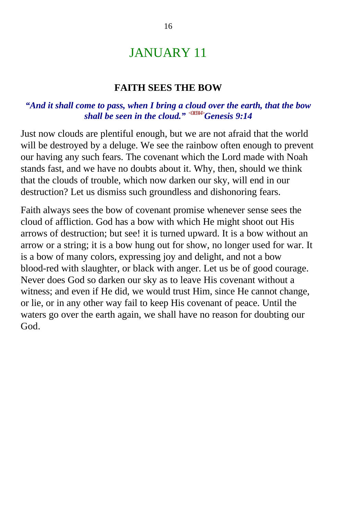#### **FAITH SEES THE BOW**

#### *"And it shall come to pass, when I bring a cloud over the earth, that the bow shall be seen in the cloud." <010914>Genesis 9:14*

Just now clouds are plentiful enough, but we are not afraid that the world will be destroyed by a deluge. We see the rainbow often enough to prevent our having any such fears. The covenant which the Lord made with Noah stands fast, and we have no doubts about it. Why, then, should we think that the clouds of trouble, which now darken our sky, will end in our destruction? Let us dismiss such groundless and dishonoring fears.

Faith always sees the bow of covenant promise whenever sense sees the cloud of affliction. God has a bow with which He might shoot out His arrows of destruction; but see! it is turned upward. It is a bow without an arrow or a string; it is a bow hung out for show, no longer used for war. It is a bow of many colors, expressing joy and delight, and not a bow blood-red with slaughter, or black with anger. Let us be of good courage. Never does God so darken our sky as to leave His covenant without a witness; and even if He did, we would trust Him, since He cannot change, or lie, or in any other way fail to keep His covenant of peace. Until the waters go over the earth again, we shall have no reason for doubting our God.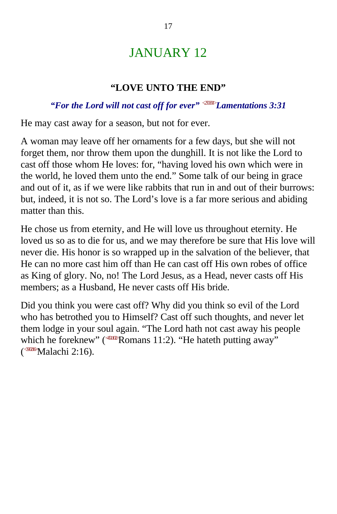#### **"LOVE UNTO THE END"**

#### *"For the Lord will not cast off for ever"* <sup> $\alpha$ *RRI*</sup>*Lamentations 3:31*

He may cast away for a season, but not for ever.

A woman may leave off her ornaments for a few days, but she will not forget them, nor throw them upon the dunghill. It is not like the Lord to cast off those whom He loves: for, "having loved his own which were in the world, he loved them unto the end." Some talk of our being in grace and out of it, as if we were like rabbits that run in and out of their burrows: but, indeed, it is not so. The Lord's love is a far more serious and abiding matter than this.

He chose us from eternity, and He will love us throughout eternity. He loved us so as to die for us, and we may therefore be sure that His love will never die. His honor is so wrapped up in the salvation of the believer, that He can no more cast him off than He can cast off His own robes of office as King of glory. No, no! The Lord Jesus, as a Head, never casts off His members; as a Husband, He never casts off His bride.

Did you think you were cast off? Why did you think so evil of the Lord who has betrothed you to Himself? Cast off such thoughts, and never let them lodge in your soul again. "The Lord hath not cast away his people which he foreknew" ( $\text{min}$ Romans 11:2). "He hateth putting away"  $($ <sup>3026</sup>Malachi 2:16).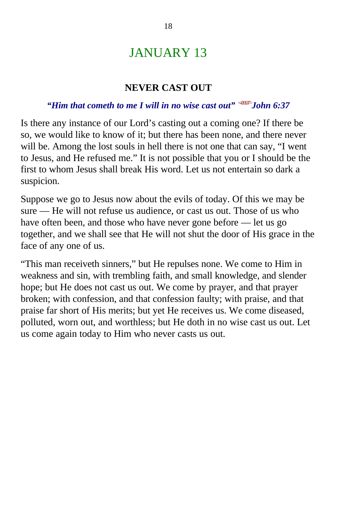#### **NEVER CAST OUT**

#### *"Him that cometh to me I will in no wise cast out"* <sup>4657</sup>John 6:37

Is there any instance of our Lord's casting out a coming one? If there be so, we would like to know of it; but there has been none, and there never will be. Among the lost souls in hell there is not one that can say, "I went to Jesus, and He refused me." It is not possible that you or I should be the first to whom Jesus shall break His word. Let us not entertain so dark a suspicion.

Suppose we go to Jesus now about the evils of today. Of this we may be sure — He will not refuse us audience, or cast us out. Those of us who have often been, and those who have never gone before — let us go together, and we shall see that He will not shut the door of His grace in the face of any one of us.

"This man receiveth sinners," but He repulses none. We come to Him in weakness and sin, with trembling faith, and small knowledge, and slender hope; but He does not cast us out. We come by prayer, and that prayer broken; with confession, and that confession faulty; with praise, and that praise far short of His merits; but yet He receives us. We come diseased, polluted, worn out, and worthless; but He doth in no wise cast us out. Let us come again today to Him who never casts us out.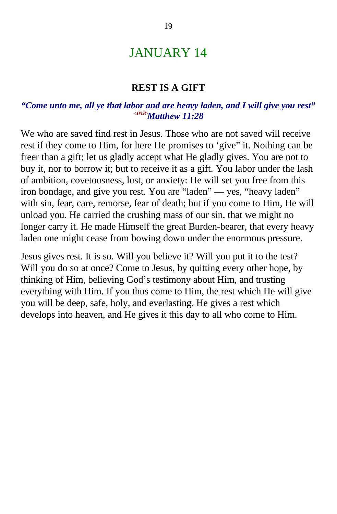#### **REST IS A GIFT**

#### *"Come unto me, all ye that labor and are heavy laden, and I will give you rest" <401128>Matthew 11:28*

We who are saved find rest in Jesus. Those who are not saved will receive rest if they come to Him, for here He promises to 'give" it. Nothing can be freer than a gift; let us gladly accept what He gladly gives. You are not to buy it, nor to borrow it; but to receive it as a gift. You labor under the lash of ambition, covetousness, lust, or anxiety: He will set you free from this iron bondage, and give you rest. You are "laden" — yes, "heavy laden" with sin, fear, care, remorse, fear of death; but if you come to Him, He will unload you. He carried the crushing mass of our sin, that we might no longer carry it. He made Himself the great Burden-bearer, that every heavy laden one might cease from bowing down under the enormous pressure.

Jesus gives rest. It is so. Will you believe it? Will you put it to the test? Will you do so at once? Come to Jesus, by quitting every other hope, by thinking of Him, believing God's testimony about Him, and trusting everything with Him. If you thus come to Him, the rest which He will give you will be deep, safe, holy, and everlasting. He gives a rest which develops into heaven, and He gives it this day to all who come to Him.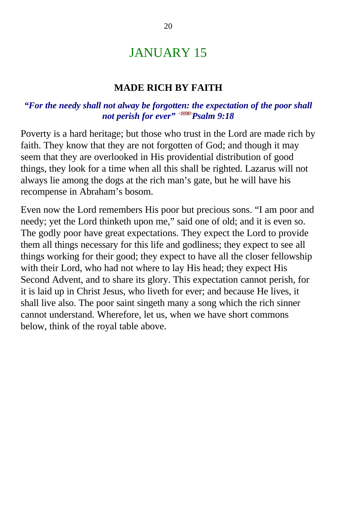#### **MADE RICH BY FAITH**

#### *"For the needy shall not alway be forgotten: the expectation of the poor shall not perish for ever*" <sup>2008</sup>*Psalm 9:18*

Poverty is a hard heritage; but those who trust in the Lord are made rich by faith. They know that they are not forgotten of God; and though it may seem that they are overlooked in His providential distribution of good things, they look for a time when all this shall be righted. Lazarus will not always lie among the dogs at the rich man's gate, but he will have his recompense in Abraham's bosom.

Even now the Lord remembers His poor but precious sons. "I am poor and needy; yet the Lord thinketh upon me," said one of old; and it is even so. The godly poor have great expectations. They expect the Lord to provide them all things necessary for this life and godliness; they expect to see all things working for their good; they expect to have all the closer fellowship with their Lord, who had not where to lay His head; they expect His Second Advent, and to share its glory. This expectation cannot perish, for it is laid up in Christ Jesus, who liveth for ever; and because He lives, it shall live also. The poor saint singeth many a song which the rich sinner cannot understand. Wherefore, let us, when we have short commons below, think of the royal table above.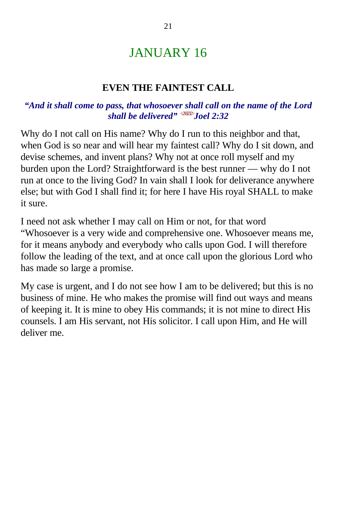#### **EVEN THE FAINTEST CALL**

#### *"And it shall come to pass, that whosoever shall call on the name of the Lord shall be delivered" <290232>Joel 2:32*

Why do I not call on His name? Why do I run to this neighbor and that, when God is so near and will hear my faintest call? Why do I sit down, and devise schemes, and invent plans? Why not at once roll myself and my burden upon the Lord? Straightforward is the best runner — why do I not run at once to the living God? In vain shall I look for deliverance anywhere else; but with God I shall find it; for here I have His royal SHALL to make it sure.

I need not ask whether I may call on Him or not, for that word "Whosoever is a very wide and comprehensive one. Whosoever means me, for it means anybody and everybody who calls upon God. I will therefore follow the leading of the text, and at once call upon the glorious Lord who has made so large a promise.

My case is urgent, and I do not see how I am to be delivered; but this is no business of mine. He who makes the promise will find out ways and means of keeping it. It is mine to obey His commands; it is not mine to direct His counsels. I am His servant, not His solicitor. I call upon Him, and He will deliver me.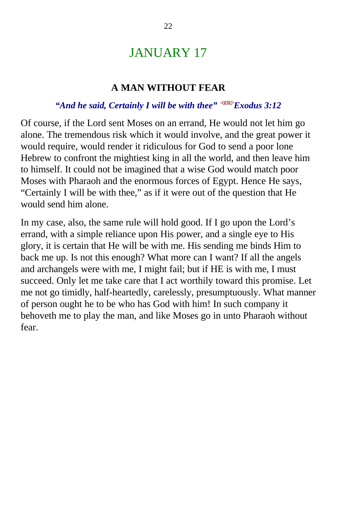#### **A MAN WITHOUT FEAR**

#### *"And he said, Certainly I will be with thee"* <sup>*ABBD*</sup> *Exodus* 3:12

Of course, if the Lord sent Moses on an errand, He would not let him go alone. The tremendous risk which it would involve, and the great power it would require, would render it ridiculous for God to send a poor lone Hebrew to confront the mightiest king in all the world, and then leave him to himself. It could not be imagined that a wise God would match poor Moses with Pharaoh and the enormous forces of Egypt. Hence He says, "Certainly I will be with thee," as if it were out of the question that He would send him alone.

In my case, also, the same rule will hold good. If I go upon the Lord's errand, with a simple reliance upon His power, and a single eye to His glory, it is certain that He will be with me. His sending me binds Him to back me up. Is not this enough? What more can I want? If all the angels and archangels were with me, I might fail; but if HE is with me, I must succeed. Only let me take care that I act worthily toward this promise. Let me not go timidly, half-heartedly, carelessly, presumptuously. What manner of person ought he to be who has God with him! In such company it behoveth me to play the man, and like Moses go in unto Pharaoh without fear.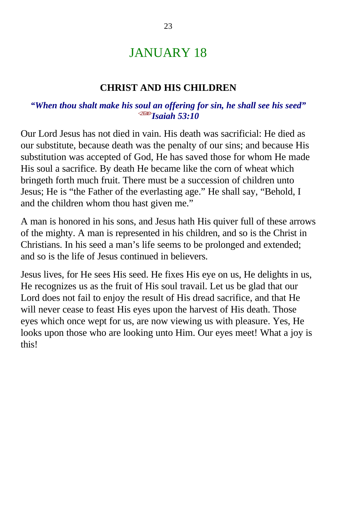#### **CHRIST AND HIS CHILDREN**

#### *"When thou shalt make his soul an offering for sin, he shall see his seed" <235310>Isaiah 53:10*

Our Lord Jesus has not died in vain. His death was sacrificial: He died as our substitute, because death was the penalty of our sins; and because His substitution was accepted of God, He has saved those for whom He made His soul a sacrifice. By death He became like the corn of wheat which bringeth forth much fruit. There must be a succession of children unto Jesus; He is "the Father of the everlasting age." He shall say, "Behold, I and the children whom thou hast given me."

A man is honored in his sons, and Jesus hath His quiver full of these arrows of the mighty. A man is represented in his children, and so is the Christ in Christians. In his seed a man's life seems to be prolonged and extended; and so is the life of Jesus continued in believers.

Jesus lives, for He sees His seed. He fixes His eye on us, He delights in us, He recognizes us as the fruit of His soul travail. Let us be glad that our Lord does not fail to enjoy the result of His dread sacrifice, and that He will never cease to feast His eyes upon the harvest of His death. Those eyes which once wept for us, are now viewing us with pleasure. Yes, He looks upon those who are looking unto Him. Our eyes meet! What a joy is this!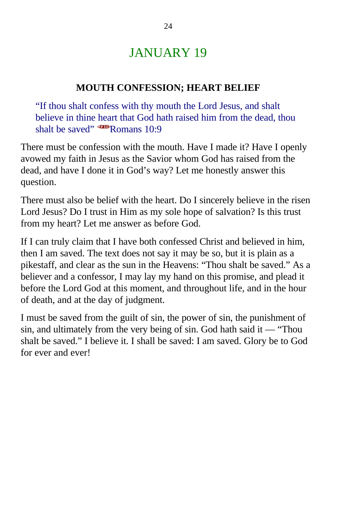#### **MOUTH CONFESSION; HEART BELIEF**

"If thou shalt confess with thy mouth the Lord Jesus, and shalt believe in thine heart that God hath raised him from the dead, thou shalt be saved" <**EIIDRomans** 10:9

There must be confession with the mouth. Have I made it? Have I openly avowed my faith in Jesus as the Savior whom God has raised from the dead, and have I done it in God's way? Let me honestly answer this question.

There must also be belief with the heart. Do I sincerely believe in the risen Lord Jesus? Do I trust in Him as my sole hope of salvation? Is this trust from my heart? Let me answer as before God.

If I can truly claim that I have both confessed Christ and believed in him, then I am saved. The text does not say it may be so, but it is plain as a pikestaff, and clear as the sun in the Heavens: "Thou shalt be saved." As a believer and a confessor, I may lay my hand on this promise, and plead it before the Lord God at this moment, and throughout life, and in the hour of death, and at the day of judgment.

I must be saved from the guilt of sin, the power of sin, the punishment of sin, and ultimately from the very being of sin. God hath said it — "Thou shalt be saved." I believe it. I shall be saved: I am saved. Glory be to God for ever and ever!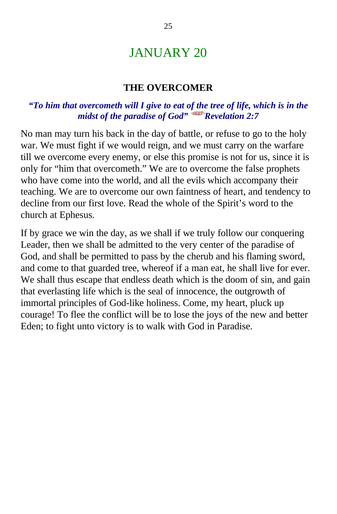#### **THE OVERCOMER**

#### *"To him that overcometh will I give to eat of the tree of life, which is in the midst of the paradise of God*<sup> $\cdot$  *<sup><i>ARD</sup>*<sup>*Revelation 2:7*</sup></sup></sup>

No man may turn his back in the day of battle, or refuse to go to the holy war. We must fight if we would reign, and we must carry on the warfare till we overcome every enemy, or else this promise is not for us, since it is only for "him that overcometh." We are to overcome the false prophets who have come into the world, and all the evils which accompany their teaching. We are to overcome our own faintness of heart, and tendency to decline from our first love. Read the whole of the Spirit's word to the church at Ephesus.

If by grace we win the day, as we shall if we truly follow our conquering Leader, then we shall be admitted to the very center of the paradise of God, and shall be permitted to pass by the cherub and his flaming sword, and come to that guarded tree, whereof if a man eat, he shall live for ever. We shall thus escape that endless death which is the doom of sin, and gain that everlasting life which is the seal of innocence, the outgrowth of immortal principles of God-like holiness. Come, my heart, pluck up courage! To flee the conflict will be to lose the joys of the new and better Eden; to fight unto victory is to walk with God in Paradise.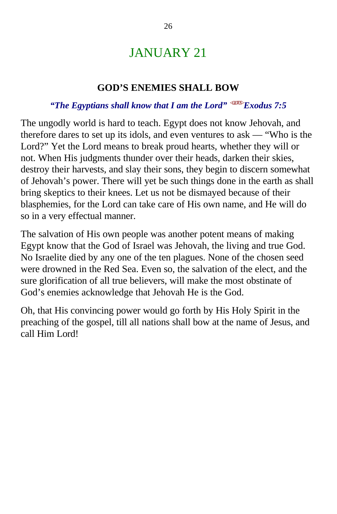#### **GOD'S ENEMIES SHALL BOW**

#### *"The Egyptians shall know that I am the Lord"*  $\frac{dE}{dt}$ *Exodus 7:5*

The ungodly world is hard to teach. Egypt does not know Jehovah, and therefore dares to set up its idols, and even ventures to ask — "Who is the Lord?" Yet the Lord means to break proud hearts, whether they will or not. When His judgments thunder over their heads, darken their skies, destroy their harvests, and slay their sons, they begin to discern somewhat of Jehovah's power. There will yet be such things done in the earth as shall bring skeptics to their knees. Let us not be dismayed because of their blasphemies, for the Lord can take care of His own name, and He will do so in a very effectual manner.

The salvation of His own people was another potent means of making Egypt know that the God of Israel was Jehovah, the living and true God. No Israelite died by any one of the ten plagues. None of the chosen seed were drowned in the Red Sea. Even so, the salvation of the elect, and the sure glorification of all true believers, will make the most obstinate of God's enemies acknowledge that Jehovah He is the God.

Oh, that His convincing power would go forth by His Holy Spirit in the preaching of the gospel, till all nations shall bow at the name of Jesus, and call Him Lord!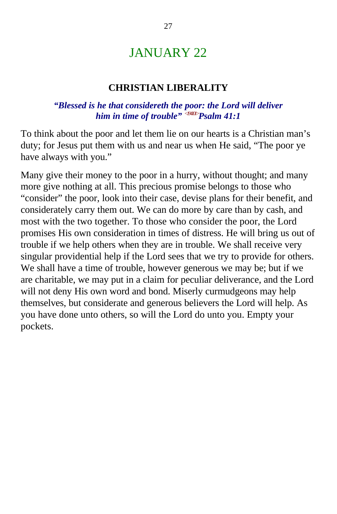#### **CHRISTIAN LIBERALITY**

#### *"Blessed is he that considereth the poor: the Lord will deliver him in time of trouble*" <sup>*AHOI*</sup>*Psalm 41:1*

To think about the poor and let them lie on our hearts is a Christian man's duty; for Jesus put them with us and near us when He said, "The poor ye have always with you."

Many give their money to the poor in a hurry, without thought; and many more give nothing at all. This precious promise belongs to those who "consider" the poor, look into their case, devise plans for their benefit, and considerately carry them out. We can do more by care than by cash, and most with the two together. To those who consider the poor, the Lord promises His own consideration in times of distress. He will bring us out of trouble if we help others when they are in trouble. We shall receive very singular providential help if the Lord sees that we try to provide for others. We shall have a time of trouble, however generous we may be; but if we are charitable, we may put in a claim for peculiar deliverance, and the Lord will not deny His own word and bond. Miserly curmudgeons may help themselves, but considerate and generous believers the Lord will help. As you have done unto others, so will the Lord do unto you. Empty your pockets.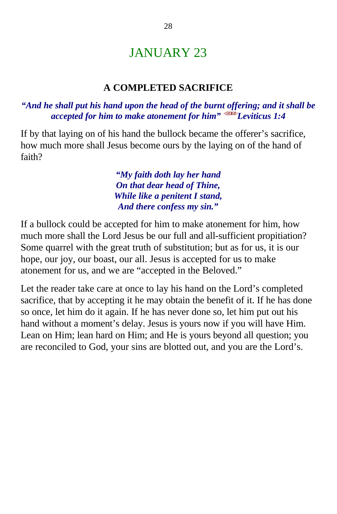#### **A COMPLETED SACRIFICE**

#### *"And he shall put his hand upon the head of the burnt offering; and it shall be accepted for him to make atonement for him*<sup>"</sup> <sup>*anne*</sup>Leviticus 1:4</sub>

If by that laying on of his hand the bullock became the offerer's sacrifice, how much more shall Jesus become ours by the laying on of the hand of faith?

> *"My faith doth lay her hand On that dear head of Thine, While like a penitent I stand, And there confess my sin."*

If a bullock could be accepted for him to make atonement for him, how much more shall the Lord Jesus be our full and all-sufficient propitiation? Some quarrel with the great truth of substitution; but as for us, it is our hope, our joy, our boast, our all. Jesus is accepted for us to make atonement for us, and we are "accepted in the Beloved."

Let the reader take care at once to lay his hand on the Lord's completed sacrifice, that by accepting it he may obtain the benefit of it. If he has done so once, let him do it again. If he has never done so, let him put out his hand without a moment's delay. Jesus is yours now if you will have Him. Lean on Him; lean hard on Him; and He is yours beyond all question; you are reconciled to God, your sins are blotted out, and you are the Lord's.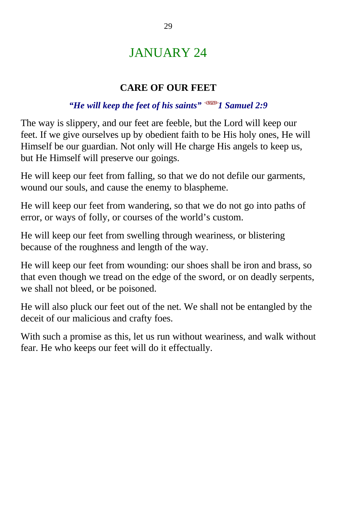#### **CARE OF OUR FEET**

#### *"He will keep the feet of his saints" <090209>1 Samuel 2:9*

The way is slippery, and our feet are feeble, but the Lord will keep our feet. If we give ourselves up by obedient faith to be His holy ones, He will Himself be our guardian. Not only will He charge His angels to keep us, but He Himself will preserve our goings.

He will keep our feet from falling, so that we do not defile our garments, wound our souls, and cause the enemy to blaspheme.

He will keep our feet from wandering, so that we do not go into paths of error, or ways of folly, or courses of the world's custom.

He will keep our feet from swelling through weariness, or blistering because of the roughness and length of the way.

He will keep our feet from wounding: our shoes shall be iron and brass, so that even though we tread on the edge of the sword, or on deadly serpents, we shall not bleed, or be poisoned.

He will also pluck our feet out of the net. We shall not be entangled by the deceit of our malicious and crafty foes.

With such a promise as this, let us run without weariness, and walk without fear. He who keeps our feet will do it effectually.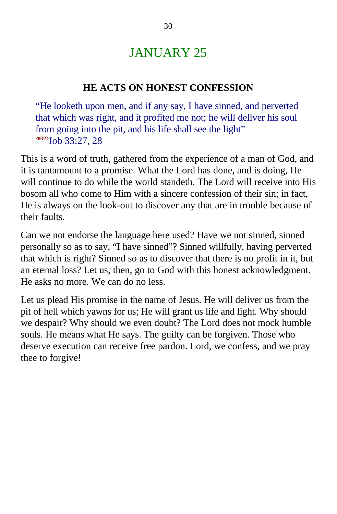#### **HE ACTS ON HONEST CONFESSION**

"He looketh upon men, and if any say, I have sinned, and perverted that which was right, and it profited me not; he will deliver his soul from going into the pit, and his life shall see the light" **<**183327**>** Job 33:27, 28

This is a word of truth, gathered from the experience of a man of God, and it is tantamount to a promise. What the Lord has done, and is doing, He will continue to do while the world standeth. The Lord will receive into His bosom all who come to Him with a sincere confession of their sin; in fact, He is always on the look-out to discover any that are in trouble because of their faults.

Can we not endorse the language here used? Have we not sinned, sinned personally so as to say, "I have sinned"? Sinned willfully, having perverted that which is right? Sinned so as to discover that there is no profit in it, but an eternal loss? Let us, then, go to God with this honest acknowledgment. He asks no more. We can do no less.

Let us plead His promise in the name of Jesus. He will deliver us from the pit of hell which yawns for us; He will grant us life and light. Why should we despair? Why should we even doubt? The Lord does not mock humble souls. He means what He says. The guilty can be forgiven. Those who deserve execution can receive free pardon. Lord, we confess, and we pray thee to forgive!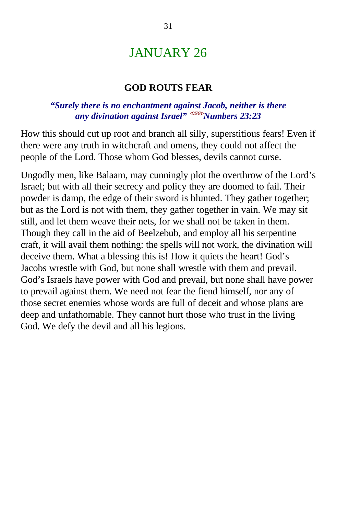#### **GOD ROUTS FEAR**

#### *"Surely there is no enchantment against Jacob, neither is there any divination against Israel*<sup>*n*</sup> <sup> $\theta$ *223</sup><i>Numbers* 23:23</sup>

How this should cut up root and branch all silly, superstitious fears! Even if there were any truth in witchcraft and omens, they could not affect the people of the Lord. Those whom God blesses, devils cannot curse.

Ungodly men, like Balaam, may cunningly plot the overthrow of the Lord's Israel; but with all their secrecy and policy they are doomed to fail. Their powder is damp, the edge of their sword is blunted. They gather together; but as the Lord is not with them, they gather together in vain. We may sit still, and let them weave their nets, for we shall not be taken in them. Though they call in the aid of Beelzebub, and employ all his serpentine craft, it will avail them nothing: the spells will not work, the divination will deceive them. What a blessing this is! How it quiets the heart! God's Jacobs wrestle with God, but none shall wrestle with them and prevail. God's Israels have power with God and prevail, but none shall have power to prevail against them. We need not fear the fiend himself, nor any of those secret enemies whose words are full of deceit and whose plans are deep and unfathomable. They cannot hurt those who trust in the living God. We defy the devil and all his legions.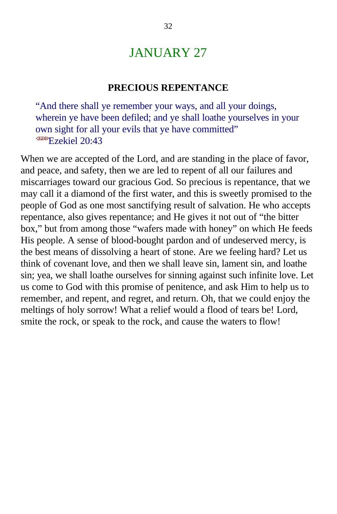#### **PRECIOUS REPENTANCE**

"And there shall ye remember your ways, and all your doings, wherein ye have been defiled; and ye shall loathe yourselves in your own sight for all your evils that ye have committed" **<sup>&</sup>lt;**262043**<sup>&</sup>gt;**Ezekiel 20:43

When we are accepted of the Lord, and are standing in the place of favor, and peace, and safety, then we are led to repent of all our failures and miscarriages toward our gracious God. So precious is repentance, that we may call it a diamond of the first water, and this is sweetly promised to the people of God as one most sanctifying result of salvation. He who accepts repentance, also gives repentance; and He gives it not out of "the bitter box," but from among those "wafers made with honey" on which He feeds His people. A sense of blood-bought pardon and of undeserved mercy, is the best means of dissolving a heart of stone. Are we feeling hard? Let us think of covenant love, and then we shall leave sin, lament sin, and loathe sin; yea, we shall loathe ourselves for sinning against such infinite love. Let us come to God with this promise of penitence, and ask Him to help us to remember, and repent, and regret, and return. Oh, that we could enjoy the meltings of holy sorrow! What a relief would a flood of tears be! Lord, smite the rock, or speak to the rock, and cause the waters to flow!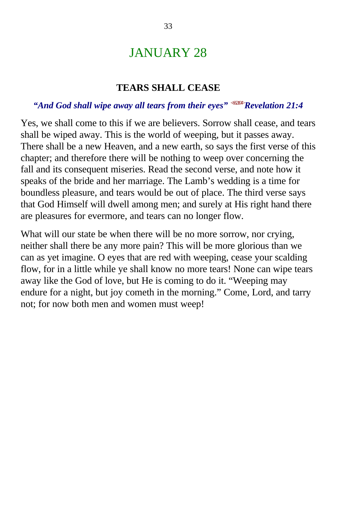#### **TEARS SHALL CEASE**

#### *"And God shall wipe away all tears from their eyes"*  $\frac{dE}{dr}$ *Revelation 21:4*

Yes, we shall come to this if we are believers. Sorrow shall cease, and tears shall be wiped away. This is the world of weeping, but it passes away. There shall be a new Heaven, and a new earth, so says the first verse of this chapter; and therefore there will be nothing to weep over concerning the fall and its consequent miseries. Read the second verse, and note how it speaks of the bride and her marriage. The Lamb's wedding is a time for boundless pleasure, and tears would be out of place. The third verse says that God Himself will dwell among men; and surely at His right hand there are pleasures for evermore, and tears can no longer flow.

What will our state be when there will be no more sorrow, nor crying, neither shall there be any more pain? This will be more glorious than we can as yet imagine. O eyes that are red with weeping, cease your scalding flow, for in a little while ye shall know no more tears! None can wipe tears away like the God of love, but He is coming to do it. "Weeping may endure for a night, but joy cometh in the morning." Come, Lord, and tarry not; for now both men and women must weep!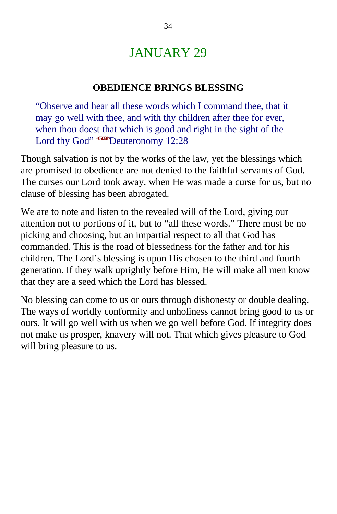#### **OBEDIENCE BRINGS BLESSING**

"Observe and hear all these words which I command thee, that it may go well with thee, and with thy children after thee for ever, when thou doest that which is good and right in the sight of the Lord thy God" <BEERDeuteronomy 12:28

Though salvation is not by the works of the law, yet the blessings which are promised to obedience are not denied to the faithful servants of God. The curses our Lord took away, when He was made a curse for us, but no clause of blessing has been abrogated.

We are to note and listen to the revealed will of the Lord, giving our attention not to portions of it, but to "all these words." There must be no picking and choosing, but an impartial respect to all that God has commanded. This is the road of blessedness for the father and for his children. The Lord's blessing is upon His chosen to the third and fourth generation. If they walk uprightly before Him, He will make all men know that they are a seed which the Lord has blessed.

No blessing can come to us or ours through dishonesty or double dealing. The ways of worldly conformity and unholiness cannot bring good to us or ours. It will go well with us when we go well before God. If integrity does not make us prosper, knavery will not. That which gives pleasure to God will bring pleasure to us.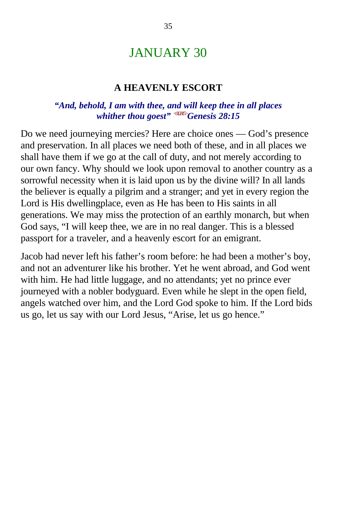#### **A HEAVENLY ESCORT**

#### *"And, behold, I am with thee, and will keep thee in all places whither thou goest" <012815>Genesis 28:15*

Do we need journeying mercies? Here are choice ones — God's presence and preservation. In all places we need both of these, and in all places we shall have them if we go at the call of duty, and not merely according to our own fancy. Why should we look upon removal to another country as a sorrowful necessity when it is laid upon us by the divine will? In all lands the believer is equally a pilgrim and a stranger; and yet in every region the Lord is His dwellingplace, even as He has been to His saints in all generations. We may miss the protection of an earthly monarch, but when God says, "I will keep thee, we are in no real danger. This is a blessed passport for a traveler, and a heavenly escort for an emigrant.

Jacob had never left his father's room before: he had been a mother's boy, and not an adventurer like his brother. Yet he went abroad, and God went with him. He had little luggage, and no attendants; yet no prince ever journeyed with a nobler bodyguard. Even while he slept in the open field, angels watched over him, and the Lord God spoke to him. If the Lord bids us go, let us say with our Lord Jesus, "Arise, let us go hence."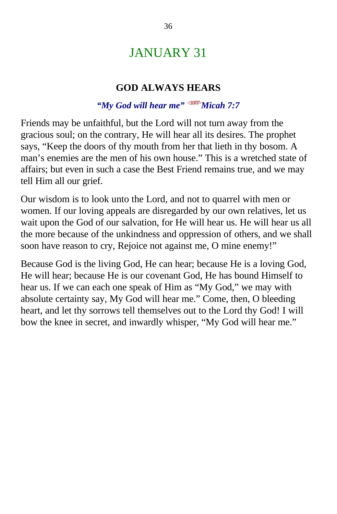#### **GOD ALWAYS HEARS**

#### *"My God will hear me" <330707>Micah 7:7*

Friends may be unfaithful, but the Lord will not turn away from the gracious soul; on the contrary, He will hear all its desires. The prophet says, "Keep the doors of thy mouth from her that lieth in thy bosom. A man's enemies are the men of his own house." This is a wretched state of affairs; but even in such a case the Best Friend remains true, and we may tell Him all our grief.

Our wisdom is to look unto the Lord, and not to quarrel with men or women. If our loving appeals are disregarded by our own relatives, let us wait upon the God of our salvation, for He will hear us. He will hear us all the more because of the unkindness and oppression of others, and we shall soon have reason to cry, Rejoice not against me, O mine enemy!"

Because God is the living God, He can hear; because He is a loving God, He will hear; because He is our covenant God, He has bound Himself to hear us. If we can each one speak of Him as "My God," we may with absolute certainty say, My God will hear me." Come, then, O bleeding heart, and let thy sorrows tell themselves out to the Lord thy God! I will bow the knee in secret, and inwardly whisper, "My God will hear me."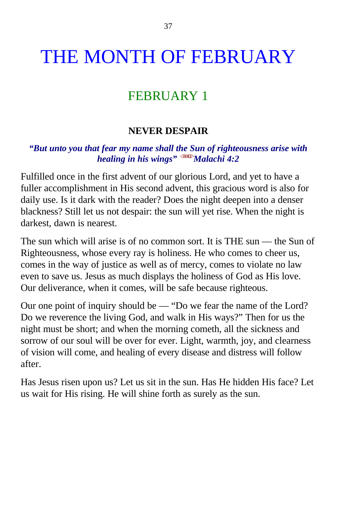# THE MONTH OF FEBRUARY

## FEBRUARY 1

#### **NEVER DESPAIR**

#### *"But unto you that fear my name shall the Sun of righteousness arise with healing in his wings"* <sup>3942</sup>*Malachi* 4:2

Fulfilled once in the first advent of our glorious Lord, and yet to have a fuller accomplishment in His second advent, this gracious word is also for daily use. Is it dark with the reader? Does the night deepen into a denser blackness? Still let us not despair: the sun will yet rise. When the night is darkest, dawn is nearest.

The sun which will arise is of no common sort. It is THE sun — the Sun of Righteousness, whose every ray is holiness. He who comes to cheer us, comes in the way of justice as well as of mercy, comes to violate no law even to save us. Jesus as much displays the holiness of God as His love. Our deliverance, when it comes, will be safe because righteous.

Our one point of inquiry should be  $-$  "Do we fear the name of the Lord? Do we reverence the living God, and walk in His ways?" Then for us the night must be short; and when the morning cometh, all the sickness and sorrow of our soul will be over for ever. Light, warmth, joy, and clearness of vision will come, and healing of every disease and distress will follow after.

Has Jesus risen upon us? Let us sit in the sun. Has He hidden His face? Let us wait for His rising. He will shine forth as surely as the sun.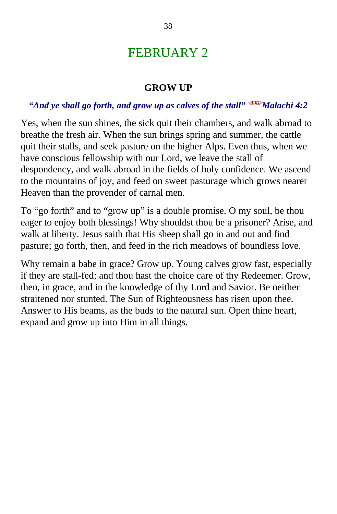#### **GROW UP**

#### *"And ye shall go forth, and grow up as calves of the stall"* <sup>3902</sup>*Malachi 4:2*

Yes, when the sun shines, the sick quit their chambers, and walk abroad to breathe the fresh air. When the sun brings spring and summer, the cattle quit their stalls, and seek pasture on the higher Alps. Even thus, when we have conscious fellowship with our Lord, we leave the stall of despondency, and walk abroad in the fields of holy confidence. We ascend to the mountains of joy, and feed on sweet pasturage which grows nearer Heaven than the provender of carnal men.

To "go forth" and to "grow up" is a double promise. O my soul, be thou eager to enjoy both blessings! Why shouldst thou be a prisoner? Arise, and walk at liberty. Jesus saith that His sheep shall go in and out and find pasture; go forth, then, and feed in the rich meadows of boundless love.

Why remain a babe in grace? Grow up. Young calves grow fast, especially if they are stall-fed; and thou hast the choice care of thy Redeemer. Grow, then, in grace, and in the knowledge of thy Lord and Savior. Be neither straitened nor stunted. The Sun of Righteousness has risen upon thee. Answer to His beams, as the buds to the natural sun. Open thine heart, expand and grow up into Him in all things.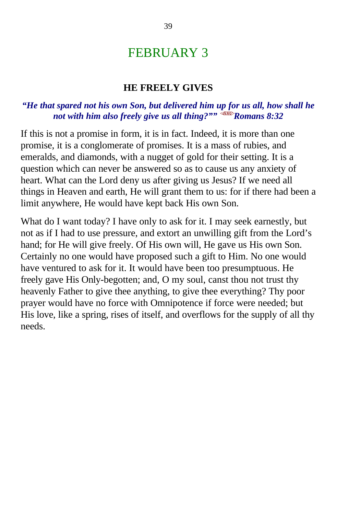#### **HE FREELY GIVES**

### *"He that spared not his own Son, but delivered him up for us all, how shall he not with him also freely give us all thing?""<sup>, 4582</sup>Romans 8:32*

If this is not a promise in form, it is in fact. Indeed, it is more than one promise, it is a conglomerate of promises. It is a mass of rubies, and emeralds, and diamonds, with a nugget of gold for their setting. It is a question which can never be answered so as to cause us any anxiety of heart. What can the Lord deny us after giving us Jesus? If we need all things in Heaven and earth, He will grant them to us: for if there had been a limit anywhere, He would have kept back His own Son.

What do I want today? I have only to ask for it. I may seek earnestly, but not as if I had to use pressure, and extort an unwilling gift from the Lord's hand; for He will give freely. Of His own will, He gave us His own Son. Certainly no one would have proposed such a gift to Him. No one would have ventured to ask for it. It would have been too presumptuous. He freely gave His Only-begotten; and, O my soul, canst thou not trust thy heavenly Father to give thee anything, to give thee everything? Thy poor prayer would have no force with Omnipotence if force were needed; but His love, like a spring, rises of itself, and overflows for the supply of all thy needs.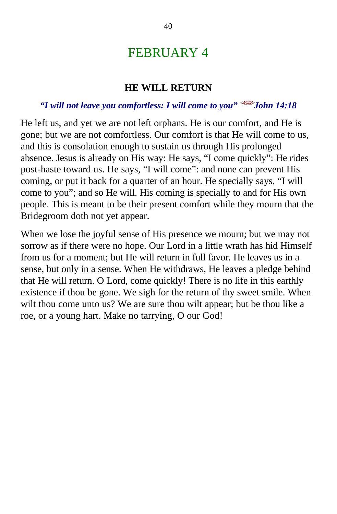#### **HE WILL RETURN**

#### *"I will not leave you comfortless: I will come to you"* <sup>4448</sup>*John 14:18*

He left us, and yet we are not left orphans. He is our comfort, and He is gone; but we are not comfortless. Our comfort is that He will come to us, and this is consolation enough to sustain us through His prolonged absence. Jesus is already on His way: He says, "I come quickly": He rides post-haste toward us. He says, "I will come": and none can prevent His coming, or put it back for a quarter of an hour. He specially says, "I will come to you"; and so He will. His coming is specially to and for His own people. This is meant to be their present comfort while they mourn that the Bridegroom doth not yet appear.

When we lose the joyful sense of His presence we mourn; but we may not sorrow as if there were no hope. Our Lord in a little wrath has hid Himself from us for a moment; but He will return in full favor. He leaves us in a sense, but only in a sense. When He withdraws, He leaves a pledge behind that He will return. O Lord, come quickly! There is no life in this earthly existence if thou be gone. We sigh for the return of thy sweet smile. When wilt thou come unto us? We are sure thou wilt appear; but be thou like a roe, or a young hart. Make no tarrying, O our God!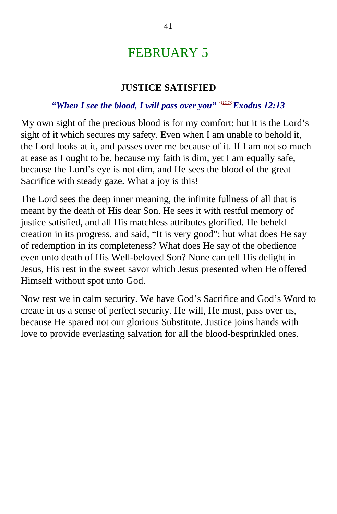### **JUSTICE SATISFIED**

### *"When I see the blood, I will pass over you"* <sup>*QDBS</sup> Exodus 12:13*</sup>

My own sight of the precious blood is for my comfort; but it is the Lord's sight of it which secures my safety. Even when I am unable to behold it, the Lord looks at it, and passes over me because of it. If I am not so much at ease as I ought to be, because my faith is dim, yet I am equally safe, because the Lord's eye is not dim, and He sees the blood of the great Sacrifice with steady gaze. What a joy is this!

The Lord sees the deep inner meaning, the infinite fullness of all that is meant by the death of His dear Son. He sees it with restful memory of justice satisfied, and all His matchless attributes glorified. He beheld creation in its progress, and said, "It is very good"; but what does He say of redemption in its completeness? What does He say of the obedience even unto death of His Well-beloved Son? None can tell His delight in Jesus, His rest in the sweet savor which Jesus presented when He offered Himself without spot unto God.

Now rest we in calm security. We have God's Sacrifice and God's Word to create in us a sense of perfect security. He will, He must, pass over us, because He spared not our glorious Substitute. Justice joins hands with love to provide everlasting salvation for all the blood-besprinkled ones.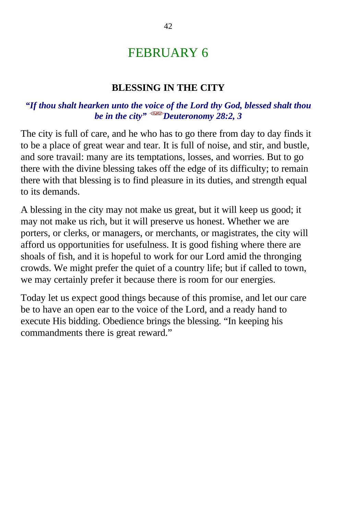### **BLESSING IN THE CITY**

### *"If thou shalt hearken unto the voice of the Lord thy God, blessed shalt thou be in the city*" <sup>*IERD*</sup> *Deuteronomy 28:2, 3*

The city is full of care, and he who has to go there from day to day finds it to be a place of great wear and tear. It is full of noise, and stir, and bustle, and sore travail: many are its temptations, losses, and worries. But to go there with the divine blessing takes off the edge of its difficulty; to remain there with that blessing is to find pleasure in its duties, and strength equal to its demands.

A blessing in the city may not make us great, but it will keep us good; it may not make us rich, but it will preserve us honest. Whether we are porters, or clerks, or managers, or merchants, or magistrates, the city will afford us opportunities for usefulness. It is good fishing where there are shoals of fish, and it is hopeful to work for our Lord amid the thronging crowds. We might prefer the quiet of a country life; but if called to town, we may certainly prefer it because there is room for our energies.

Today let us expect good things because of this promise, and let our care be to have an open ear to the voice of the Lord, and a ready hand to execute His bidding. Obedience brings the blessing. "In keeping his commandments there is great reward."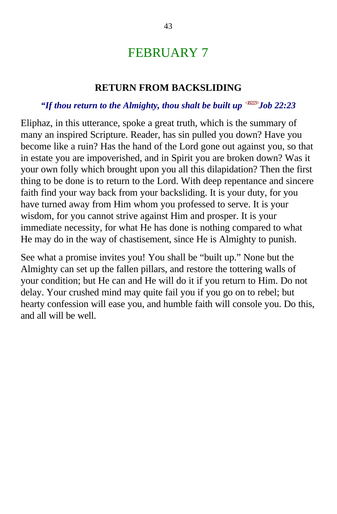#### **RETURN FROM BACKSLIDING**

#### *"If thou return to the Almighty, thou shalt be built up*  $\frac{1822}{100}$  *32:23*

Eliphaz, in this utterance, spoke a great truth, which is the summary of many an inspired Scripture. Reader, has sin pulled you down? Have you become like a ruin? Has the hand of the Lord gone out against you, so that in estate you are impoverished, and in Spirit you are broken down? Was it your own folly which brought upon you all this dilapidation? Then the first thing to be done is to return to the Lord. With deep repentance and sincere faith find your way back from your backsliding. It is your duty, for you have turned away from Him whom you professed to serve. It is your wisdom, for you cannot strive against Him and prosper. It is your immediate necessity, for what He has done is nothing compared to what He may do in the way of chastisement, since He is Almighty to punish.

See what a promise invites you! You shall be "built up." None but the Almighty can set up the fallen pillars, and restore the tottering walls of your condition; but He can and He will do it if you return to Him. Do not delay. Your crushed mind may quite fail you if you go on to rebel; but hearty confession will ease you, and humble faith will console you. Do this, and all will be well.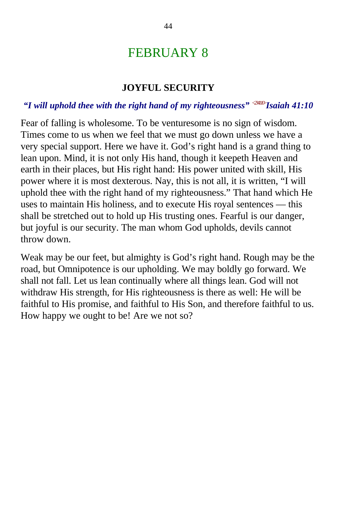#### **JOYFUL SECURITY**

#### *"I will uphold thee with the right hand of my righteousness"* <sup>2410</sup>*Isaiah 41:10*

Fear of falling is wholesome. To be venturesome is no sign of wisdom. Times come to us when we feel that we must go down unless we have a very special support. Here we have it. God's right hand is a grand thing to lean upon. Mind, it is not only His hand, though it keepeth Heaven and earth in their places, but His right hand: His power united with skill, His power where it is most dexterous. Nay, this is not all, it is written, "I will uphold thee with the right hand of my righteousness." That hand which He uses to maintain His holiness, and to execute His royal sentences — this shall be stretched out to hold up His trusting ones. Fearful is our danger, but joyful is our security. The man whom God upholds, devils cannot throw down.

Weak may be our feet, but almighty is God's right hand. Rough may be the road, but Omnipotence is our upholding. We may boldly go forward. We shall not fall. Let us lean continually where all things lean. God will not withdraw His strength, for His righteousness is there as well: He will be faithful to His promise, and faithful to His Son, and therefore faithful to us. How happy we ought to be! Are we not so?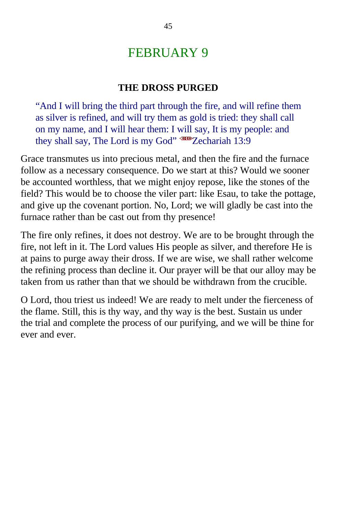### **THE DROSS PURGED**

"And I will bring the third part through the fire, and will refine them as silver is refined, and will try them as gold is tried: they shall call on my name, and I will hear them: I will say, It is my people: and they shall say, The Lord is my God" **\*\*\*** Zechariah 13:9

Grace transmutes us into precious metal, and then the fire and the furnace follow as a necessary consequence. Do we start at this? Would we sooner be accounted worthless, that we might enjoy repose, like the stones of the field? This would be to choose the viler part: like Esau, to take the pottage, and give up the covenant portion. No, Lord; we will gladly be cast into the furnace rather than be cast out from thy presence!

The fire only refines, it does not destroy. We are to be brought through the fire, not left in it. The Lord values His people as silver, and therefore He is at pains to purge away their dross. If we are wise, we shall rather welcome the refining process than decline it. Our prayer will be that our alloy may be taken from us rather than that we should be withdrawn from the crucible.

O Lord, thou triest us indeed! We are ready to melt under the fierceness of the flame. Still, this is thy way, and thy way is the best. Sustain us under the trial and complete the process of our purifying, and we will be thine for ever and ever.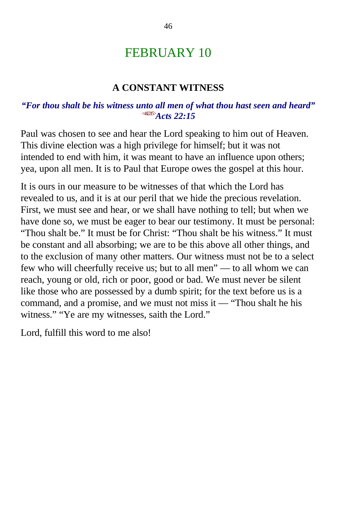### **A CONSTANT WITNESS**

### *"For thou shalt be his witness unto all men of what thou hast seen and heard" <442215>Acts 22:15*

Paul was chosen to see and hear the Lord speaking to him out of Heaven. This divine election was a high privilege for himself; but it was not intended to end with him, it was meant to have an influence upon others; yea, upon all men. It is to Paul that Europe owes the gospel at this hour.

It is ours in our measure to be witnesses of that which the Lord has revealed to us, and it is at our peril that we hide the precious revelation. First, we must see and hear, or we shall have nothing to tell; but when we have done so, we must be eager to bear our testimony. It must be personal: "Thou shalt be." It must be for Christ: "Thou shalt be his witness." It must be constant and all absorbing; we are to be this above all other things, and to the exclusion of many other matters. Our witness must not be to a select few who will cheerfully receive us; but to all men" — to all whom we can reach, young or old, rich or poor, good or bad. We must never be silent like those who are possessed by a dumb spirit; for the text before us is a command, and a promise, and we must not miss it — "Thou shalt he his witness." "Ye are my witnesses, saith the Lord."

Lord, fulfill this word to me also!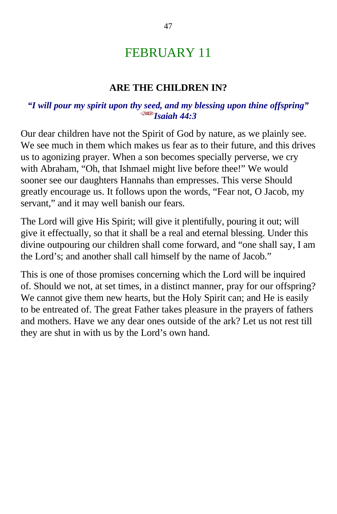### **ARE THE CHILDREN IN?**

### *"I will pour my spirit upon thy seed, and my blessing upon thine offspring" <234403>Isaiah 44:3*

Our dear children have not the Spirit of God by nature, as we plainly see. We see much in them which makes us fear as to their future, and this drives us to agonizing prayer. When a son becomes specially perverse, we cry with Abraham, "Oh, that Ishmael might live before thee!" We would sooner see our daughters Hannahs than empresses. This verse Should greatly encourage us. It follows upon the words, "Fear not, O Jacob, my servant," and it may well banish our fears.

The Lord will give His Spirit; will give it plentifully, pouring it out; will give it effectually, so that it shall be a real and eternal blessing. Under this divine outpouring our children shall come forward, and "one shall say, I am the Lord's; and another shall call himself by the name of Jacob."

This is one of those promises concerning which the Lord will be inquired of. Should we not, at set times, in a distinct manner, pray for our offspring? We cannot give them new hearts, but the Holy Spirit can; and He is easily to be entreated of. The great Father takes pleasure in the prayers of fathers and mothers. Have we any dear ones outside of the ark? Let us not rest till they are shut in with us by the Lord's own hand.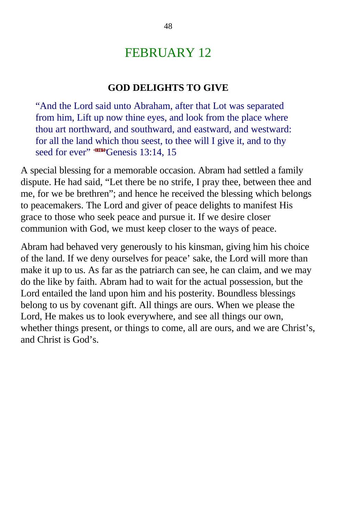#### **GOD DELIGHTS TO GIVE**

"And the Lord said unto Abraham, after that Lot was separated from him, Lift up now thine eyes, and look from the place where thou art northward, and southward, and eastward, and westward: for all the land which thou seest, to thee will I give it, and to thy seed for ever" **IB4**Genesis 13:14, 15

A special blessing for a memorable occasion. Abram had settled a family dispute. He had said, "Let there be no strife, I pray thee, between thee and me, for we be brethren"; and hence he received the blessing which belongs to peacemakers. The Lord and giver of peace delights to manifest His grace to those who seek peace and pursue it. If we desire closer communion with God, we must keep closer to the ways of peace.

Abram had behaved very generously to his kinsman, giving him his choice of the land. If we deny ourselves for peace' sake, the Lord will more than make it up to us. As far as the patriarch can see, he can claim, and we may do the like by faith. Abram had to wait for the actual possession, but the Lord entailed the land upon him and his posterity. Boundless blessings belong to us by covenant gift. All things are ours. When we please the Lord, He makes us to look everywhere, and see all things our own, whether things present, or things to come, all are ours, and we are Christ's, and Christ is God's.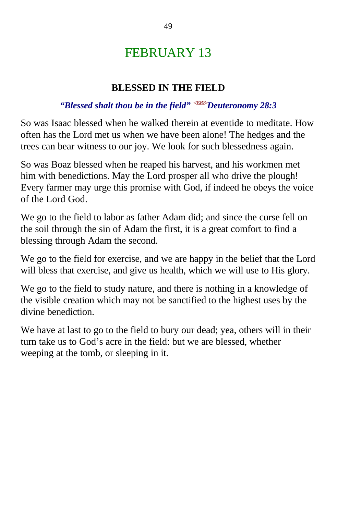### **BLESSED IN THE FIELD**

### *"Blessed shalt thou be in the field"* <sup>*dENB*</sup> *Deuteronomy 28:3*

So was Isaac blessed when he walked therein at eventide to meditate. How often has the Lord met us when we have been alone! The hedges and the trees can bear witness to our joy. We look for such blessedness again.

So was Boaz blessed when he reaped his harvest, and his workmen met him with benedictions. May the Lord prosper all who drive the plough! Every farmer may urge this promise with God, if indeed he obeys the voice of the Lord God.

We go to the field to labor as father Adam did; and since the curse fell on the soil through the sin of Adam the first, it is a great comfort to find a blessing through Adam the second.

We go to the field for exercise, and we are happy in the belief that the Lord will bless that exercise, and give us health, which we will use to His glory.

We go to the field to study nature, and there is nothing in a knowledge of the visible creation which may not be sanctified to the highest uses by the divine benediction.

We have at last to go to the field to bury our dead; yea, others will in their turn take us to God's acre in the field: but we are blessed, whether weeping at the tomb, or sleeping in it.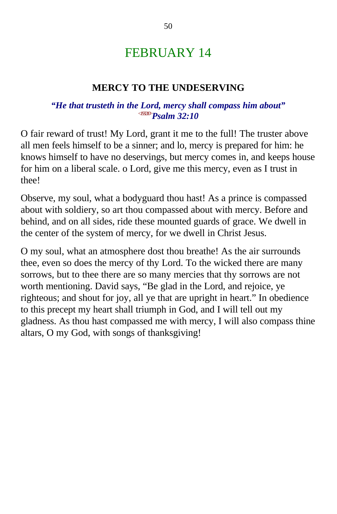### **MERCY TO THE UNDESERVING**

#### *"He that trusteth in the Lord, mercy shall compass him about" <193210>Psalm 32:10*

O fair reward of trust! My Lord, grant it me to the full! The truster above all men feels himself to be a sinner; and lo, mercy is prepared for him: he knows himself to have no deservings, but mercy comes in, and keeps house for him on a liberal scale. o Lord, give me this mercy, even as I trust in thee!

Observe, my soul, what a bodyguard thou hast! As a prince is compassed about with soldiery, so art thou compassed about with mercy. Before and behind, and on all sides, ride these mounted guards of grace. We dwell in the center of the system of mercy, for we dwell in Christ Jesus.

O my soul, what an atmosphere dost thou breathe! As the air surrounds thee, even so does the mercy of thy Lord. To the wicked there are many sorrows, but to thee there are so many mercies that thy sorrows are not worth mentioning. David says, "Be glad in the Lord, and rejoice, ye righteous; and shout for joy, all ye that are upright in heart." In obedience to this precept my heart shall triumph in God, and I will tell out my gladness. As thou hast compassed me with mercy, I will also compass thine altars, O my God, with songs of thanksgiving!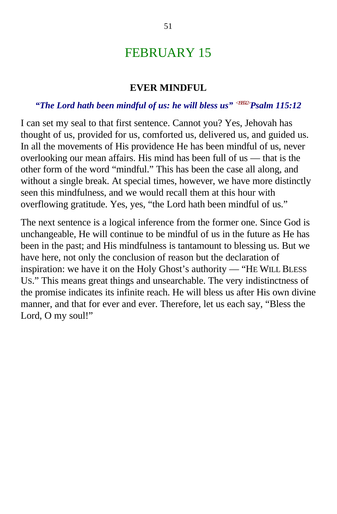#### **EVER MINDFUL**

### *"The Lord hath been mindful of us: he will bless us" <19B512>Psalm 115:12*

I can set my seal to that first sentence. Cannot you? Yes, Jehovah has thought of us, provided for us, comforted us, delivered us, and guided us. In all the movements of His providence He has been mindful of us, never overlooking our mean affairs. His mind has been full of us — that is the other form of the word "mindful." This has been the case all along, and without a single break. At special times, however, we have more distinctly seen this mindfulness, and we would recall them at this hour with overflowing gratitude. Yes, yes, "the Lord hath been mindful of us."

The next sentence is a logical inference from the former one. Since God is unchangeable, He will continue to be mindful of us in the future as He has been in the past; and His mindfulness is tantamount to blessing us. But we have here, not only the conclusion of reason but the declaration of inspiration: we have it on the Holy Ghost's authority — "HE WILL BLESS US." This means great things and unsearchable. The very indistinctness of the promise indicates its infinite reach. He will bless us after His own divine manner, and that for ever and ever. Therefore, let us each say, "Bless the Lord, O my soul!"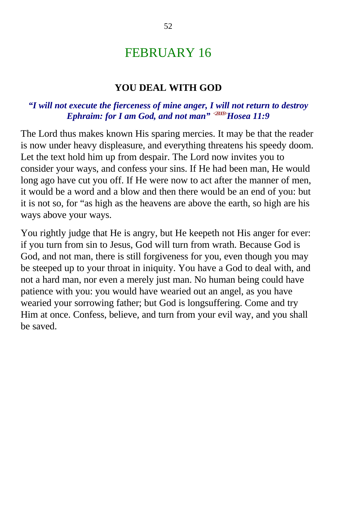### **YOU DEAL WITH GOD**

### *"I will not execute the fierceness of mine anger, I will not return to destroy Ephraim: for I am God, and not man*" <sup>*28109</sup>Hosea 11:9*</sup>

The Lord thus makes known His sparing mercies. It may be that the reader is now under heavy displeasure, and everything threatens his speedy doom. Let the text hold him up from despair. The Lord now invites you to consider your ways, and confess your sins. If He had been man, He would long ago have cut you off. If He were now to act after the manner of men, it would be a word and a blow and then there would be an end of you: but it is not so, for "as high as the heavens are above the earth, so high are his ways above your ways.

You rightly judge that He is angry, but He keepeth not His anger for ever: if you turn from sin to Jesus, God will turn from wrath. Because God is God, and not man, there is still forgiveness for you, even though you may be steeped up to your throat in iniquity. You have a God to deal with, and not a hard man, nor even a merely just man. No human being could have patience with you: you would have wearied out an angel, as you have wearied your sorrowing father; but God is longsuffering. Come and try Him at once. Confess, believe, and turn from your evil way, and you shall be saved.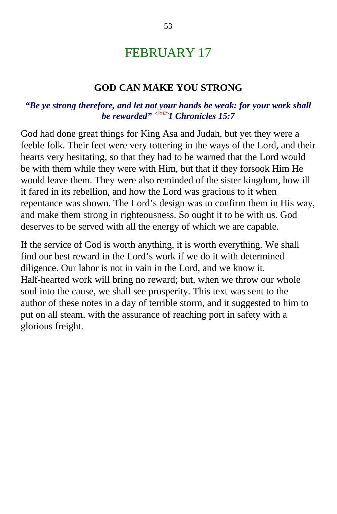#### **GOD CAN MAKE YOU STRONG**

#### *"Be ye strong therefore, and let not your hands be weak: for your work shall be rewarded" <131507>1 Chronicles 15:7*

God had done great things for King Asa and Judah, but yet they were a feeble folk. Their feet were very tottering in the ways of the Lord, and their hearts very hesitating, so that they had to be warned that the Lord would be with them while they were with Him, but that if they forsook Him He would leave them. They were also reminded of the sister kingdom, how ill it fared in its rebellion, and how the Lord was gracious to it when repentance was shown. The Lord's design was to confirm them in His way, and make them strong in righteousness. So ought it to be with us. God deserves to be served with all the energy of which we are capable.

If the service of God is worth anything, it is worth everything. We shall find our best reward in the Lord's work if we do it with determined diligence. Our labor is not in vain in the Lord, and we know it. Half-hearted work will bring no reward; but, when we throw our whole soul into the cause, we shall see prosperity. This text was sent to the author of these notes in a day of terrible storm, and it suggested to him to put on all steam, with the assurance of reaching port in safety with a glorious freight.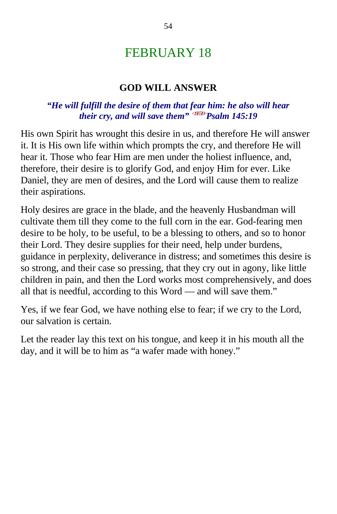### **GOD WILL ANSWER**

### *"He will fulfill the desire of them that fear him: he also will hear their cry, and will save them*" <sup>*AE59*</sup>*Psalm 145:19*

His own Spirit has wrought this desire in us, and therefore He will answer it. It is His own life within which prompts the cry, and therefore He will hear it. Those who fear Him are men under the holiest influence, and, therefore, their desire is to glorify God, and enjoy Him for ever. Like Daniel, they are men of desires, and the Lord will cause them to realize their aspirations.

Holy desires are grace in the blade, and the heavenly Husbandman will cultivate them till they come to the full corn in the ear. God-fearing men desire to be holy, to be useful, to be a blessing to others, and so to honor their Lord. They desire supplies for their need, help under burdens, guidance in perplexity, deliverance in distress; and sometimes this desire is so strong, and their case so pressing, that they cry out in agony, like little children in pain, and then the Lord works most comprehensively, and does all that is needful, according to this Word — and will save them."

Yes, if we fear God, we have nothing else to fear; if we cry to the Lord, our salvation is certain.

Let the reader lay this text on his tongue, and keep it in his mouth all the day, and it will be to him as "a wafer made with honey."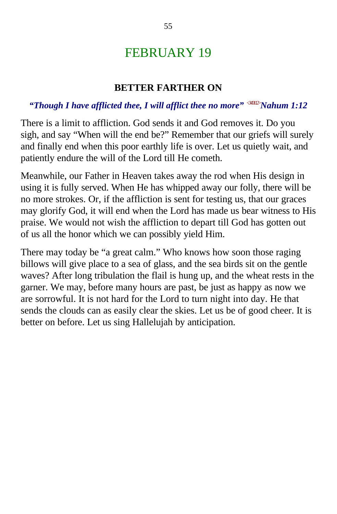### **BETTER FARTHER ON**

### *"Though I have afflicted thee, I will afflict thee no more" <340112>Nahum 1:12*

There is a limit to affliction. God sends it and God removes it. Do you sigh, and say "When will the end be?" Remember that our griefs will surely and finally end when this poor earthly life is over. Let us quietly wait, and patiently endure the will of the Lord till He cometh.

Meanwhile, our Father in Heaven takes away the rod when His design in using it is fully served. When He has whipped away our folly, there will be no more strokes. Or, if the affliction is sent for testing us, that our graces may glorify God, it will end when the Lord has made us bear witness to His praise. We would not wish the affliction to depart till God has gotten out of us all the honor which we can possibly yield Him.

There may today be "a great calm." Who knows how soon those raging billows will give place to a sea of glass, and the sea birds sit on the gentle waves? After long tribulation the flail is hung up, and the wheat rests in the garner. We may, before many hours are past, be just as happy as now we are sorrowful. It is not hard for the Lord to turn night into day. He that sends the clouds can as easily clear the skies. Let us be of good cheer. It is better on before. Let us sing Hallelujah by anticipation.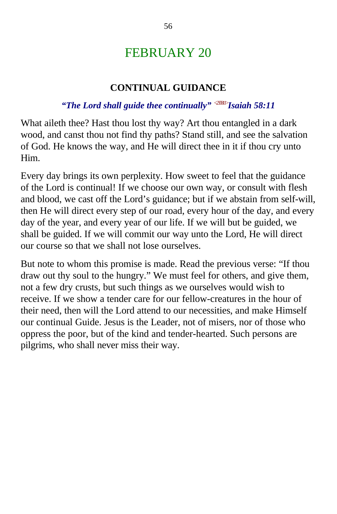### **CONTINUAL GUIDANCE**

### *"The Lord shall guide thee continually" <235811>Isaiah 58:11*

What aileth thee? Hast thou lost thy way? Art thou entangled in a dark wood, and canst thou not find thy paths? Stand still, and see the salvation of God. He knows the way, and He will direct thee in it if thou cry unto Him.

Every day brings its own perplexity. How sweet to feel that the guidance of the Lord is continual! If we choose our own way, or consult with flesh and blood, we cast off the Lord's guidance; but if we abstain from self-will, then He will direct every step of our road, every hour of the day, and every day of the year, and every year of our life. If we will but be guided, we shall be guided. If we will commit our way unto the Lord, He will direct our course so that we shall not lose ourselves.

But note to whom this promise is made. Read the previous verse: "If thou draw out thy soul to the hungry." We must feel for others, and give them, not a few dry crusts, but such things as we ourselves would wish to receive. If we show a tender care for our fellow-creatures in the hour of their need, then will the Lord attend to our necessities, and make Himself our continual Guide. Jesus is the Leader, not of misers, nor of those who oppress the poor, but of the kind and tender-hearted. Such persons are pilgrims, who shall never miss their way.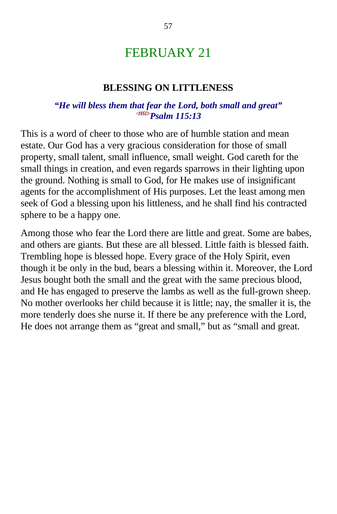#### **BLESSING ON LITTLENESS**

#### *"He will bless them that fear the Lord, both small and great" <19B513>Psalm 115:13*

This is a word of cheer to those who are of humble station and mean estate. Our God has a very gracious consideration for those of small property, small talent, small influence, small weight. God careth for the small things in creation, and even regards sparrows in their lighting upon the ground. Nothing is small to God, for He makes use of insignificant agents for the accomplishment of His purposes. Let the least among men seek of God a blessing upon his littleness, and he shall find his contracted sphere to be a happy one.

Among those who fear the Lord there are little and great. Some are babes, and others are giants. But these are all blessed. Little faith is blessed faith. Trembling hope is blessed hope. Every grace of the Holy Spirit, even though it be only in the bud, bears a blessing within it. Moreover, the Lord Jesus bought both the small and the great with the same precious blood, and He has engaged to preserve the lambs as well as the full-grown sheep. No mother overlooks her child because it is little; nay, the smaller it is, the more tenderly does she nurse it. If there be any preference with the Lord, He does not arrange them as "great and small," but as "small and great.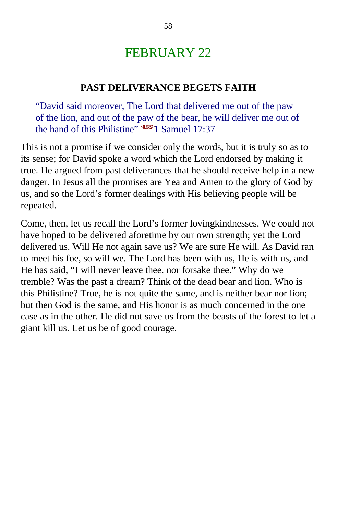### **PAST DELIVERANCE BEGETS FAITH**

"David said moreover, The Lord that delivered me out of the paw of the lion, and out of the paw of the bear, he will deliver me out of the hand of this Philistine" **<091737>**1 Samuel 17:37

This is not a promise if we consider only the words, but it is truly so as to its sense; for David spoke a word which the Lord endorsed by making it true. He argued from past deliverances that he should receive help in a new danger. In Jesus all the promises are Yea and Amen to the glory of God by us, and so the Lord's former dealings with His believing people will be repeated.

Come, then, let us recall the Lord's former lovingkindnesses. We could not have hoped to be delivered aforetime by our own strength; yet the Lord delivered us. Will He not again save us? We are sure He will. As David ran to meet his foe, so will we. The Lord has been with us, He is with us, and He has said, "I will never leave thee, nor forsake thee." Why do we tremble? Was the past a dream? Think of the dead bear and lion. Who is this Philistine? True, he is not quite the same, and is neither bear nor lion; but then God is the same, and His honor is as much concerned in the one case as in the other. He did not save us from the beasts of the forest to let a giant kill us. Let us be of good courage.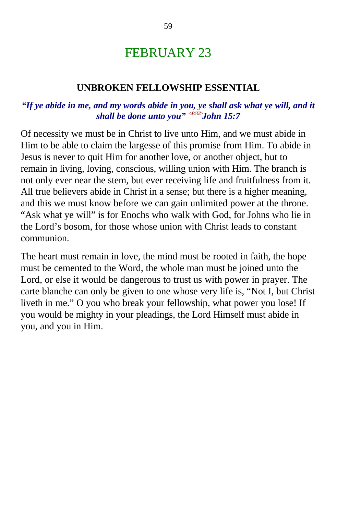#### **UNBROKEN FELLOWSHIP ESSENTIAL**

#### *"If ye abide in me, and my words abide in you, ye shall ask what ye will, and it shall be done unto you*" <sup><8137</sup>*John 15:7*

Of necessity we must be in Christ to live unto Him, and we must abide in Him to be able to claim the largesse of this promise from Him. To abide in Jesus is never to quit Him for another love, or another object, but to remain in living, loving, conscious, willing union with Him. The branch is not only ever near the stem, but ever receiving life and fruitfulness from it. All true believers abide in Christ in a sense; but there is a higher meaning, and this we must know before we can gain unlimited power at the throne. "Ask what ye will" is for Enochs who walk with God, for Johns who lie in the Lord's bosom, for those whose union with Christ leads to constant communion.

The heart must remain in love, the mind must be rooted in faith, the hope must be cemented to the Word, the whole man must be joined unto the Lord, or else it would be dangerous to trust us with power in prayer. The carte blanche can only be given to one whose very life is, "Not I, but Christ liveth in me." O you who break your fellowship, what power you lose! If you would be mighty in your pleadings, the Lord Himself must abide in you, and you in Him.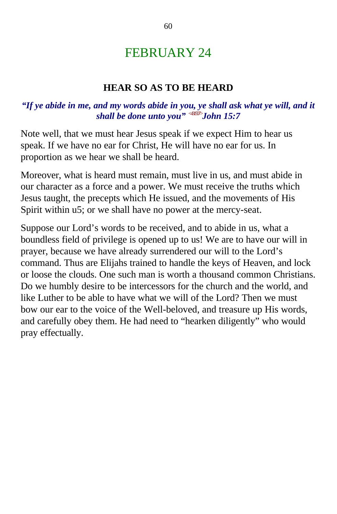### **HEAR SO AS TO BE HEARD**

### *"If ye abide in me, and my words abide in you, ye shall ask what ye will, and it shall be done unto you*"  $4857$ *John 15:7*

Note well, that we must hear Jesus speak if we expect Him to hear us speak. If we have no ear for Christ, He will have no ear for us. In proportion as we hear we shall be heard.

Moreover, what is heard must remain, must live in us, and must abide in our character as a force and a power. We must receive the truths which Jesus taught, the precepts which He issued, and the movements of His Spirit within u5; or we shall have no power at the mercy-seat.

Suppose our Lord's words to be received, and to abide in us, what a boundless field of privilege is opened up to us! We are to have our will in prayer, because we have already surrendered our will to the Lord's command. Thus are Elijahs trained to handle the keys of Heaven, and lock or loose the clouds. One such man is worth a thousand common Christians. Do we humbly desire to be intercessors for the church and the world, and like Luther to be able to have what we will of the Lord? Then we must bow our ear to the voice of the Well-beloved, and treasure up His words, and carefully obey them. He had need to "hearken diligently" who would pray effectually.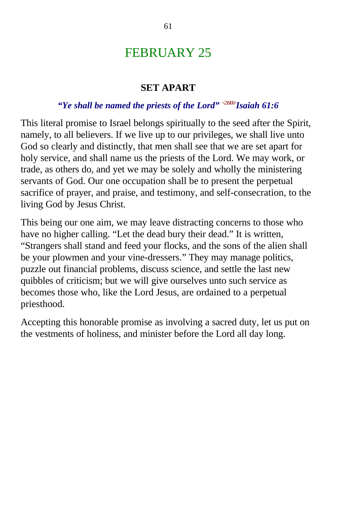#### **SET APART**

#### *"Ye shall be named the priests of the Lord" <236106>Isaiah 61:6*

This literal promise to Israel belongs spiritually to the seed after the Spirit, namely, to all believers. If we live up to our privileges, we shall live unto God so clearly and distinctly, that men shall see that we are set apart for holy service, and shall name us the priests of the Lord. We may work, or trade, as others do, and yet we may be solely and wholly the ministering servants of God. Our one occupation shall be to present the perpetual sacrifice of prayer, and praise, and testimony, and self-consecration, to the living God by Jesus Christ.

This being our one aim, we may leave distracting concerns to those who have no higher calling. "Let the dead bury their dead." It is written, "Strangers shall stand and feed your flocks, and the sons of the alien shall be your plowmen and your vine-dressers." They may manage politics, puzzle out financial problems, discuss science, and settle the last new quibbles of criticism; but we will give ourselves unto such service as becomes those who, like the Lord Jesus, are ordained to a perpetual priesthood.

Accepting this honorable promise as involving a sacred duty, let us put on the vestments of holiness, and minister before the Lord all day long.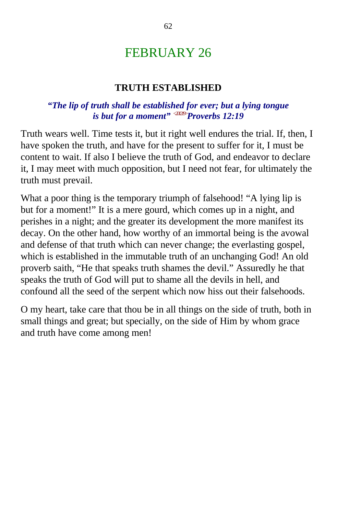### **TRUTH ESTABLISHED**

### *"The lip of truth shall be established for ever; but a lying tongue is but for a moment" <201219>Proverbs 12:19*

Truth wears well. Time tests it, but it right well endures the trial. If, then, I have spoken the truth, and have for the present to suffer for it, I must be content to wait. If also I believe the truth of God, and endeavor to declare it, I may meet with much opposition, but I need not fear, for ultimately the truth must prevail.

What a poor thing is the temporary triumph of falsehood! "A lying lip is but for a moment!" It is a mere gourd, which comes up in a night, and perishes in a night; and the greater its development the more manifest its decay. On the other hand, how worthy of an immortal being is the avowal and defense of that truth which can never change; the everlasting gospel, which is established in the immutable truth of an unchanging God! An old proverb saith, "He that speaks truth shames the devil." Assuredly he that speaks the truth of God will put to shame all the devils in hell, and confound all the seed of the serpent which now hiss out their falsehoods.

O my heart, take care that thou be in all things on the side of truth, both in small things and great; but specially, on the side of Him by whom grace and truth have come among men!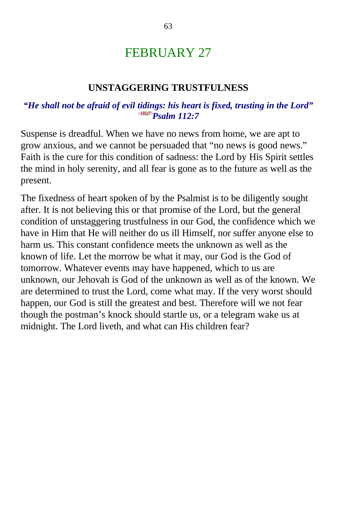#### **UNSTAGGERING TRUSTFULNESS**

#### *"He shall not be afraid of evil tidings: his heart is fixed, trusting in the Lord" <19B207>Psalm 112:7*

Suspense is dreadful. When we have no news from home, we are apt to grow anxious, and we cannot be persuaded that "no news is good news." Faith is the cure for this condition of sadness: the Lord by His Spirit settles the mind in holy serenity, and all fear is gone as to the future as well as the present.

The fixedness of heart spoken of by the Psalmist is to be diligently sought after. It is not believing this or that promise of the Lord, but the general condition of unstaggering trustfulness in our God, the confidence which we have in Him that He will neither do us ill Himself, nor suffer anyone else to harm us. This constant confidence meets the unknown as well as the known of life. Let the morrow be what it may, our God is the God of tomorrow. Whatever events may have happened, which to us are unknown, our Jehovah is God of the unknown as well as of the known. We are determined to trust the Lord, come what may. If the very worst should happen, our God is still the greatest and best. Therefore will we not fear though the postman's knock should startle us, or a telegram wake us at midnight. The Lord liveth, and what can His children fear?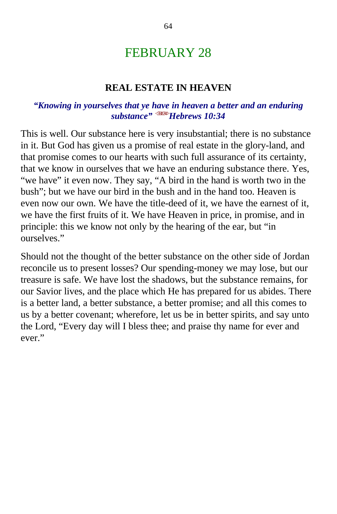#### **REAL ESTATE IN HEAVEN**

#### *"Knowing in yourselves that ye have in heaven a better and an enduring substance" <581034>Hebrews 10:34*

This is well. Our substance here is very insubstantial; there is no substance in it. But God has given us a promise of real estate in the glory-land, and that promise comes to our hearts with such full assurance of its certainty, that we know in ourselves that we have an enduring substance there. Yes, "we have" it even now. They say, "A bird in the hand is worth two in the bush"; but we have our bird in the bush and in the hand too. Heaven is even now our own. We have the title-deed of it, we have the earnest of it, we have the first fruits of it. We have Heaven in price, in promise, and in principle: this we know not only by the hearing of the ear, but "in ourselves."

Should not the thought of the better substance on the other side of Jordan reconcile us to present losses? Our spending-money we may lose, but our treasure is safe. We have lost the shadows, but the substance remains, for our Savior lives, and the place which He has prepared for us abides. There is a better land, a better substance, a better promise; and all this comes to us by a better covenant; wherefore, let us be in better spirits, and say unto the Lord, "Every day will I bless thee; and praise thy name for ever and ever."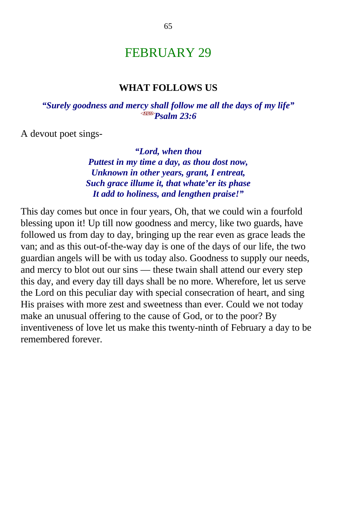#### **WHAT FOLLOWS US**

#### *"Surely goodness and mercy shall follow me all the days of my life" <192306>Psalm 23:6*

A devout poet sings-

*"Lord, when thou*

*Puttest in my time a day, as thou dost now, Unknown in other years, grant, I entreat, Such grace illume it, that whate'er its phase It add to holiness, and lengthen praise!"*

This day comes but once in four years, Oh, that we could win a fourfold blessing upon it! Up till now goodness and mercy, like two guards, have followed us from day to day, bringing up the rear even as grace leads the van; and as this out-of-the-way day is one of the days of our life, the two guardian angels will be with us today also. Goodness to supply our needs, and mercy to blot out our sins — these twain shall attend our every step this day, and every day till days shall be no more. Wherefore, let us serve the Lord on this peculiar day with special consecration of heart, and sing His praises with more zest and sweetness than ever. Could we not today make an unusual offering to the cause of God, or to the poor? By inventiveness of love let us make this twenty-ninth of February a day to be remembered forever.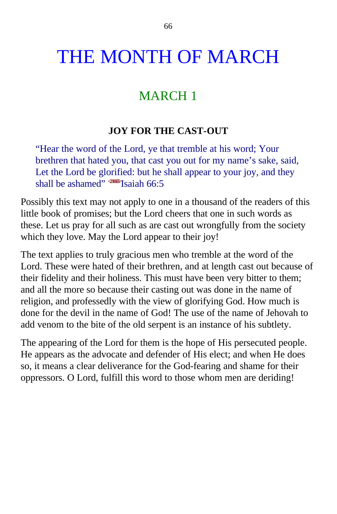# THE MONTH OF MARCH

### MARCH 1

### **JOY FOR THE CAST-OUT**

"Hear the word of the Lord, ye that tremble at his word; Your brethren that hated you, that cast you out for my name's sake, said, Let the Lord be glorified: but he shall appear to your joy, and they shall be ashamed" <sup>2005</sup>Isaiah 66:5

Possibly this text may not apply to one in a thousand of the readers of this little book of promises; but the Lord cheers that one in such words as these. Let us pray for all such as are cast out wrongfully from the society which they love. May the Lord appear to their joy!

The text applies to truly gracious men who tremble at the word of the Lord. These were hated of their brethren, and at length cast out because of their fidelity and their holiness. This must have been very bitter to them; and all the more so because their casting out was done in the name of religion, and professedly with the view of glorifying God. How much is done for the devil in the name of God! The use of the name of Jehovah to add venom to the bite of the old serpent is an instance of his subtlety.

The appearing of the Lord for them is the hope of His persecuted people. He appears as the advocate and defender of His elect; and when He does so, it means a clear deliverance for the God-fearing and shame for their oppressors. O Lord, fulfill this word to those whom men are deriding!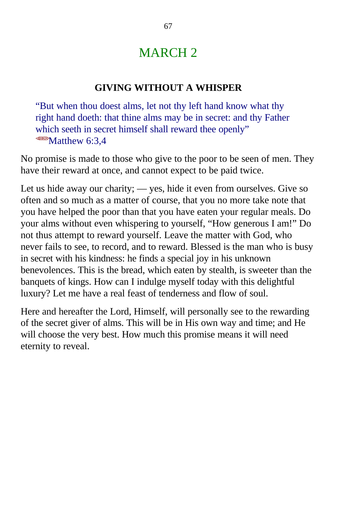### **GIVING WITHOUT A WHISPER**

"But when thou doest alms, let not thy left hand know what thy right hand doeth: that thine alms may be in secret: and thy Father which seeth in secret himself shall reward thee openly" **<sup>&</sup>lt;**400603**<sup>&</sup>gt;**Matthew 6:3,4

No promise is made to those who give to the poor to be seen of men. They have their reward at once, and cannot expect to be paid twice.

Let us hide away our charity; — yes, hide it even from ourselves. Give so often and so much as a matter of course, that you no more take note that you have helped the poor than that you have eaten your regular meals. Do your alms without even whispering to yourself, "How generous I am!" Do not thus attempt to reward yourself. Leave the matter with God, who never fails to see, to record, and to reward. Blessed is the man who is busy in secret with his kindness: he finds a special joy in his unknown benevolences. This is the bread, which eaten by stealth, is sweeter than the banquets of kings. How can I indulge myself today with this delightful luxury? Let me have a real feast of tenderness and flow of soul.

Here and hereafter the Lord, Himself, will personally see to the rewarding of the secret giver of alms. This will be in His own way and time; and He will choose the very best. How much this promise means it will need eternity to reveal.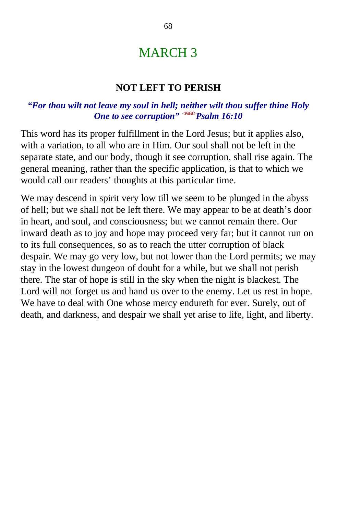### **NOT LEFT TO PERISH**

### *"For thou wilt not leave my soul in hell; neither wilt thou suffer thine Holy One to see corruption*" <sup>*ABIOD*</sup> *Psalm 16:10*

This word has its proper fulfillment in the Lord Jesus; but it applies also, with a variation, to all who are in Him. Our soul shall not be left in the separate state, and our body, though it see corruption, shall rise again. The general meaning, rather than the specific application, is that to which we would call our readers' thoughts at this particular time.

We may descend in spirit very low till we seem to be plunged in the abyss of hell; but we shall not be left there. We may appear to be at death's door in heart, and soul, and consciousness; but we cannot remain there. Our inward death as to joy and hope may proceed very far; but it cannot run on to its full consequences, so as to reach the utter corruption of black despair. We may go very low, but not lower than the Lord permits; we may stay in the lowest dungeon of doubt for a while, but we shall not perish there. The star of hope is still in the sky when the night is blackest. The Lord will not forget us and hand us over to the enemy. Let us rest in hope. We have to deal with One whose mercy endureth for ever. Surely, out of death, and darkness, and despair we shall yet arise to life, light, and liberty.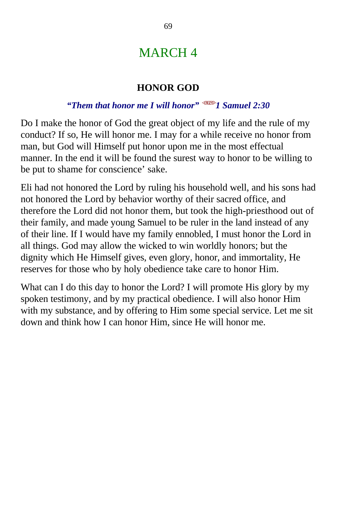### **HONOR GOD**

### *"Them that honor me I will honor" <090230>1 Samuel 2:30*

Do I make the honor of God the great object of my life and the rule of my conduct? If so, He will honor me. I may for a while receive no honor from man, but God will Himself put honor upon me in the most effectual manner. In the end it will be found the surest way to honor to be willing to be put to shame for conscience' sake.

Eli had not honored the Lord by ruling his household well, and his sons had not honored the Lord by behavior worthy of their sacred office, and therefore the Lord did not honor them, but took the high-priesthood out of their family, and made young Samuel to be ruler in the land instead of any of their line. If I would have my family ennobled, I must honor the Lord in all things. God may allow the wicked to win worldly honors; but the dignity which He Himself gives, even glory, honor, and immortality, He reserves for those who by holy obedience take care to honor Him.

What can I do this day to honor the Lord? I will promote His glory by my spoken testimony, and by my practical obedience. I will also honor Him with my substance, and by offering to Him some special service. Let me sit down and think how I can honor Him, since He will honor me.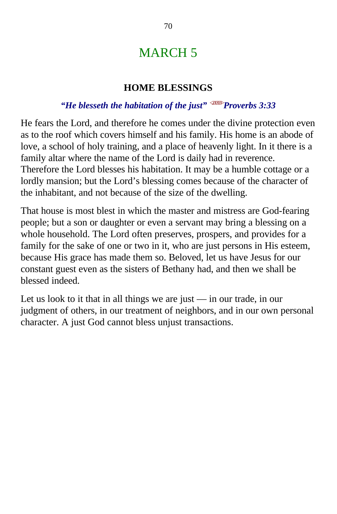### **HOME BLESSINGS**

### *"He blesseth the habitation of the just" <200333>Proverbs 3:33*

He fears the Lord, and therefore he comes under the divine protection even as to the roof which covers himself and his family. His home is an abode of love, a school of holy training, and a place of heavenly light. In it there is a family altar where the name of the Lord is daily had in reverence. Therefore the Lord blesses his habitation. It may be a humble cottage or a

lordly mansion; but the Lord's blessing comes because of the character of the inhabitant, and not because of the size of the dwelling.

That house is most blest in which the master and mistress are God-fearing people; but a son or daughter or even a servant may bring a blessing on a whole household. The Lord often preserves, prospers, and provides for a family for the sake of one or two in it, who are just persons in His esteem, because His grace has made them so. Beloved, let us have Jesus for our constant guest even as the sisters of Bethany had, and then we shall be blessed indeed.

Let us look to it that in all things we are just  $-$  in our trade, in our judgment of others, in our treatment of neighbors, and in our own personal character. A just God cannot bless unjust transactions.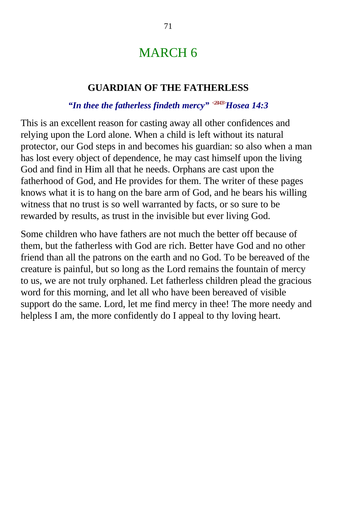## MARCH<sub>6</sub>

#### **GUARDIAN OF THE FATHERLESS**

#### *"In thee the fatherless findeth mercy" <281403>Hosea 14:3*

This is an excellent reason for casting away all other confidences and relying upon the Lord alone. When a child is left without its natural protector, our God steps in and becomes his guardian: so also when a man has lost every object of dependence, he may cast himself upon the living God and find in Him all that he needs. Orphans are cast upon the fatherhood of God, and He provides for them. The writer of these pages knows what it is to hang on the bare arm of God, and he bears his willing witness that no trust is so well warranted by facts, or so sure to be rewarded by results, as trust in the invisible but ever living God.

Some children who have fathers are not much the better off because of them, but the fatherless with God are rich. Better have God and no other friend than all the patrons on the earth and no God. To be bereaved of the creature is painful, but so long as the Lord remains the fountain of mercy to us, we are not truly orphaned. Let fatherless children plead the gracious word for this morning, and let all who have been bereaved of visible support do the same. Lord, let me find mercy in thee! The more needy and helpless I am, the more confidently do I appeal to thy loving heart.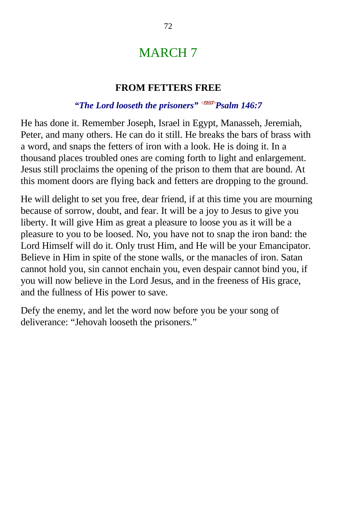#### **FROM FETTERS FREE**

### *"The Lord looseth the prisoners" <19E607>Psalm 146:7*

He has done it. Remember Joseph, Israel in Egypt, Manasseh, Jeremiah, Peter, and many others. He can do it still. He breaks the bars of brass with a word, and snaps the fetters of iron with a look. He is doing it. In a thousand places troubled ones are coming forth to light and enlargement. Jesus still proclaims the opening of the prison to them that are bound. At this moment doors are flying back and fetters are dropping to the ground.

He will delight to set you free, dear friend, if at this time you are mourning because of sorrow, doubt, and fear. It will be a joy to Jesus to give you liberty. It will give Him as great a pleasure to loose you as it will be a pleasure to you to be loosed. No, you have not to snap the iron band: the Lord Himself will do it. Only trust Him, and He will be your Emancipator. Believe in Him in spite of the stone walls, or the manacles of iron. Satan cannot hold you, sin cannot enchain you, even despair cannot bind you, if you will now believe in the Lord Jesus, and in the freeness of His grace, and the fullness of His power to save.

Defy the enemy, and let the word now before you be your song of deliverance: "Jehovah looseth the prisoners."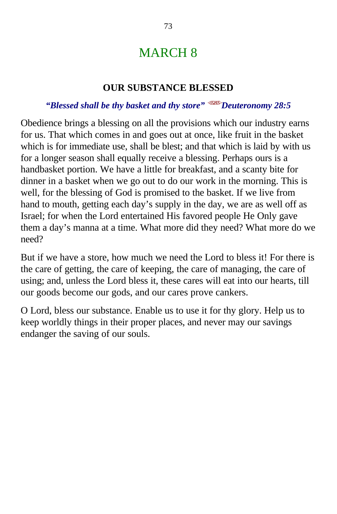#### **OUR SUBSTANCE BLESSED**

#### *"Blessed shall be thy basket and thy store"*  $\frac{dR}{dr}$ Deuteronomy 28:5

Obedience brings a blessing on all the provisions which our industry earns for us. That which comes in and goes out at once, like fruit in the basket which is for immediate use, shall be blest; and that which is laid by with us for a longer season shall equally receive a blessing. Perhaps ours is a handbasket portion. We have a little for breakfast, and a scanty bite for dinner in a basket when we go out to do our work in the morning. This is well, for the blessing of God is promised to the basket. If we live from hand to mouth, getting each day's supply in the day, we are as well off as Israel; for when the Lord entertained His favored people He Only gave them a day's manna at a time. What more did they need? What more do we need?

But if we have a store, how much we need the Lord to bless it! For there is the care of getting, the care of keeping, the care of managing, the care of using; and, unless the Lord bless it, these cares will eat into our hearts, till our goods become our gods, and our cares prove cankers.

O Lord, bless our substance. Enable us to use it for thy glory. Help us to keep worldly things in their proper places, and never may our savings endanger the saving of our souls.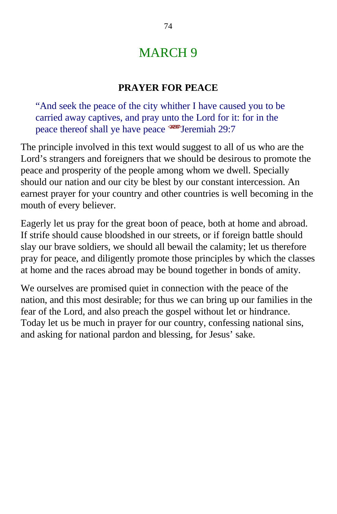## **PRAYER FOR PEACE**

"And seek the peace of the city whither I have caused you to be carried away captives, and pray unto the Lord for it: for in the peace thereof shall ye have peace **<242907>**Jeremiah 29:7

The principle involved in this text would suggest to all of us who are the Lord's strangers and foreigners that we should be desirous to promote the peace and prosperity of the people among whom we dwell. Specially should our nation and our city be blest by our constant intercession. An earnest prayer for your country and other countries is well becoming in the mouth of every believer.

Eagerly let us pray for the great boon of peace, both at home and abroad. If strife should cause bloodshed in our streets, or if foreign battle should slay our brave soldiers, we should all bewail the calamity; let us therefore pray for peace, and diligently promote those principles by which the classes at home and the races abroad may be bound together in bonds of amity.

We ourselves are promised quiet in connection with the peace of the nation, and this most desirable; for thus we can bring up our families in the fear of the Lord, and also preach the gospel without let or hindrance. Today let us be much in prayer for our country, confessing national sins, and asking for national pardon and blessing, for Jesus' sake.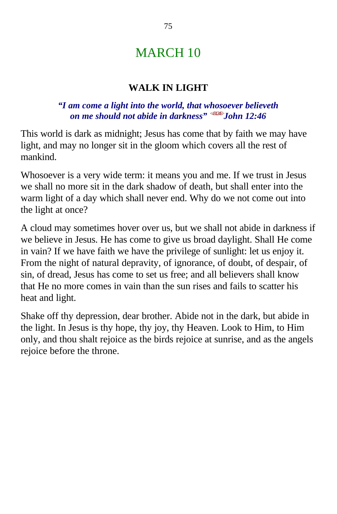## **WALK IN LIGHT**

#### *"I am come a light into the world, that whosoever believeth on me should not abide in darkness" <431246>John 12:46*

This world is dark as midnight; Jesus has come that by faith we may have light, and may no longer sit in the gloom which covers all the rest of mankind.

Whosoever is a very wide term: it means you and me. If we trust in Jesus we shall no more sit in the dark shadow of death, but shall enter into the warm light of a day which shall never end. Why do we not come out into the light at once?

A cloud may sometimes hover over us, but we shall not abide in darkness if we believe in Jesus. He has come to give us broad daylight. Shall He come in vain? If we have faith we have the privilege of sunlight: let us enjoy it. From the night of natural depravity, of ignorance, of doubt, of despair, of sin, of dread, Jesus has come to set us free; and all believers shall know that He no more comes in vain than the sun rises and fails to scatter his heat and light.

Shake off thy depression, dear brother. Abide not in the dark, but abide in the light. In Jesus is thy hope, thy joy, thy Heaven. Look to Him, to Him only, and thou shalt rejoice as the birds rejoice at sunrise, and as the angels rejoice before the throne.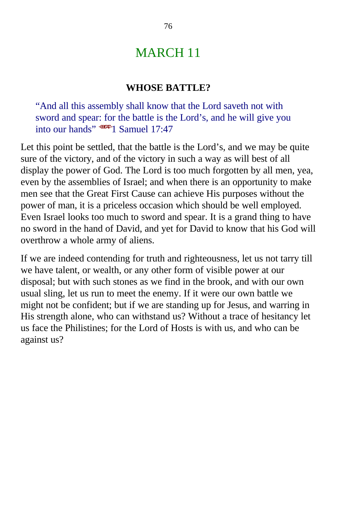#### **WHOSE BATTLE?**

"And all this assembly shall know that the Lord saveth not with sword and spear: for the battle is the Lord's, and he will give you into our hands" **<091747>**1 Samuel 17:47

Let this point be settled, that the battle is the Lord's, and we may be quite sure of the victory, and of the victory in such a way as will best of all display the power of God. The Lord is too much forgotten by all men, yea, even by the assemblies of Israel; and when there is an opportunity to make men see that the Great First Cause can achieve His purposes without the power of man, it is a priceless occasion which should be well employed. Even Israel looks too much to sword and spear. It is a grand thing to have no sword in the hand of David, and yet for David to know that his God will overthrow a whole army of aliens.

If we are indeed contending for truth and righteousness, let us not tarry till we have talent, or wealth, or any other form of visible power at our disposal; but with such stones as we find in the brook, and with our own usual sling, let us run to meet the enemy. If it were our own battle we might not be confident; but if we are standing up for Jesus, and warring in His strength alone, who can withstand us? Without a trace of hesitancy let us face the Philistines; for the Lord of Hosts is with us, and who can be against us?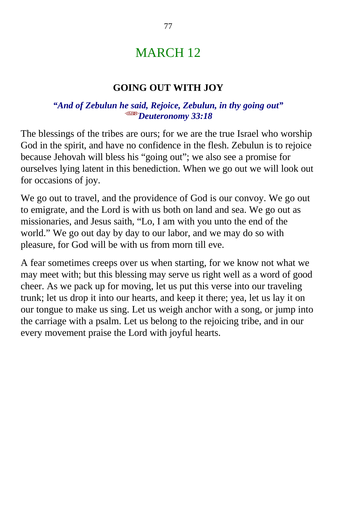## **GOING OUT WITH JOY**

#### *"And of Zebulun he said, Rejoice, Zebulun, in thy going out" <053318>Deuteronomy 33:18*

The blessings of the tribes are ours; for we are the true Israel who worship God in the spirit, and have no confidence in the flesh. Zebulun is to rejoice because Jehovah will bless his "going out"; we also see a promise for ourselves lying latent in this benediction. When we go out we will look out for occasions of joy.

We go out to travel, and the providence of God is our convoy. We go out to emigrate, and the Lord is with us both on land and sea. We go out as missionaries, and Jesus saith, "Lo, I am with you unto the end of the world." We go out day by day to our labor, and we may do so with pleasure, for God will be with us from morn till eve.

A fear sometimes creeps over us when starting, for we know not what we may meet with; but this blessing may serve us right well as a word of good cheer. As we pack up for moving, let us put this verse into our traveling trunk; let us drop it into our hearts, and keep it there; yea, let us lay it on our tongue to make us sing. Let us weigh anchor with a song, or jump into the carriage with a psalm. Let us belong to the rejoicing tribe, and in our every movement praise the Lord with joyful hearts.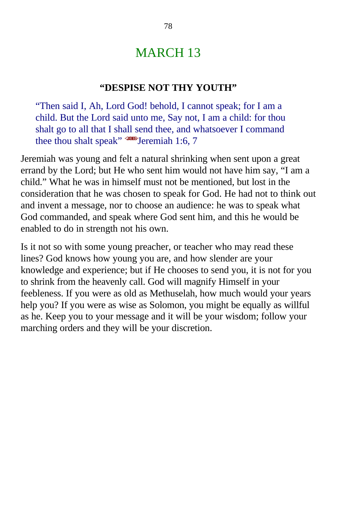#### **"DESPISE NOT THY YOUTH"**

"Then said I, Ah, Lord God! behold, I cannot speak; for I am a child. But the Lord said unto me, Say not, I am a child: for thou shalt go to all that I shall send thee, and whatsoever I command thee thou shalt speak" <sup>2006</sup>Jeremiah 1:6, 7

Jeremiah was young and felt a natural shrinking when sent upon a great errand by the Lord; but He who sent him would not have him say, "I am a child." What he was in himself must not be mentioned, but lost in the consideration that he was chosen to speak for God. He had not to think out and invent a message, nor to choose an audience: he was to speak what God commanded, and speak where God sent him, and this he would be enabled to do in strength not his own.

Is it not so with some young preacher, or teacher who may read these lines? God knows how young you are, and how slender are your knowledge and experience; but if He chooses to send you, it is not for you to shrink from the heavenly call. God will magnify Himself in your feebleness. If you were as old as Methuselah, how much would your years help you? If you were as wise as Solomon, you might be equally as willful as he. Keep you to your message and it will be your wisdom; follow your marching orders and they will be your discretion.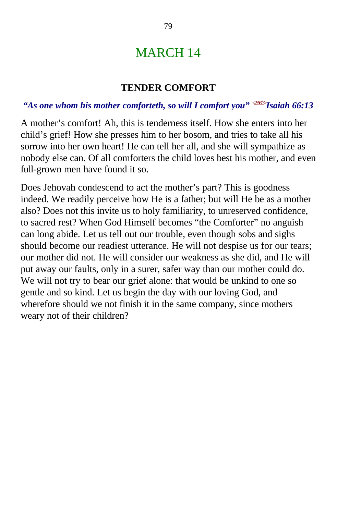#### **TENDER COMFORT**

## *"As one whom his mother comforteth, so will I comfort you" <236613>Isaiah 66:13*

A mother's comfort! Ah, this is tenderness itself. How she enters into her child's grief! How she presses him to her bosom, and tries to take all his sorrow into her own heart! He can tell her all, and she will sympathize as nobody else can. Of all comforters the child loves best his mother, and even full-grown men have found it so.

Does Jehovah condescend to act the mother's part? This is goodness indeed. We readily perceive how He is a father; but will He be as a mother also? Does not this invite us to holy familiarity, to unreserved confidence, to sacred rest? When God Himself becomes "the Comforter" no anguish can long abide. Let us tell out our trouble, even though sobs and sighs should become our readiest utterance. He will not despise us for our tears; our mother did not. He will consider our weakness as she did, and He will put away our faults, only in a surer, safer way than our mother could do. We will not try to bear our grief alone: that would be unkind to one so gentle and so kind. Let us begin the day with our loving God, and wherefore should we not finish it in the same company, since mothers weary not of their children?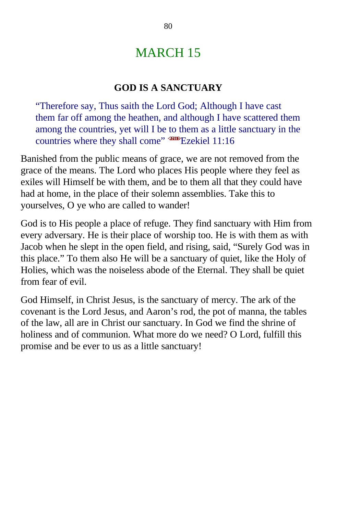## **GOD IS A SANCTUARY**

"Therefore say, Thus saith the Lord God; Although I have cast them far off among the heathen, and although I have scattered them among the countries, yet will I be to them as a little sanctuary in the countries where they shall come" **<261116>**Ezekiel 11:16

Banished from the public means of grace, we are not removed from the grace of the means. The Lord who places His people where they feel as exiles will Himself be with them, and be to them all that they could have had at home, in the place of their solemn assemblies. Take this to yourselves, O ye who are called to wander!

God is to His people a place of refuge. They find sanctuary with Him from every adversary. He is their place of worship too. He is with them as with Jacob when he slept in the open field, and rising, said, "Surely God was in this place." To them also He will be a sanctuary of quiet, like the Holy of Holies, which was the noiseless abode of the Eternal. They shall be quiet from fear of evil.

God Himself, in Christ Jesus, is the sanctuary of mercy. The ark of the covenant is the Lord Jesus, and Aaron's rod, the pot of manna, the tables of the law, all are in Christ our sanctuary. In God we find the shrine of holiness and of communion. What more do we need? O Lord, fulfill this promise and be ever to us as a little sanctuary!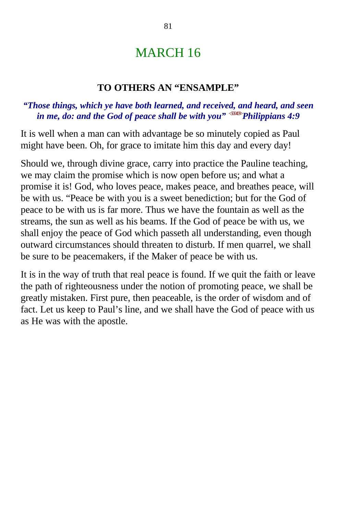#### **TO OTHERS AN "ENSAMPLE"**

#### *"Those things, which ye have both learned, and received, and heard, and seen in me, do: and the God of peace shall be with you*<sup>"  $\triangleleft00P$ </sup> *Philippians 4:9*

It is well when a man can with advantage be so minutely copied as Paul might have been. Oh, for grace to imitate him this day and every day!

Should we, through divine grace, carry into practice the Pauline teaching, we may claim the promise which is now open before us; and what a promise it is! God, who loves peace, makes peace, and breathes peace, will be with us. "Peace be with you is a sweet benediction; but for the God of peace to be with us is far more. Thus we have the fountain as well as the streams, the sun as well as his beams. If the God of peace be with us, we shall enjoy the peace of God which passeth all understanding, even though outward circumstances should threaten to disturb. If men quarrel, we shall be sure to be peacemakers, if the Maker of peace be with us.

It is in the way of truth that real peace is found. If we quit the faith or leave the path of righteousness under the notion of promoting peace, we shall be greatly mistaken. First pure, then peaceable, is the order of wisdom and of fact. Let us keep to Paul's line, and we shall have the God of peace with us as He was with the apostle.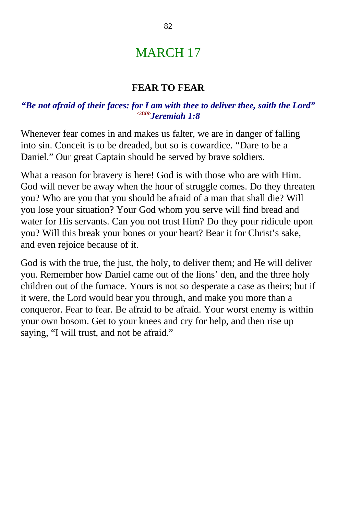#### **FEAR TO FEAR**

#### *"Be not afraid of their faces: for I am with thee to deliver thee, saith the Lord" <240108>Jeremiah 1:8*

Whenever fear comes in and makes us falter, we are in danger of falling into sin. Conceit is to be dreaded, but so is cowardice. "Dare to be a Daniel." Our great Captain should be served by brave soldiers.

What a reason for bravery is here! God is with those who are with Him. God will never be away when the hour of struggle comes. Do they threaten you? Who are you that you should be afraid of a man that shall die? Will you lose your situation? Your God whom you serve will find bread and water for His servants. Can you not trust Him? Do they pour ridicule upon you? Will this break your bones or your heart? Bear it for Christ's sake, and even rejoice because of it.

God is with the true, the just, the holy, to deliver them; and He will deliver you. Remember how Daniel came out of the lions' den, and the three holy children out of the furnace. Yours is not so desperate a case as theirs; but if it were, the Lord would bear you through, and make you more than a conqueror. Fear to fear. Be afraid to be afraid. Your worst enemy is within your own bosom. Get to your knees and cry for help, and then rise up saying, "I will trust, and not be afraid."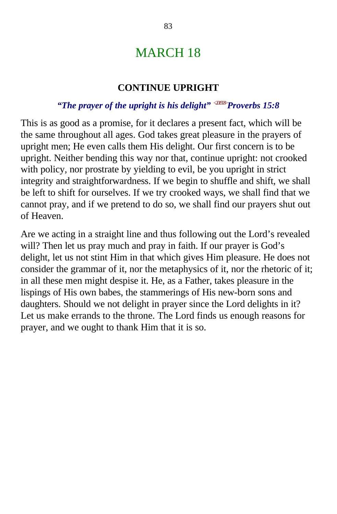#### **CONTINUE UPRIGHT**

#### *"The prayer of the upright is his delight" <201508>Proverbs 15:8*

This is as good as a promise, for it declares a present fact, which will be the same throughout all ages. God takes great pleasure in the prayers of upright men; He even calls them His delight. Our first concern is to be upright. Neither bending this way nor that, continue upright: not crooked with policy, nor prostrate by yielding to evil, be you upright in strict integrity and straightforwardness. If we begin to shuffle and shift, we shall be left to shift for ourselves. If we try crooked ways, we shall find that we cannot pray, and if we pretend to do so, we shall find our prayers shut out of Heaven.

Are we acting in a straight line and thus following out the Lord's revealed will? Then let us pray much and pray in faith. If our prayer is God's delight, let us not stint Him in that which gives Him pleasure. He does not consider the grammar of it, nor the metaphysics of it, nor the rhetoric of it; in all these men might despise it. He, as a Father, takes pleasure in the lispings of His own babes, the stammerings of His new-born sons and daughters. Should we not delight in prayer since the Lord delights in it? Let us make errands to the throne. The Lord finds us enough reasons for prayer, and we ought to thank Him that it is so.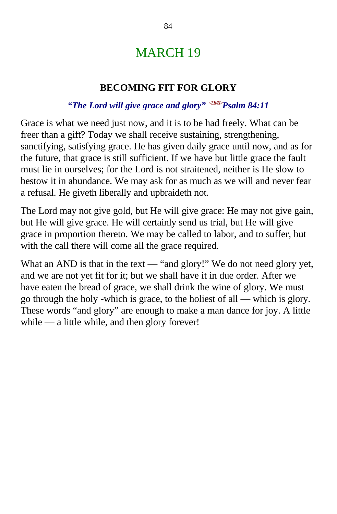## **BECOMING FIT FOR GLORY**

#### *"The Lord will give grace and glory" <198411>Psalm 84:11*

Grace is what we need just now, and it is to be had freely. What can be freer than a gift? Today we shall receive sustaining, strengthening, sanctifying, satisfying grace. He has given daily grace until now, and as for the future, that grace is still sufficient. If we have but little grace the fault must lie in ourselves; for the Lord is not straitened, neither is He slow to bestow it in abundance. We may ask for as much as we will and never fear a refusal. He giveth liberally and upbraideth not.

The Lord may not give gold, but He will give grace: He may not give gain, but He will give grace. He will certainly send us trial, but He will give grace in proportion thereto. We may be called to labor, and to suffer, but with the call there will come all the grace required.

What an AND is that in the text — "and glory!" We do not need glory yet, and we are not yet fit for it; but we shall have it in due order. After we have eaten the bread of grace, we shall drink the wine of glory. We must go through the holy -which is grace, to the holiest of all — which is glory. These words "and glory" are enough to make a man dance for joy. A little while — a little while, and then glory forever!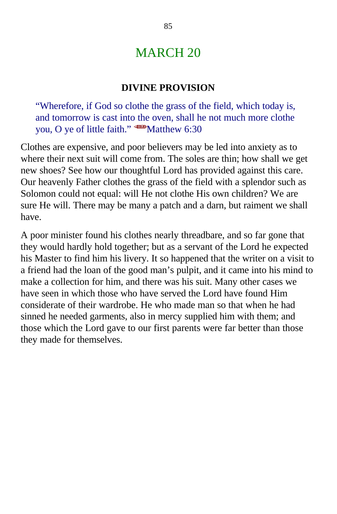## MARCH<sub>20</sub>

#### **DIVINE PROVISION**

"Wherefore, if God so clothe the grass of the field, which today is, and tomorrow is cast into the oven, shall he not much more clothe you, O ye of little faith." <amail@Matthew 6:30

Clothes are expensive, and poor believers may be led into anxiety as to where their next suit will come from. The soles are thin; how shall we get new shoes? See how our thoughtful Lord has provided against this care. Our heavenly Father clothes the grass of the field with a splendor such as Solomon could not equal: will He not clothe His own children? We are sure He will. There may be many a patch and a darn, but raiment we shall have.

A poor minister found his clothes nearly threadbare, and so far gone that they would hardly hold together; but as a servant of the Lord he expected his Master to find him his livery. It so happened that the writer on a visit to a friend had the loan of the good man's pulpit, and it came into his mind to make a collection for him, and there was his suit. Many other cases we have seen in which those who have served the Lord have found Him considerate of their wardrobe. He who made man so that when he had sinned he needed garments, also in mercy supplied him with them; and those which the Lord gave to our first parents were far better than those they made for themselves.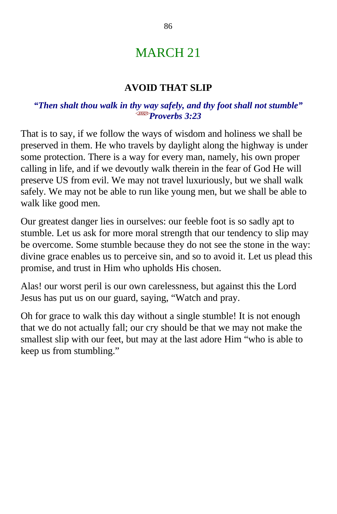## **AVOID THAT SLIP**

#### *"Then shalt thou walk in thy way safely, and thy foot shall not stumble" <200323>Proverbs 3:23*

That is to say, if we follow the ways of wisdom and holiness we shall be preserved in them. He who travels by daylight along the highway is under some protection. There is a way for every man, namely, his own proper calling in life, and if we devoutly walk therein in the fear of God He will preserve US from evil. We may not travel luxuriously, but we shall walk safely. We may not be able to run like young men, but we shall be able to walk like good men.

Our greatest danger lies in ourselves: our feeble foot is so sadly apt to stumble. Let us ask for more moral strength that our tendency to slip may be overcome. Some stumble because they do not see the stone in the way: divine grace enables us to perceive sin, and so to avoid it. Let us plead this promise, and trust in Him who upholds His chosen.

Alas! our worst peril is our own carelessness, but against this the Lord Jesus has put us on our guard, saying, "Watch and pray.

Oh for grace to walk this day without a single stumble! It is not enough that we do not actually fall; our cry should be that we may not make the smallest slip with our feet, but may at the last adore Him "who is able to keep us from stumbling."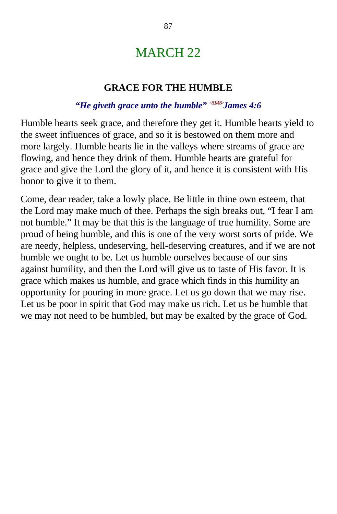#### **GRACE FOR THE HUMBLE**

#### *"He giveth grace unto the humble"* <sup>*S9466</sup> James 4:6*</sup>

Humble hearts seek grace, and therefore they get it. Humble hearts yield to the sweet influences of grace, and so it is bestowed on them more and more largely. Humble hearts lie in the valleys where streams of grace are flowing, and hence they drink of them. Humble hearts are grateful for grace and give the Lord the glory of it, and hence it is consistent with His honor to give it to them.

Come, dear reader, take a lowly place. Be little in thine own esteem, that the Lord may make much of thee. Perhaps the sigh breaks out, "I fear I am not humble." It may be that this is the language of true humility. Some are proud of being humble, and this is one of the very worst sorts of pride. We are needy, helpless, undeserving, hell-deserving creatures, and if we are not humble we ought to be. Let us humble ourselves because of our sins against humility, and then the Lord will give us to taste of His favor. It is grace which makes us humble, and grace which finds in this humility an opportunity for pouring in more grace. Let us go down that we may rise. Let us be poor in spirit that God may make us rich. Let us be humble that we may not need to be humbled, but may be exalted by the grace of God.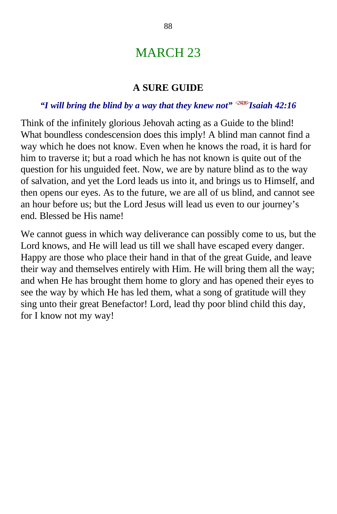#### **A SURE GUIDE**

#### *"I will bring the blind by a way that they knew not" <sup>2326</sup>Isaiah 42:16*

Think of the infinitely glorious Jehovah acting as a Guide to the blind! What boundless condescension does this imply! A blind man cannot find a way which he does not know. Even when he knows the road, it is hard for him to traverse it; but a road which he has not known is quite out of the question for his unguided feet. Now, we are by nature blind as to the way of salvation, and yet the Lord leads us into it, and brings us to Himself, and then opens our eyes. As to the future, we are all of us blind, and cannot see an hour before us; but the Lord Jesus will lead us even to our journey's end. Blessed be His name!

We cannot guess in which way deliverance can possibly come to us, but the Lord knows, and He will lead us till we shall have escaped every danger. Happy are those who place their hand in that of the great Guide, and leave their way and themselves entirely with Him. He will bring them all the way; and when He has brought them home to glory and has opened their eyes to see the way by which He has led them, what a song of gratitude will they sing unto their great Benefactor! Lord, lead thy poor blind child this day, for I know not my way!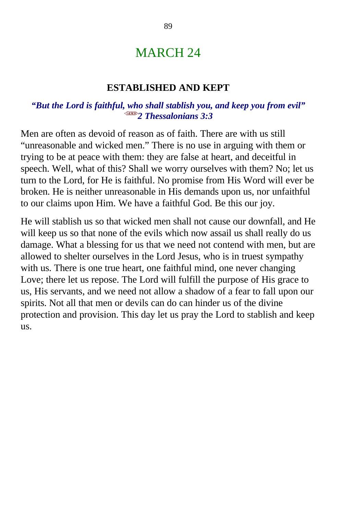#### **ESTABLISHED AND KEPT**

#### *"But the Lord is faithful, who shall stablish you, and keep you from evil" <530303>2 Thessalonians 3:3*

Men are often as devoid of reason as of faith. There are with us still "unreasonable and wicked men." There is no use in arguing with them or trying to be at peace with them: they are false at heart, and deceitful in speech. Well, what of this? Shall we worry ourselves with them? No; let us turn to the Lord, for He is faithful. No promise from His Word will ever be broken. He is neither unreasonable in His demands upon us, nor unfaithful to our claims upon Him. We have a faithful God. Be this our joy.

He will stablish us so that wicked men shall not cause our downfall, and He will keep us so that none of the evils which now assail us shall really do us damage. What a blessing for us that we need not contend with men, but are allowed to shelter ourselves in the Lord Jesus, who is in truest sympathy with us. There is one true heart, one faithful mind, one never changing Love; there let us repose. The Lord will fulfill the purpose of His grace to us, His servants, and we need not allow a shadow of a fear to fall upon our spirits. Not all that men or devils can do can hinder us of the divine protection and provision. This day let us pray the Lord to stablish and keep us.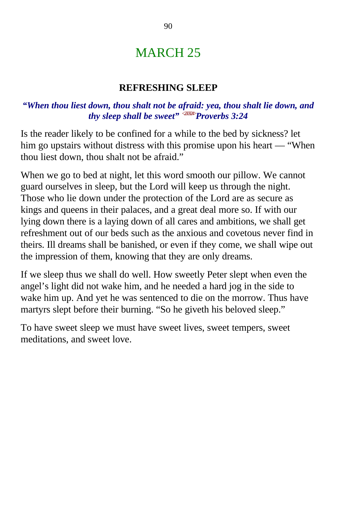#### **REFRESHING SLEEP**

#### *"When thou liest down, thou shalt not be afraid: yea, thou shalt lie down, and thy sleep shall be sweet*" <sup>*2004*</sup> *Proverbs 3:24*

Is the reader likely to be confined for a while to the bed by sickness? let him go upstairs without distress with this promise upon his heart — "When thou liest down, thou shalt not be afraid."

When we go to bed at night, let this word smooth our pillow. We cannot guard ourselves in sleep, but the Lord will keep us through the night. Those who lie down under the protection of the Lord are as secure as kings and queens in their palaces, and a great deal more so. If with our lying down there is a laying down of all cares and ambitions, we shall get refreshment out of our beds such as the anxious and covetous never find in theirs. Ill dreams shall be banished, or even if they come, we shall wipe out the impression of them, knowing that they are only dreams.

If we sleep thus we shall do well. How sweetly Peter slept when even the angel's light did not wake him, and he needed a hard jog in the side to wake him up. And yet he was sentenced to die on the morrow. Thus have martyrs slept before their burning. "So he giveth his beloved sleep."

To have sweet sleep we must have sweet lives, sweet tempers, sweet meditations, and sweet love.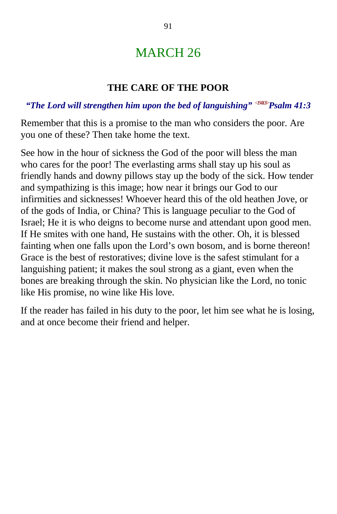#### **THE CARE OF THE POOR**

#### *"The Lord will strengthen him upon the bed of languishing" <194103>Psalm 41:3*

Remember that this is a promise to the man who considers the poor. Are you one of these? Then take home the text.

See how in the hour of sickness the God of the poor will bless the man who cares for the poor! The everlasting arms shall stay up his soul as friendly hands and downy pillows stay up the body of the sick. How tender and sympathizing is this image; how near it brings our God to our infirmities and sicknesses! Whoever heard this of the old heathen Jove, or of the gods of India, or China? This is language peculiar to the God of Israel; He it is who deigns to become nurse and attendant upon good men. If He smites with one hand, He sustains with the other. Oh, it is blessed fainting when one falls upon the Lord's own bosom, and is borne thereon! Grace is the best of restoratives; divine love is the safest stimulant for a languishing patient; it makes the soul strong as a giant, even when the bones are breaking through the skin. No physician like the Lord, no tonic like His promise, no wine like His love.

If the reader has failed in his duty to the poor, let him see what he is losing, and at once become their friend and helper.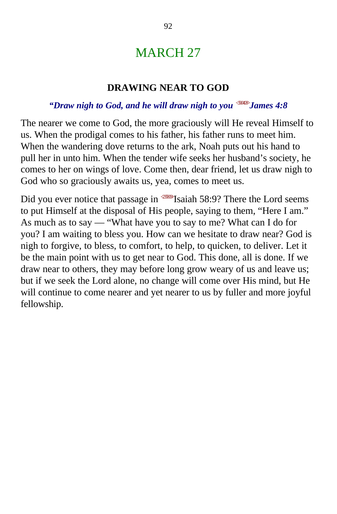#### **DRAWING NEAR TO GOD**

#### *"Draw nigh to God, and he will draw nigh to you <sup>3948</sup> James 4:8*

The nearer we come to God, the more graciously will He reveal Himself to us. When the prodigal comes to his father, his father runs to meet him. When the wandering dove returns to the ark, Noah puts out his hand to pull her in unto him. When the tender wife seeks her husband's society, he comes to her on wings of love. Come then, dear friend, let us draw nigh to God who so graciously awaits us, yea, comes to meet us.

Did you ever notice that passage in  $\frac{2350}{25}$ Isaiah 58:9? There the Lord seems to put Himself at the disposal of His people, saying to them, "Here I am." As much as to say — "What have you to say to me? What can I do for you? I am waiting to bless you. How can we hesitate to draw near? God is nigh to forgive, to bless, to comfort, to help, to quicken, to deliver. Let it be the main point with us to get near to God. This done, all is done. If we draw near to others, they may before long grow weary of us and leave us; but if we seek the Lord alone, no change will come over His mind, but He will continue to come nearer and yet nearer to us by fuller and more joyful fellowship.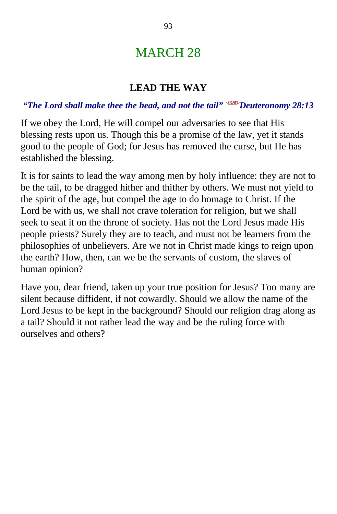## **LEAD THE WAY**

## *"The Lord shall make thee the head, and not the tail" <052813>Deuteronomy 28:13*

If we obey the Lord, He will compel our adversaries to see that His blessing rests upon us. Though this be a promise of the law, yet it stands good to the people of God; for Jesus has removed the curse, but He has established the blessing.

It is for saints to lead the way among men by holy influence: they are not to be the tail, to be dragged hither and thither by others. We must not yield to the spirit of the age, but compel the age to do homage to Christ. If the Lord be with us, we shall not crave toleration for religion, but we shall seek to seat it on the throne of society. Has not the Lord Jesus made His people priests? Surely they are to teach, and must not be learners from the philosophies of unbelievers. Are we not in Christ made kings to reign upon the earth? How, then, can we be the servants of custom, the slaves of human opinion?

Have you, dear friend, taken up your true position for Jesus? Too many are silent because diffident, if not cowardly. Should we allow the name of the Lord Jesus to be kept in the background? Should our religion drag along as a tail? Should it not rather lead the way and be the ruling force with ourselves and others?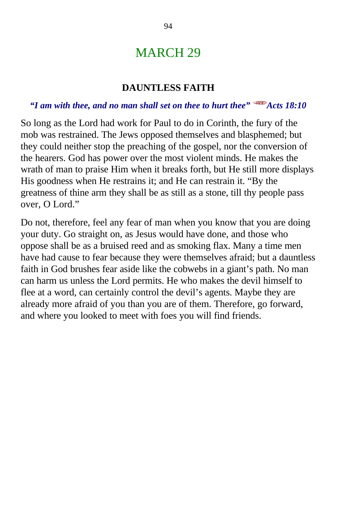#### **DAUNTLESS FAITH**

## *"I am with thee, and no man shall set on thee to hurt thee" <441810>Acts 18:10*

So long as the Lord had work for Paul to do in Corinth, the fury of the mob was restrained. The Jews opposed themselves and blasphemed; but they could neither stop the preaching of the gospel, nor the conversion of the hearers. God has power over the most violent minds. He makes the wrath of man to praise Him when it breaks forth, but He still more displays His goodness when He restrains it; and He can restrain it. "By the greatness of thine arm they shall be as still as a stone, till thy people pass over, O Lord."

Do not, therefore, feel any fear of man when you know that you are doing your duty. Go straight on, as Jesus would have done, and those who oppose shall be as a bruised reed and as smoking flax. Many a time men have had cause to fear because they were themselves afraid; but a dauntless faith in God brushes fear aside like the cobwebs in a giant's path. No man can harm us unless the Lord permits. He who makes the devil himself to flee at a word, can certainly control the devil's agents. Maybe they are already more afraid of you than you are of them. Therefore, go forward, and where you looked to meet with foes you will find friends.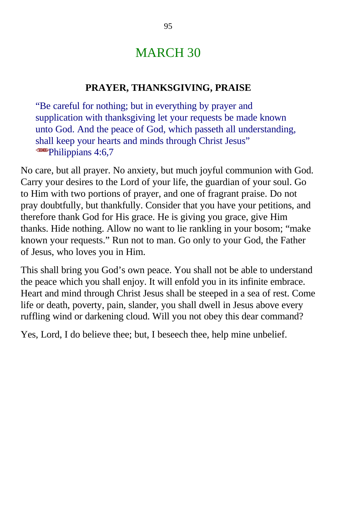## **PRAYER, THANKSGIVING, PRAISE**

"Be careful for nothing; but in everything by prayer and supplication with thanksgiving let your requests be made known unto God. And the peace of God, which passeth all understanding, shall keep your hearts and minds through Christ Jesus" **<500406>**Philippians 4:6,7

No care, but all prayer. No anxiety, but much joyful communion with God. Carry your desires to the Lord of your life, the guardian of your soul. Go to Him with two portions of prayer, and one of fragrant praise. Do not pray doubtfully, but thankfully. Consider that you have your petitions, and therefore thank God for His grace. He is giving you grace, give Him thanks. Hide nothing. Allow no want to lie rankling in your bosom; "make known your requests." Run not to man. Go only to your God, the Father of Jesus, who loves you in Him.

This shall bring you God's own peace. You shall not be able to understand the peace which you shall enjoy. It will enfold you in its infinite embrace. Heart and mind through Christ Jesus shall be steeped in a sea of rest. Come life or death, poverty, pain, slander, you shall dwell in Jesus above every ruffling wind or darkening cloud. Will you not obey this dear command?

Yes, Lord, I do believe thee; but, I beseech thee, help mine unbelief.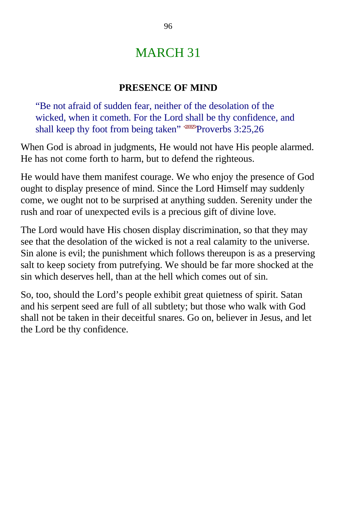## **PRESENCE OF MIND**

"Be not afraid of sudden fear, neither of the desolation of the wicked, when it cometh. For the Lord shall be thy confidence, and shall keep thy foot from being taken" <sup>*allem*</sup> Proverbs 3:25,26</sub>

When God is abroad in judgments, He would not have His people alarmed. He has not come forth to harm, but to defend the righteous.

He would have them manifest courage. We who enjoy the presence of God ought to display presence of mind. Since the Lord Himself may suddenly come, we ought not to be surprised at anything sudden. Serenity under the rush and roar of unexpected evils is a precious gift of divine love.

The Lord would have His chosen display discrimination, so that they may see that the desolation of the wicked is not a real calamity to the universe. Sin alone is evil; the punishment which follows thereupon is as a preserving salt to keep society from putrefying. We should be far more shocked at the sin which deserves hell, than at the hell which comes out of sin.

So, too, should the Lord's people exhibit great quietness of spirit. Satan and his serpent seed are full of all subtlety; but those who walk with God shall not be taken in their deceitful snares. Go on, believer in Jesus, and let the Lord be thy confidence.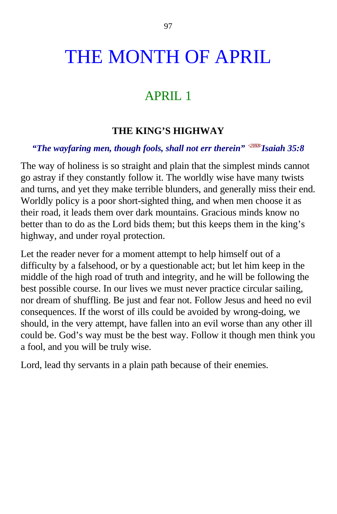# THE MONTH OF APRIL

## APRIL 1

#### **THE KING'S HIGHWAY**

#### *"The wayfaring men, though fools, shall not err therein" <233508>Isaiah 35:8*

The way of holiness is so straight and plain that the simplest minds cannot go astray if they constantly follow it. The worldly wise have many twists and turns, and yet they make terrible blunders, and generally miss their end. Worldly policy is a poor short-sighted thing, and when men choose it as their road, it leads them over dark mountains. Gracious minds know no better than to do as the Lord bids them; but this keeps them in the king's highway, and under royal protection.

Let the reader never for a moment attempt to help himself out of a difficulty by a falsehood, or by a questionable act; but let him keep in the middle of the high road of truth and integrity, and he will be following the best possible course. In our lives we must never practice circular sailing, nor dream of shuffling. Be just and fear not. Follow Jesus and heed no evil consequences. If the worst of ills could be avoided by wrong-doing, we should, in the very attempt, have fallen into an evil worse than any other ill could be. God's way must be the best way. Follow it though men think you a fool, and you will be truly wise.

Lord, lead thy servants in a plain path because of their enemies.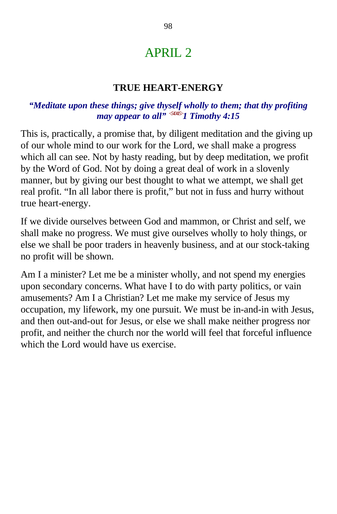# APRIL<sub>2</sub>

## **TRUE HEART-ENERGY**

#### *"Meditate upon these things; give thyself wholly to them; that thy profiting may appear to all" <540415> 1 Timothy 4:15*

This is, practically, a promise that, by diligent meditation and the giving up of our whole mind to our work for the Lord, we shall make a progress which all can see. Not by hasty reading, but by deep meditation, we profit by the Word of God. Not by doing a great deal of work in a slovenly manner, but by giving our best thought to what we attempt, we shall get real profit. "In all labor there is profit," but not in fuss and hurry without true heart-energy.

If we divide ourselves between God and mammon, or Christ and self, we shall make no progress. We must give ourselves wholly to holy things, or else we shall be poor traders in heavenly business, and at our stock-taking no profit will be shown.

Am I a minister? Let me be a minister wholly, and not spend my energies upon secondary concerns. What have I to do with party politics, or vain amusements? Am I a Christian? Let me make my service of Jesus my occupation, my lifework, my one pursuit. We must be in-and-in with Jesus, and then out-and-out for Jesus, or else we shall make neither progress nor profit, and neither the church nor the world will feel that forceful influence which the Lord would have us exercise.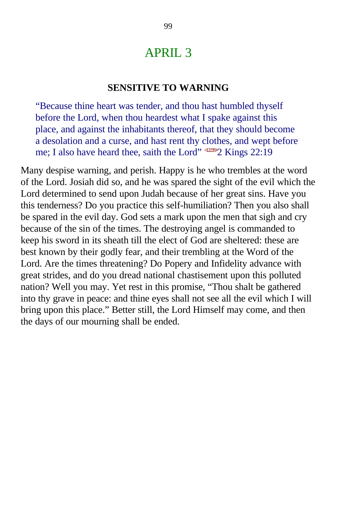#### **SENSITIVE TO WARNING**

"Because thine heart was tender, and thou hast humbled thyself before the Lord, when thou heardest what I spake against this place, and against the inhabitants thereof, that they should become a desolation and a curse, and hast rent thy clothes, and wept before me; I also have heard thee, saith the Lord" **<sup>&</sup>lt;**122219**<sup>&</sup>gt;** 2 Kings 22:19

Many despise warning, and perish. Happy is he who trembles at the word of the Lord. Josiah did so, and he was spared the sight of the evil which the Lord determined to send upon Judah because of her great sins. Have you this tenderness? Do you practice this self-humiliation? Then you also shall be spared in the evil day. God sets a mark upon the men that sigh and cry because of the sin of the times. The destroying angel is commanded to keep his sword in its sheath till the elect of God are sheltered: these are best known by their godly fear, and their trembling at the Word of the Lord. Are the times threatening? Do Popery and Infidelity advance with great strides, and do you dread national chastisement upon this polluted nation? Well you may. Yet rest in this promise, "Thou shalt be gathered into thy grave in peace: and thine eyes shall not see all the evil which I will bring upon this place." Better still, the Lord Himself may come, and then the days of our mourning shall be ended.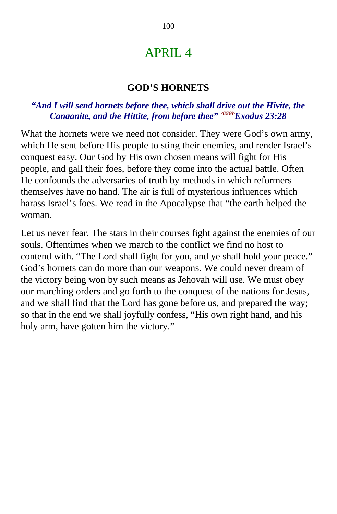#### **GOD'S HORNETS**

## *"And I will send hornets before thee, which shall drive out the Hivite, the Canaanite, and the Hittite, from before thee"* <sup>*dD288</sup>Exodus 23:28*</sup>

What the hornets were we need not consider. They were God's own army, which He sent before His people to sting their enemies, and render Israel's conquest easy. Our God by His own chosen means will fight for His people, and gall their foes, before they come into the actual battle. Often He confounds the adversaries of truth by methods in which reformers themselves have no hand. The air is full of mysterious influences which harass Israel's foes. We read in the Apocalypse that "the earth helped the woman.

Let us never fear. The stars in their courses fight against the enemies of our souls. Oftentimes when we march to the conflict we find no host to contend with. "The Lord shall fight for you, and ye shall hold your peace." God's hornets can do more than our weapons. We could never dream of the victory being won by such means as Jehovah will use. We must obey our marching orders and go forth to the conquest of the nations for Jesus, and we shall find that the Lord has gone before us, and prepared the way; so that in the end we shall joyfully confess, "His own right hand, and his holy arm, have gotten him the victory."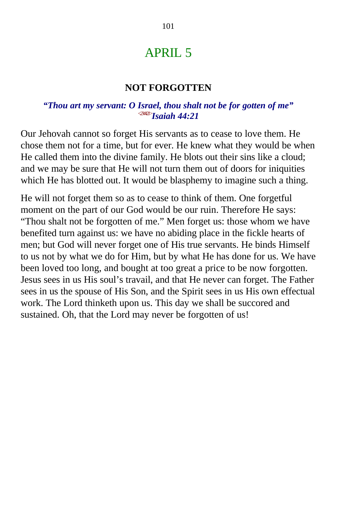#### **NOT FORGOTTEN**

#### *"Thou art my servant: O Israel, thou shalt not be for gotten of me" <234421>Isaiah 44:21*

Our Jehovah cannot so forget His servants as to cease to love them. He chose them not for a time, but for ever. He knew what they would be when He called them into the divine family. He blots out their sins like a cloud; and we may be sure that He will not turn them out of doors for iniquities which He has blotted out. It would be blasphemy to imagine such a thing.

He will not forget them so as to cease to think of them. One forgetful moment on the part of our God would be our ruin. Therefore He says: "Thou shalt not be forgotten of me." Men forget us: those whom we have benefited turn against us: we have no abiding place in the fickle hearts of men; but God will never forget one of His true servants. He binds Himself to us not by what we do for Him, but by what He has done for us. We have been loved too long, and bought at too great a price to be now forgotten. Jesus sees in us His soul's travail, and that He never can forget. The Father sees in us the spouse of His Son, and the Spirit sees in us His own effectual work. The Lord thinketh upon us. This day we shall be succored and sustained. Oh, that the Lord may never be forgotten of us!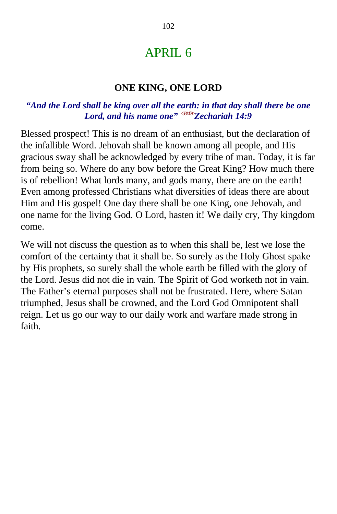#### **ONE KING, ONE LORD**

#### *"And the Lord shall be king over all the earth: in that day shall there be one Lord, and his name one" <381409>Zechariah 14:9*

Blessed prospect! This is no dream of an enthusiast, but the declaration of the infallible Word. Jehovah shall be known among all people, and His gracious sway shall be acknowledged by every tribe of man. Today, it is far from being so. Where do any bow before the Great King? How much there is of rebellion! What lords many, and gods many, there are on the earth! Even among professed Christians what diversities of ideas there are about Him and His gospel! One day there shall be one King, one Jehovah, and one name for the living God. O Lord, hasten it! We daily cry, Thy kingdom come.

We will not discuss the question as to when this shall be, lest we lose the comfort of the certainty that it shall be. So surely as the Holy Ghost spake by His prophets, so surely shall the whole earth be filled with the glory of the Lord. Jesus did not die in vain. The Spirit of God worketh not in vain. The Father's eternal purposes shall not be frustrated. Here, where Satan triumphed, Jesus shall be crowned, and the Lord God Omnipotent shall reign. Let us go our way to our daily work and warfare made strong in faith.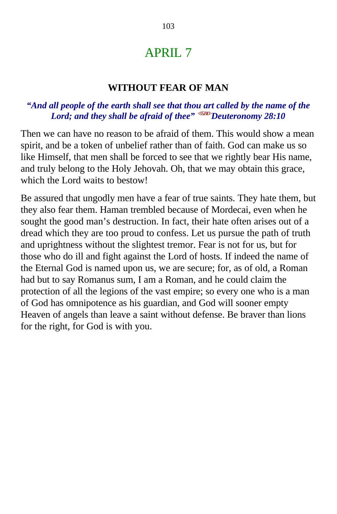# APRIL<sub>7</sub>

#### **WITHOUT FEAR OF MAN**

## *"And all people of the earth shall see that thou art called by the name of the Lord; and they shall be afraid of thee*" <sup>*ARRD</sup> Deuteronomy 28:10*</sup>

Then we can have no reason to be afraid of them. This would show a mean spirit, and be a token of unbelief rather than of faith. God can make us so like Himself, that men shall be forced to see that we rightly bear His name, and truly belong to the Holy Jehovah. Oh, that we may obtain this grace, which the Lord waits to bestow!

Be assured that ungodly men have a fear of true saints. They hate them, but they also fear them. Haman trembled because of Mordecai, even when he sought the good man's destruction. In fact, their hate often arises out of a dread which they are too proud to confess. Let us pursue the path of truth and uprightness without the slightest tremor. Fear is not for us, but for those who do ill and fight against the Lord of hosts. If indeed the name of the Eternal God is named upon us, we are secure; for, as of old, a Roman had but to say Romanus sum, I am a Roman, and he could claim the protection of all the legions of the vast empire; so every one who is a man of God has omnipotence as his guardian, and God will sooner empty Heaven of angels than leave a saint without defense. Be braver than lions for the right, for God is with you.

103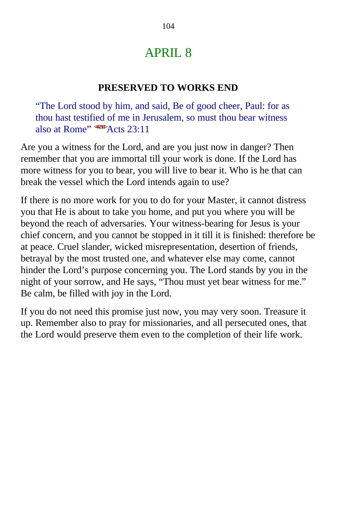## **PRESERVED TO WORKS END**

"The Lord stood by him, and said, Be of good cheer, Paul: for as thou hast testified of me in Jerusalem, so must thou bear witness also at Rome" **<442311>**Acts 23:11

Are you a witness for the Lord, and are you just now in danger? Then remember that you are immortal till your work is done. If the Lord has more witness for you to bear, you will live to bear it. Who is he that can break the vessel which the Lord intends again to use?

If there is no more work for you to do for your Master, it cannot distress you that He is about to take you home, and put you where you will be beyond the reach of adversaries. Your witness-bearing for Jesus is your chief concern, and you cannot be stopped in it till it is finished: therefore be at peace. Cruel slander, wicked misrepresentation, desertion of friends, betrayal by the most trusted one, and whatever else may come, cannot hinder the Lord's purpose concerning you. The Lord stands by you in the night of your sorrow, and He says, "Thou must yet bear witness for me." Be calm, be filled with joy in the Lord.

If you do not need this promise just now, you may very soon. Treasure it up. Remember also to pray for missionaries, and all persecuted ones, that the Lord would preserve them even to the completion of their life work.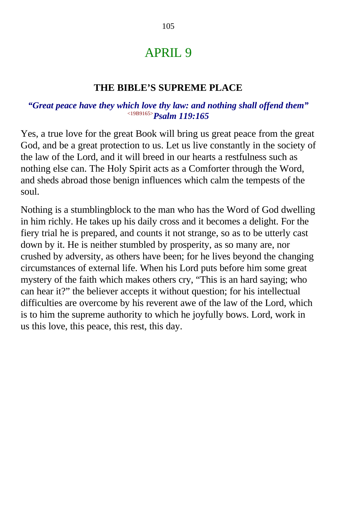# APRIL<sub>9</sub>

#### **THE BIBLE'S SUPREME PLACE**

#### *"Great peace have they which love thy law: and nothing shall offend them"* <19B9165>*Psalm 119:165*

Yes, a true love for the great Book will bring us great peace from the great God, and be a great protection to us. Let us live constantly in the society of the law of the Lord, and it will breed in our hearts a restfulness such as nothing else can. The Holy Spirit acts as a Comforter through the Word, and sheds abroad those benign influences which calm the tempests of the soul.

Nothing is a stumblingblock to the man who has the Word of God dwelling in him richly. He takes up his daily cross and it becomes a delight. For the fiery trial he is prepared, and counts it not strange, so as to be utterly cast down by it. He is neither stumbled by prosperity, as so many are, nor crushed by adversity, as others have been; for he lives beyond the changing circumstances of external life. When his Lord puts before him some great mystery of the faith which makes others cry, "This is an hard saying; who can hear it?" the believer accepts it without question; for his intellectual difficulties are overcome by his reverent awe of the law of the Lord, which is to him the supreme authority to which he joyfully bows. Lord, work in us this love, this peace, this rest, this day.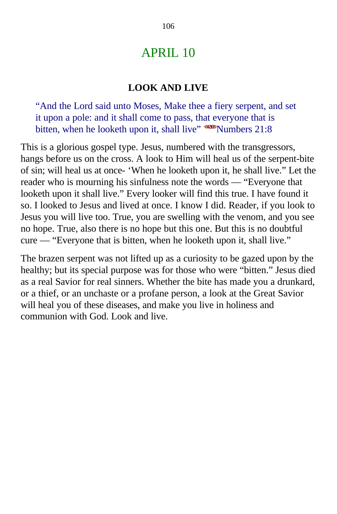## **LOOK AND LIVE**

"And the Lord said unto Moses, Make thee a fiery serpent, and set it upon a pole: and it shall come to pass, that everyone that is bitten, when he looketh upon it, shall live" **PEIB**Numbers 21:8

This is a glorious gospel type. Jesus, numbered with the transgressors, hangs before us on the cross. A look to Him will heal us of the serpent-bite of sin; will heal us at once- 'When he looketh upon it, he shall live." Let the reader who is mourning his sinfulness note the words — "Everyone that looketh upon it shall live." Every looker will find this true. I have found it so. I looked to Jesus and lived at once. I know I did. Reader, if you look to Jesus you will live too. True, you are swelling with the venom, and you see no hope. True, also there is no hope but this one. But this is no doubtful cure — "Everyone that is bitten, when he looketh upon it, shall live."

The brazen serpent was not lifted up as a curiosity to be gazed upon by the healthy; but its special purpose was for those who were "bitten." Jesus died as a real Savior for real sinners. Whether the bite has made you a drunkard, or a thief, or an unchaste or a profane person, a look at the Great Savior will heal you of these diseases, and make you live in holiness and communion with God. Look and live.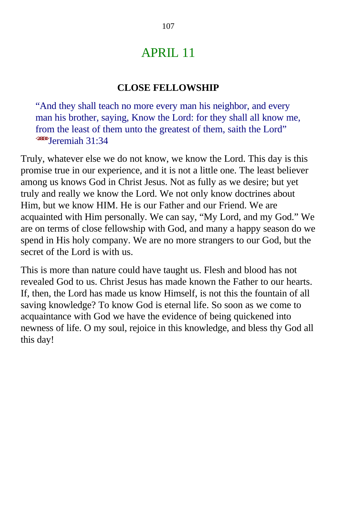## **CLOSE FELLOWSHIP**

"And they shall teach no more every man his neighbor, and every man his brother, saying, Know the Lord: for they shall all know me, from the least of them unto the greatest of them, saith the Lord" **<243134>**Jeremiah 31:34

Truly, whatever else we do not know, we know the Lord. This day is this promise true in our experience, and it is not a little one. The least believer among us knows God in Christ Jesus. Not as fully as we desire; but yet truly and really we know the Lord. We not only know doctrines about Him, but we know HIM. He is our Father and our Friend. We are acquainted with Him personally. We can say, "My Lord, and my God." We are on terms of close fellowship with God, and many a happy season do we spend in His holy company. We are no more strangers to our God, but the secret of the Lord is with us.

This is more than nature could have taught us. Flesh and blood has not revealed God to us. Christ Jesus has made known the Father to our hearts. If, then, the Lord has made us know Himself, is not this the fountain of all saving knowledge? To know God is eternal life. So soon as we come to acquaintance with God we have the evidence of being quickened into newness of life. O my soul, rejoice in this knowledge, and bless thy God all this day!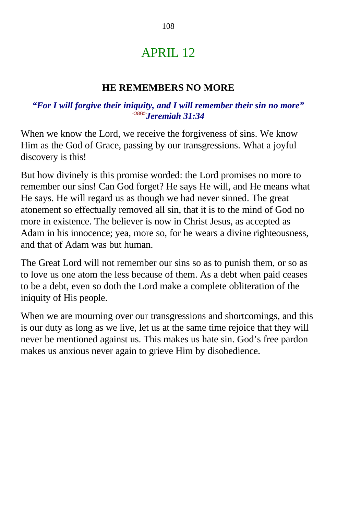## **HE REMEMBERS NO MORE**

## *"For I will forgive their iniquity, and I will remember their sin no more" <243134>Jeremiah 31:34*

When we know the Lord, we receive the forgiveness of sins. We know Him as the God of Grace, passing by our transgressions. What a joyful discovery is this!

But how divinely is this promise worded: the Lord promises no more to remember our sins! Can God forget? He says He will, and He means what He says. He will regard us as though we had never sinned. The great atonement so effectually removed all sin, that it is to the mind of God no more in existence. The believer is now in Christ Jesus, as accepted as Adam in his innocence; yea, more so, for he wears a divine righteousness, and that of Adam was but human.

The Great Lord will not remember our sins so as to punish them, or so as to love us one atom the less because of them. As a debt when paid ceases to be a debt, even so doth the Lord make a complete obliteration of the iniquity of His people.

When we are mourning over our transgressions and shortcomings, and this is our duty as long as we live, let us at the same time rejoice that they will never be mentioned against us. This makes us hate sin. God's free pardon makes us anxious never again to grieve Him by disobedience.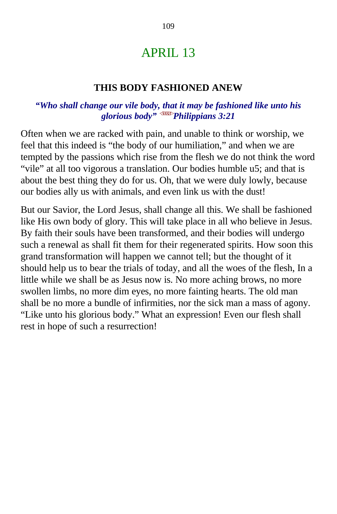#### **THIS BODY FASHIONED ANEW**

#### *"Who shall change our vile body, that it may be fashioned like unto his glorious body" <500321>Philippians 3:21*

Often when we are racked with pain, and unable to think or worship, we feel that this indeed is "the body of our humiliation," and when we are tempted by the passions which rise from the flesh we do not think the word "vile" at all too vigorous a translation. Our bodies humble u5; and that is about the best thing they do for us. Oh, that we were duly lowly, because our bodies ally us with animals, and even link us with the dust!

But our Savior, the Lord Jesus, shall change all this. We shall be fashioned like His own body of glory. This will take place in all who believe in Jesus. By faith their souls have been transformed, and their bodies will undergo such a renewal as shall fit them for their regenerated spirits. How soon this grand transformation will happen we cannot tell; but the thought of it should help us to bear the trials of today, and all the woes of the flesh, In a little while we shall be as Jesus now is. No more aching brows, no more swollen limbs, no more dim eyes, no more fainting hearts. The old man shall be no more a bundle of infirmities, nor the sick man a mass of agony. "Like unto his glorious body." What an expression! Even our flesh shall rest in hope of such a resurrection!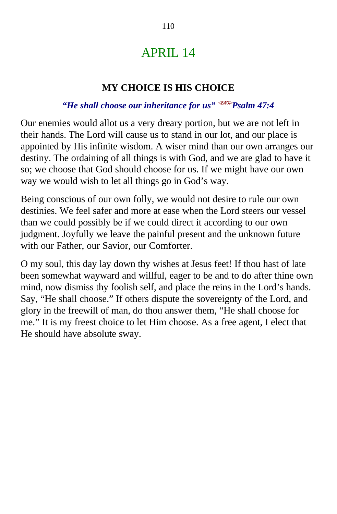### **MY CHOICE IS HIS CHOICE**

#### *"He shall choose our inheritance for us"* <sup>*ARA* $\mu$ </sup>*Psalm 47:4*

Our enemies would allot us a very dreary portion, but we are not left in their hands. The Lord will cause us to stand in our lot, and our place is appointed by His infinite wisdom. A wiser mind than our own arranges our destiny. The ordaining of all things is with God, and we are glad to have it so; we choose that God should choose for us. If we might have our own way we would wish to let all things go in God's way.

Being conscious of our own folly, we would not desire to rule our own destinies. We feel safer and more at ease when the Lord steers our vessel than we could possibly be if we could direct it according to our own judgment. Joyfully we leave the painful present and the unknown future with our Father, our Savior, our Comforter.

O my soul, this day lay down thy wishes at Jesus feet! If thou hast of late been somewhat wayward and willful, eager to be and to do after thine own mind, now dismiss thy foolish self, and place the reins in the Lord's hands. Say, "He shall choose." If others dispute the sovereignty of the Lord, and glory in the freewill of man, do thou answer them, "He shall choose for me." It is my freest choice to let Him choose. As a free agent, I elect that He should have absolute sway.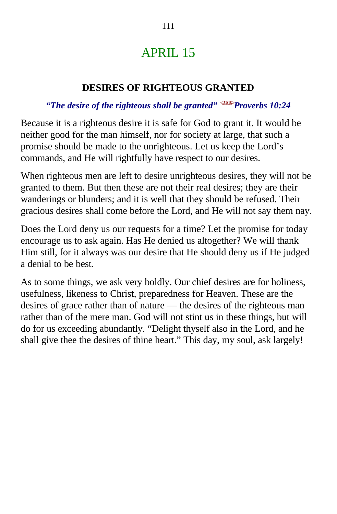#### **DESIRES OF RIGHTEOUS GRANTED**

### *"The desire of the righteous shall be granted" <201024>Proverbs 10:24*

Because it is a righteous desire it is safe for God to grant it. It would be neither good for the man himself, nor for society at large, that such a promise should be made to the unrighteous. Let us keep the Lord's commands, and He will rightfully have respect to our desires.

When righteous men are left to desire unrighteous desires, they will not be granted to them. But then these are not their real desires; they are their wanderings or blunders; and it is well that they should be refused. Their gracious desires shall come before the Lord, and He will not say them nay.

Does the Lord deny us our requests for a time? Let the promise for today encourage us to ask again. Has He denied us altogether? We will thank Him still, for it always was our desire that He should deny us if He judged a denial to be best.

As to some things, we ask very boldly. Our chief desires are for holiness, usefulness, likeness to Christ, preparedness for Heaven. These are the desires of grace rather than of nature — the desires of the righteous man rather than of the mere man. God will not stint us in these things, but will do for us exceeding abundantly. "Delight thyself also in the Lord, and he shall give thee the desires of thine heart." This day, my soul, ask largely!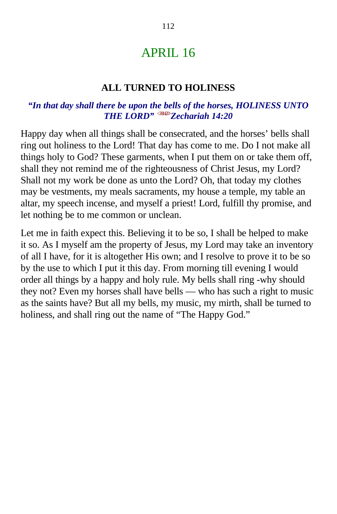#### **ALL TURNED TO HOLINESS**

#### *"In that day shall there be upon the bells of the horses, HOLINESS UNTO THE LORD" <381420>Zechariah 14:20*

Happy day when all things shall be consecrated, and the horses' bells shall ring out holiness to the Lord! That day has come to me. Do I not make all things holy to God? These garments, when I put them on or take them off, shall they not remind me of the righteousness of Christ Jesus, my Lord? Shall not my work be done as unto the Lord? Oh, that today my clothes may be vestments, my meals sacraments, my house a temple, my table an altar, my speech incense, and myself a priest! Lord, fulfill thy promise, and let nothing be to me common or unclean.

Let me in faith expect this. Believing it to be so, I shall be helped to make it so. As I myself am the property of Jesus, my Lord may take an inventory of all I have, for it is altogether His own; and I resolve to prove it to be so by the use to which I put it this day. From morning till evening I would order all things by a happy and holy rule. My bells shall ring -why should they not? Even my horses shall have bells — who has such a right to music as the saints have? But all my bells, my music, my mirth, shall be turned to holiness, and shall ring out the name of "The Happy God."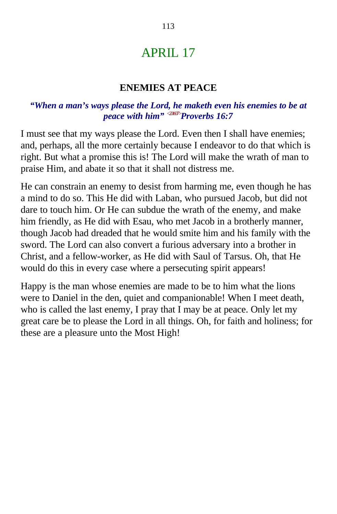### **ENEMIES AT PEACE**

#### *"When a man's ways please the Lord, he maketh even his enemies to be at peace with him" <201607>Proverbs 16:7*

I must see that my ways please the Lord. Even then I shall have enemies; and, perhaps, all the more certainly because I endeavor to do that which is right. But what a promise this is! The Lord will make the wrath of man to praise Him, and abate it so that it shall not distress me.

He can constrain an enemy to desist from harming me, even though he has a mind to do so. This He did with Laban, who pursued Jacob, but did not dare to touch him. Or He can subdue the wrath of the enemy, and make him friendly, as He did with Esau, who met Jacob in a brotherly manner, though Jacob had dreaded that he would smite him and his family with the sword. The Lord can also convert a furious adversary into a brother in Christ, and a fellow-worker, as He did with Saul of Tarsus. Oh, that He would do this in every case where a persecuting spirit appears!

Happy is the man whose enemies are made to be to him what the lions were to Daniel in the den, quiet and companionable! When I meet death, who is called the last enemy, I pray that I may be at peace. Only let my great care be to please the Lord in all things. Oh, for faith and holiness; for these are a pleasure unto the Most High!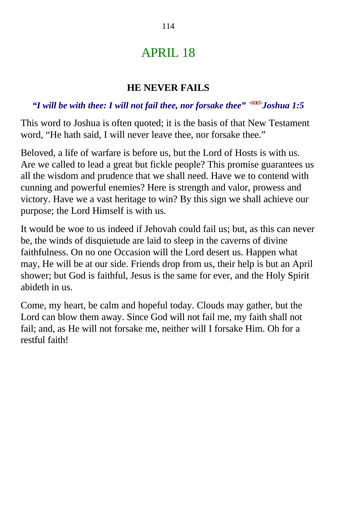### **HE NEVER FAILS**

### *"I will be with thee: I will not fail thee, nor forsake thee"* <sup>*46005</sup>Joshua 1:5*</sup>

This word to Joshua is often quoted; it is the basis of that New Testament word, "He hath said, I will never leave thee, nor forsake thee."

Beloved, a life of warfare is before us, but the Lord of Hosts is with us. Are we called to lead a great but fickle people? This promise guarantees us all the wisdom and prudence that we shall need. Have we to contend with cunning and powerful enemies? Here is strength and valor, prowess and victory. Have we a vast heritage to win? By this sign we shall achieve our purpose; the Lord Himself is with us.

It would be woe to us indeed if Jehovah could fail us; but, as this can never be, the winds of disquietude are laid to sleep in the caverns of divine faithfulness. On no one Occasion will the Lord desert us. Happen what may, He will be at our side. Friends drop from us, their help is but an April shower; but God is faithful, Jesus is the same for ever, and the Holy Spirit abideth in us.

Come, my heart, be calm and hopeful today. Clouds may gather, but the Lord can blow them away. Since God will not fail me, my faith shall not fail; and, as He will not forsake me, neither will I forsake Him. Oh for a restful faith!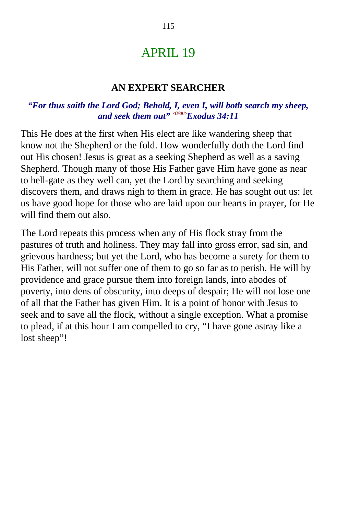#### **AN EXPERT SEARCHER**

#### *"For thus saith the Lord God; Behold, I, even I, will both search my sheep, and seek them out" <023411>Exodus 34:11*

This He does at the first when His elect are like wandering sheep that know not the Shepherd or the fold. How wonderfully doth the Lord find out His chosen! Jesus is great as a seeking Shepherd as well as a saving Shepherd. Though many of those His Father gave Him have gone as near to hell-gate as they well can, yet the Lord by searching and seeking discovers them, and draws nigh to them in grace. He has sought out us: let us have good hope for those who are laid upon our hearts in prayer, for He will find them out also.

The Lord repeats this process when any of His flock stray from the pastures of truth and holiness. They may fall into gross error, sad sin, and grievous hardness; but yet the Lord, who has become a surety for them to His Father, will not suffer one of them to go so far as to perish. He will by providence and grace pursue them into foreign lands, into abodes of poverty, into dens of obscurity, into deeps of despair; He will not lose one of all that the Father has given Him. It is a point of honor with Jesus to seek and to save all the flock, without a single exception. What a promise to plead, if at this hour I am compelled to cry, "I have gone astray like a lost sheep"!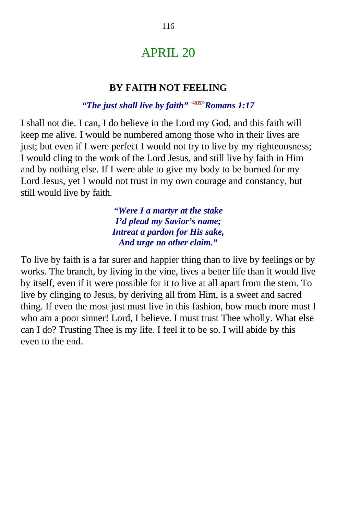#### **BY FAITH NOT FEELING**

#### *"The just shall live by faith" <450117>Romans 1:17*

I shall not die. I can, I do believe in the Lord my God, and this faith will keep me alive. I would be numbered among those who in their lives are just; but even if I were perfect I would not try to live by my righteousness; I would cling to the work of the Lord Jesus, and still live by faith in Him and by nothing else. If I were able to give my body to be burned for my Lord Jesus, yet I would not trust in my own courage and constancy, but still would live by faith.

> *"Were I a martyr at the stake I'd plead my Savior's name; Intreat a pardon for His sake, And urge no other claim."*

To live by faith is a far surer and happier thing than to live by feelings or by works. The branch, by living in the vine, lives a better life than it would live by itself, even if it were possible for it to live at all apart from the stem. To live by clinging to Jesus, by deriving all from Him, is a sweet and sacred thing. If even the most just must live in this fashion, how much more must I who am a poor sinner! Lord, I believe. I must trust Thee wholly. What else can I do? Trusting Thee is my life. I feel it to be so. I will abide by this even to the end.

116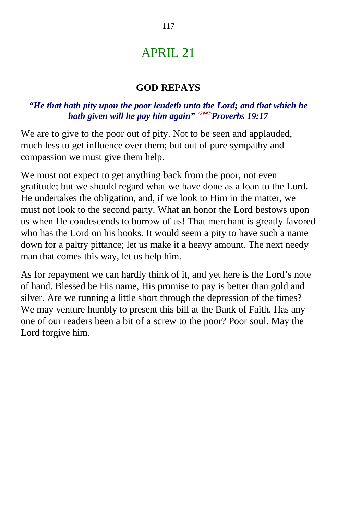### **GOD REPAYS**

### *"He that hath pity upon the poor lendeth unto the Lord; and that which he hath given will he pay him again" <201917>Proverbs 19:17*

We are to give to the poor out of pity. Not to be seen and applauded, much less to get influence over them; but out of pure sympathy and compassion we must give them help.

We must not expect to get anything back from the poor, not even gratitude; but we should regard what we have done as a loan to the Lord. He undertakes the obligation, and, if we look to Him in the matter, we must not look to the second party. What an honor the Lord bestows upon us when He condescends to borrow of us! That merchant is greatly favored who has the Lord on his books. It would seem a pity to have such a name down for a paltry pittance; let us make it a heavy amount. The next needy man that comes this way, let us help him.

As for repayment we can hardly think of it, and yet here is the Lord's note of hand. Blessed be His name, His promise to pay is better than gold and silver. Are we running a little short through the depression of the times? We may venture humbly to present this bill at the Bank of Faith. Has any one of our readers been a bit of a screw to the poor? Poor soul. May the Lord forgive him.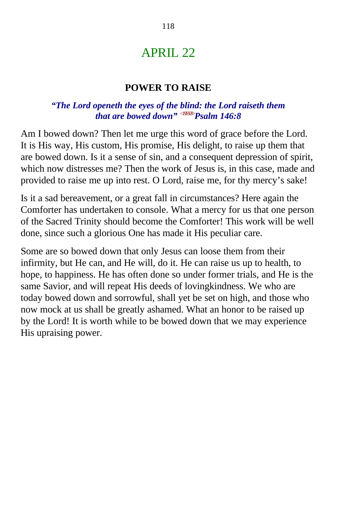### **POWER TO RAISE**

#### *"The Lord openeth the eyes of the blind: the Lord raiseth them that are bowed down" <19E608>Psalm 146:8*

Am I bowed down? Then let me urge this word of grace before the Lord. It is His way, His custom, His promise, His delight, to raise up them that are bowed down. Is it a sense of sin, and a consequent depression of spirit, which now distresses me? Then the work of Jesus is, in this case, made and provided to raise me up into rest. O Lord, raise me, for thy mercy's sake!

Is it a sad bereavement, or a great fall in circumstances? Here again the Comforter has undertaken to console. What a mercy for us that one person of the Sacred Trinity should become the Comforter! This work will be well done, since such a glorious One has made it His peculiar care.

Some are so bowed down that only Jesus can loose them from their infirmity, but He can, and He will, do it. He can raise us up to health, to hope, to happiness. He has often done so under former trials, and He is the same Savior, and will repeat His deeds of lovingkindness. We who are today bowed down and sorrowful, shall yet be set on high, and those who now mock at us shall be greatly ashamed. What an honor to be raised up by the Lord! It is worth while to be bowed down that we may experience His upraising power.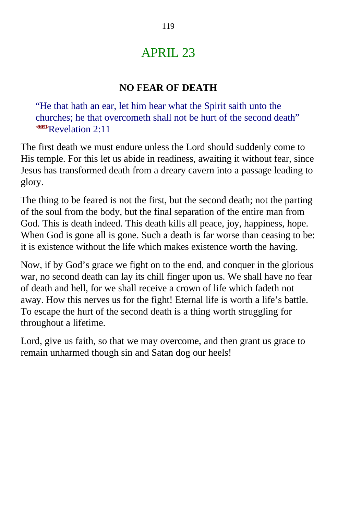## **NO FEAR OF DEATH**

"He that hath an ear, let him hear what the Spirit saith unto the churches; he that overcometh shall not be hurt of the second death" **<660211>**Revelation 2:11

The first death we must endure unless the Lord should suddenly come to His temple. For this let us abide in readiness, awaiting it without fear, since Jesus has transformed death from a dreary cavern into a passage leading to glory.

The thing to be feared is not the first, but the second death; not the parting of the soul from the body, but the final separation of the entire man from God. This is death indeed. This death kills all peace, joy, happiness, hope. When God is gone all is gone. Such a death is far worse than ceasing to be: it is existence without the life which makes existence worth the having.

Now, if by God's grace we fight on to the end, and conquer in the glorious war, no second death can lay its chill finger upon us. We shall have no fear of death and hell, for we shall receive a crown of life which fadeth not away. How this nerves us for the fight! Eternal life is worth a life's battle. To escape the hurt of the second death is a thing worth struggling for throughout a lifetime.

Lord, give us faith, so that we may overcome, and then grant us grace to remain unharmed though sin and Satan dog our heels!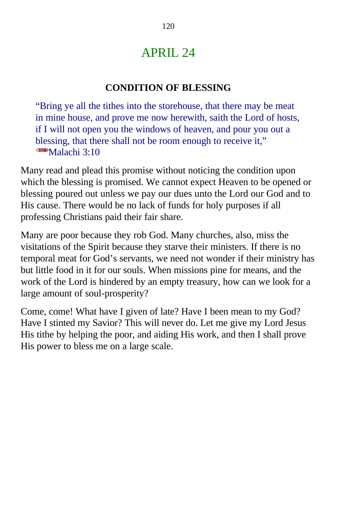### **CONDITION OF BLESSING**

"Bring ye all the tithes into the storehouse, that there may be meat in mine house, and prove me now herewith, saith the Lord of hosts, if I will not open you the windows of heaven, and pour you out a blessing, that there shall not be room enough to receive it," **<390310>**Malachi 3:10

Many read and plead this promise without noticing the condition upon which the blessing is promised. We cannot expect Heaven to be opened or blessing poured out unless we pay our dues unto the Lord our God and to His cause. There would be no lack of funds for holy purposes if all professing Christians paid their fair share.

Many are poor because they rob God. Many churches, also, miss the visitations of the Spirit because they starve their ministers. If there is no temporal meat for God's servants, we need not wonder if their ministry has but little food in it for our souls. When missions pine for means, and the work of the Lord is hindered by an empty treasury, how can we look for a large amount of soul-prosperity?

Come, come! What have I given of late? Have I been mean to my God? Have I stinted my Savior? This will never do. Let me give my Lord Jesus His tithe by helping the poor, and aiding His work, and then I shall prove His power to bless me on a large scale.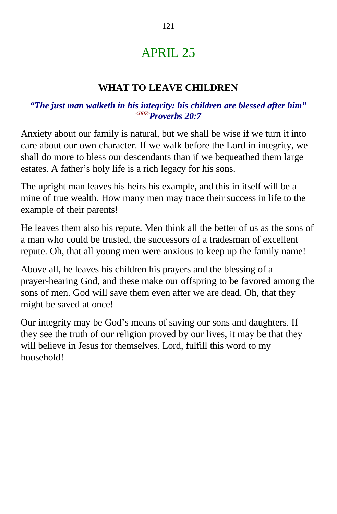## **WHAT TO LEAVE CHILDREN**

### *"The just man walketh in his integrity: his children are blessed after him" <202007>Proverbs 20:7*

Anxiety about our family is natural, but we shall be wise if we turn it into care about our own character. If we walk before the Lord in integrity, we shall do more to bless our descendants than if we bequeathed them large estates. A father's holy life is a rich legacy for his sons.

The upright man leaves his heirs his example, and this in itself will be a mine of true wealth. How many men may trace their success in life to the example of their parents!

He leaves them also his repute. Men think all the better of us as the sons of a man who could be trusted, the successors of a tradesman of excellent repute. Oh, that all young men were anxious to keep up the family name!

Above all, he leaves his children his prayers and the blessing of a prayer-hearing God, and these make our offspring to be favored among the sons of men. God will save them even after we are dead. Oh, that they might be saved at once!

Our integrity may be God's means of saving our sons and daughters. If they see the truth of our religion proved by our lives, it may be that they will believe in Jesus for themselves. Lord, fulfill this word to my household!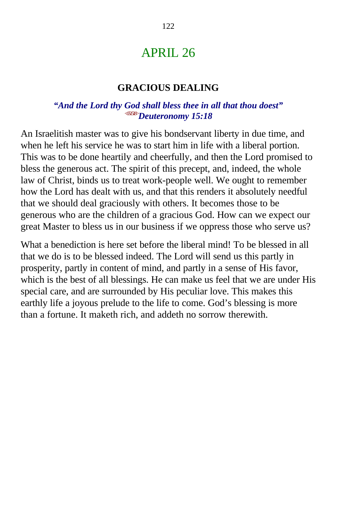#### **GRACIOUS DEALING**

#### *"And the Lord thy God shall bless thee in all that thou doest" <051518>Deuteronomy 15:18*

An Israelitish master was to give his bondservant liberty in due time, and when he left his service he was to start him in life with a liberal portion. This was to be done heartily and cheerfully, and then the Lord promised to bless the generous act. The spirit of this precept, and, indeed, the whole law of Christ, binds us to treat work-people well. We ought to remember how the Lord has dealt with us, and that this renders it absolutely needful that we should deal graciously with others. It becomes those to be generous who are the children of a gracious God. How can we expect our great Master to bless us in our business if we oppress those who serve us?

What a benediction is here set before the liberal mind! To be blessed in all that we do is to be blessed indeed. The Lord will send us this partly in prosperity, partly in content of mind, and partly in a sense of His favor, which is the best of all blessings. He can make us feel that we are under His special care, and are surrounded by His peculiar love. This makes this earthly life a joyous prelude to the life to come. God's blessing is more than a fortune. It maketh rich, and addeth no sorrow therewith.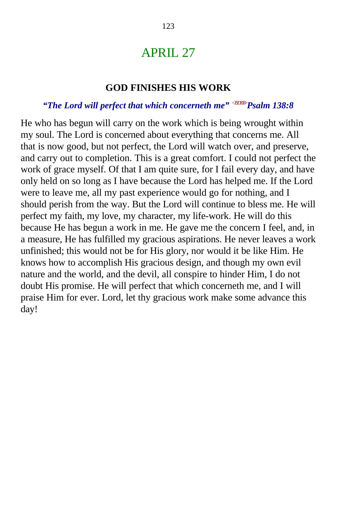#### **GOD FINISHES HIS WORK**

#### *"The Lord will perfect that which concerneth me" <sup><DO83</sup>Psalm 138:8*

He who has begun will carry on the work which is being wrought within my soul. The Lord is concerned about everything that concerns me. All that is now good, but not perfect, the Lord will watch over, and preserve, and carry out to completion. This is a great comfort. I could not perfect the work of grace myself. Of that I am quite sure, for I fail every day, and have only held on so long as I have because the Lord has helped me. If the Lord were to leave me, all my past experience would go for nothing, and I should perish from the way. But the Lord will continue to bless me. He will perfect my faith, my love, my character, my life-work. He will do this because He has begun a work in me. He gave me the concern I feel, and, in a measure, He has fulfilled my gracious aspirations. He never leaves a work unfinished; this would not be for His glory, nor would it be like Him. He knows how to accomplish His gracious design, and though my own evil nature and the world, and the devil, all conspire to hinder Him, I do not doubt His promise. He will perfect that which concerneth me, and I will praise Him for ever. Lord, let thy gracious work make some advance this day!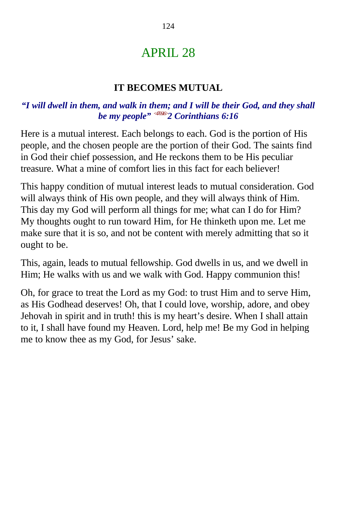## **IT BECOMES MUTUAL**

### *"I will dwell in them, and walk in them; and I will be their God, and they shall be my people" <470616>2 Corinthians 6:16*

Here is a mutual interest. Each belongs to each. God is the portion of His people, and the chosen people are the portion of their God. The saints find in God their chief possession, and He reckons them to be His peculiar treasure. What a mine of comfort lies in this fact for each believer!

This happy condition of mutual interest leads to mutual consideration. God will always think of His own people, and they will always think of Him. This day my God will perform all things for me; what can I do for Him? My thoughts ought to run toward Him, for He thinketh upon me. Let me make sure that it is so, and not be content with merely admitting that so it ought to be.

This, again, leads to mutual fellowship. God dwells in us, and we dwell in Him; He walks with us and we walk with God. Happy communion this!

Oh, for grace to treat the Lord as my God: to trust Him and to serve Him, as His Godhead deserves! Oh, that I could love, worship, adore, and obey Jehovah in spirit and in truth! this is my heart's desire. When I shall attain to it, I shall have found my Heaven. Lord, help me! Be my God in helping me to know thee as my God, for Jesus' sake.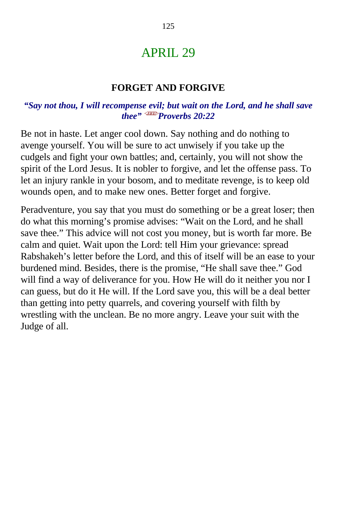## APRIL<sub>29</sub>

#### **FORGET AND FORGIVE**

#### *"Say not thou, I will recompense evil; but wait on the Lord, and he shall save thee" <202022>Proverbs 20:22*

Be not in haste. Let anger cool down. Say nothing and do nothing to avenge yourself. You will be sure to act unwisely if you take up the cudgels and fight your own battles; and, certainly, you will not show the spirit of the Lord Jesus. It is nobler to forgive, and let the offense pass. To let an injury rankle in your bosom, and to meditate revenge, is to keep old wounds open, and to make new ones. Better forget and forgive.

Peradventure, you say that you must do something or be a great loser; then do what this morning's promise advises: "Wait on the Lord, and he shall save thee." This advice will not cost you money, but is worth far more. Be calm and quiet. Wait upon the Lord: tell Him your grievance: spread Rabshakeh's letter before the Lord, and this of itself will be an ease to your burdened mind. Besides, there is the promise, "He shall save thee." God will find a way of deliverance for you. How He will do it neither you nor I can guess, but do it He will. If the Lord save you, this will be a deal better than getting into petty quarrels, and covering yourself with filth by wrestling with the unclean. Be no more angry. Leave your suit with the Judge of all.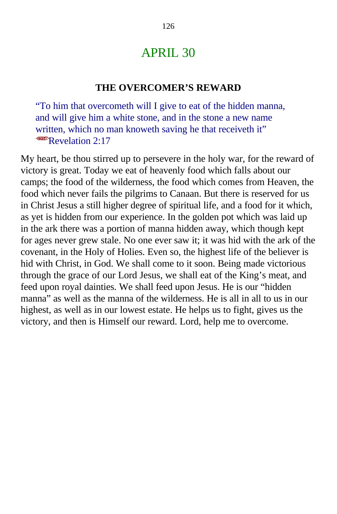#### **THE OVERCOMER'S REWARD**

"To him that overcometh will I give to eat of the hidden manna, and will give him a white stone, and in the stone a new name written, which no man knoweth saving he that receiveth it" **<660217>**Revelation 2:17

My heart, be thou stirred up to persevere in the holy war, for the reward of victory is great. Today we eat of heavenly food which falls about our camps; the food of the wilderness, the food which comes from Heaven, the food which never fails the pilgrims to Canaan. But there is reserved for us in Christ Jesus a still higher degree of spiritual life, and a food for it which, as yet is hidden from our experience. In the golden pot which was laid up in the ark there was a portion of manna hidden away, which though kept for ages never grew stale. No one ever saw it; it was hid with the ark of the covenant, in the Holy of Holies. Even so, the highest life of the believer is hid with Christ, in God. We shall come to it soon. Being made victorious through the grace of our Lord Jesus, we shall eat of the King's meat, and feed upon royal dainties. We shall feed upon Jesus. He is our "hidden manna" as well as the manna of the wilderness. He is all in all to us in our highest, as well as in our lowest estate. He helps us to fight, gives us the victory, and then is Himself our reward. Lord, help me to overcome.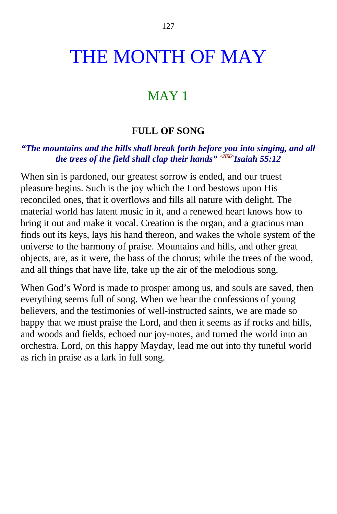## **FULL OF SONG**

#### *"The mountains and the hills shall break forth before you into singing, and all the trees of the field shall clap their hands" <235512>Isaiah 55:12*

When sin is pardoned, our greatest sorrow is ended, and our truest pleasure begins. Such is the joy which the Lord bestows upon His reconciled ones, that it overflows and fills all nature with delight. The material world has latent music in it, and a renewed heart knows how to bring it out and make it vocal. Creation is the organ, and a gracious man finds out its keys, lays his hand thereon, and wakes the whole system of the universe to the harmony of praise. Mountains and hills, and other great objects, are, as it were, the bass of the chorus; while the trees of the wood, and all things that have life, take up the air of the melodious song.

When God's Word is made to prosper among us, and souls are saved, then everything seems full of song. When we hear the confessions of young believers, and the testimonies of well-instructed saints, we are made so happy that we must praise the Lord, and then it seems as if rocks and hills, and woods and fields, echoed our joy-notes, and turned the world into an orchestra. Lord, on this happy Mayday, lead me out into thy tuneful world as rich in praise as a lark in full song.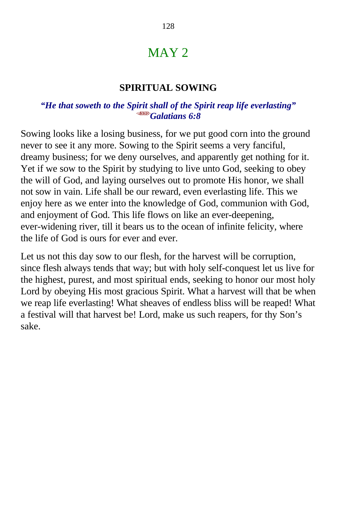## MAY<sub>2</sub>

#### **SPIRITUAL SOWING**

#### *"He that soweth to the Spirit shall of the Spirit reap life everlasting" <480608>Galatians 6:8*

Sowing looks like a losing business, for we put good corn into the ground never to see it any more. Sowing to the Spirit seems a very fanciful, dreamy business; for we deny ourselves, and apparently get nothing for it. Yet if we sow to the Spirit by studying to live unto God, seeking to obey the will of God, and laying ourselves out to promote His honor, we shall not sow in vain. Life shall be our reward, even everlasting life. This we enjoy here as we enter into the knowledge of God, communion with God, and enjoyment of God. This life flows on like an ever-deepening, ever-widening river, till it bears us to the ocean of infinite felicity, where the life of God is ours for ever and ever.

Let us not this day sow to our flesh, for the harvest will be corruption, since flesh always tends that way; but with holy self-conquest let us live for the highest, purest, and most spiritual ends, seeking to honor our most holy Lord by obeying His most gracious Spirit. What a harvest will that be when we reap life everlasting! What sheaves of endless bliss will be reaped! What a festival will that harvest be! Lord, make us such reapers, for thy Son's sake.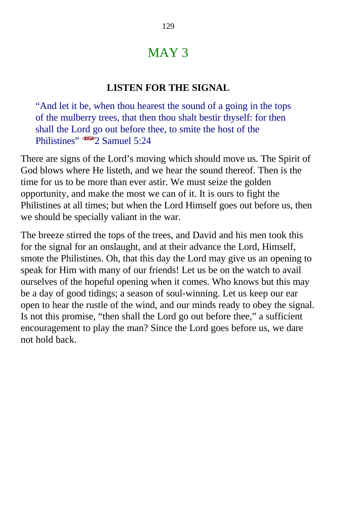### **LISTEN FOR THE SIGNAL**

"And let it be, when thou hearest the sound of a going in the tops of the mulberry trees, that then thou shalt bestir thyself: for then shall the Lord go out before thee, to smite the host of the Philistines" <a>405</a>2 Samuel 5:24</a>

There are signs of the Lord's moving which should move us. The Spirit of God blows where He listeth, and we hear the sound thereof. Then is the time for us to be more than ever astir. We must seize the golden opportunity, and make the most we can of it. It is ours to fight the Philistines at all times; but when the Lord Himself goes out before us, then we should be specially valiant in the war.

The breeze stirred the tops of the trees, and David and his men took this for the signal for an onslaught, and at their advance the Lord, Himself, smote the Philistines. Oh, that this day the Lord may give us an opening to speak for Him with many of our friends! Let us be on the watch to avail ourselves of the hopeful opening when it comes. Who knows but this may be a day of good tidings; a season of soul-winning. Let us keep our ear open to hear the rustle of the wind, and our minds ready to obey the signal. Is not this promise, "then shall the Lord go out before thee," a sufficient encouragement to play the man? Since the Lord goes before us, we dare not hold back.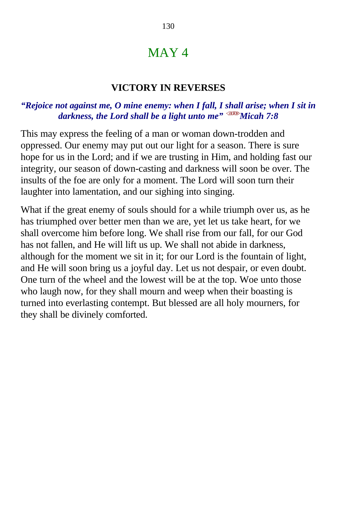### **VICTORY IN REVERSES**

#### *"Rejoice not against me, O mine enemy: when I fall, I shall arise; when I sit in darkness, the Lord shall be a light unto me"* <sup>3778</sup>*Micah 7:8*

This may express the feeling of a man or woman down-trodden and oppressed. Our enemy may put out our light for a season. There is sure hope for us in the Lord; and if we are trusting in Him, and holding fast our integrity, our season of down-casting and darkness will soon be over. The insults of the foe are only for a moment. The Lord will soon turn their laughter into lamentation, and our sighing into singing.

What if the great enemy of souls should for a while triumph over us, as he has triumphed over better men than we are, yet let us take heart, for we shall overcome him before long. We shall rise from our fall, for our God has not fallen, and He will lift us up. We shall not abide in darkness, although for the moment we sit in it; for our Lord is the fountain of light, and He will soon bring us a joyful day. Let us not despair, or even doubt. One turn of the wheel and the lowest will be at the top. Woe unto those who laugh now, for they shall mourn and weep when their boasting is turned into everlasting contempt. But blessed are all holy mourners, for they shall be divinely comforted.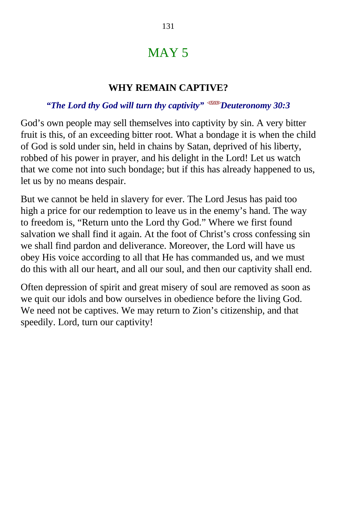### **WHY REMAIN CAPTIVE?**

### *"The Lord thy God will turn thy captivity"* <sup>*ABUBb</sup>Deuteronomy 30:3*</sup>

God's own people may sell themselves into captivity by sin. A very bitter fruit is this, of an exceeding bitter root. What a bondage it is when the child of God is sold under sin, held in chains by Satan, deprived of his liberty, robbed of his power in prayer, and his delight in the Lord! Let us watch that we come not into such bondage; but if this has already happened to us, let us by no means despair.

But we cannot be held in slavery for ever. The Lord Jesus has paid too high a price for our redemption to leave us in the enemy's hand. The way to freedom is, "Return unto the Lord thy God." Where we first found salvation we shall find it again. At the foot of Christ's cross confessing sin we shall find pardon and deliverance. Moreover, the Lord will have us obey His voice according to all that He has commanded us, and we must do this with all our heart, and all our soul, and then our captivity shall end.

Often depression of spirit and great misery of soul are removed as soon as we quit our idols and bow ourselves in obedience before the living God. We need not be captives. We may return to Zion's citizenship, and that speedily. Lord, turn our captivity!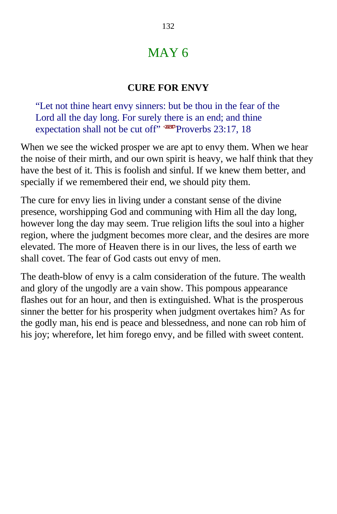### **CURE FOR ENVY**

"Let not thine heart envy sinners: but be thou in the fear of the Lord all the day long. For surely there is an end; and thine expectation shall not be cut off<sup>" **ART**Proverbs 23:17, 18</sup>

When we see the wicked prosper we are apt to envy them. When we hear the noise of their mirth, and our own spirit is heavy, we half think that they have the best of it. This is foolish and sinful. If we knew them better, and specially if we remembered their end, we should pity them.

The cure for envy lies in living under a constant sense of the divine presence, worshipping God and communing with Him all the day long, however long the day may seem. True religion lifts the soul into a higher region, where the judgment becomes more clear, and the desires are more elevated. The more of Heaven there is in our lives, the less of earth we shall covet. The fear of God casts out envy of men.

The death-blow of envy is a calm consideration of the future. The wealth and glory of the ungodly are a vain show. This pompous appearance flashes out for an hour, and then is extinguished. What is the prosperous sinner the better for his prosperity when judgment overtakes him? As for the godly man, his end is peace and blessedness, and none can rob him of his joy; wherefore, let him forego envy, and be filled with sweet content.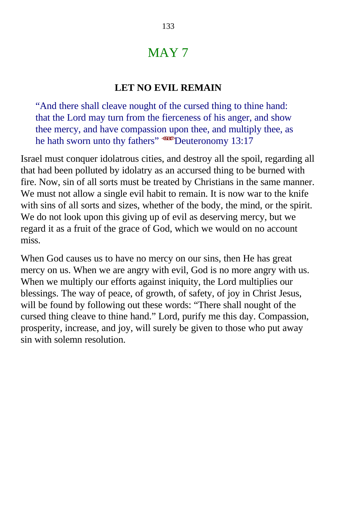#### **LET NO EVIL REMAIN**

"And there shall cleave nought of the cursed thing to thine hand: that the Lord may turn from the fierceness of his anger, and show thee mercy, and have compassion upon thee, and multiply thee, as he hath sworn unto thy fathers" **EXEP** Deuteronomy 13:17

Israel must conquer idolatrous cities, and destroy all the spoil, regarding all that had been polluted by idolatry as an accursed thing to be burned with fire. Now, sin of all sorts must be treated by Christians in the same manner. We must not allow a single evil habit to remain. It is now war to the knife with sins of all sorts and sizes, whether of the body, the mind, or the spirit. We do not look upon this giving up of evil as deserving mercy, but we regard it as a fruit of the grace of God, which we would on no account miss.

When God causes us to have no mercy on our sins, then He has great mercy on us. When we are angry with evil, God is no more angry with us. When we multiply our efforts against iniquity, the Lord multiplies our blessings. The way of peace, of growth, of safety, of joy in Christ Jesus, will be found by following out these words: "There shall nought of the cursed thing cleave to thine hand." Lord, purify me this day. Compassion, prosperity, increase, and joy, will surely be given to those who put away sin with solemn resolution.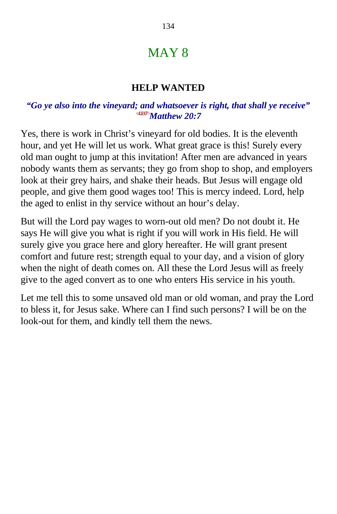#### **HELP WANTED**

#### *"Go ye also into the vineyard; and whatsoever is right, that shall ye receive" <402007>Matthew 20:7*

Yes, there is work in Christ's vineyard for old bodies. It is the eleventh hour, and yet He will let us work. What great grace is this! Surely every old man ought to jump at this invitation! After men are advanced in years nobody wants them as servants; they go from shop to shop, and employers look at their grey hairs, and shake their heads. But Jesus will engage old people, and give them good wages too! This is mercy indeed. Lord, help the aged to enlist in thy service without an hour's delay.

But will the Lord pay wages to worn-out old men? Do not doubt it. He says He will give you what is right if you will work in His field. He will surely give you grace here and glory hereafter. He will grant present comfort and future rest; strength equal to your day, and a vision of glory when the night of death comes on. All these the Lord Jesus will as freely give to the aged convert as to one who enters His service in his youth.

Let me tell this to some unsaved old man or old woman, and pray the Lord to bless it, for Jesus sake. Where can I find such persons? I will be on the look-out for them, and kindly tell them the news.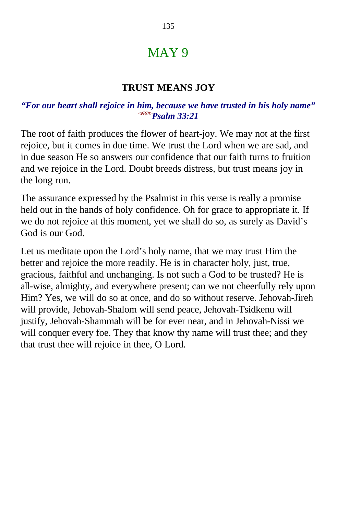### **TRUST MEANS JOY**

#### *"For our heart shall rejoice in him, because we have trusted in his holy name" <193321>Psalm 33:21*

The root of faith produces the flower of heart-joy. We may not at the first rejoice, but it comes in due time. We trust the Lord when we are sad, and in due season He so answers our confidence that our faith turns to fruition and we rejoice in the Lord. Doubt breeds distress, but trust means joy in the long run.

The assurance expressed by the Psalmist in this verse is really a promise held out in the hands of holy confidence. Oh for grace to appropriate it. If we do not rejoice at this moment, yet we shall do so, as surely as David's God is our God.

Let us meditate upon the Lord's holy name, that we may trust Him the better and rejoice the more readily. He is in character holy, just, true, gracious, faithful and unchanging. Is not such a God to be trusted? He is all-wise, almighty, and everywhere present; can we not cheerfully rely upon Him? Yes, we will do so at once, and do so without reserve. Jehovah-Jireh will provide, Jehovah-Shalom will send peace, Jehovah-Tsidkenu will justify, Jehovah-Shammah will be for ever near, and in Jehovah-Nissi we will conquer every foe. They that know thy name will trust thee; and they that trust thee will rejoice in thee, O Lord.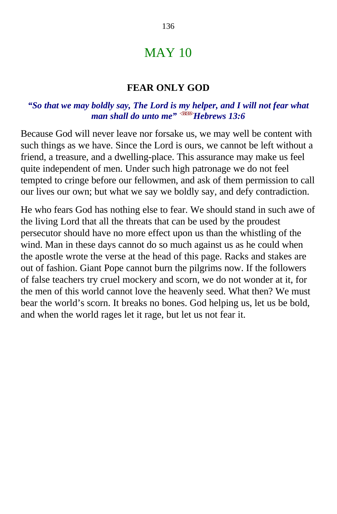#### **FEAR ONLY GOD**

#### *"So that we may boldly say, The Lord is my helper, and I will not fear what man shall do unto me" <581306>Hebrews 13:6*

Because God will never leave nor forsake us, we may well be content with such things as we have. Since the Lord is ours, we cannot be left without a friend, a treasure, and a dwelling-place. This assurance may make us feel quite independent of men. Under such high patronage we do not feel tempted to cringe before our fellowmen, and ask of them permission to call our lives our own; but what we say we boldly say, and defy contradiction.

He who fears God has nothing else to fear. We should stand in such awe of the living Lord that all the threats that can be used by the proudest persecutor should have no more effect upon us than the whistling of the wind. Man in these days cannot do so much against us as he could when the apostle wrote the verse at the head of this page. Racks and stakes are out of fashion. Giant Pope cannot burn the pilgrims now. If the followers of false teachers try cruel mockery and scorn, we do not wonder at it, for the men of this world cannot love the heavenly seed. What then? We must bear the world's scorn. It breaks no bones. God helping us, let us be bold, and when the world rages let it rage, but let us not fear it.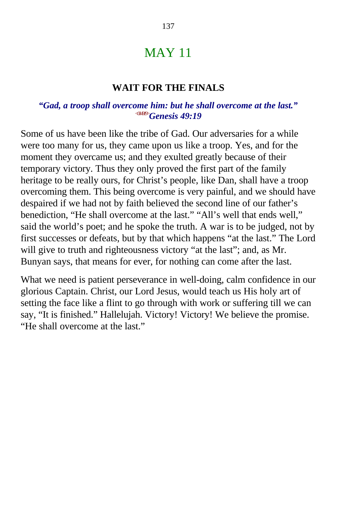#### **WAIT FOR THE FINALS**

#### *"Gad, a troop shall overcome him: but he shall overcome at the last." <014919>Genesis 49:19*

Some of us have been like the tribe of Gad. Our adversaries for a while were too many for us, they came upon us like a troop. Yes, and for the moment they overcame us; and they exulted greatly because of their temporary victory. Thus they only proved the first part of the family heritage to be really ours, for Christ's people, like Dan, shall have a troop overcoming them. This being overcome is very painful, and we should have despaired if we had not by faith believed the second line of our father's benediction, "He shall overcome at the last." "All's well that ends well," said the world's poet; and he spoke the truth. A war is to be judged, not by first successes or defeats, but by that which happens "at the last." The Lord will give to truth and righteousness victory "at the last"; and, as Mr. Bunyan says, that means for ever, for nothing can come after the last.

What we need is patient perseverance in well-doing, calm confidence in our glorious Captain. Christ, our Lord Jesus, would teach us His holy art of setting the face like a flint to go through with work or suffering till we can say, "It is finished." Hallelujah. Victory! Victory! We believe the promise. "He shall overcome at the last."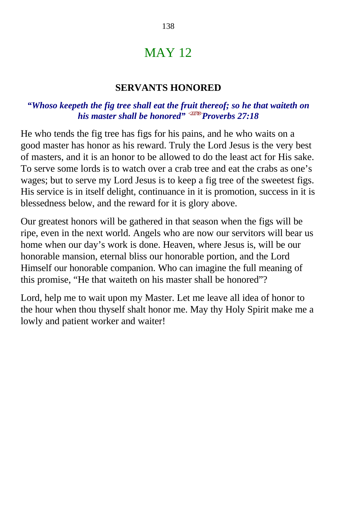### **SERVANTS HONORED**

### *"Whoso keepeth the fig tree shall eat the fruit thereof; so he that waiteth on his master shall be honored" <202718>Proverbs 27:18*

He who tends the fig tree has figs for his pains, and he who waits on a good master has honor as his reward. Truly the Lord Jesus is the very best of masters, and it is an honor to be allowed to do the least act for His sake. To serve some lords is to watch over a crab tree and eat the crabs as one's wages; but to serve my Lord Jesus is to keep a fig tree of the sweetest figs. His service is in itself delight, continuance in it is promotion, success in it is blessedness below, and the reward for it is glory above.

Our greatest honors will be gathered in that season when the figs will be ripe, even in the next world. Angels who are now our servitors will bear us home when our day's work is done. Heaven, where Jesus is, will be our honorable mansion, eternal bliss our honorable portion, and the Lord Himself our honorable companion. Who can imagine the full meaning of this promise, "He that waiteth on his master shall be honored"?

Lord, help me to wait upon my Master. Let me leave all idea of honor to the hour when thou thyself shalt honor me. May thy Holy Spirit make me a lowly and patient worker and waiter!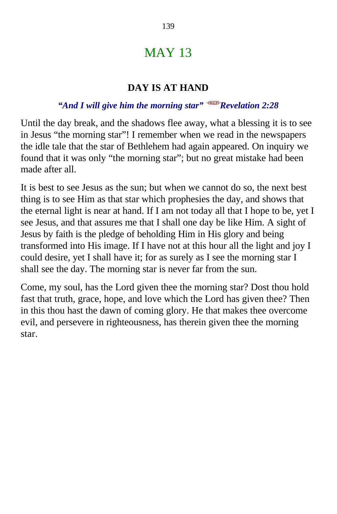### **DAY IS AT HAND**

#### *"And I will give him the morning star"* <sup>*#228</sup>Revelation 2:28*</sup>

Until the day break, and the shadows flee away, what a blessing it is to see in Jesus "the morning star"! I remember when we read in the newspapers the idle tale that the star of Bethlehem had again appeared. On inquiry we found that it was only "the morning star"; but no great mistake had been made after all.

It is best to see Jesus as the sun; but when we cannot do so, the next best thing is to see Him as that star which prophesies the day, and shows that the eternal light is near at hand. If I am not today all that I hope to be, yet I see Jesus, and that assures me that I shall one day be like Him. A sight of Jesus by faith is the pledge of beholding Him in His glory and being transformed into His image. If I have not at this hour all the light and joy I could desire, yet I shall have it; for as surely as I see the morning star I shall see the day. The morning star is never far from the sun.

Come, my soul, has the Lord given thee the morning star? Dost thou hold fast that truth, grace, hope, and love which the Lord has given thee? Then in this thou hast the dawn of coming glory. He that makes thee overcome evil, and persevere in righteousness, has therein given thee the morning star.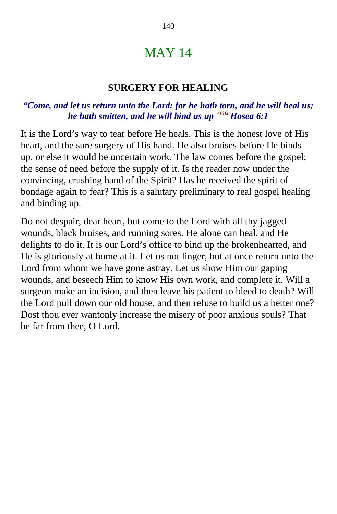### **SURGERY FOR HEALING**

#### *"Come, and let us return unto the Lord: for he hath torn, and he will heal us; he hath smitten, and he will bind us up* <sup>2860</sup>*Hosea 6:1*

It is the Lord's way to tear before He heals. This is the honest love of His heart, and the sure surgery of His hand. He also bruises before He binds up, or else it would be uncertain work. The law comes before the gospel; the sense of need before the supply of it. Is the reader now under the convincing, crushing hand of the Spirit? Has he received the spirit of bondage again to fear? This is a salutary preliminary to real gospel healing and binding up.

Do not despair, dear heart, but come to the Lord with all thy jagged wounds, black bruises, and running sores. He alone can heal, and He delights to do it. It is our Lord's office to bind up the brokenhearted, and He is gloriously at home at it. Let us not linger, but at once return unto the Lord from whom we have gone astray. Let us show Him our gaping wounds, and beseech Him to know His own work, and complete it. Will a surgeon make an incision, and then leave his patient to bleed to death? Will the Lord pull down our old house, and then refuse to build us a better one? Dost thou ever wantonly increase the misery of poor anxious souls? That be far from thee, O Lord.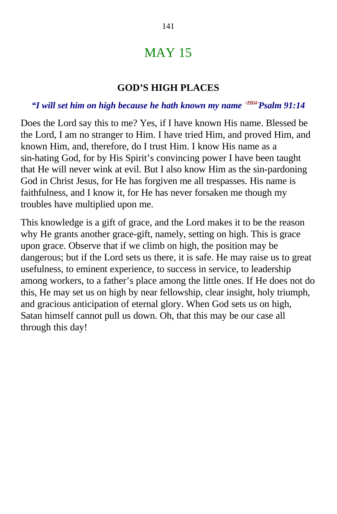#### **GOD'S HIGH PLACES**

#### *"I will set him on high because he hath known my name <199114>Psalm 91:14*

Does the Lord say this to me? Yes, if I have known His name. Blessed be the Lord, I am no stranger to Him. I have tried Him, and proved Him, and known Him, and, therefore, do I trust Him. I know His name as a sin-hating God, for by His Spirit's convincing power I have been taught that He will never wink at evil. But I also know Him as the sin-pardoning God in Christ Jesus, for He has forgiven me all trespasses. His name is faithfulness, and I know it, for He has never forsaken me though my troubles have multiplied upon me.

This knowledge is a gift of grace, and the Lord makes it to be the reason why He grants another grace-gift, namely, setting on high. This is grace upon grace. Observe that if we climb on high, the position may be dangerous; but if the Lord sets us there, it is safe. He may raise us to great usefulness, to eminent experience, to success in service, to leadership among workers, to a father's place among the little ones. If He does not do this, He may set us on high by near fellowship, clear insight, holy triumph, and gracious anticipation of eternal glory. When God sets us on high, Satan himself cannot pull us down. Oh, that this may be our case all through this day!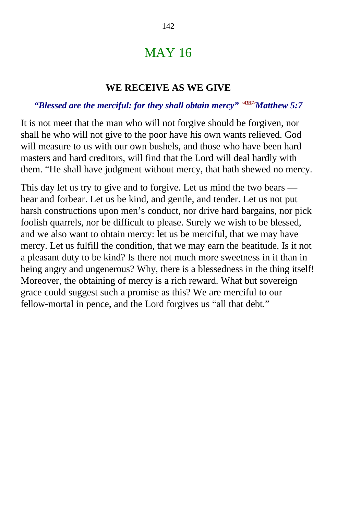#### **WE RECEIVE AS WE GIVE**

#### *"Blessed are the merciful: for they shall obtain mercy" <400507>Matthew 5:7*

It is not meet that the man who will not forgive should be forgiven, nor shall he who will not give to the poor have his own wants relieved. God will measure to us with our own bushels, and those who have been hard masters and hard creditors, will find that the Lord will deal hardly with them. "He shall have judgment without mercy, that hath shewed no mercy.

This day let us try to give and to forgive. Let us mind the two bears bear and forbear. Let us be kind, and gentle, and tender. Let us not put harsh constructions upon men's conduct, nor drive hard bargains, nor pick foolish quarrels, nor be difficult to please. Surely we wish to be blessed, and we also want to obtain mercy: let us be merciful, that we may have mercy. Let us fulfill the condition, that we may earn the beatitude. Is it not a pleasant duty to be kind? Is there not much more sweetness in it than in being angry and ungenerous? Why, there is a blessedness in the thing itself! Moreover, the obtaining of mercy is a rich reward. What but sovereign grace could suggest such a promise as this? We are merciful to our fellow-mortal in pence, and the Lord forgives us "all that debt."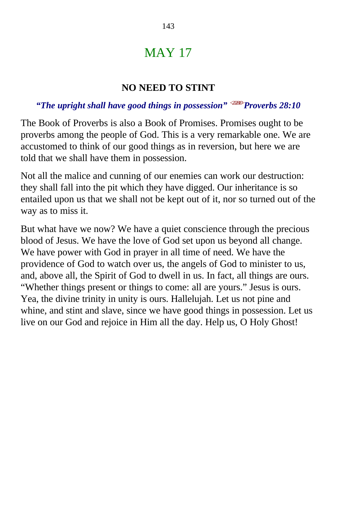### **NO NEED TO STINT**

#### *"The upright shall have good things in possession" <202810>Proverbs 28:10*

The Book of Proverbs is also a Book of Promises. Promises ought to be proverbs among the people of God. This is a very remarkable one. We are accustomed to think of our good things as in reversion, but here we are told that we shall have them in possession.

Not all the malice and cunning of our enemies can work our destruction: they shall fall into the pit which they have digged. Our inheritance is so entailed upon us that we shall not be kept out of it, nor so turned out of the way as to miss it.

But what have we now? We have a quiet conscience through the precious blood of Jesus. We have the love of God set upon us beyond all change. We have power with God in prayer in all time of need. We have the providence of God to watch over us, the angels of God to minister to us, and, above all, the Spirit of God to dwell in us. In fact, all things are ours. "Whether things present or things to come: all are yours." Jesus is ours. Yea, the divine trinity in unity is ours. Hallelujah. Let us not pine and whine, and stint and slave, since we have good things in possession. Let us live on our God and rejoice in Him all the day. Help us, O Holy Ghost!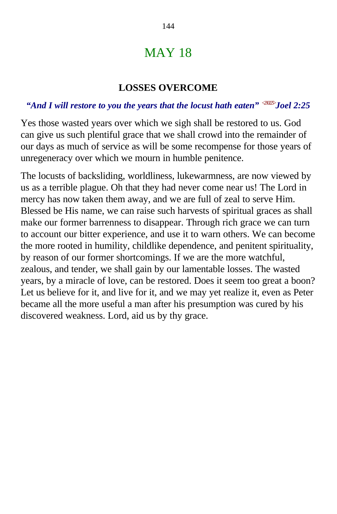### **LOSSES OVERCOME**

### *"And I will restore to you the years that the locust hath eaten"* <sup>2025</sup>*Joel 2:25*

Yes those wasted years over which we sigh shall be restored to us. God can give us such plentiful grace that we shall crowd into the remainder of our days as much of service as will be some recompense for those years of unregeneracy over which we mourn in humble penitence.

The locusts of backsliding, worldliness, lukewarmness, are now viewed by us as a terrible plague. Oh that they had never come near us! The Lord in mercy has now taken them away, and we are full of zeal to serve Him. Blessed be His name, we can raise such harvests of spiritual graces as shall make our former barrenness to disappear. Through rich grace we can turn to account our bitter experience, and use it to warn others. We can become the more rooted in humility, childlike dependence, and penitent spirituality, by reason of our former shortcomings. If we are the more watchful, zealous, and tender, we shall gain by our lamentable losses. The wasted years, by a miracle of love, can be restored. Does it seem too great a boon? Let us believe for it, and live for it, and we may yet realize it, even as Peter became all the more useful a man after his presumption was cured by his discovered weakness. Lord, aid us by thy grace.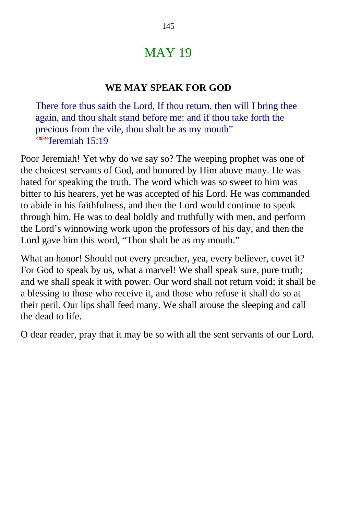### **WE MAY SPEAK FOR GOD**

There fore thus saith the Lord, If thou return, then will I bring thee again, and thou shalt stand before me: and if thou take forth the precious from the vile, thou shalt be as my mouth"  $\frac{\text{2459}}{\text{Teremiah}}$  15:19

Poor Jeremiah! Yet why do we say so? The weeping prophet was one of the choicest servants of God, and honored by Him above many. He was hated for speaking the truth. The word which was so sweet to him was bitter to his hearers, yet he was accepted of his Lord. He was commanded to abide in his faithfulness, and then the Lord would continue to speak through him. He was to deal boldly and truthfully with men, and perform the Lord's winnowing work upon the professors of his day, and then the Lord gave him this word, "Thou shalt be as my mouth."

What an honor! Should not every preacher, yea, every believer, covet it? For God to speak by us, what a marvel! We shall speak sure, pure truth; and we shall speak it with power. Our word shall not return void; it shall be a blessing to those who receive it, and those who refuse it shall do so at their peril. Our lips shall feed many. We shall arouse the sleeping and call the dead to life.

O dear reader, pray that it may be so with all the sent servants of our Lord.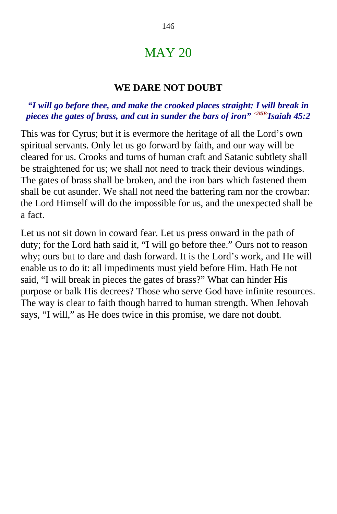#### **WE DARE NOT DOUBT**

#### *"I will go before thee, and make the crooked places straight: I will break in pieces the gates of brass, and cut in sunder the bars of iron*<sup> $\alpha$ *</sup><sup>2502</sup><i>Isaiah 45:2*</sup>

This was for Cyrus; but it is evermore the heritage of all the Lord's own spiritual servants. Only let us go forward by faith, and our way will be cleared for us. Crooks and turns of human craft and Satanic subtlety shall be straightened for us; we shall not need to track their devious windings. The gates of brass shall be broken, and the iron bars which fastened them shall be cut asunder. We shall not need the battering ram nor the crowbar: the Lord Himself will do the impossible for us, and the unexpected shall be a fact.

Let us not sit down in coward fear. Let us press onward in the path of duty; for the Lord hath said it, "I will go before thee." Ours not to reason why; ours but to dare and dash forward. It is the Lord's work, and He will enable us to do it: all impediments must yield before Him. Hath He not said, "I will break in pieces the gates of brass?" What can hinder His purpose or balk His decrees? Those who serve God have infinite resources. The way is clear to faith though barred to human strength. When Jehovah says, "I will," as He does twice in this promise, we dare not doubt.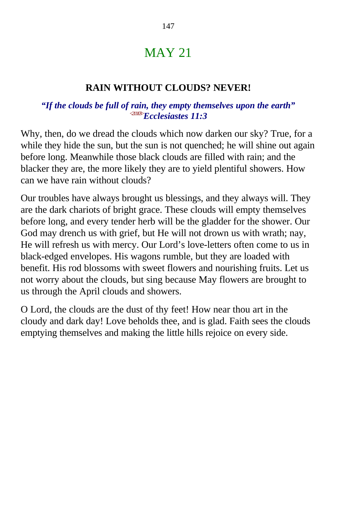### **RAIN WITHOUT CLOUDS? NEVER!**

#### *"If the clouds be full of rain, they empty themselves upon the earth" <211103>Ecclesiastes 11:3*

Why, then, do we dread the clouds which now darken our sky? True, for a while they hide the sun, but the sun is not quenched; he will shine out again before long. Meanwhile those black clouds are filled with rain; and the blacker they are, the more likely they are to yield plentiful showers. How can we have rain without clouds?

Our troubles have always brought us blessings, and they always will. They are the dark chariots of bright grace. These clouds will empty themselves before long, and every tender herb will be the gladder for the shower. Our God may drench us with grief, but He will not drown us with wrath; nay, He will refresh us with mercy. Our Lord's love-letters often come to us in black-edged envelopes. His wagons rumble, but they are loaded with benefit. His rod blossoms with sweet flowers and nourishing fruits. Let us not worry about the clouds, but sing because May flowers are brought to us through the April clouds and showers.

O Lord, the clouds are the dust of thy feet! How near thou art in the cloudy and dark day! Love beholds thee, and is glad. Faith sees the clouds emptying themselves and making the little hills rejoice on every side.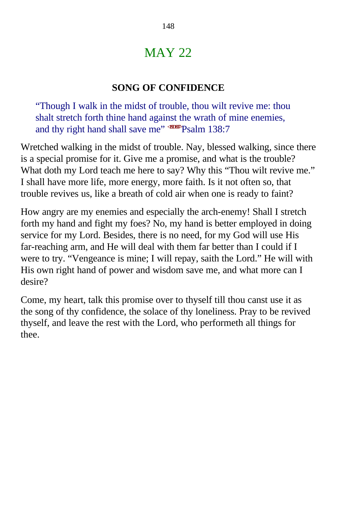### **SONG OF CONFIDENCE**

"Though I walk in the midst of trouble, thou wilt revive me: thou shalt stretch forth thine hand against the wrath of mine enemies, and thy right hand shall save me"  $\frac{\text{dBBID}}{\text{Psalm}}$  138:7

Wretched walking in the midst of trouble. Nay, blessed walking, since there is a special promise for it. Give me a promise, and what is the trouble? What doth my Lord teach me here to say? Why this "Thou wilt revive me." I shall have more life, more energy, more faith. Is it not often so, that trouble revives us, like a breath of cold air when one is ready to faint?

How angry are my enemies and especially the arch-enemy! Shall I stretch forth my hand and fight my foes? No, my hand is better employed in doing service for my Lord. Besides, there is no need, for my God will use His far-reaching arm, and He will deal with them far better than I could if I were to try. "Vengeance is mine; I will repay, saith the Lord." He will with His own right hand of power and wisdom save me, and what more can I desire?

Come, my heart, talk this promise over to thyself till thou canst use it as the song of thy confidence, the solace of thy loneliness. Pray to be revived thyself, and leave the rest with the Lord, who performeth all things for thee.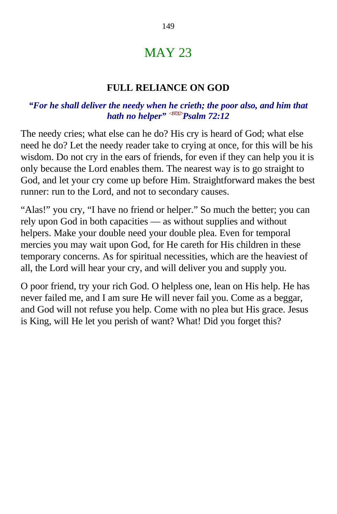### **FULL RELIANCE ON GOD**

#### *"For he shall deliver the needy when he crieth; the poor also, and him that hath no helper*" <sup>*ADRA2D***Psalm 72:12**</sup>

The needy cries; what else can he do? His cry is heard of God; what else need he do? Let the needy reader take to crying at once, for this will be his wisdom. Do not cry in the ears of friends, for even if they can help you it is only because the Lord enables them. The nearest way is to go straight to God, and let your cry come up before Him. Straightforward makes the best runner: run to the Lord, and not to secondary causes.

"Alas!" you cry, "I have no friend or helper." So much the better; you can rely upon God in both capacities — as without supplies and without helpers. Make your double need your double plea. Even for temporal mercies you may wait upon God, for He careth for His children in these temporary concerns. As for spiritual necessities, which are the heaviest of all, the Lord will hear your cry, and will deliver you and supply you.

O poor friend, try your rich God. O helpless one, lean on His help. He has never failed me, and I am sure He will never fail you. Come as a beggar, and God will not refuse you help. Come with no plea but His grace. Jesus is King, will He let you perish of want? What! Did you forget this?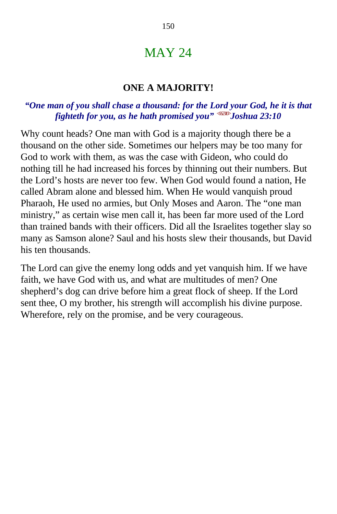#### **ONE A MAJORITY!**

#### *"One man of you shall chase a thousand: for the Lord your God, he it is that fighteth for you, as he hath promised you*" <sup>*AB30</sup>Joshua 23:10*</sup>

Why count heads? One man with God is a majority though there be a thousand on the other side. Sometimes our helpers may be too many for God to work with them, as was the case with Gideon, who could do nothing till he had increased his forces by thinning out their numbers. But the Lord's hosts are never too few. When God would found a nation, He called Abram alone and blessed him. When He would vanquish proud Pharaoh, He used no armies, but Only Moses and Aaron. The "one man ministry," as certain wise men call it, has been far more used of the Lord than trained bands with their officers. Did all the Israelites together slay so many as Samson alone? Saul and his hosts slew their thousands, but David his ten thousands.

The Lord can give the enemy long odds and yet vanquish him. If we have faith, we have God with us, and what are multitudes of men? One shepherd's dog can drive before him a great flock of sheep. If the Lord sent thee, O my brother, his strength will accomplish his divine purpose. Wherefore, rely on the promise, and be very courageous.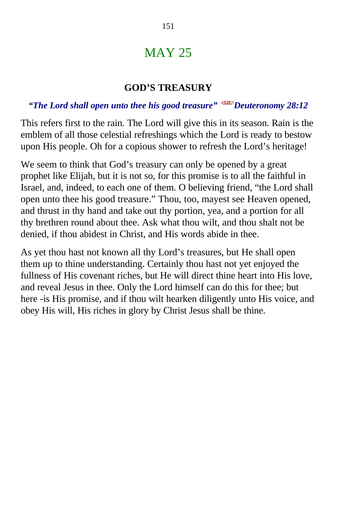#### **GOD'S TREASURY**

#### *"The Lord shall open unto thee his good treasure"* <sup>*ASSED*</sup> *Deuteronomy 28:12*

This refers first to the rain. The Lord will give this in its season. Rain is the emblem of all those celestial refreshings which the Lord is ready to bestow upon His people. Oh for a copious shower to refresh the Lord's heritage!

We seem to think that God's treasury can only be opened by a great prophet like Elijah, but it is not so, for this promise is to all the faithful in Israel, and, indeed, to each one of them. O believing friend, "the Lord shall open unto thee his good treasure." Thou, too, mayest see Heaven opened, and thrust in thy hand and take out thy portion, yea, and a portion for all thy brethren round about thee. Ask what thou wilt, and thou shalt not be denied, if thou abidest in Christ, and His words abide in thee.

As yet thou hast not known all thy Lord's treasures, but He shall open them up to thine understanding. Certainly thou hast not yet enjoyed the fullness of His covenant riches, but He will direct thine heart into His love, and reveal Jesus in thee. Only the Lord himself can do this for thee; but here -is His promise, and if thou wilt hearken diligently unto His voice, and obey His will, His riches in glory by Christ Jesus shall be thine.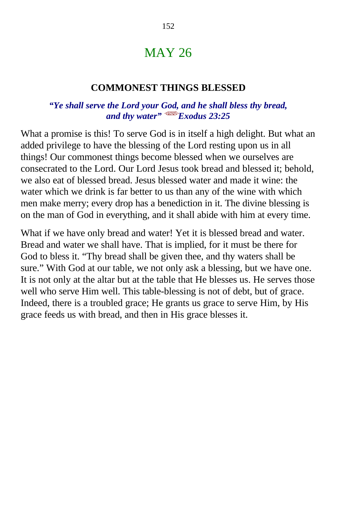#### **COMMONEST THINGS BLESSED**

#### *"Ye shall serve the Lord your God, and he shall bless thy bread, and thy water*" <sup>*<sup>4225</sup></sup>Exodus 23:25*</sup>

What a promise is this! To serve God is in itself a high delight. But what an added privilege to have the blessing of the Lord resting upon us in all things! Our commonest things become blessed when we ourselves are consecrated to the Lord. Our Lord Jesus took bread and blessed it; behold, we also eat of blessed bread. Jesus blessed water and made it wine: the water which we drink is far better to us than any of the wine with which men make merry; every drop has a benediction in it. The divine blessing is on the man of God in everything, and it shall abide with him at every time.

What if we have only bread and water! Yet it is blessed bread and water. Bread and water we shall have. That is implied, for it must be there for God to bless it. "Thy bread shall be given thee, and thy waters shall be sure." With God at our table, we not only ask a blessing, but we have one. It is not only at the altar but at the table that He blesses us. He serves those well who serve Him well. This table-blessing is not of debt, but of grace. Indeed, there is a troubled grace; He grants us grace to serve Him, by His grace feeds us with bread, and then in His grace blesses it.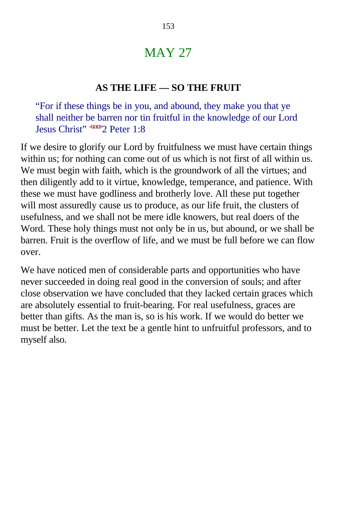### **AS THE LIFE — SO THE FRUIT**

"For if these things be in you, and abound, they make you that ye shall neither be barren nor tin fruitful in the knowledge of our Lord Jesus Christ" **<sup>&</sup>lt;**610108**<sup>&</sup>gt;** 2 Peter 1:8

If we desire to glorify our Lord by fruitfulness we must have certain things within us; for nothing can come out of us which is not first of all within us. We must begin with faith, which is the groundwork of all the virtues; and then diligently add to it virtue, knowledge, temperance, and patience. With these we must have godliness and brotherly love. All these put together will most assuredly cause us to produce, as our life fruit, the clusters of usefulness, and we shall not be mere idle knowers, but real doers of the Word. These holy things must not only be in us, but abound, or we shall be barren. Fruit is the overflow of life, and we must be full before we can flow over.

We have noticed men of considerable parts and opportunities who have never succeeded in doing real good in the conversion of souls; and after close observation we have concluded that they lacked certain graces which are absolutely essential to fruit-bearing. For real usefulness, graces are better than gifts. As the man is, so is his work. If we would do better we must be better. Let the text be a gentle hint to unfruitful professors, and to myself also.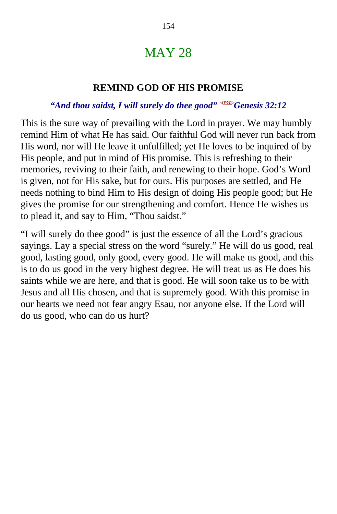#### **REMIND GOD OF HIS PROMISE**

### *"And thou saidst, I will surely do thee good"* <sup>*IRPD*</sup>Genesis 32:12

This is the sure way of prevailing with the Lord in prayer. We may humbly remind Him of what He has said. Our faithful God will never run back from His word, nor will He leave it unfulfilled; yet He loves to be inquired of by His people, and put in mind of His promise. This is refreshing to their memories, reviving to their faith, and renewing to their hope. God's Word is given, not for His sake, but for ours. His purposes are settled, and He needs nothing to bind Him to His design of doing His people good; but He gives the promise for our strengthening and comfort. Hence He wishes us to plead it, and say to Him, "Thou saidst."

"I will surely do thee good" is just the essence of all the Lord's gracious sayings. Lay a special stress on the word "surely." He will do us good, real good, lasting good, only good, every good. He will make us good, and this is to do us good in the very highest degree. He will treat us as He does his saints while we are here, and that is good. He will soon take us to be with Jesus and all His chosen, and that is supremely good. With this promise in our hearts we need not fear angry Esau, nor anyone else. If the Lord will do us good, who can do us hurt?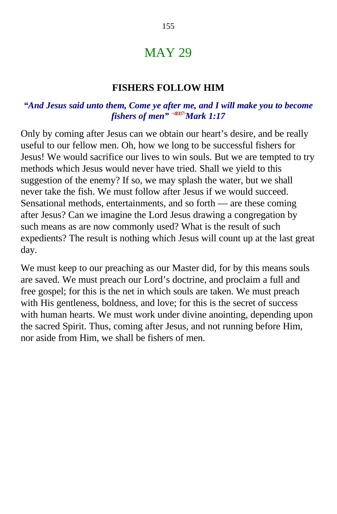#### **FISHERS FOLLOW HIM**

#### *"And Jesus said unto them, Come ye after me, and I will make you to become fishers of men" <410117>Mark 1:17*

Only by coming after Jesus can we obtain our heart's desire, and be really useful to our fellow men. Oh, how we long to be successful fishers for Jesus! We would sacrifice our lives to win souls. But we are tempted to try methods which Jesus would never have tried. Shall we yield to this suggestion of the enemy? If so, we may splash the water, but we shall never take the fish. We must follow after Jesus if we would succeed. Sensational methods, entertainments, and so forth — are these coming after Jesus? Can we imagine the Lord Jesus drawing a congregation by such means as are now commonly used? What is the result of such expedients? The result is nothing which Jesus will count up at the last great day.

We must keep to our preaching as our Master did, for by this means souls are saved. We must preach our Lord's doctrine, and proclaim a full and free gospel; for this is the net in which souls are taken. We must preach with His gentleness, boldness, and love; for this is the secret of success with human hearts. We must work under divine anointing, depending upon the sacred Spirit. Thus, coming after Jesus, and not running before Him, nor aside from Him, we shall be fishers of men.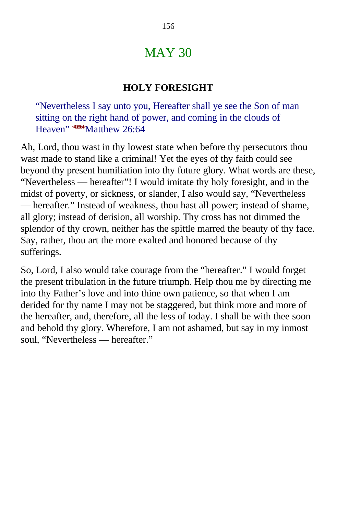### **HOLY FORESIGHT**

"Nevertheless I say unto you, Hereafter shall ye see the Son of man sitting on the right hand of power, and coming in the clouds of Heaven" <americal Matthew 26:64

Ah, Lord, thou wast in thy lowest state when before thy persecutors thou wast made to stand like a criminal! Yet the eyes of thy faith could see beyond thy present humiliation into thy future glory. What words are these, "Nevertheless — hereafter"! I would imitate thy holy foresight, and in the midst of poverty, or sickness, or slander, I also would say, "Nevertheless — hereafter." Instead of weakness, thou hast all power; instead of shame, all glory; instead of derision, all worship. Thy cross has not dimmed the splendor of thy crown, neither has the spittle marred the beauty of thy face. Say, rather, thou art the more exalted and honored because of thy sufferings.

So, Lord, I also would take courage from the "hereafter." I would forget the present tribulation in the future triumph. Help thou me by directing me into thy Father's love and into thine own patience, so that when I am derided for thy name I may not be staggered, but think more and more of the hereafter, and, therefore, all the less of today. I shall be with thee soon and behold thy glory. Wherefore, I am not ashamed, but say in my inmost soul, "Nevertheless — hereafter."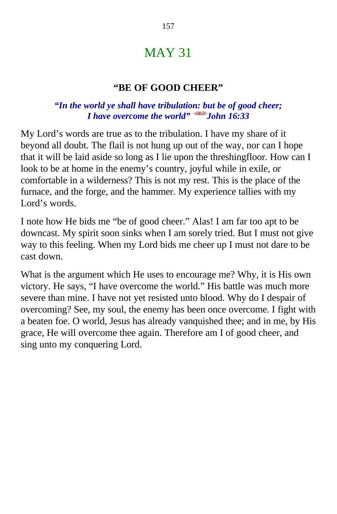### **"BE OF GOOD CHEER"**

#### *"In the world ye shall have tribulation: but be of good cheer; I have overcome the world*" <sup>*AKRb</sup>John 16:33*</sup>

My Lord's words are true as to the tribulation. I have my share of it beyond all doubt. The flail is not hung up out of the way, nor can I hope that it will be laid aside so long as I lie upon the threshingfloor. How can I look to be at home in the enemy's country, joyful while in exile, or comfortable in a wilderness? This is not my rest. This is the place of the furnace, and the forge, and the hammer. My experience tallies with my Lord's words.

I note how He bids me "be of good cheer." Alas! I am far too apt to be downcast. My spirit soon sinks when I am sorely tried. But I must not give way to this feeling. When my Lord bids me cheer up I must not dare to be cast down.

What is the argument which He uses to encourage me? Why, it is His own victory. He says, "I have overcome the world." His battle was much more severe than mine. I have not yet resisted unto blood. Why do I despair of overcoming? See, my soul, the enemy has been once overcome. I fight with a beaten foe. O world, Jesus has already vanquished thee; and in me, by His grace, He will overcome thee again. Therefore am I of good cheer, and sing unto my conquering Lord.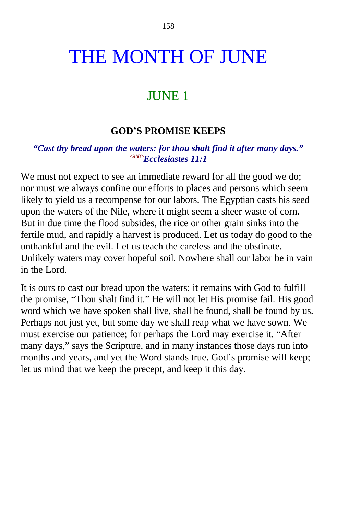# THE MONTH OF JUNE

### JUNE 1

### **GOD'S PROMISE KEEPS**

#### *"Cast thy bread upon the waters: for thou shalt find it after many days." <211101>Ecclesiastes 11:1*

We must not expect to see an immediate reward for all the good we do; nor must we always confine our efforts to places and persons which seem likely to yield us a recompense for our labors. The Egyptian casts his seed upon the waters of the Nile, where it might seem a sheer waste of corn. But in due time the flood subsides, the rice or other grain sinks into the fertile mud, and rapidly a harvest is produced. Let us today do good to the unthankful and the evil. Let us teach the careless and the obstinate. Unlikely waters may cover hopeful soil. Nowhere shall our labor be in vain in the Lord.

It is ours to cast our bread upon the waters; it remains with God to fulfill the promise, "Thou shalt find it." He will not let His promise fail. His good word which we have spoken shall live, shall be found, shall be found by us. Perhaps not just yet, but some day we shall reap what we have sown. We must exercise our patience; for perhaps the Lord may exercise it. "After many days," says the Scripture, and in many instances those days run into months and years, and yet the Word stands true. God's promise will keep; let us mind that we keep the precept, and keep it this day.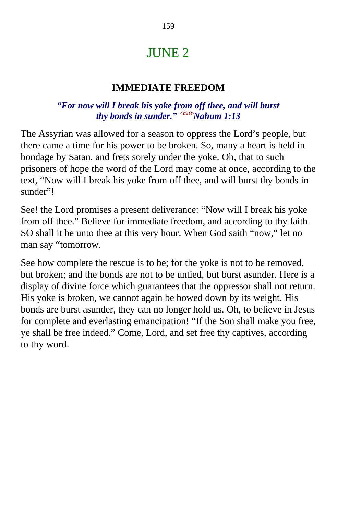### **IMMEDIATE FREEDOM**

#### *"For now will I break his yoke from off thee, and will burst thy bonds in sunder." <340113>Nahum 1:13*

The Assyrian was allowed for a season to oppress the Lord's people, but there came a time for his power to be broken. So, many a heart is held in bondage by Satan, and frets sorely under the yoke. Oh, that to such prisoners of hope the word of the Lord may come at once, according to the text, "Now will I break his yoke from off thee, and will burst thy bonds in sunder"!

See! the Lord promises a present deliverance: "Now will I break his yoke from off thee." Believe for immediate freedom, and according to thy faith SO shall it be unto thee at this very hour. When God saith "now," let no man say "tomorrow.

See how complete the rescue is to be; for the yoke is not to be removed, but broken; and the bonds are not to be untied, but burst asunder. Here is a display of divine force which guarantees that the oppressor shall not return. His yoke is broken, we cannot again be bowed down by its weight. His bonds are burst asunder, they can no longer hold us. Oh, to believe in Jesus for complete and everlasting emancipation! "If the Son shall make you free, ye shall be free indeed." Come, Lord, and set free thy captives, according to thy word.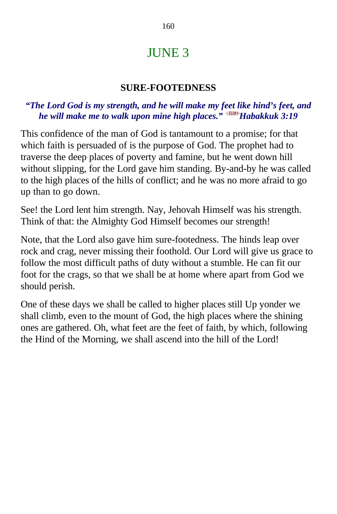### **SURE-FOOTEDNESS**

### *"The Lord God is my strength, and he will make my feet like hind's feet, and he will make me to walk upon mine high places." <350319>Habakkuk 3:19*

This confidence of the man of God is tantamount to a promise; for that which faith is persuaded of is the purpose of God. The prophet had to traverse the deep places of poverty and famine, but he went down hill without slipping, for the Lord gave him standing. By-and-by he was called to the high places of the hills of conflict; and he was no more afraid to go up than to go down.

See! the Lord lent him strength. Nay, Jehovah Himself was his strength. Think of that: the Almighty God Himself becomes our strength!

Note, that the Lord also gave him sure-footedness. The hinds leap over rock and crag, never missing their foothold. Our Lord will give us grace to follow the most difficult paths of duty without a stumble. He can fit our foot for the crags, so that we shall be at home where apart from God we should perish.

One of these days we shall be called to higher places still Up yonder we shall climb, even to the mount of God, the high places where the shining ones are gathered. Oh, what feet are the feet of faith, by which, following the Hind of the Morning, we shall ascend into the hill of the Lord!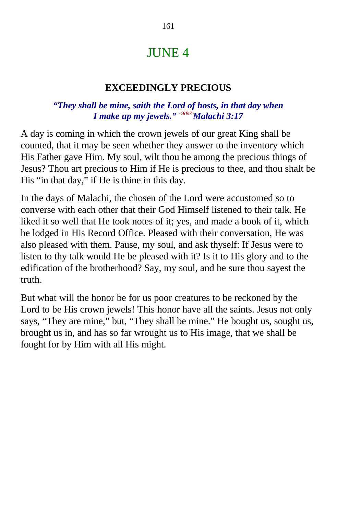### **EXCEEDINGLY PRECIOUS**

#### *"They shall be mine, saith the Lord of hosts, in that day when I make up my jewels." <390317>Malachi 3:17*

A day is coming in which the crown jewels of our great King shall be counted, that it may be seen whether they answer to the inventory which His Father gave Him. My soul, wilt thou be among the precious things of Jesus? Thou art precious to Him if He is precious to thee, and thou shalt be His "in that day," if He is thine in this day.

In the days of Malachi, the chosen of the Lord were accustomed so to converse with each other that their God Himself listened to their talk. He liked it so well that He took notes of it; yes, and made a book of it, which he lodged in His Record Office. Pleased with their conversation, He was also pleased with them. Pause, my soul, and ask thyself: If Jesus were to listen to thy talk would He be pleased with it? Is it to His glory and to the edification of the brotherhood? Say, my soul, and be sure thou sayest the truth.

But what will the honor be for us poor creatures to be reckoned by the Lord to be His crown jewels! This honor have all the saints. Jesus not only says, "They are mine," but, "They shall be mine." He bought us, sought us, brought us in, and has so far wrought us to His image, that we shall be fought for by Him with all His might.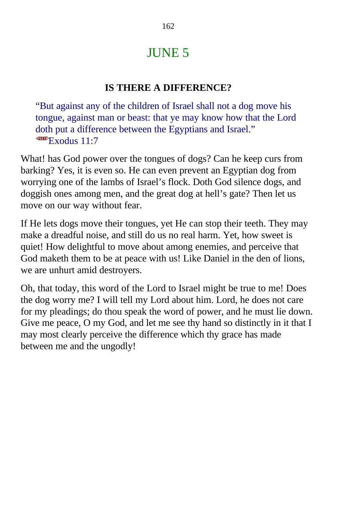### **IS THERE A DIFFERENCE?**

"But against any of the children of Israel shall not a dog move his tongue, against man or beast: that ye may know how that the Lord doth put a difference between the Egyptians and Israel." **<021107>**Exodus 11:7

What! has God power over the tongues of dogs? Can he keep curs from barking? Yes, it is even so. He can even prevent an Egyptian dog from worrying one of the lambs of Israel's flock. Doth God silence dogs, and doggish ones among men, and the great dog at hell's gate? Then let us move on our way without fear.

If He lets dogs move their tongues, yet He can stop their teeth. They may make a dreadful noise, and still do us no real harm. Yet, how sweet is quiet! How delightful to move about among enemies, and perceive that God maketh them to be at peace with us! Like Daniel in the den of lions, we are unhurt amid destroyers.

Oh, that today, this word of the Lord to Israel might be true to me! Does the dog worry me? I will tell my Lord about him. Lord, he does not care for my pleadings; do thou speak the word of power, and he must lie down. Give me peace, O my God, and let me see thy hand so distinctly in it that I may most clearly perceive the difference which thy grace has made between me and the ungodly!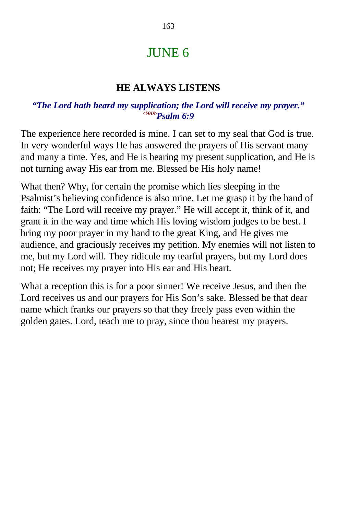### **HE ALWAYS LISTENS**

#### *"The Lord hath heard my supplication; the Lord will receive my prayer." <190609>Psalm 6:9*

The experience here recorded is mine. I can set to my seal that God is true. In very wonderful ways He has answered the prayers of His servant many and many a time. Yes, and He is hearing my present supplication, and He is not turning away His ear from me. Blessed be His holy name!

What then? Why, for certain the promise which lies sleeping in the Psalmist's believing confidence is also mine. Let me grasp it by the hand of faith: "The Lord will receive my prayer." He will accept it, think of it, and grant it in the way and time which His loving wisdom judges to be best. I bring my poor prayer in my hand to the great King, and He gives me audience, and graciously receives my petition. My enemies will not listen to me, but my Lord will. They ridicule my tearful prayers, but my Lord does not; He receives my prayer into His ear and His heart.

What a reception this is for a poor sinner! We receive Jesus, and then the Lord receives us and our prayers for His Son's sake. Blessed be that dear name which franks our prayers so that they freely pass even within the golden gates. Lord, teach me to pray, since thou hearest my prayers.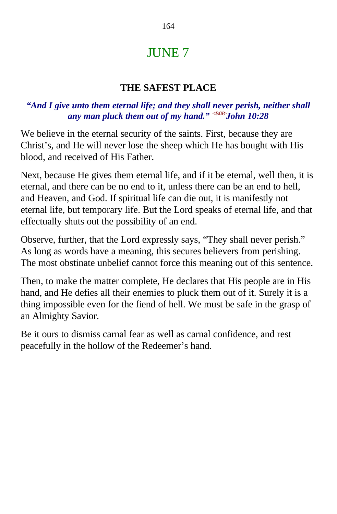### **THE SAFEST PLACE**

### *"And I give unto them eternal life; and they shall never perish, neither shall any man pluck them out of my hand.*" <sup>*ASOBb</sup> John 10:28*</sup>

We believe in the eternal security of the saints. First, because they are Christ's, and He will never lose the sheep which He has bought with His blood, and received of His Father.

Next, because He gives them eternal life, and if it be eternal, well then, it is eternal, and there can be no end to it, unless there can be an end to hell, and Heaven, and God. If spiritual life can die out, it is manifestly not eternal life, but temporary life. But the Lord speaks of eternal life, and that effectually shuts out the possibility of an end.

Observe, further, that the Lord expressly says, "They shall never perish." As long as words have a meaning, this secures believers from perishing. The most obstinate unbelief cannot force this meaning out of this sentence.

Then, to make the matter complete, He declares that His people are in His hand, and He defies all their enemies to pluck them out of it. Surely it is a thing impossible even for the fiend of hell. We must be safe in the grasp of an Almighty Savior.

Be it ours to dismiss carnal fear as well as carnal confidence, and rest peacefully in the hollow of the Redeemer's hand.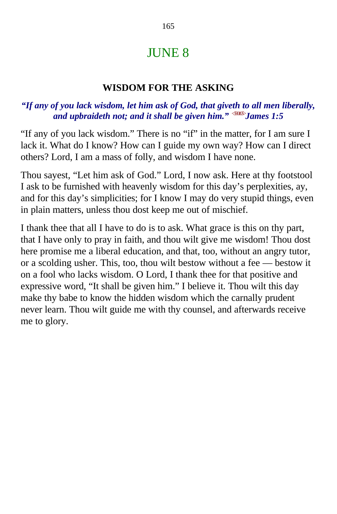### **WISDOM FOR THE ASKING**

### *"If any of you lack wisdom, let him ask of God, that giveth to all men liberally, and upbraideth not; and it shall be given him." <590105>James 1:5*

"If any of you lack wisdom." There is no "if" in the matter, for I am sure I lack it. What do I know? How can I guide my own way? How can I direct others? Lord, I am a mass of folly, and wisdom I have none.

Thou sayest, "Let him ask of God." Lord, I now ask. Here at thy footstool I ask to be furnished with heavenly wisdom for this day's perplexities, ay, and for this day's simplicities; for I know I may do very stupid things, even in plain matters, unless thou dost keep me out of mischief.

I thank thee that all I have to do is to ask. What grace is this on thy part, that I have only to pray in faith, and thou wilt give me wisdom! Thou dost here promise me a liberal education, and that, too, without an angry tutor, or a scolding usher. This, too, thou wilt bestow without a fee — bestow it on a fool who lacks wisdom. O Lord, I thank thee for that positive and expressive word, "It shall be given him." I believe it. Thou wilt this day make thy babe to know the hidden wisdom which the carnally prudent never learn. Thou wilt guide me with thy counsel, and afterwards receive me to glory.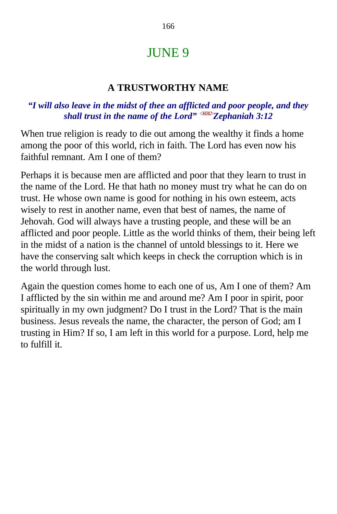### **A TRUSTWORTHY NAME**

### *"I will also leave in the midst of thee an afflicted and poor people, and they shall trust in the name of the Lord*<sup>"</sup> <sup>*ABBD</sup> Zephaniah* 3:12</sup>

When true religion is ready to die out among the wealthy it finds a home among the poor of this world, rich in faith. The Lord has even now his faithful remnant. Am I one of them?

Perhaps it is because men are afflicted and poor that they learn to trust in the name of the Lord. He that hath no money must try what he can do on trust. He whose own name is good for nothing in his own esteem, acts wisely to rest in another name, even that best of names, the name of Jehovah. God will always have a trusting people, and these will be an afflicted and poor people. Little as the world thinks of them, their being left in the midst of a nation is the channel of untold blessings to it. Here we have the conserving salt which keeps in check the corruption which is in the world through lust.

Again the question comes home to each one of us, Am I one of them? Am I afflicted by the sin within me and around me? Am I poor in spirit, poor spiritually in my own judgment? Do I trust in the Lord? That is the main business. Jesus reveals the name, the character, the person of God; am I trusting in Him? If so, I am left in this world for a purpose. Lord, help me to fulfill it.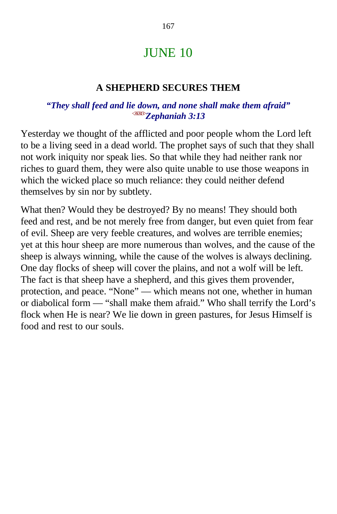#### **A SHEPHERD SECURES THEM**

#### *"They shall feed and lie down, and none shall make them afraid" <360313>Zephaniah 3:13*

Yesterday we thought of the afflicted and poor people whom the Lord left to be a living seed in a dead world. The prophet says of such that they shall not work iniquity nor speak lies. So that while they had neither rank nor riches to guard them, they were also quite unable to use those weapons in which the wicked place so much reliance: they could neither defend themselves by sin nor by subtlety.

What then? Would they be destroyed? By no means! They should both feed and rest, and be not merely free from danger, but even quiet from fear of evil. Sheep are very feeble creatures, and wolves are terrible enemies; yet at this hour sheep are more numerous than wolves, and the cause of the sheep is always winning, while the cause of the wolves is always declining. One day flocks of sheep will cover the plains, and not a wolf will be left. The fact is that sheep have a shepherd, and this gives them provender, protection, and peace. "None" — which means not one, whether in human or diabolical form — "shall make them afraid." Who shall terrify the Lord's flock when He is near? We lie down in green pastures, for Jesus Himself is food and rest to our souls.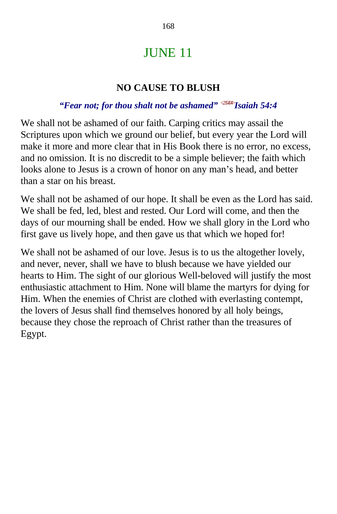### **NO CAUSE TO BLUSH**

### *"Fear not; for thou shalt not be ashamed" <235404>Isaiah 54:4*

We shall not be ashamed of our faith. Carping critics may assail the Scriptures upon which we ground our belief, but every year the Lord will make it more and more clear that in His Book there is no error, no excess, and no omission. It is no discredit to be a simple believer; the faith which looks alone to Jesus is a crown of honor on any man's head, and better than a star on his breast.

We shall not be ashamed of our hope. It shall be even as the Lord has said. We shall be fed, led, blest and rested. Our Lord will come, and then the days of our mourning shall be ended. How we shall glory in the Lord who first gave us lively hope, and then gave us that which we hoped for!

We shall not be ashamed of our love. Jesus is to us the altogether lovely, and never, never, shall we have to blush because we have yielded our hearts to Him. The sight of our glorious Well-beloved will justify the most enthusiastic attachment to Him. None will blame the martyrs for dying for Him. When the enemies of Christ are clothed with everlasting contempt, the lovers of Jesus shall find themselves honored by all holy beings, because they chose the reproach of Christ rather than the treasures of Egypt.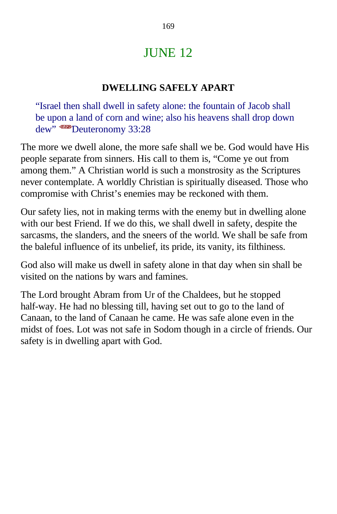### **DWELLING SAFELY APART**

"Israel then shall dwell in safety alone: the fountain of Jacob shall be upon a land of corn and wine; also his heavens shall drop down dew" <a>b</a>Deuteronomy 33:28

The more we dwell alone, the more safe shall we be. God would have His people separate from sinners. His call to them is, "Come ye out from among them." A Christian world is such a monstrosity as the Scriptures never contemplate. A worldly Christian is spiritually diseased. Those who compromise with Christ's enemies may be reckoned with them.

Our safety lies, not in making terms with the enemy but in dwelling alone with our best Friend. If we do this, we shall dwell in safety, despite the sarcasms, the slanders, and the sneers of the world. We shall be safe from the baleful influence of its unbelief, its pride, its vanity, its filthiness.

God also will make us dwell in safety alone in that day when sin shall be visited on the nations by wars and famines.

The Lord brought Abram from Ur of the Chaldees, but he stopped half-way. He had no blessing till, having set out to go to the land of Canaan, to the land of Canaan he came. He was safe alone even in the midst of foes. Lot was not safe in Sodom though in a circle of friends. Our safety is in dwelling apart with God.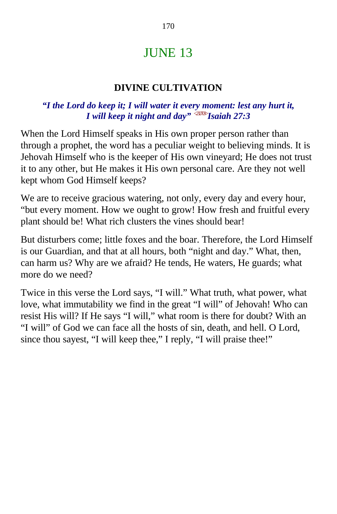### **DIVINE CULTIVATION**

### *"I the Lord do keep it; I will water it every moment: lest any hurt it, I will keep it night and day" <232703>Isaiah 27:3*

When the Lord Himself speaks in His own proper person rather than through a prophet, the word has a peculiar weight to believing minds. It is Jehovah Himself who is the keeper of His own vineyard; He does not trust it to any other, but He makes it His own personal care. Are they not well kept whom God Himself keeps?

We are to receive gracious watering, not only, every day and every hour, "but every moment. How we ought to grow! How fresh and fruitful every plant should be! What rich clusters the vines should bear!

But disturbers come; little foxes and the boar. Therefore, the Lord Himself is our Guardian, and that at all hours, both "night and day." What, then, can harm us? Why are we afraid? He tends, He waters, He guards; what more do we need?

Twice in this verse the Lord says, "I will." What truth, what power, what love, what immutability we find in the great "I will" of Jehovah! Who can resist His will? If He says "I will," what room is there for doubt? With an "I will" of God we can face all the hosts of sin, death, and hell. O Lord, since thou sayest, "I will keep thee," I reply, "I will praise thee!"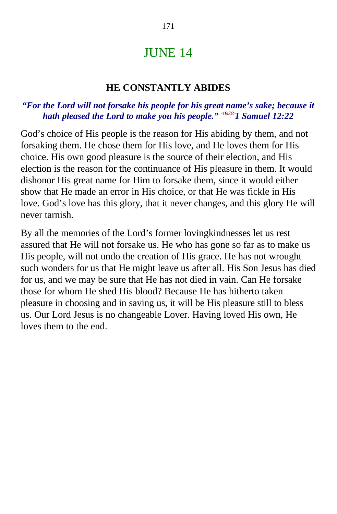#### **HE CONSTANTLY ABIDES**

#### *"For the Lord will not forsake his people for his great name's sake; because it hath pleased the Lord to make you his people."* <sup>*ODZ</sup>22 Samuel 12:22*</sup>

God's choice of His people is the reason for His abiding by them, and not forsaking them. He chose them for His love, and He loves them for His choice. His own good pleasure is the source of their election, and His election is the reason for the continuance of His pleasure in them. It would dishonor His great name for Him to forsake them, since it would either show that He made an error in His choice, or that He was fickle in His love. God's love has this glory, that it never changes, and this glory He will never tarnish.

By all the memories of the Lord's former lovingkindnesses let us rest assured that He will not forsake us. He who has gone so far as to make us His people, will not undo the creation of His grace. He has not wrought such wonders for us that He might leave us after all. His Son Jesus has died for us, and we may be sure that He has not died in vain. Can He forsake those for whom He shed His blood? Because He has hitherto taken pleasure in choosing and in saving us, it will be His pleasure still to bless us. Our Lord Jesus is no changeable Lover. Having loved His own, He loves them to the end.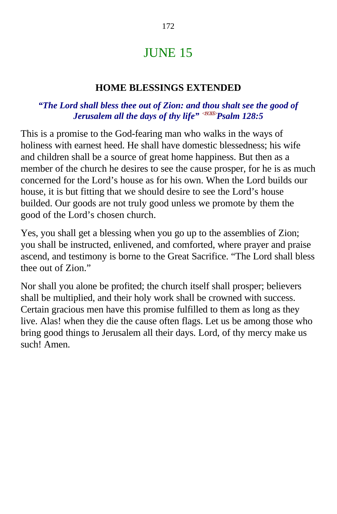### **HOME BLESSINGS EXTENDED**

### *"The Lord shall bless thee out of Zion: and thou shalt see the good of Jerusalem all the days of thy life*" <sup>*AXXb</sup>Psalm 128:5*</sup>

This is a promise to the God-fearing man who walks in the ways of holiness with earnest heed. He shall have domestic blessedness; his wife and children shall be a source of great home happiness. But then as a member of the church he desires to see the cause prosper, for he is as much concerned for the Lord's house as for his own. When the Lord builds our house, it is but fitting that we should desire to see the Lord's house builded. Our goods are not truly good unless we promote by them the good of the Lord's chosen church.

Yes, you shall get a blessing when you go up to the assemblies of Zion; you shall be instructed, enlivened, and comforted, where prayer and praise ascend, and testimony is borne to the Great Sacrifice. "The Lord shall bless thee out of Zion."

Nor shall you alone be profited; the church itself shall prosper; believers shall be multiplied, and their holy work shall be crowned with success. Certain gracious men have this promise fulfilled to them as long as they live. Alas! when they die the cause often flags. Let us be among those who bring good things to Jerusalem all their days. Lord, of thy mercy make us such! Amen.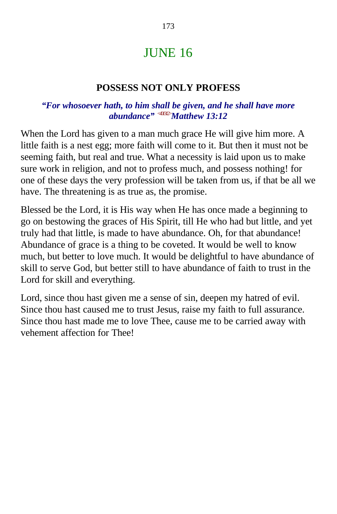### **POSSESS NOT ONLY PROFESS**

#### *"For whosoever hath, to him shall be given, and he shall have more abundance" <401312>Matthew 13:12*

When the Lord has given to a man much grace He will give him more. A little faith is a nest egg; more faith will come to it. But then it must not be seeming faith, but real and true. What a necessity is laid upon us to make sure work in religion, and not to profess much, and possess nothing! for one of these days the very profession will be taken from us, if that be all we have. The threatening is as true as, the promise.

Blessed be the Lord, it is His way when He has once made a beginning to go on bestowing the graces of His Spirit, till He who had but little, and yet truly had that little, is made to have abundance. Oh, for that abundance! Abundance of grace is a thing to be coveted. It would be well to know much, but better to love much. It would be delightful to have abundance of skill to serve God, but better still to have abundance of faith to trust in the Lord for skill and everything.

Lord, since thou hast given me a sense of sin, deepen my hatred of evil. Since thou hast caused me to trust Jesus, raise my faith to full assurance. Since thou hast made me to love Thee, cause me to be carried away with vehement affection for Thee!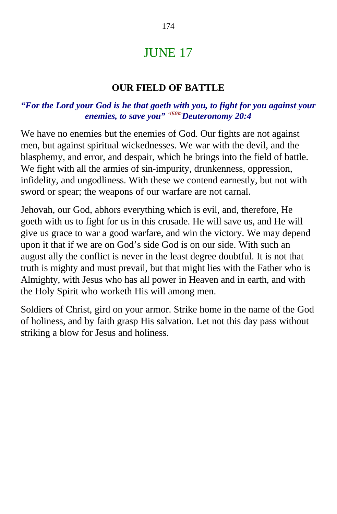### **OUR FIELD OF BATTLE**

#### *"For the Lord your God is he that goeth with you, to fight for you against your enemies, to save you" <052004>Deuteronomy 20:4*

We have no enemies but the enemies of God. Our fights are not against men, but against spiritual wickednesses. We war with the devil, and the blasphemy, and error, and despair, which he brings into the field of battle. We fight with all the armies of sin-impurity, drunkenness, oppression, infidelity, and ungodliness. With these we contend earnestly, but not with sword or spear; the weapons of our warfare are not carnal.

Jehovah, our God, abhors everything which is evil, and, therefore, He goeth with us to fight for us in this crusade. He will save us, and He will give us grace to war a good warfare, and win the victory. We may depend upon it that if we are on God's side God is on our side. With such an august ally the conflict is never in the least degree doubtful. It is not that truth is mighty and must prevail, but that might lies with the Father who is Almighty, with Jesus who has all power in Heaven and in earth, and with the Holy Spirit who worketh His will among men.

Soldiers of Christ, gird on your armor. Strike home in the name of the God of holiness, and by faith grasp His salvation. Let not this day pass without striking a blow for Jesus and holiness.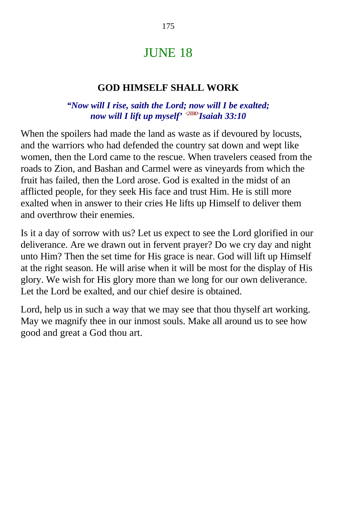### **GOD HIMSELF SHALL WORK**

#### *"Now will I rise, saith the Lord; now will I be exalted; now will I lift up myself' <233310>Isaiah 33:10*

When the spoilers had made the land as waste as if devoured by locusts, and the warriors who had defended the country sat down and wept like women, then the Lord came to the rescue. When travelers ceased from the roads to Zion, and Bashan and Carmel were as vineyards from which the fruit has failed, then the Lord arose. God is exalted in the midst of an afflicted people, for they seek His face and trust Him. He is still more exalted when in answer to their cries He lifts up Himself to deliver them and overthrow their enemies.

Is it a day of sorrow with us? Let us expect to see the Lord glorified in our deliverance. Are we drawn out in fervent prayer? Do we cry day and night unto Him? Then the set time for His grace is near. God will lift up Himself at the right season. He will arise when it will be most for the display of His glory. We wish for His glory more than we long for our own deliverance. Let the Lord be exalted, and our chief desire is obtained.

Lord, help us in such a way that we may see that thou thyself art working. May we magnify thee in our inmost souls. Make all around us to see how good and great a God thou art.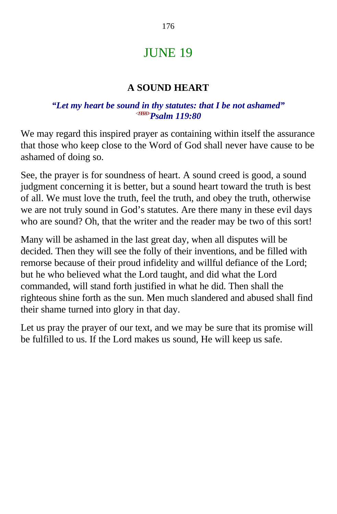### **A SOUND HEART**

#### *"Let my heart be sound in thy statutes: that I be not ashamed" <19B980>Psalm 119:80*

We may regard this inspired prayer as containing within itself the assurance that those who keep close to the Word of God shall never have cause to be ashamed of doing so.

See, the prayer is for soundness of heart. A sound creed is good, a sound judgment concerning it is better, but a sound heart toward the truth is best of all. We must love the truth, feel the truth, and obey the truth, otherwise we are not truly sound in God's statutes. Are there many in these evil days who are sound? Oh, that the writer and the reader may be two of this sort!

Many will be ashamed in the last great day, when all disputes will be decided. Then they will see the folly of their inventions, and be filled with remorse because of their proud infidelity and willful defiance of the Lord; but he who believed what the Lord taught, and did what the Lord commanded, will stand forth justified in what he did. Then shall the righteous shine forth as the sun. Men much slandered and abused shall find their shame turned into glory in that day.

Let us pray the prayer of our text, and we may be sure that its promise will be fulfilled to us. If the Lord makes us sound, He will keep us safe.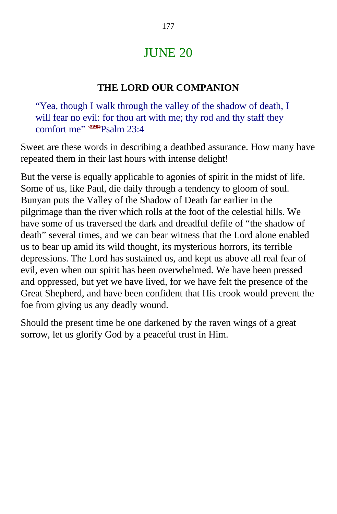### **THE LORD OUR COMPANION**

"Yea, though I walk through the valley of the shadow of death, I will fear no evil: for thou art with me; thy rod and thy staff they comfort me" **<192304>**Psalm 23:4

Sweet are these words in describing a deathbed assurance. How many have repeated them in their last hours with intense delight!

But the verse is equally applicable to agonies of spirit in the midst of life. Some of us, like Paul, die daily through a tendency to gloom of soul. Bunyan puts the Valley of the Shadow of Death far earlier in the pilgrimage than the river which rolls at the foot of the celestial hills. We have some of us traversed the dark and dreadful defile of "the shadow of death" several times, and we can bear witness that the Lord alone enabled us to bear up amid its wild thought, its mysterious horrors, its terrible depressions. The Lord has sustained us, and kept us above all real fear of evil, even when our spirit has been overwhelmed. We have been pressed and oppressed, but yet we have lived, for we have felt the presence of the Great Shepherd, and have been confident that His crook would prevent the foe from giving us any deadly wound.

Should the present time be one darkened by the raven wings of a great sorrow, let us glorify God by a peaceful trust in Him.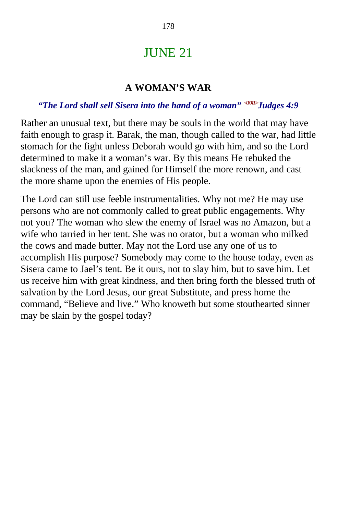#### **A WOMAN'S WAR**

#### *"The Lord shall sell Sisera into the hand of a woman"* <sup>*INDD-Judges 4:9*</sup>

Rather an unusual text, but there may be souls in the world that may have faith enough to grasp it. Barak, the man, though called to the war, had little stomach for the fight unless Deborah would go with him, and so the Lord determined to make it a woman's war. By this means He rebuked the slackness of the man, and gained for Himself the more renown, and cast the more shame upon the enemies of His people.

The Lord can still use feeble instrumentalities. Why not me? He may use persons who are not commonly called to great public engagements. Why not you? The woman who slew the enemy of Israel was no Amazon, but a wife who tarried in her tent. She was no orator, but a woman who milked the cows and made butter. May not the Lord use any one of us to accomplish His purpose? Somebody may come to the house today, even as Sisera came to Jael's tent. Be it ours, not to slay him, but to save him. Let us receive him with great kindness, and then bring forth the blessed truth of salvation by the Lord Jesus, our great Substitute, and press home the command, "Believe and live." Who knoweth but some stouthearted sinner may be slain by the gospel today?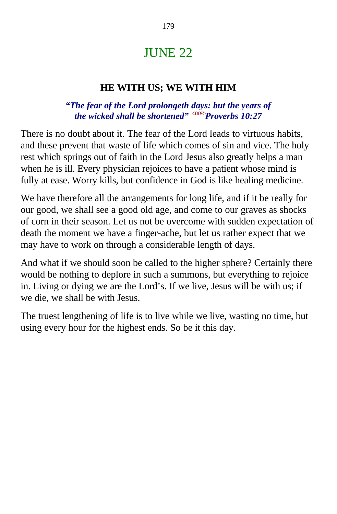### **HE WITH US; WE WITH HIM**

#### *"The fear of the Lord prolongeth days: but the years of the wicked shall be shortened" <201027>Proverbs 10:27*

There is no doubt about it. The fear of the Lord leads to virtuous habits, and these prevent that waste of life which comes of sin and vice. The holy rest which springs out of faith in the Lord Jesus also greatly helps a man when he is ill. Every physician rejoices to have a patient whose mind is fully at ease. Worry kills, but confidence in God is like healing medicine.

We have therefore all the arrangements for long life, and if it be really for our good, we shall see a good old age, and come to our graves as shocks of corn in their season. Let us not be overcome with sudden expectation of death the moment we have a finger-ache, but let us rather expect that we may have to work on through a considerable length of days.

And what if we should soon be called to the higher sphere? Certainly there would be nothing to deplore in such a summons, but everything to rejoice in. Living or dying we are the Lord's. If we live, Jesus will be with us; if we die, we shall be with Jesus.

The truest lengthening of life is to live while we live, wasting no time, but using every hour for the highest ends. So be it this day.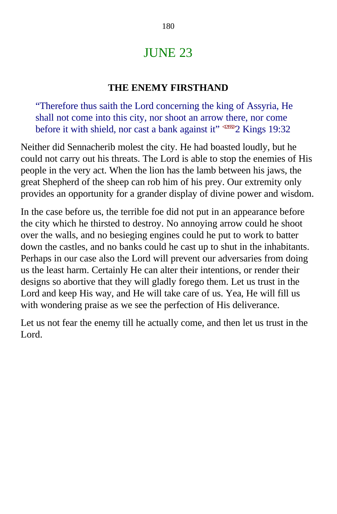### **THE ENEMY FIRSTHAND**

"Therefore thus saith the Lord concerning the king of Assyria, He shall not come into this city, nor shoot an arrow there, nor come before it with shield, nor cast a bank against it" <sup>42092</sup> Kings 19:32

Neither did Sennacherib molest the city. He had boasted loudly, but he could not carry out his threats. The Lord is able to stop the enemies of His people in the very act. When the lion has the lamb between his jaws, the great Shepherd of the sheep can rob him of his prey. Our extremity only provides an opportunity for a grander display of divine power and wisdom.

In the case before us, the terrible foe did not put in an appearance before the city which he thirsted to destroy. No annoying arrow could he shoot over the walls, and no besieging engines could he put to work to batter down the castles, and no banks could he cast up to shut in the inhabitants. Perhaps in our case also the Lord will prevent our adversaries from doing us the least harm. Certainly He can alter their intentions, or render their designs so abortive that they will gladly forego them. Let us trust in the Lord and keep His way, and He will take care of us. Yea, He will fill us with wondering praise as we see the perfection of His deliverance.

Let us not fear the enemy till he actually come, and then let us trust in the Lord.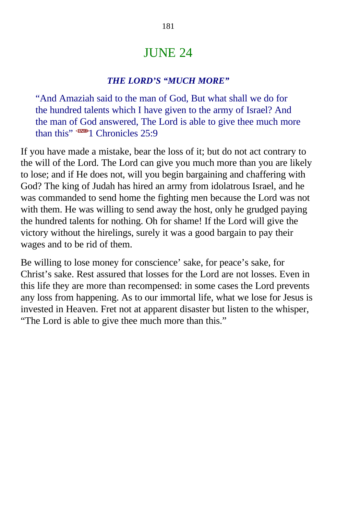#### *THE LORD'S "MUCH MORE"*

"And Amaziah said to the man of God, But what shall we do for the hundred talents which I have given to the army of Israel? And the man of God answered, The Lord is able to give thee much more than this" **<132509>**1 Chronicles 25:9

If you have made a mistake, bear the loss of it; but do not act contrary to the will of the Lord. The Lord can give you much more than you are likely to lose; and if He does not, will you begin bargaining and chaffering with God? The king of Judah has hired an army from idolatrous Israel, and he was commanded to send home the fighting men because the Lord was not with them. He was willing to send away the host, only he grudged paying the hundred talents for nothing. Oh for shame! If the Lord will give the victory without the hirelings, surely it was a good bargain to pay their wages and to be rid of them.

Be willing to lose money for conscience' sake, for peace's sake, for Christ's sake. Rest assured that losses for the Lord are not losses. Even in this life they are more than recompensed: in some cases the Lord prevents any loss from happening. As to our immortal life, what we lose for Jesus is invested in Heaven. Fret not at apparent disaster but listen to the whisper, "The Lord is able to give thee much more than this."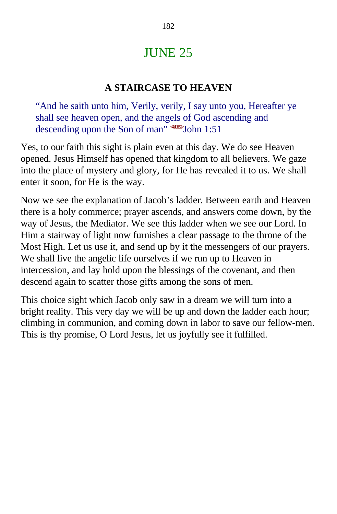### **A STAIRCASE TO HEAVEN**

"And he saith unto him, Verily, verily, I say unto you, Hereafter ye shall see heaven open, and the angels of God ascending and descending upon the Son of man" **<430151>**John 1:51

Yes, to our faith this sight is plain even at this day. We do see Heaven opened. Jesus Himself has opened that kingdom to all believers. We gaze into the place of mystery and glory, for He has revealed it to us. We shall enter it soon, for He is the way.

Now we see the explanation of Jacob's ladder. Between earth and Heaven there is a holy commerce; prayer ascends, and answers come down, by the way of Jesus, the Mediator. We see this ladder when we see our Lord. In Him a stairway of light now furnishes a clear passage to the throne of the Most High. Let us use it, and send up by it the messengers of our prayers. We shall live the angelic life ourselves if we run up to Heaven in intercession, and lay hold upon the blessings of the covenant, and then descend again to scatter those gifts among the sons of men.

This choice sight which Jacob only saw in a dream we will turn into a bright reality. This very day we will be up and down the ladder each hour; climbing in communion, and coming down in labor to save our fellow-men. This is thy promise, O Lord Jesus, let us joyfully see it fulfilled.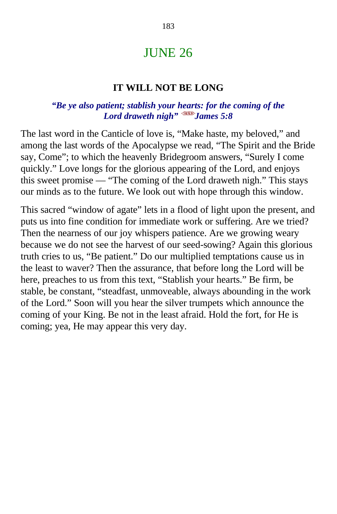### **IT WILL NOT BE LONG**

### *"Be ye also patient; stablish your hearts: for the coming of the Lord draweth nigh*" <sup>3988</sup>*James* 5:8

The last word in the Canticle of love is, "Make haste, my beloved," and among the last words of the Apocalypse we read, "The Spirit and the Bride say, Come"; to which the heavenly Bridegroom answers, "Surely I come quickly." Love longs for the glorious appearing of the Lord, and enjoys this sweet promise — "The coming of the Lord draweth nigh." This stays our minds as to the future. We look out with hope through this window.

This sacred "window of agate" lets in a flood of light upon the present, and puts us into fine condition for immediate work or suffering. Are we tried? Then the nearness of our joy whispers patience. Are we growing weary because we do not see the harvest of our seed-sowing? Again this glorious truth cries to us, "Be patient." Do our multiplied temptations cause us in the least to waver? Then the assurance, that before long the Lord will be here, preaches to us from this text, "Stablish your hearts." Be firm, be stable, be constant, "steadfast, unmoveable, always abounding in the work of the Lord." Soon will you hear the silver trumpets which announce the coming of your King. Be not in the least afraid. Hold the fort, for He is coming; yea, He may appear this very day.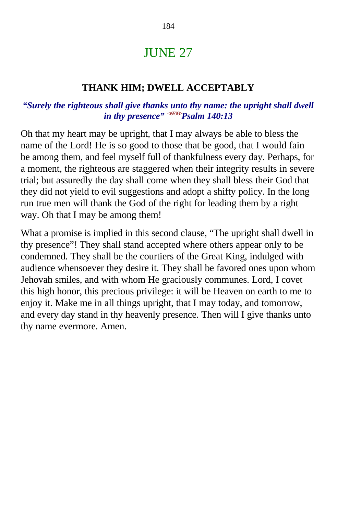### **THANK HIM; DWELL ACCEPTABLY**

### *"Surely the righteous shall give thanks unto thy name: the upright shall dwell in thy presence*" *<sup>2HDB</sup> Psalm 140:13*

Oh that my heart may be upright, that I may always be able to bless the name of the Lord! He is so good to those that be good, that I would fain be among them, and feel myself full of thankfulness every day. Perhaps, for a moment, the righteous are staggered when their integrity results in severe trial; but assuredly the day shall come when they shall bless their God that they did not yield to evil suggestions and adopt a shifty policy. In the long run true men will thank the God of the right for leading them by a right way. Oh that I may be among them!

What a promise is implied in this second clause, "The upright shall dwell in thy presence"! They shall stand accepted where others appear only to be condemned. They shall be the courtiers of the Great King, indulged with audience whensoever they desire it. They shall be favored ones upon whom Jehovah smiles, and with whom He graciously communes. Lord, I covet this high honor, this precious privilege: it will be Heaven on earth to me to enjoy it. Make me in all things upright, that I may today, and tomorrow, and every day stand in thy heavenly presence. Then will I give thanks unto thy name evermore. Amen.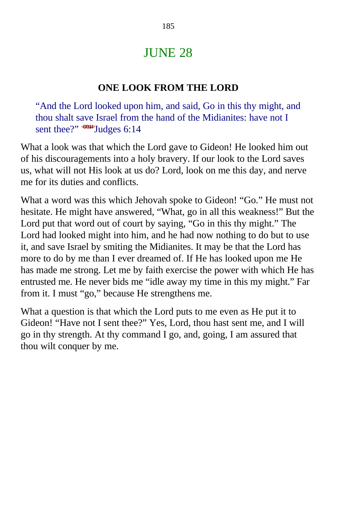### **ONE LOOK FROM THE LORD**

"And the Lord looked upon him, and said, Go in this thy might, and thou shalt save Israel from the hand of the Midianites: have not I sent thee?" *DDG4*>Judges 6:14

What a look was that which the Lord gave to Gideon! He looked him out of his discouragements into a holy bravery. If our look to the Lord saves us, what will not His look at us do? Lord, look on me this day, and nerve me for its duties and conflicts.

What a word was this which Jehovah spoke to Gideon! "Go." He must not hesitate. He might have answered, "What, go in all this weakness!" But the Lord put that word out of court by saying, "Go in this thy might." The Lord had looked might into him, and he had now nothing to do but to use it, and save Israel by smiting the Midianites. It may be that the Lord has more to do by me than I ever dreamed of. If He has looked upon me He has made me strong. Let me by faith exercise the power with which He has entrusted me. He never bids me "idle away my time in this my might." Far from it. I must "go," because He strengthens me.

What a question is that which the Lord puts to me even as He put it to Gideon! "Have not I sent thee?" Yes, Lord, thou hast sent me, and I will go in thy strength. At thy command I go, and, going, I am assured that thou wilt conquer by me.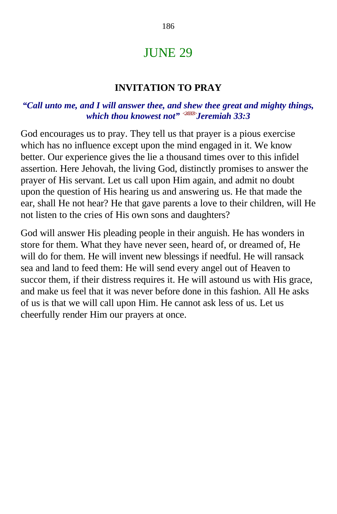### **INVITATION TO PRAY**

### *"Call unto me, and I will answer thee, and shew thee great and mighty things, which thou knowest not" <243303>Jeremiah 33:3*

God encourages us to pray. They tell us that prayer is a pious exercise which has no influence except upon the mind engaged in it. We know better. Our experience gives the lie a thousand times over to this infidel assertion. Here Jehovah, the living God, distinctly promises to answer the prayer of His servant. Let us call upon Him again, and admit no doubt upon the question of His hearing us and answering us. He that made the ear, shall He not hear? He that gave parents a love to their children, will He not listen to the cries of His own sons and daughters?

God will answer His pleading people in their anguish. He has wonders in store for them. What they have never seen, heard of, or dreamed of, He will do for them. He will invent new blessings if needful. He will ransack sea and land to feed them: He will send every angel out of Heaven to succor them, if their distress requires it. He will astound us with His grace, and make us feel that it was never before done in this fashion. All He asks of us is that we will call upon Him. He cannot ask less of us. Let us cheerfully render Him our prayers at once.

186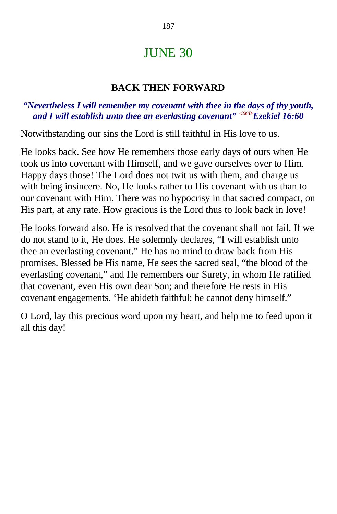### **BACK THEN FORWARD**

### *"Nevertheless I will remember my covenant with thee in the days of thy youth, and I will establish unto thee an everlasting covenant"* <sup> $2660$ </sup> *Ezekiel 16:60*

Notwithstanding our sins the Lord is still faithful in His love to us.

He looks back. See how He remembers those early days of ours when He took us into covenant with Himself, and we gave ourselves over to Him. Happy days those! The Lord does not twit us with them, and charge us with being insincere. No, He looks rather to His covenant with us than to our covenant with Him. There was no hypocrisy in that sacred compact, on His part, at any rate. How gracious is the Lord thus to look back in love!

He looks forward also. He is resolved that the covenant shall not fail. If we do not stand to it, He does. He solemnly declares, "I will establish unto thee an everlasting covenant." He has no mind to draw back from His promises. Blessed be His name, He sees the sacred seal, "the blood of the everlasting covenant," and He remembers our Surety, in whom He ratified that covenant, even His own dear Son; and therefore He rests in His covenant engagements. 'He abideth faithful; he cannot deny himself."

O Lord, lay this precious word upon my heart, and help me to feed upon it all this day!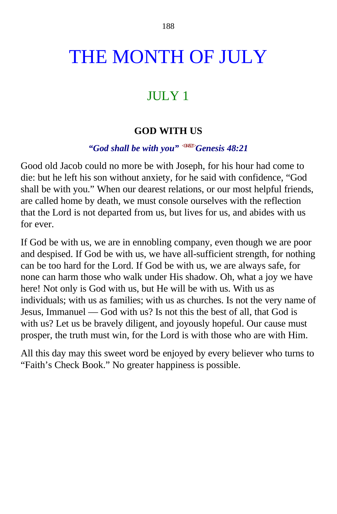# THE MONTH OF JULY

# JULY 1

### **GOD WITH US**

### *"God shall be with you"* <sup>*IMAD*</sup>*Genesis* 48:21

Good old Jacob could no more be with Joseph, for his hour had come to die: but he left his son without anxiety, for he said with confidence, "God shall be with you." When our dearest relations, or our most helpful friends, are called home by death, we must console ourselves with the reflection that the Lord is not departed from us, but lives for us, and abides with us for ever.

If God be with us, we are in ennobling company, even though we are poor and despised. If God be with us, we have all-sufficient strength, for nothing can be too hard for the Lord. If God be with us, we are always safe, for none can harm those who walk under His shadow. Oh, what a joy we have here! Not only is God with us, but He will be with us. With us as individuals; with us as families; with us as churches. Is not the very name of Jesus, Immanuel — God with us? Is not this the best of all, that God is with us? Let us be bravely diligent, and joyously hopeful. Our cause must prosper, the truth must win, for the Lord is with those who are with Him.

All this day may this sweet word be enjoyed by every believer who turns to "Faith's Check Book." No greater happiness is possible.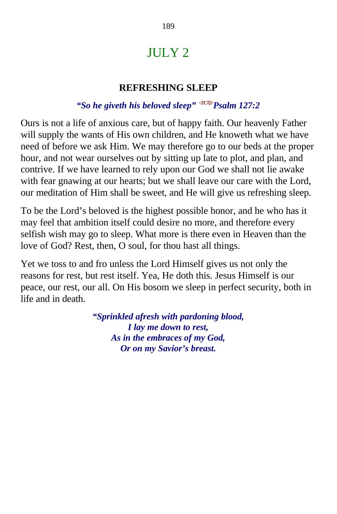### **REFRESHING SLEEP**

### *"So he giveth his beloved sleep"*  $\frac{\partial \mathcal{L}}{\partial \mathcal{L}}$  *Psalm 127:2*

Ours is not a life of anxious care, but of happy faith. Our heavenly Father will supply the wants of His own children, and He knoweth what we have need of before we ask Him. We may therefore go to our beds at the proper hour, and not wear ourselves out by sitting up late to plot, and plan, and contrive. If we have learned to rely upon our God we shall not lie awake with fear gnawing at our hearts; but we shall leave our care with the Lord, our meditation of Him shall be sweet, and He will give us refreshing sleep.

To be the Lord's beloved is the highest possible honor, and he who has it may feel that ambition itself could desire no more, and therefore every selfish wish may go to sleep. What more is there even in Heaven than the love of God? Rest, then, O soul, for thou hast all things.

Yet we toss to and fro unless the Lord Himself gives us not only the reasons for rest, but rest itself. Yea, He doth this. Jesus Himself is our peace, our rest, our all. On His bosom we sleep in perfect security, both in life and in death.

> *"Sprinkled afresh with pardoning blood, I lay me down to rest, As in the embraces of my God, Or on my Savior's breast.*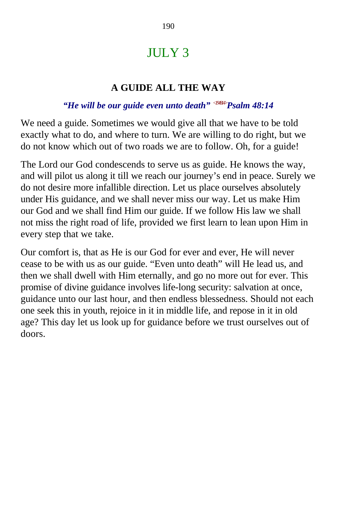### **A GUIDE ALL THE WAY**

### *"He will be our guide even unto death"*  $\sqrt[2]{2}$ *Psalm 48:14*

We need a guide. Sometimes we would give all that we have to be told exactly what to do, and where to turn. We are willing to do right, but we do not know which out of two roads we are to follow. Oh, for a guide!

The Lord our God condescends to serve us as guide. He knows the way, and will pilot us along it till we reach our journey's end in peace. Surely we do not desire more infallible direction. Let us place ourselves absolutely under His guidance, and we shall never miss our way. Let us make Him our God and we shall find Him our guide. If we follow His law we shall not miss the right road of life, provided we first learn to lean upon Him in every step that we take.

Our comfort is, that as He is our God for ever and ever, He will never cease to be with us as our guide. "Even unto death" will He lead us, and then we shall dwell with Him eternally, and go no more out for ever. This promise of divine guidance involves life-long security: salvation at once, guidance unto our last hour, and then endless blessedness. Should not each one seek this in youth, rejoice in it in middle life, and repose in it in old age? This day let us look up for guidance before we trust ourselves out of doors.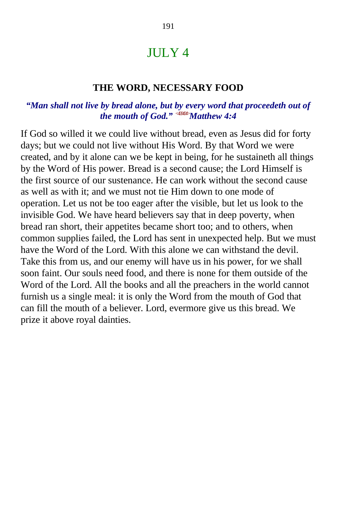#### **THE WORD, NECESSARY FOOD**

#### *"Man shall not live by bread alone, but by every word that proceedeth out of the mouth of God." <400404>Matthew 4:4*

If God so willed it we could live without bread, even as Jesus did for forty days; but we could not live without His Word. By that Word we were created, and by it alone can we be kept in being, for he sustaineth all things by the Word of His power. Bread is a second cause; the Lord Himself is the first source of our sustenance. He can work without the second cause as well as with it; and we must not tie Him down to one mode of operation. Let us not be too eager after the visible, but let us look to the invisible God. We have heard believers say that in deep poverty, when bread ran short, their appetites became short too; and to others, when common supplies failed, the Lord has sent in unexpected help. But we must have the Word of the Lord. With this alone we can withstand the devil. Take this from us, and our enemy will have us in his power, for we shall soon faint. Our souls need food, and there is none for them outside of the Word of the Lord. All the books and all the preachers in the world cannot furnish us a single meal: it is only the Word from the mouth of God that can fill the mouth of a believer. Lord, evermore give us this bread. We prize it above royal dainties.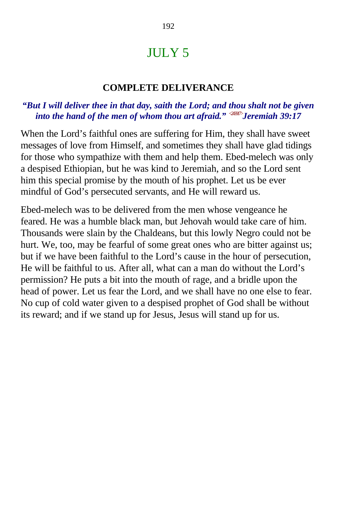#### **COMPLETE DELIVERANCE**

### *"But I will deliver thee in that day, saith the Lord; and thou shalt not be given into the hand of the men of whom thou art afraid." <243917>Jeremiah 39:17*

When the Lord's faithful ones are suffering for Him, they shall have sweet messages of love from Himself, and sometimes they shall have glad tidings for those who sympathize with them and help them. Ebed-melech was only a despised Ethiopian, but he was kind to Jeremiah, and so the Lord sent him this special promise by the mouth of his prophet. Let us be ever mindful of God's persecuted servants, and He will reward us.

Ebed-melech was to be delivered from the men whose vengeance he feared. He was a humble black man, but Jehovah would take care of him. Thousands were slain by the Chaldeans, but this lowly Negro could not be hurt. We, too, may be fearful of some great ones who are bitter against us; but if we have been faithful to the Lord's cause in the hour of persecution, He will be faithful to us. After all, what can a man do without the Lord's permission? He puts a bit into the mouth of rage, and a bridle upon the head of power. Let us fear the Lord, and we shall have no one else to fear. No cup of cold water given to a despised prophet of God shall be without its reward; and if we stand up for Jesus, Jesus will stand up for us.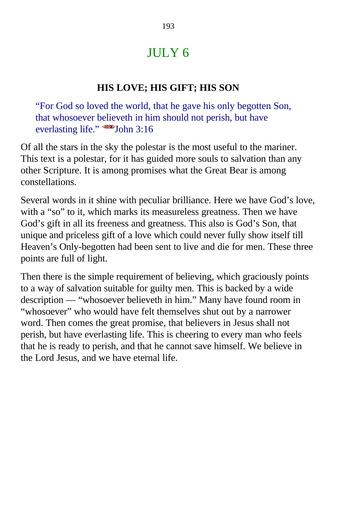### **HIS LOVE; HIS GIFT; HIS SON**

"For God so loved the world, that he gave his only begotten Son, that whosoever believeth in him should not perish, but have everlasting life." **<430316>**John 3:16

Of all the stars in the sky the polestar is the most useful to the mariner. This text is a polestar, for it has guided more souls to salvation than any other Scripture. It is among promises what the Great Bear is among constellations.

Several words in it shine with peculiar brilliance. Here we have God's love, with a "so" to it, which marks its measureless greatness. Then we have God's gift in all its freeness and greatness. This also is God's Son, that unique and priceless gift of a love which could never fully show itself till Heaven's Only-begotten had been sent to live and die for men. These three points are full of light.

Then there is the simple requirement of believing, which graciously points to a way of salvation suitable for guilty men. This is backed by a wide description — "whosoever believeth in him." Many have found room in "whosoever" who would have felt themselves shut out by a narrower word. Then comes the great promise, that believers in Jesus shall not perish, but have everlasting life. This is cheering to every man who feels that he is ready to perish, and that he cannot save himself. We believe in the Lord Jesus, and we have eternal life.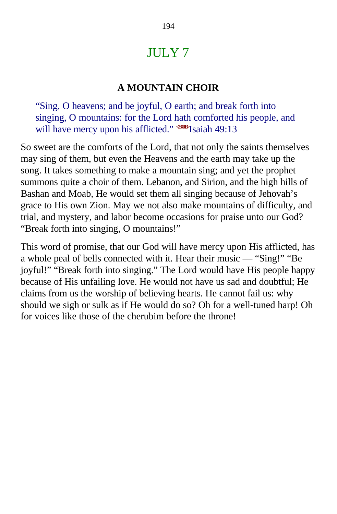### **A MOUNTAIN CHOIR**

"Sing, O heavens; and be joyful, O earth; and break forth into singing, O mountains: for the Lord hath comforted his people, and will have mercy upon his afflicted." <sup>2903</sup>Isaiah 49:13

So sweet are the comforts of the Lord, that not only the saints themselves may sing of them, but even the Heavens and the earth may take up the song. It takes something to make a mountain sing; and yet the prophet summons quite a choir of them. Lebanon, and Sirion, and the high hills of Bashan and Moab, He would set them all singing because of Jehovah's grace to His own Zion. May we not also make mountains of difficulty, and trial, and mystery, and labor become occasions for praise unto our God? "Break forth into singing, O mountains!"

This word of promise, that our God will have mercy upon His afflicted, has a whole peal of bells connected with it. Hear their music — "Sing!" "Be joyful!" "Break forth into singing." The Lord would have His people happy because of His unfailing love. He would not have us sad and doubtful; He claims from us the worship of believing hearts. He cannot fail us: why should we sigh or sulk as if He would do so? Oh for a well-tuned harp! Oh for voices like those of the cherubim before the throne!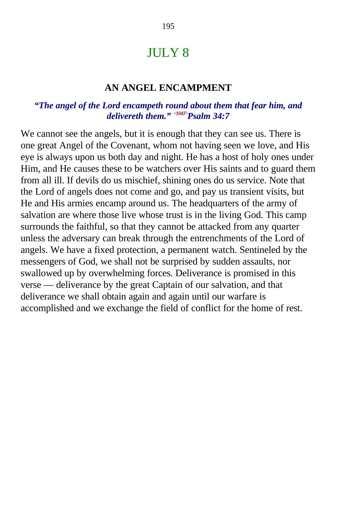#### **AN ANGEL ENCAMPMENT**

#### *"The angel of the Lord encampeth round about them that fear him, and delivereth them." <193407>Psalm 34:7*

We cannot see the angels, but it is enough that they can see us. There is one great Angel of the Covenant, whom not having seen we love, and His eye is always upon us both day and night. He has a host of holy ones under Him, and He causes these to be watchers over His saints and to guard them from all ill. If devils do us mischief, shining ones do us service. Note that the Lord of angels does not come and go, and pay us transient visits, but He and His armies encamp around us. The headquarters of the army of salvation are where those live whose trust is in the living God. This camp surrounds the faithful, so that they cannot be attacked from any quarter unless the adversary can break through the entrenchments of the Lord of angels. We have a fixed protection, a permanent watch. Sentineled by the messengers of God, we shall not be surprised by sudden assaults, nor swallowed up by overwhelming forces. Deliverance is promised in this verse — deliverance by the great Captain of our salvation, and that deliverance we shall obtain again and again until our warfare is accomplished and we exchange the field of conflict for the home of rest.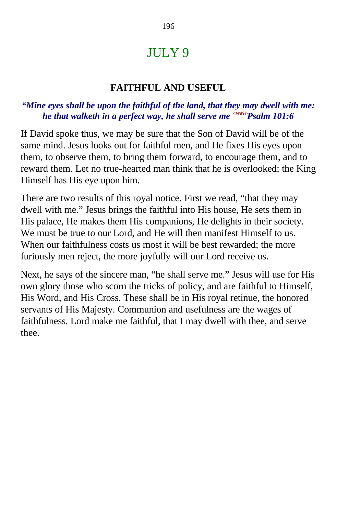### **FAITHFUL AND USEFUL**

### *"Mine eyes shall be upon the faithful of the land, that they may dwell with me: he that walketh in a perfect way, he shall serve me <19A106>Psalm 101:6*

If David spoke thus, we may be sure that the Son of David will be of the same mind. Jesus looks out for faithful men, and He fixes His eyes upon them, to observe them, to bring them forward, to encourage them, and to reward them. Let no true-hearted man think that he is overlooked; the King Himself has His eye upon him.

There are two results of this royal notice. First we read, "that they may dwell with me." Jesus brings the faithful into His house, He sets them in His palace, He makes them His companions, He delights in their society. We must be true to our Lord, and He will then manifest Himself to us. When our faithfulness costs us most it will be best rewarded; the more furiously men reject, the more joyfully will our Lord receive us.

Next, he says of the sincere man, "he shall serve me." Jesus will use for His own glory those who scorn the tricks of policy, and are faithful to Himself, His Word, and His Cross. These shall be in His royal retinue, the honored servants of His Majesty. Communion and usefulness are the wages of faithfulness. Lord make me faithful, that I may dwell with thee, and serve thee.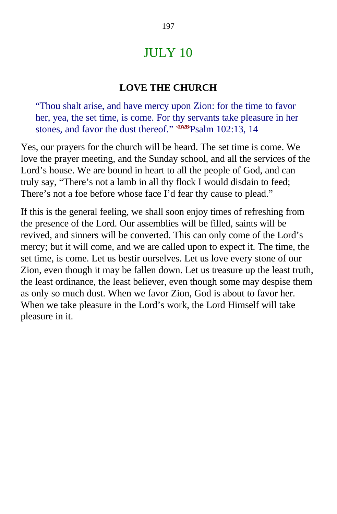### $JJJJY 10$

### **LOVE THE CHURCH**

"Thou shalt arise, and have mercy upon Zion: for the time to favor her, yea, the set time, is come. For thy servants take pleasure in her stones, and favor the dust thereof." **PRICH** 102:13, 14

Yes, our prayers for the church will be heard. The set time is come. We love the prayer meeting, and the Sunday school, and all the services of the Lord's house. We are bound in heart to all the people of God, and can truly say, "There's not a lamb in all thy flock I would disdain to feed; There's not a foe before whose face I'd fear thy cause to plead."

If this is the general feeling, we shall soon enjoy times of refreshing from the presence of the Lord. Our assemblies will be filled, saints will be revived, and sinners will be converted. This can only come of the Lord's mercy; but it will come, and we are called upon to expect it. The time, the set time, is come. Let us bestir ourselves. Let us love every stone of our Zion, even though it may be fallen down. Let us treasure up the least truth, the least ordinance, the least believer, even though some may despise them as only so much dust. When we favor Zion, God is about to favor her. When we take pleasure in the Lord's work, the Lord Himself will take pleasure in it.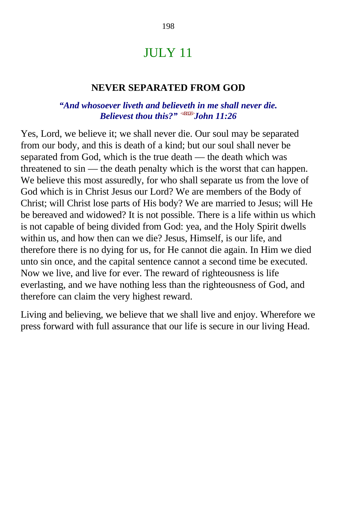#### **NEVER SEPARATED FROM GOD**

#### *"And whosoever liveth and believeth in me shall never die. Believest thou this?" <431126>John 11:26*

Yes, Lord, we believe it; we shall never die. Our soul may be separated from our body, and this is death of a kind; but our soul shall never be separated from God, which is the true death — the death which was threatened to sin — the death penalty which is the worst that can happen. We believe this most assuredly, for who shall separate us from the love of God which is in Christ Jesus our Lord? We are members of the Body of Christ; will Christ lose parts of His body? We are married to Jesus; will He be bereaved and widowed? It is not possible. There is a life within us which is not capable of being divided from God: yea, and the Holy Spirit dwells within us, and how then can we die? Jesus, Himself, is our life, and therefore there is no dying for us, for He cannot die again. In Him we died unto sin once, and the capital sentence cannot a second time be executed. Now we live, and live for ever. The reward of righteousness is life everlasting, and we have nothing less than the righteousness of God, and therefore can claim the very highest reward.

Living and believing, we believe that we shall live and enjoy. Wherefore we press forward with full assurance that our life is secure in our living Head.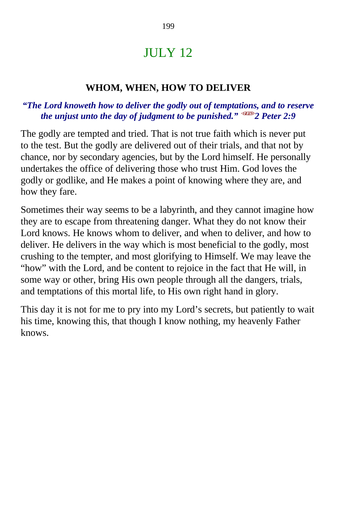# $JJJJY$  12

### **WHOM, WHEN, HOW TO DELIVER**

### *"The Lord knoweth how to deliver the godly out of temptations, and to reserve the unjust unto the day of judgment to be punished."*  $\frac{\text{GEDD}}{2}$  Peter 2:9

The godly are tempted and tried. That is not true faith which is never put to the test. But the godly are delivered out of their trials, and that not by chance, nor by secondary agencies, but by the Lord himself. He personally undertakes the office of delivering those who trust Him. God loves the godly or godlike, and He makes a point of knowing where they are, and how they fare.

Sometimes their way seems to be a labyrinth, and they cannot imagine how they are to escape from threatening danger. What they do not know their Lord knows. He knows whom to deliver, and when to deliver, and how to deliver. He delivers in the way which is most beneficial to the godly, most crushing to the tempter, and most glorifying to Himself. We may leave the "how" with the Lord, and be content to rejoice in the fact that He will, in some way or other, bring His own people through all the dangers, trials, and temptations of this mortal life, to His own right hand in glory.

This day it is not for me to pry into my Lord's secrets, but patiently to wait his time, knowing this, that though I know nothing, my heavenly Father knows.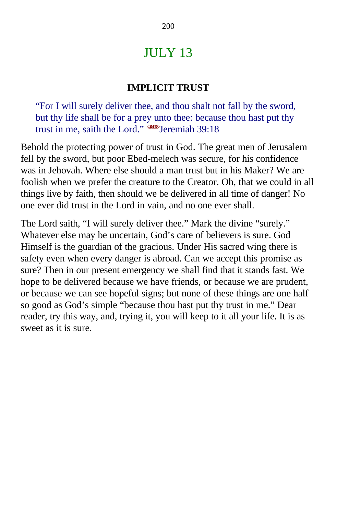### **IMPLICIT TRUST**

"For I will surely deliver thee, and thou shalt not fall by the sword, but thy life shall be for a prey unto thee: because thou hast put thy trust in me, saith the Lord." **<243918>**Jeremiah 39:18

Behold the protecting power of trust in God. The great men of Jerusalem fell by the sword, but poor Ebed-melech was secure, for his confidence was in Jehovah. Where else should a man trust but in his Maker? We are foolish when we prefer the creature to the Creator. Oh, that we could in all things live by faith, then should we be delivered in all time of danger! No one ever did trust in the Lord in vain, and no one ever shall.

The Lord saith, "I will surely deliver thee." Mark the divine "surely." Whatever else may be uncertain, God's care of believers is sure. God Himself is the guardian of the gracious. Under His sacred wing there is safety even when every danger is abroad. Can we accept this promise as sure? Then in our present emergency we shall find that it stands fast. We hope to be delivered because we have friends, or because we are prudent, or because we can see hopeful signs; but none of these things are one half so good as God's simple "because thou hast put thy trust in me." Dear reader, try this way, and, trying it, you will keep to it all your life. It is as sweet as it is sure.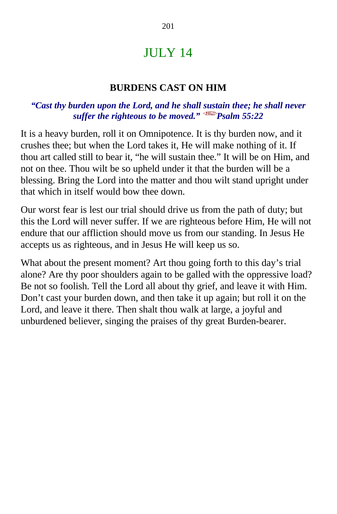# $JJJJY 14$

### **BURDENS CAST ON HIM**

### *"Cast thy burden upon the Lord, and he shall sustain thee; he shall never suffer the righteous to be moved."* <sup> $\sqrt{3502}$ *Psalm 55:22*</sup>

It is a heavy burden, roll it on Omnipotence. It is thy burden now, and it crushes thee; but when the Lord takes it, He will make nothing of it. If thou art called still to bear it, "he will sustain thee." It will be on Him, and not on thee. Thou wilt be so upheld under it that the burden will be a blessing. Bring the Lord into the matter and thou wilt stand upright under that which in itself would bow thee down.

Our worst fear is lest our trial should drive us from the path of duty; but this the Lord will never suffer. If we are righteous before Him, He will not endure that our affliction should move us from our standing. In Jesus He accepts us as righteous, and in Jesus He will keep us so.

What about the present moment? Art thou going forth to this day's trial alone? Are thy poor shoulders again to be galled with the oppressive load? Be not so foolish. Tell the Lord all about thy grief, and leave it with Him. Don't cast your burden down, and then take it up again; but roll it on the Lord, and leave it there. Then shalt thou walk at large, a joyful and unburdened believer, singing the praises of thy great Burden-bearer.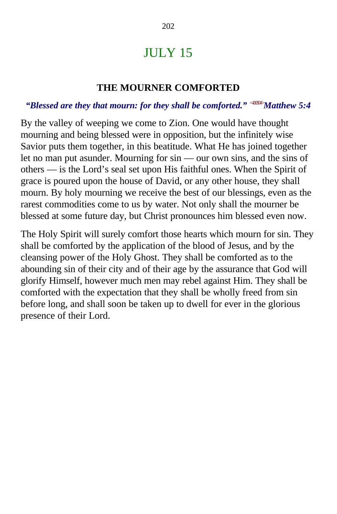#### **THE MOURNER COMFORTED**

#### *"Blessed are they that mourn: for they shall be comforted." <400504>Matthew 5:4*

By the valley of weeping we come to Zion. One would have thought mourning and being blessed were in opposition, but the infinitely wise Savior puts them together, in this beatitude. What He has joined together let no man put asunder. Mourning for sin — our own sins, and the sins of others — is the Lord's seal set upon His faithful ones. When the Spirit of grace is poured upon the house of David, or any other house, they shall mourn. By holy mourning we receive the best of our blessings, even as the rarest commodities come to us by water. Not only shall the mourner be blessed at some future day, but Christ pronounces him blessed even now.

The Holy Spirit will surely comfort those hearts which mourn for sin. They shall be comforted by the application of the blood of Jesus, and by the cleansing power of the Holy Ghost. They shall be comforted as to the abounding sin of their city and of their age by the assurance that God will glorify Himself, however much men may rebel against Him. They shall be comforted with the expectation that they shall be wholly freed from sin before long, and shall soon be taken up to dwell for ever in the glorious presence of their Lord.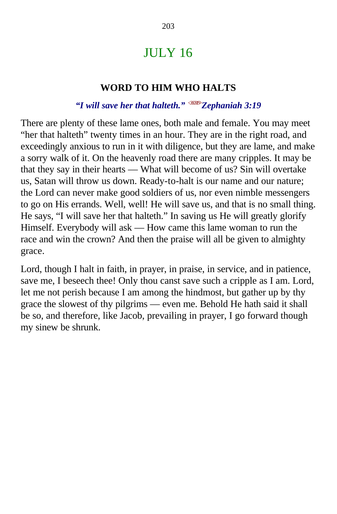### $JJJJY 16$

### **WORD TO HIM WHO HALTS**

### *"I will save her that halteth." <360319>Zephaniah 3:19*

There are plenty of these lame ones, both male and female. You may meet "her that halteth" twenty times in an hour. They are in the right road, and exceedingly anxious to run in it with diligence, but they are lame, and make a sorry walk of it. On the heavenly road there are many cripples. It may be that they say in their hearts — What will become of us? Sin will overtake us, Satan will throw us down. Ready-to-halt is our name and our nature; the Lord can never make good soldiers of us, nor even nimble messengers to go on His errands. Well, well! He will save us, and that is no small thing. He says, "I will save her that halteth." In saving us He will greatly glorify Himself. Everybody will ask — How came this lame woman to run the race and win the crown? And then the praise will all be given to almighty grace.

Lord, though I halt in faith, in prayer, in praise, in service, and in patience, save me, I beseech thee! Only thou canst save such a cripple as I am. Lord, let me not perish because I am among the hindmost, but gather up by thy grace the slowest of thy pilgrims — even me. Behold He hath said it shall be so, and therefore, like Jacob, prevailing in prayer, I go forward though my sinew be shrunk.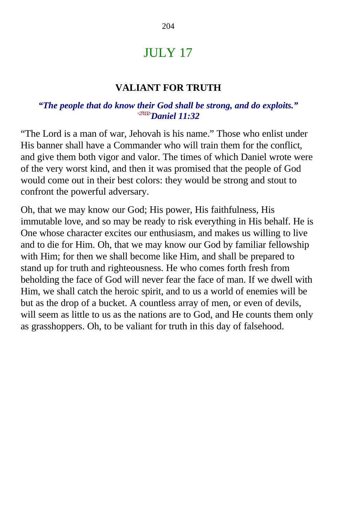### **VALIANT FOR TRUTH**

#### *"The people that do know their God shall be strong, and do exploits." <271132>Daniel 11:32*

"The Lord is a man of war, Jehovah is his name." Those who enlist under His banner shall have a Commander who will train them for the conflict, and give them both vigor and valor. The times of which Daniel wrote were of the very worst kind, and then it was promised that the people of God would come out in their best colors: they would be strong and stout to confront the powerful adversary.

Oh, that we may know our God; His power, His faithfulness, His immutable love, and so may be ready to risk everything in His behalf. He is One whose character excites our enthusiasm, and makes us willing to live and to die for Him. Oh, that we may know our God by familiar fellowship with Him; for then we shall become like Him, and shall be prepared to stand up for truth and righteousness. He who comes forth fresh from beholding the face of God will never fear the face of man. If we dwell with Him, we shall catch the heroic spirit, and to us a world of enemies will be but as the drop of a bucket. A countless array of men, or even of devils, will seem as little to us as the nations are to God, and He counts them only as grasshoppers. Oh, to be valiant for truth in this day of falsehood.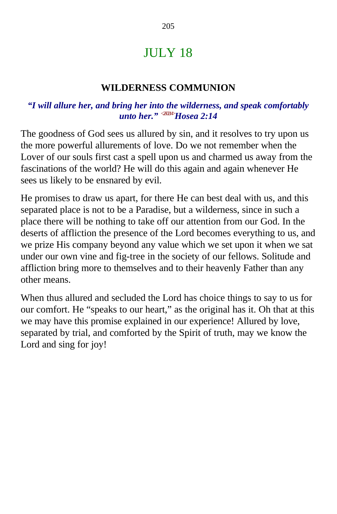### **WILDERNESS COMMUNION**

### *"I will allure her, and bring her into the wilderness, and speak comfortably unto her." <280214>Hosea 2:14*

The goodness of God sees us allured by sin, and it resolves to try upon us the more powerful allurements of love. Do we not remember when the Lover of our souls first cast a spell upon us and charmed us away from the fascinations of the world? He will do this again and again whenever He sees us likely to be ensnared by evil.

He promises to draw us apart, for there He can best deal with us, and this separated place is not to be a Paradise, but a wilderness, since in such a place there will be nothing to take off our attention from our God. In the deserts of affliction the presence of the Lord becomes everything to us, and we prize His company beyond any value which we set upon it when we sat under our own vine and fig-tree in the society of our fellows. Solitude and affliction bring more to themselves and to their heavenly Father than any other means.

When thus allured and secluded the Lord has choice things to say to us for our comfort. He "speaks to our heart," as the original has it. Oh that at this we may have this promise explained in our experience! Allured by love, separated by trial, and comforted by the Spirit of truth, may we know the Lord and sing for joy!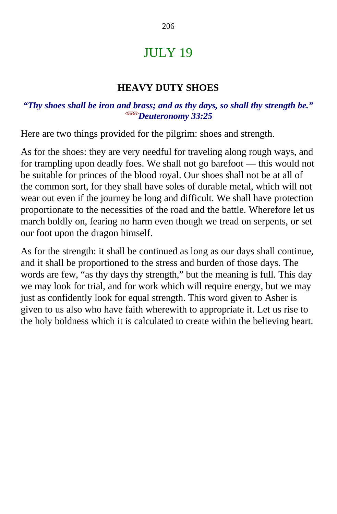### **HEAVY DUTY SHOES**

### *"Thy shoes shall be iron and brass; and as thy days, so shall thy strength be." <053325>Deuteronomy 33:25*

Here are two things provided for the pilgrim: shoes and strength.

As for the shoes: they are very needful for traveling along rough ways, and for trampling upon deadly foes. We shall not go barefoot — this would not be suitable for princes of the blood royal. Our shoes shall not be at all of the common sort, for they shall have soles of durable metal, which will not wear out even if the journey be long and difficult. We shall have protection proportionate to the necessities of the road and the battle. Wherefore let us march boldly on, fearing no harm even though we tread on serpents, or set our foot upon the dragon himself.

As for the strength: it shall be continued as long as our days shall continue, and it shall be proportioned to the stress and burden of those days. The words are few, "as thy days thy strength," but the meaning is full. This day we may look for trial, and for work which will require energy, but we may just as confidently look for equal strength. This word given to Asher is given to us also who have faith wherewith to appropriate it. Let us rise to the holy boldness which it is calculated to create within the believing heart.

206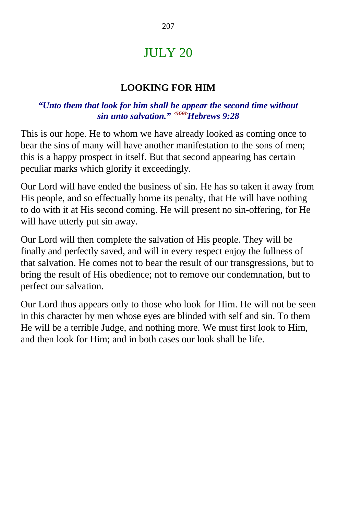### **LOOKING FOR HIM**

### *"Unto them that look for him shall he appear the second time without sin unto salvation." <580928>Hebrews 9:28*

This is our hope. He to whom we have already looked as coming once to bear the sins of many will have another manifestation to the sons of men; this is a happy prospect in itself. But that second appearing has certain peculiar marks which glorify it exceedingly.

Our Lord will have ended the business of sin. He has so taken it away from His people, and so effectually borne its penalty, that He will have nothing to do with it at His second coming. He will present no sin-offering, for He will have utterly put sin away.

Our Lord will then complete the salvation of His people. They will be finally and perfectly saved, and will in every respect enjoy the fullness of that salvation. He comes not to bear the result of our transgressions, but to bring the result of His obedience; not to remove our condemnation, but to perfect our salvation.

Our Lord thus appears only to those who look for Him. He will not be seen in this character by men whose eyes are blinded with self and sin. To them He will be a terrible Judge, and nothing more. We must first look to Him, and then look for Him; and in both cases our look shall be life.

207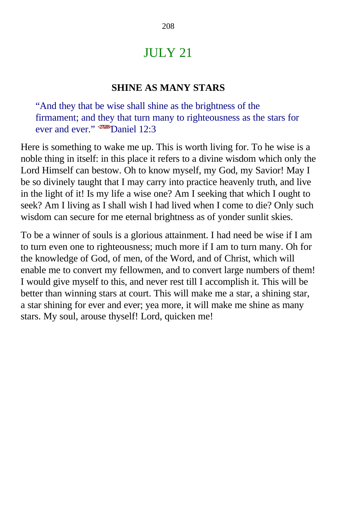### **SHINE AS MANY STARS**

"And they that be wise shall shine as the brightness of the firmament; and they that turn many to righteousness as the stars for ever and ever." **<271203>**Daniel 12:3

Here is something to wake me up. This is worth living for. To he wise is a noble thing in itself: in this place it refers to a divine wisdom which only the Lord Himself can bestow. Oh to know myself, my God, my Savior! May I be so divinely taught that I may carry into practice heavenly truth, and live in the light of it! Is my life a wise one? Am I seeking that which I ought to seek? Am I living as I shall wish I had lived when I come to die? Only such wisdom can secure for me eternal brightness as of yonder sunlit skies.

To be a winner of souls is a glorious attainment. I had need be wise if I am to turn even one to righteousness; much more if I am to turn many. Oh for the knowledge of God, of men, of the Word, and of Christ, which will enable me to convert my fellowmen, and to convert large numbers of them! I would give myself to this, and never rest till I accomplish it. This will be better than winning stars at court. This will make me a star, a shining star, a star shining for ever and ever; yea more, it will make me shine as many stars. My soul, arouse thyself! Lord, quicken me!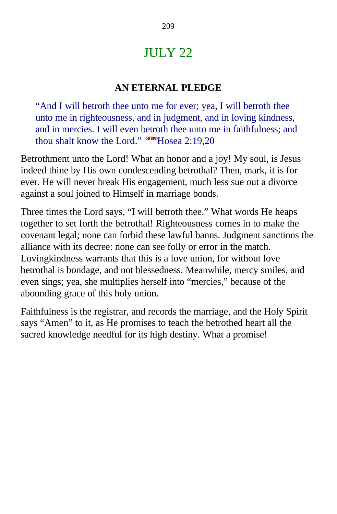### **AN ETERNAL PLEDGE**

"And I will betroth thee unto me for ever; yea, I will betroth thee unto me in righteousness, and in judgment, and in loving kindness, and in mercies. I will even betroth thee unto me in faithfulness; and thou shalt know the Lord." *ARP*Hosea 2:19,20

Betrothment unto the Lord! What an honor and a joy! My soul, is Jesus indeed thine by His own condescending betrothal? Then, mark, it is for ever. He will never break His engagement, much less sue out a divorce against a soul joined to Himself in marriage bonds.

Three times the Lord says, "I will betroth thee." What words He heaps together to set forth the betrothal! Righteousness comes in to make the covenant legal; none can forbid these lawful banns. Judgment sanctions the alliance with its decree: none can see folly or error in the match. Lovingkindness warrants that this is a love union, for without love betrothal is bondage, and not blessedness. Meanwhile, mercy smiles, and even sings; yea, she multiplies herself into "mercies," because of the abounding grace of this holy union.

Faithfulness is the registrar, and records the marriage, and the Holy Spirit says "Amen" to it, as He promises to teach the betrothed heart all the sacred knowledge needful for its high destiny. What a promise!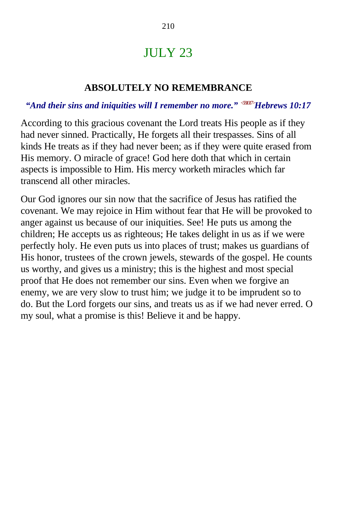### **ABSOLUTELY NO REMEMBRANCE**

#### *"And their sins and iniquities will I remember no more." <581017>Hebrews 10:17*

According to this gracious covenant the Lord treats His people as if they had never sinned. Practically, He forgets all their trespasses. Sins of all kinds He treats as if they had never been; as if they were quite erased from His memory. O miracle of grace! God here doth that which in certain aspects is impossible to Him. His mercy worketh miracles which far transcend all other miracles.

Our God ignores our sin now that the sacrifice of Jesus has ratified the covenant. We may rejoice in Him without fear that He will be provoked to anger against us because of our iniquities. See! He puts us among the children; He accepts us as righteous; He takes delight in us as if we were perfectly holy. He even puts us into places of trust; makes us guardians of His honor, trustees of the crown jewels, stewards of the gospel. He counts us worthy, and gives us a ministry; this is the highest and most special proof that He does not remember our sins. Even when we forgive an enemy, we are very slow to trust him; we judge it to be imprudent so to do. But the Lord forgets our sins, and treats us as if we had never erred. O my soul, what a promise is this! Believe it and be happy.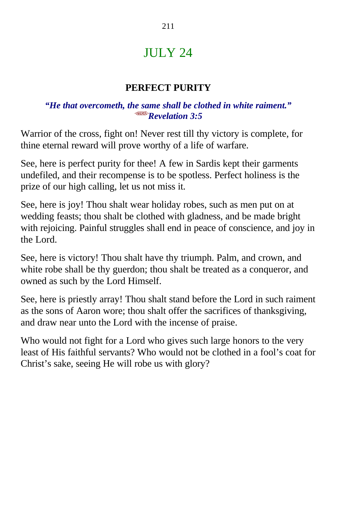# $JJJJY 24$

### **PERFECT PURITY**

#### *"He that overcometh, the same shall be clothed in white raiment." <660305>Revelation 3:5*

Warrior of the cross, fight on! Never rest till thy victory is complete, for thine eternal reward will prove worthy of a life of warfare.

See, here is perfect purity for thee! A few in Sardis kept their garments undefiled, and their recompense is to be spotless. Perfect holiness is the prize of our high calling, let us not miss it.

See, here is joy! Thou shalt wear holiday robes, such as men put on at wedding feasts; thou shalt be clothed with gladness, and be made bright with rejoicing. Painful struggles shall end in peace of conscience, and joy in the Lord.

See, here is victory! Thou shalt have thy triumph. Palm, and crown, and white robe shall be thy guerdon; thou shalt be treated as a conqueror, and owned as such by the Lord Himself.

See, here is priestly array! Thou shalt stand before the Lord in such raiment as the sons of Aaron wore; thou shalt offer the sacrifices of thanksgiving, and draw near unto the Lord with the incense of praise.

Who would not fight for a Lord who gives such large honors to the very least of His faithful servants? Who would not be clothed in a fool's coat for Christ's sake, seeing He will robe us with glory?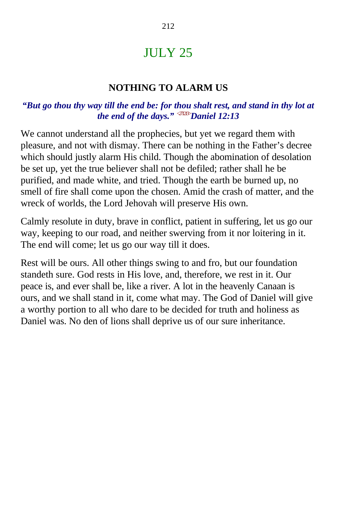### $JJJJY 25$

### **NOTHING TO ALARM US**

### *"But go thou thy way till the end be: for thou shalt rest, and stand in thy lot at the end of the days." <271213>Daniel 12:13*

We cannot understand all the prophecies, but yet we regard them with pleasure, and not with dismay. There can be nothing in the Father's decree which should justly alarm His child. Though the abomination of desolation be set up, yet the true believer shall not be defiled; rather shall he be purified, and made white, and tried. Though the earth be burned up, no smell of fire shall come upon the chosen. Amid the crash of matter, and the wreck of worlds, the Lord Jehovah will preserve His own.

Calmly resolute in duty, brave in conflict, patient in suffering, let us go our way, keeping to our road, and neither swerving from it nor loitering in it. The end will come; let us go our way till it does.

Rest will be ours. All other things swing to and fro, but our foundation standeth sure. God rests in His love, and, therefore, we rest in it. Our peace is, and ever shall be, like a river. A lot in the heavenly Canaan is ours, and we shall stand in it, come what may. The God of Daniel will give a worthy portion to all who dare to be decided for truth and holiness as Daniel was. No den of lions shall deprive us of our sure inheritance.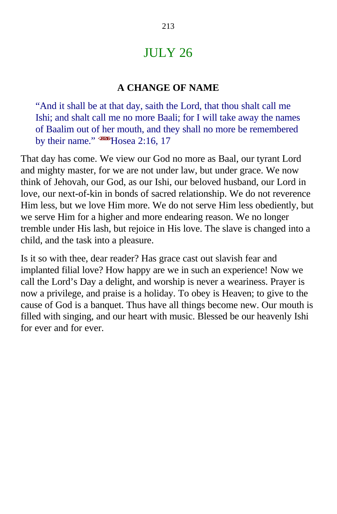### $JJJX 26$

### **A CHANGE OF NAME**

"And it shall be at that day, saith the Lord, that thou shalt call me Ishi; and shalt call me no more Baali; for I will take away the names of Baalim out of her mouth, and they shall no more be remembered by their name." <sup>2026</sup>Hosea 2:16, 17

That day has come. We view our God no more as Baal, our tyrant Lord and mighty master, for we are not under law, but under grace. We now think of Jehovah, our God, as our Ishi, our beloved husband, our Lord in love, our next-of-kin in bonds of sacred relationship. We do not reverence Him less, but we love Him more. We do not serve Him less obediently, but we serve Him for a higher and more endearing reason. We no longer tremble under His lash, but rejoice in His love. The slave is changed into a child, and the task into a pleasure.

Is it so with thee, dear reader? Has grace cast out slavish fear and implanted filial love? How happy are we in such an experience! Now we call the Lord's Day a delight, and worship is never a weariness. Prayer is now a privilege, and praise is a holiday. To obey is Heaven; to give to the cause of God is a banquet. Thus have all things become new. Our mouth is filled with singing, and our heart with music. Blessed be our heavenly Ishi for ever and for ever.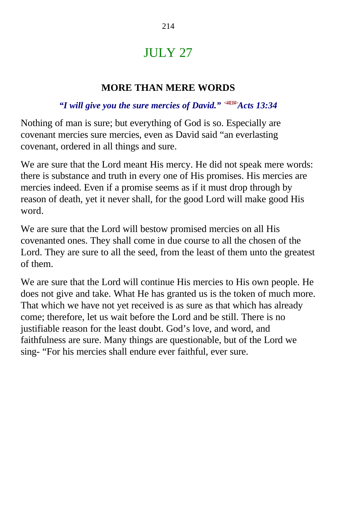# $JJJX 27$

### **MORE THAN MERE WORDS**

### *"I will give you the sure mercies of David." <441334>Acts 13:34*

Nothing of man is sure; but everything of God is so. Especially are covenant mercies sure mercies, even as David said "an everlasting covenant, ordered in all things and sure.

We are sure that the Lord meant His mercy. He did not speak mere words: there is substance and truth in every one of His promises. His mercies are mercies indeed. Even if a promise seems as if it must drop through by reason of death, yet it never shall, for the good Lord will make good His word.

We are sure that the Lord will bestow promised mercies on all His covenanted ones. They shall come in due course to all the chosen of the Lord. They are sure to all the seed, from the least of them unto the greatest of them.

We are sure that the Lord will continue His mercies to His own people. He does not give and take. What He has granted us is the token of much more. That which we have not yet received is as sure as that which has already come; therefore, let us wait before the Lord and be still. There is no justifiable reason for the least doubt. God's love, and word, and faithfulness are sure. Many things are questionable, but of the Lord we sing- "For his mercies shall endure ever faithful, ever sure.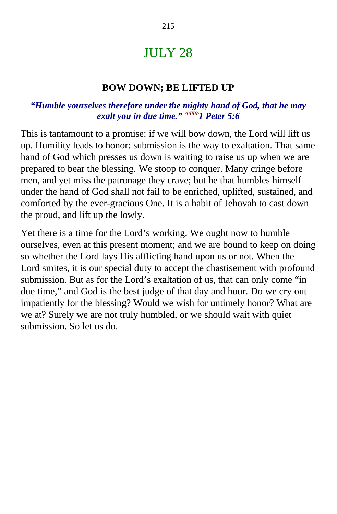### $JJJJY28$

### **BOW DOWN; BE LIFTED UP**

#### *"Humble yourselves therefore under the mighty hand of God, that he may exalt you in due time.*" <sup>*ADDD-1</sup> Peter 5:6*</sup>

This is tantamount to a promise: if we will bow down, the Lord will lift us up. Humility leads to honor: submission is the way to exaltation. That same hand of God which presses us down is waiting to raise us up when we are prepared to bear the blessing. We stoop to conquer. Many cringe before men, and yet miss the patronage they crave; but he that humbles himself under the hand of God shall not fail to be enriched, uplifted, sustained, and comforted by the ever-gracious One. It is a habit of Jehovah to cast down the proud, and lift up the lowly.

Yet there is a time for the Lord's working. We ought now to humble ourselves, even at this present moment; and we are bound to keep on doing so whether the Lord lays His afflicting hand upon us or not. When the Lord smites, it is our special duty to accept the chastisement with profound submission. But as for the Lord's exaltation of us, that can only come "in due time," and God is the best judge of that day and hour. Do we cry out impatiently for the blessing? Would we wish for untimely honor? What are we at? Surely we are not truly humbled, or we should wait with quiet submission. So let us do.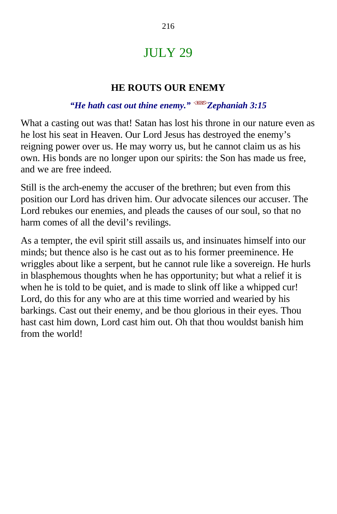### **HE ROUTS OUR ENEMY**

### *"He hath cast out thine enemy."* <sup>*ABB5-Zephaniah 3:15*</sup>

What a casting out was that! Satan has lost his throne in our nature even as he lost his seat in Heaven. Our Lord Jesus has destroyed the enemy's reigning power over us. He may worry us, but he cannot claim us as his own. His bonds are no longer upon our spirits: the Son has made us free, and we are free indeed.

Still is the arch-enemy the accuser of the brethren; but even from this position our Lord has driven him. Our advocate silences our accuser. The Lord rebukes our enemies, and pleads the causes of our soul, so that no harm comes of all the devil's revilings.

As a tempter, the evil spirit still assails us, and insinuates himself into our minds; but thence also is he cast out as to his former preeminence. He wriggles about like a serpent, but he cannot rule like a sovereign. He hurls in blasphemous thoughts when he has opportunity; but what a relief it is when he is told to be quiet, and is made to slink off like a whipped cur! Lord, do this for any who are at this time worried and wearied by his barkings. Cast out their enemy, and be thou glorious in their eyes. Thou hast cast him down, Lord cast him out. Oh that thou wouldst banish him from the world!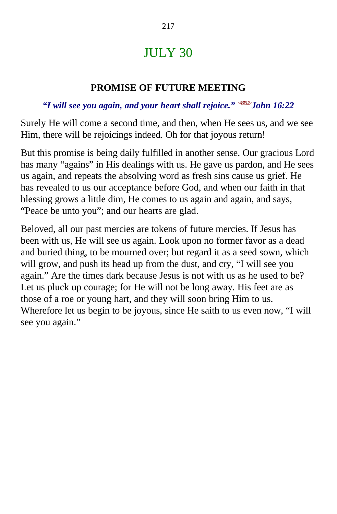# JULY 30

#### **PROMISE OF FUTURE MEETING**

#### *"I will see you again, and your heart shall rejoice."* <sup>48622</sup>*John 16:22*

Surely He will come a second time, and then, when He sees us, and we see Him, there will be rejoicings indeed. Oh for that joyous return!

But this promise is being daily fulfilled in another sense. Our gracious Lord has many "agains" in His dealings with us. He gave us pardon, and He sees us again, and repeats the absolving word as fresh sins cause us grief. He has revealed to us our acceptance before God, and when our faith in that blessing grows a little dim, He comes to us again and again, and says, "Peace be unto you"; and our hearts are glad.

Beloved, all our past mercies are tokens of future mercies. If Jesus has been with us, He will see us again. Look upon no former favor as a dead and buried thing, to be mourned over; but regard it as a seed sown, which will grow, and push its head up from the dust, and cry, "I will see you again." Are the times dark because Jesus is not with us as he used to be? Let us pluck up courage; for He will not be long away. His feet are as those of a roe or young hart, and they will soon bring Him to us. Wherefore let us begin to be joyous, since He saith to us even now, "I will see you again."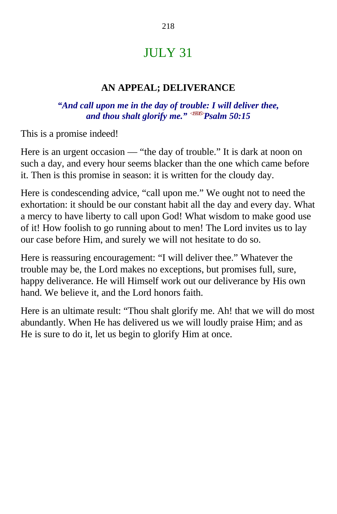# JULY 31

#### **AN APPEAL; DELIVERANCE**

*"And call upon me in the day of trouble: I will deliver thee, and thou shalt glorify me."* <sup> $\sigma$ *805* $\text{Psalm } 50:15$ </sup>

This is a promise indeed!

Here is an urgent occasion — "the day of trouble." It is dark at noon on such a day, and every hour seems blacker than the one which came before it. Then is this promise in season: it is written for the cloudy day.

Here is condescending advice, "call upon me." We ought not to need the exhortation: it should be our constant habit all the day and every day. What a mercy to have liberty to call upon God! What wisdom to make good use of it! How foolish to go running about to men! The Lord invites us to lay our case before Him, and surely we will not hesitate to do so.

Here is reassuring encouragement: "I will deliver thee." Whatever the trouble may be, the Lord makes no exceptions, but promises full, sure, happy deliverance. He will Himself work out our deliverance by His own hand. We believe it, and the Lord honors faith.

Here is an ultimate result: "Thou shalt glorify me. Ah! that we will do most abundantly. When He has delivered us we will loudly praise Him; and as He is sure to do it, let us begin to glorify Him at once.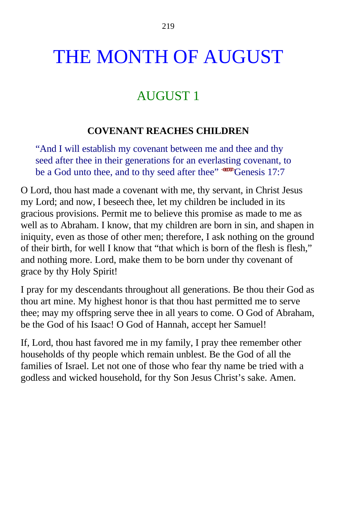# THE MONTH OF AUGUST

### AUGUST 1

#### **COVENANT REACHES CHILDREN**

"And I will establish my covenant between me and thee and thy seed after thee in their generations for an everlasting covenant, to be a God unto thee, and to thy seed after thee" **ALITY** Genesis 17:7

O Lord, thou hast made a covenant with me, thy servant, in Christ Jesus my Lord; and now, I beseech thee, let my children be included in its gracious provisions. Permit me to believe this promise as made to me as well as to Abraham. I know, that my children are born in sin, and shapen in iniquity, even as those of other men; therefore, I ask nothing on the ground of their birth, for well I know that "that which is born of the flesh is flesh," and nothing more. Lord, make them to be born under thy covenant of grace by thy Holy Spirit!

I pray for my descendants throughout all generations. Be thou their God as thou art mine. My highest honor is that thou hast permitted me to serve thee; may my offspring serve thee in all years to come. O God of Abraham, be the God of his Isaac! O God of Hannah, accept her Samuel!

If, Lord, thou hast favored me in my family, I pray thee remember other households of thy people which remain unblest. Be the God of all the families of Israel. Let not one of those who fear thy name be tried with a godless and wicked household, for thy Son Jesus Christ's sake. Amen.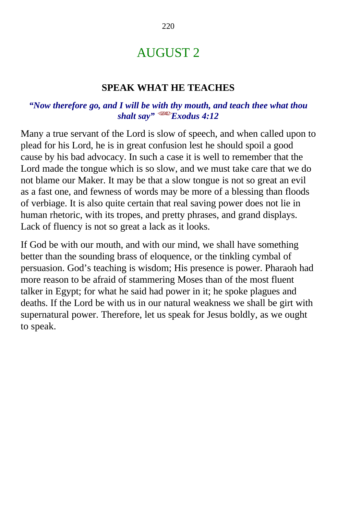#### **SPEAK WHAT HE TEACHES**

#### *"Now therefore go, and I will be with thy mouth, and teach thee what thou shalt say" <020412>Exodus 4:12*

Many a true servant of the Lord is slow of speech, and when called upon to plead for his Lord, he is in great confusion lest he should spoil a good cause by his bad advocacy. In such a case it is well to remember that the Lord made the tongue which is so slow, and we must take care that we do not blame our Maker. It may be that a slow tongue is not so great an evil as a fast one, and fewness of words may be more of a blessing than floods of verbiage. It is also quite certain that real saving power does not lie in human rhetoric, with its tropes, and pretty phrases, and grand displays. Lack of fluency is not so great a lack as it looks.

If God be with our mouth, and with our mind, we shall have something better than the sounding brass of eloquence, or the tinkling cymbal of persuasion. God's teaching is wisdom; His presence is power. Pharaoh had more reason to be afraid of stammering Moses than of the most fluent talker in Egypt; for what he said had power in it; he spoke plagues and deaths. If the Lord be with us in our natural weakness we shall be girt with supernatural power. Therefore, let us speak for Jesus boldly, as we ought to speak.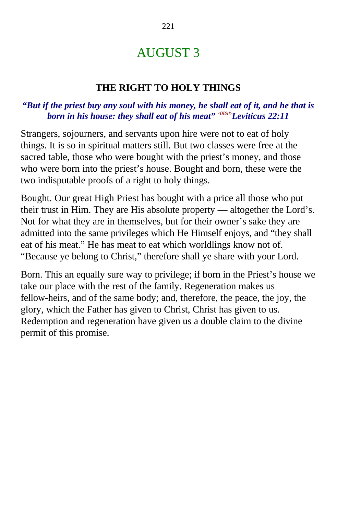#### **THE RIGHT TO HOLY THINGS**

#### *"But if the priest buy any soul with his money, he shall eat of it, and he that is born in his house: they shall eat of his meat*" <sup>*4821b*</sup>*Leviticus 22:11*

Strangers, sojourners, and servants upon hire were not to eat of holy things. It is so in spiritual matters still. But two classes were free at the sacred table, those who were bought with the priest's money, and those who were born into the priest's house. Bought and born, these were the two indisputable proofs of a right to holy things.

Bought. Our great High Priest has bought with a price all those who put their trust in Him. They are His absolute property — altogether the Lord's. Not for what they are in themselves, but for their owner's sake they are admitted into the same privileges which He Himself enjoys, and "they shall eat of his meat." He has meat to eat which worldlings know not of. "Because ye belong to Christ," therefore shall ye share with your Lord.

Born. This an equally sure way to privilege; if born in the Priest's house we take our place with the rest of the family. Regeneration makes us fellow-heirs, and of the same body; and, therefore, the peace, the joy, the glory, which the Father has given to Christ, Christ has given to us. Redemption and regeneration have given us a double claim to the divine permit of this promise.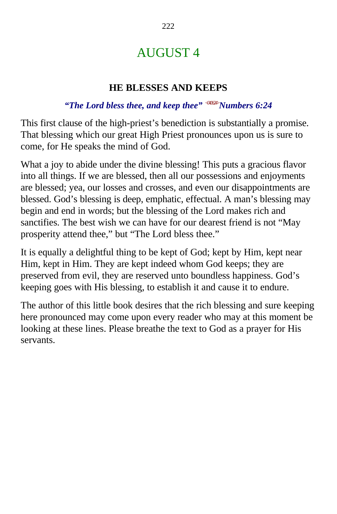#### **HE BLESSES AND KEEPS**

#### *"The Lord bless thee, and keep thee"* <sup>*MB2b</sup>Numbers 6:24*</sup>

This first clause of the high-priest's benediction is substantially a promise. That blessing which our great High Priest pronounces upon us is sure to come, for He speaks the mind of God.

What a joy to abide under the divine blessing! This puts a gracious flavor into all things. If we are blessed, then all our possessions and enjoyments are blessed; yea, our losses and crosses, and even our disappointments are blessed. God's blessing is deep, emphatic, effectual. A man's blessing may begin and end in words; but the blessing of the Lord makes rich and sanctifies. The best wish we can have for our dearest friend is not "May prosperity attend thee," but "The Lord bless thee."

It is equally a delightful thing to be kept of God; kept by Him, kept near Him, kept in Him. They are kept indeed whom God keeps; they are preserved from evil, they are reserved unto boundless happiness. God's keeping goes with His blessing, to establish it and cause it to endure.

The author of this little book desires that the rich blessing and sure keeping here pronounced may come upon every reader who may at this moment be looking at these lines. Please breathe the text to God as a prayer for His servants.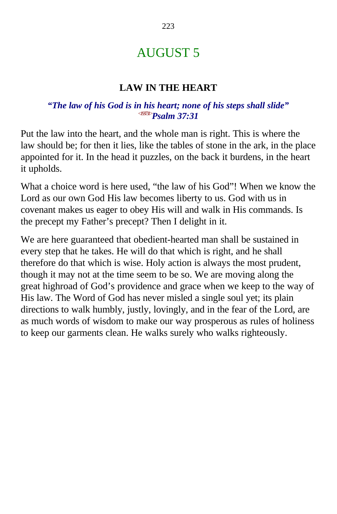#### **LAW IN THE HEART**

#### *"The law of his God is in his heart; none of his steps shall slide" <193731>Psalm 37:31*

Put the law into the heart, and the whole man is right. This is where the law should be; for then it lies, like the tables of stone in the ark, in the place appointed for it. In the head it puzzles, on the back it burdens, in the heart it upholds.

What a choice word is here used, "the law of his God"! When we know the Lord as our own God His law becomes liberty to us. God with us in covenant makes us eager to obey His will and walk in His commands. Is the precept my Father's precept? Then I delight in it.

We are here guaranteed that obedient-hearted man shall be sustained in every step that he takes. He will do that which is right, and he shall therefore do that which is wise. Holy action is always the most prudent, though it may not at the time seem to be so. We are moving along the great highroad of God's providence and grace when we keep to the way of His law. The Word of God has never misled a single soul yet; its plain directions to walk humbly, justly, lovingly, and in the fear of the Lord, are as much words of wisdom to make our way prosperous as rules of holiness to keep our garments clean. He walks surely who walks righteously.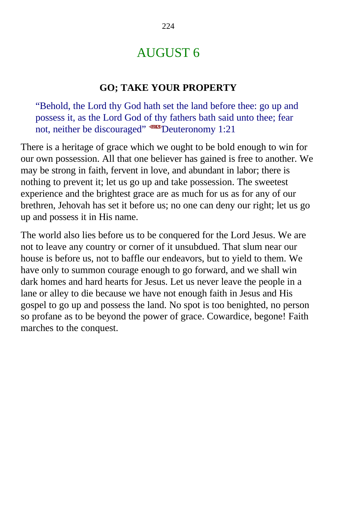#### **GO; TAKE YOUR PROPERTY**

"Behold, the Lord thy God hath set the land before thee: go up and possess it, as the Lord God of thy fathers bath said unto thee; fear not, neither be discouraged" **EXALLED** Deuteronomy 1:21

There is a heritage of grace which we ought to be bold enough to win for our own possession. All that one believer has gained is free to another. We may be strong in faith, fervent in love, and abundant in labor; there is nothing to prevent it; let us go up and take possession. The sweetest experience and the brightest grace are as much for us as for any of our brethren, Jehovah has set it before us; no one can deny our right; let us go up and possess it in His name.

The world also lies before us to be conquered for the Lord Jesus. We are not to leave any country or corner of it unsubdued. That slum near our house is before us, not to baffle our endeavors, but to yield to them. We have only to summon courage enough to go forward, and we shall win dark homes and hard hearts for Jesus. Let us never leave the people in a lane or alley to die because we have not enough faith in Jesus and His gospel to go up and possess the land. No spot is too benighted, no person so profane as to be beyond the power of grace. Cowardice, begone! Faith marches to the conquest.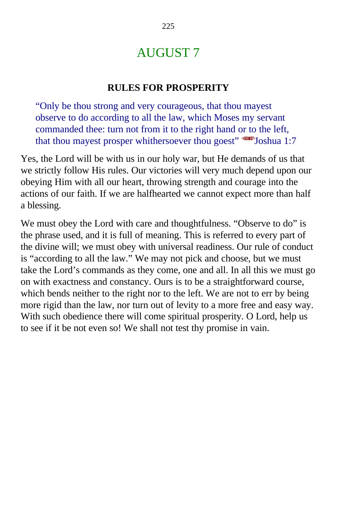#### **RULES FOR PROSPERITY**

"Only be thou strong and very courageous, that thou mayest observe to do according to all the law, which Moses my servant commanded thee: turn not from it to the right hand or to the left, that thou mayest prosper whithersoever thou goest"  $\frac{4000}{2}$ Joshua 1:7

Yes, the Lord will be with us in our holy war, but He demands of us that we strictly follow His rules. Our victories will very much depend upon our obeying Him with all our heart, throwing strength and courage into the actions of our faith. If we are halfhearted we cannot expect more than half a blessing.

We must obey the Lord with care and thoughtfulness. "Observe to do" is the phrase used, and it is full of meaning. This is referred to every part of the divine will; we must obey with universal readiness. Our rule of conduct is "according to all the law." We may not pick and choose, but we must take the Lord's commands as they come, one and all. In all this we must go on with exactness and constancy. Ours is to be a straightforward course, which bends neither to the right nor to the left. We are not to err by being more rigid than the law, nor turn out of levity to a more free and easy way. With such obedience there will come spiritual prosperity. O Lord, help us to see if it be not even so! We shall not test thy promise in vain.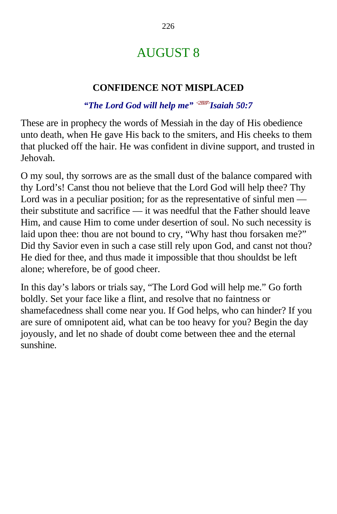#### **CONFIDENCE NOT MISPLACED**

#### *"The Lord God will help me" <235007>Isaiah 50:7*

These are in prophecy the words of Messiah in the day of His obedience unto death, when He gave His back to the smiters, and His cheeks to them that plucked off the hair. He was confident in divine support, and trusted in Jehovah.

O my soul, thy sorrows are as the small dust of the balance compared with thy Lord's! Canst thou not believe that the Lord God will help thee? Thy Lord was in a peculiar position; for as the representative of sinful men their substitute and sacrifice — it was needful that the Father should leave Him, and cause Him to come under desertion of soul. No such necessity is laid upon thee: thou are not bound to cry, "Why hast thou forsaken me?" Did thy Savior even in such a case still rely upon God, and canst not thou? He died for thee, and thus made it impossible that thou shouldst be left alone; wherefore, be of good cheer.

In this day's labors or trials say, "The Lord God will help me." Go forth boldly. Set your face like a flint, and resolve that no faintness or shamefacedness shall come near you. If God helps, who can hinder? If you are sure of omnipotent aid, what can be too heavy for you? Begin the day joyously, and let no shade of doubt come between thee and the eternal sunshine.

226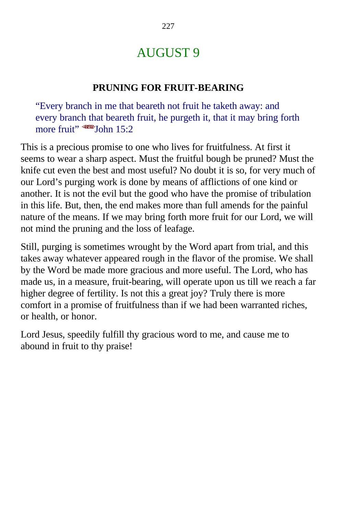#### **PRUNING FOR FRUIT-BEARING**

"Every branch in me that beareth not fruit he taketh away: and every branch that beareth fruit, he purgeth it, that it may bring forth more fruit" **<431502>**John 15:2

This is a precious promise to one who lives for fruitfulness. At first it seems to wear a sharp aspect. Must the fruitful bough be pruned? Must the knife cut even the best and most useful? No doubt it is so, for very much of our Lord's purging work is done by means of afflictions of one kind or another. It is not the evil but the good who have the promise of tribulation in this life. But, then, the end makes more than full amends for the painful nature of the means. If we may bring forth more fruit for our Lord, we will not mind the pruning and the loss of leafage.

Still, purging is sometimes wrought by the Word apart from trial, and this takes away whatever appeared rough in the flavor of the promise. We shall by the Word be made more gracious and more useful. The Lord, who has made us, in a measure, fruit-bearing, will operate upon us till we reach a far higher degree of fertility. Is not this a great joy? Truly there is more comfort in a promise of fruitfulness than if we had been warranted riches, or health, or honor.

Lord Jesus, speedily fulfill thy gracious word to me, and cause me to abound in fruit to thy praise!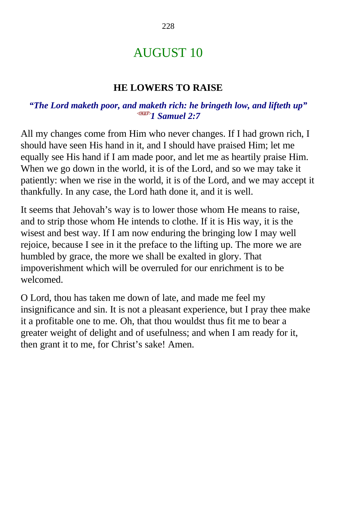#### **HE LOWERS TO RAISE**

#### *"The Lord maketh poor, and maketh rich: he bringeth low, and lifteth up" <090207>1 Samuel 2:7*

All my changes come from Him who never changes. If I had grown rich, I should have seen His hand in it, and I should have praised Him; let me equally see His hand if I am made poor, and let me as heartily praise Him. When we go down in the world, it is of the Lord, and so we may take it patiently: when we rise in the world, it is of the Lord, and we may accept it thankfully. In any case, the Lord hath done it, and it is well.

It seems that Jehovah's way is to lower those whom He means to raise, and to strip those whom He intends to clothe. If it is His way, it is the wisest and best way. If I am now enduring the bringing low I may well rejoice, because I see in it the preface to the lifting up. The more we are humbled by grace, the more we shall be exalted in glory. That impoverishment which will be overruled for our enrichment is to be welcomed.

O Lord, thou has taken me down of late, and made me feel my insignificance and sin. It is not a pleasant experience, but I pray thee make it a profitable one to me. Oh, that thou wouldst thus fit me to bear a greater weight of delight and of usefulness; and when I am ready for it, then grant it to me, for Christ's sake! Amen.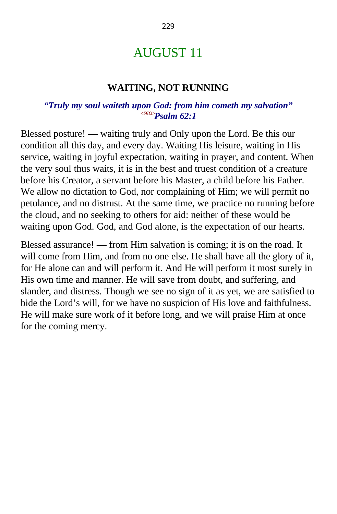#### **WAITING, NOT RUNNING**

#### *"Truly my soul waiteth upon God: from him cometh my salvation" <196201>Psalm 62:1*

Blessed posture! — waiting truly and Only upon the Lord. Be this our condition all this day, and every day. Waiting His leisure, waiting in His service, waiting in joyful expectation, waiting in prayer, and content. When the very soul thus waits, it is in the best and truest condition of a creature before his Creator, a servant before his Master, a child before his Father. We allow no dictation to God, nor complaining of Him; we will permit no petulance, and no distrust. At the same time, we practice no running before the cloud, and no seeking to others for aid: neither of these would be waiting upon God. God, and God alone, is the expectation of our hearts.

Blessed assurance! — from Him salvation is coming; it is on the road. It will come from Him, and from no one else. He shall have all the glory of it, for He alone can and will perform it. And He will perform it most surely in His own time and manner. He will save from doubt, and suffering, and slander, and distress. Though we see no sign of it as yet, we are satisfied to bide the Lord's will, for we have no suspicion of His love and faithfulness. He will make sure work of it before long, and we will praise Him at once for the coming mercy.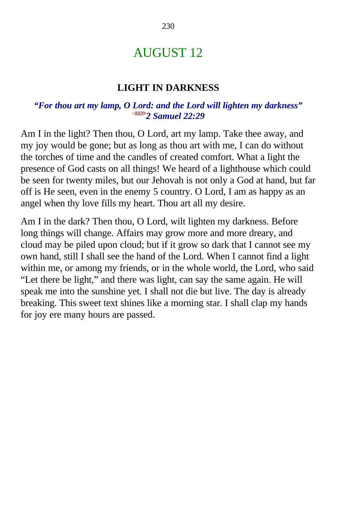#### **LIGHT IN DARKNESS**

#### *"For thou art my lamp, O Lord: and the Lord will lighten my darkness" <102229>2 Samuel 22:29*

Am I in the light? Then thou, O Lord, art my lamp. Take thee away, and my joy would be gone; but as long as thou art with me, I can do without the torches of time and the candles of created comfort. What a light the presence of God casts on all things! We heard of a lighthouse which could be seen for twenty miles, but our Jehovah is not only a God at hand, but far off is He seen, even in the enemy 5 country. O Lord, I am as happy as an angel when thy love fills my heart. Thou art all my desire.

Am I in the dark? Then thou, O Lord, wilt lighten my darkness. Before long things will change. Affairs may grow more and more dreary, and cloud may be piled upon cloud; but if it grow so dark that I cannot see my own hand, still I shall see the hand of the Lord. When I cannot find a light within me, or among my friends, or in the whole world, the Lord, who said "Let there be light," and there was light, can say the same again. He will speak me into the sunshine yet. I shall not die but live. The day is already breaking. This sweet text shines like a morning star. I shall clap my hands for joy ere many hours are passed.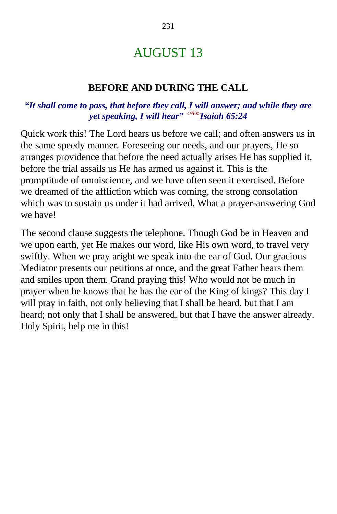#### **BEFORE AND DURING THE CALL**

#### *"It shall come to pass, that before they call, I will answer; and while they are yet speaking, I will hear" <236524>Isaiah 65:24*

Quick work this! The Lord hears us before we call; and often answers us in the same speedy manner. Foreseeing our needs, and our prayers, He so arranges providence that before the need actually arises He has supplied it, before the trial assails us He has armed us against it. This is the promptitude of omniscience, and we have often seen it exercised. Before we dreamed of the affliction which was coming, the strong consolation which was to sustain us under it had arrived. What a prayer-answering God we have!

The second clause suggests the telephone. Though God be in Heaven and we upon earth, yet He makes our word, like His own word, to travel very swiftly. When we pray aright we speak into the ear of God. Our gracious Mediator presents our petitions at once, and the great Father hears them and smiles upon them. Grand praying this! Who would not be much in prayer when he knows that he has the ear of the King of kings? This day I will pray in faith, not only believing that I shall be heard, but that I am heard; not only that I shall be answered, but that I have the answer already. Holy Spirit, help me in this!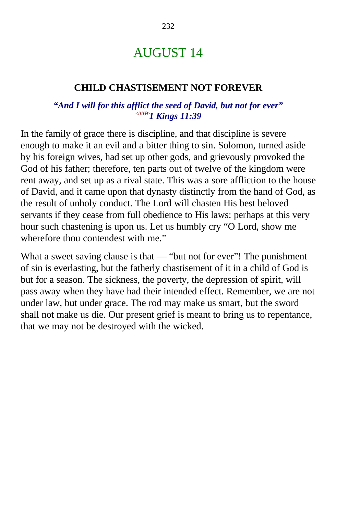#### **CHILD CHASTISEMENT NOT FOREVER**

#### *"And I will for this afflict the seed of David, but not for ever" <111139>1 Kings 11:39*

In the family of grace there is discipline, and that discipline is severe enough to make it an evil and a bitter thing to sin. Solomon, turned aside by his foreign wives, had set up other gods, and grievously provoked the God of his father; therefore, ten parts out of twelve of the kingdom were rent away, and set up as a rival state. This was a sore affliction to the house of David, and it came upon that dynasty distinctly from the hand of God, as the result of unholy conduct. The Lord will chasten His best beloved servants if they cease from full obedience to His laws: perhaps at this very hour such chastening is upon us. Let us humbly cry "O Lord, show me wherefore thou contendest with me."

What a sweet saving clause is that — "but not for ever"! The punishment of sin is everlasting, but the fatherly chastisement of it in a child of God is but for a season. The sickness, the poverty, the depression of spirit, will pass away when they have had their intended effect. Remember, we are not under law, but under grace. The rod may make us smart, but the sword shall not make us die. Our present grief is meant to bring us to repentance, that we may not be destroyed with the wicked.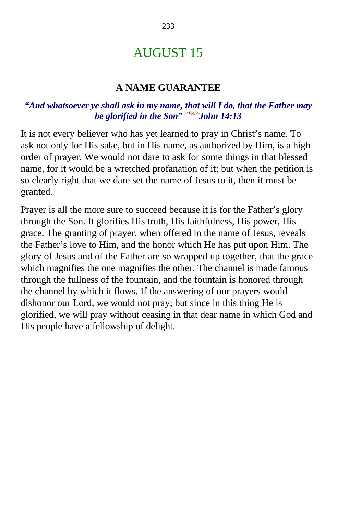#### **A NAME GUARANTEE**

#### *"And whatsoever ye shall ask in my name, that will I do, that the Father may be glorified in the Son*" <sup><81413</sup>*John 14:13*

It is not every believer who has yet learned to pray in Christ's name. To ask not only for His sake, but in His name, as authorized by Him, is a high order of prayer. We would not dare to ask for some things in that blessed name, for it would be a wretched profanation of it; but when the petition is so clearly right that we dare set the name of Jesus to it, then it must be granted.

Prayer is all the more sure to succeed because it is for the Father's glory through the Son. It glorifies His truth, His faithfulness, His power, His grace. The granting of prayer, when offered in the name of Jesus, reveals the Father's love to Him, and the honor which He has put upon Him. The glory of Jesus and of the Father are so wrapped up together, that the grace which magnifies the one magnifies the other. The channel is made famous through the fullness of the fountain, and the fountain is honored through the channel by which it flows. If the answering of our prayers would dishonor our Lord, we would not pray; but since in this thing He is glorified, we will pray without ceasing in that dear name in which God and His people have a fellowship of delight.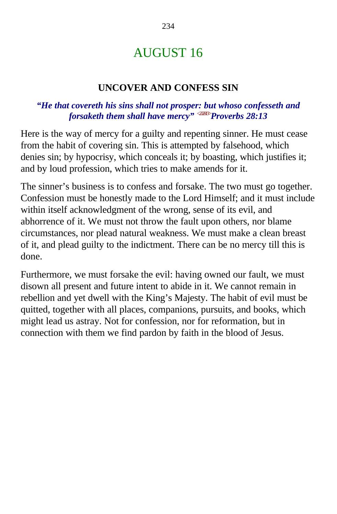#### **UNCOVER AND CONFESS SIN**

#### *"He that covereth his sins shall not prosper: but whoso confesseth and forsaketh them shall have mercy" <202813>Proverbs 28:13*

Here is the way of mercy for a guilty and repenting sinner. He must cease from the habit of covering sin. This is attempted by falsehood, which denies sin; by hypocrisy, which conceals it; by boasting, which justifies it; and by loud profession, which tries to make amends for it.

The sinner's business is to confess and forsake. The two must go together. Confession must be honestly made to the Lord Himself; and it must include within itself acknowledgment of the wrong, sense of its evil, and abhorrence of it. We must not throw the fault upon others, nor blame circumstances, nor plead natural weakness. We must make a clean breast of it, and plead guilty to the indictment. There can be no mercy till this is done.

Furthermore, we must forsake the evil: having owned our fault, we must disown all present and future intent to abide in it. We cannot remain in rebellion and yet dwell with the King's Majesty. The habit of evil must be quitted, together with all places, companions, pursuits, and books, which might lead us astray. Not for confession, nor for reformation, but in connection with them we find pardon by faith in the blood of Jesus.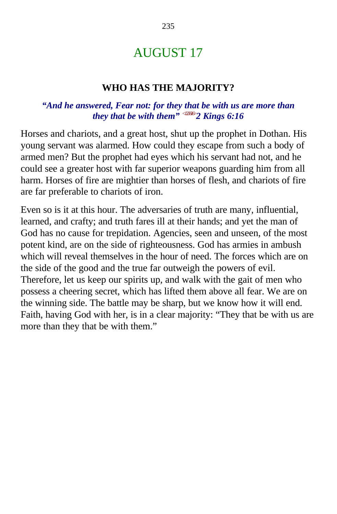#### **WHO HAS THE MAJORITY?**

#### *"And he answered, Fear not: for they that be with us are more than they that be with them*"  $\frac{2006}{2}$  Kings 6:16

Horses and chariots, and a great host, shut up the prophet in Dothan. His young servant was alarmed. How could they escape from such a body of armed men? But the prophet had eyes which his servant had not, and he could see a greater host with far superior weapons guarding him from all harm. Horses of fire are mightier than horses of flesh, and chariots of fire are far preferable to chariots of iron.

Even so is it at this hour. The adversaries of truth are many, influential, learned, and crafty; and truth fares ill at their hands; and yet the man of God has no cause for trepidation. Agencies, seen and unseen, of the most potent kind, are on the side of righteousness. God has armies in ambush which will reveal themselves in the hour of need. The forces which are on the side of the good and the true far outweigh the powers of evil. Therefore, let us keep our spirits up, and walk with the gait of men who possess a cheering secret, which has lifted them above all fear. We are on the winning side. The battle may be sharp, but we know how it will end. Faith, having God with her, is in a clear majority: "They that be with us are more than they that be with them."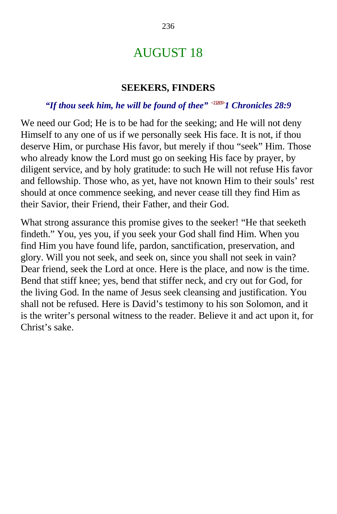#### **SEEKERS, FINDERS**

#### *"If thou seek him, he will be found of thee" <132809>1 Chronicles 28:9*

We need our God; He is to be had for the seeking; and He will not deny Himself to any one of us if we personally seek His face. It is not, if thou deserve Him, or purchase His favor, but merely if thou "seek" Him. Those who already know the Lord must go on seeking His face by prayer, by diligent service, and by holy gratitude: to such He will not refuse His favor and fellowship. Those who, as yet, have not known Him to their souls' rest should at once commence seeking, and never cease till they find Him as their Savior, their Friend, their Father, and their God.

What strong assurance this promise gives to the seeker! "He that seeketh findeth." You, yes you, if you seek your God shall find Him. When you find Him you have found life, pardon, sanctification, preservation, and glory. Will you not seek, and seek on, since you shall not seek in vain? Dear friend, seek the Lord at once. Here is the place, and now is the time. Bend that stiff knee; yes, bend that stiffer neck, and cry out for God, for the living God. In the name of Jesus seek cleansing and justification. You shall not be refused. Here is David's testimony to his son Solomon, and it is the writer's personal witness to the reader. Believe it and act upon it, for Christ's sake.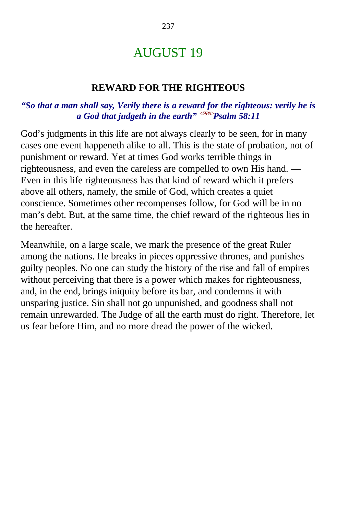#### **REWARD FOR THE RIGHTEOUS**

#### *"So that a man shall say, Verily there is a reward for the righteous: verily he is a God that judgeth in the earth*" <sup>*spsub*</sup> *Psalm 58:11*

God's judgments in this life are not always clearly to be seen, for in many cases one event happeneth alike to all. This is the state of probation, not of punishment or reward. Yet at times God works terrible things in righteousness, and even the careless are compelled to own His hand. — Even in this life righteousness has that kind of reward which it prefers above all others, namely, the smile of God, which creates a quiet conscience. Sometimes other recompenses follow, for God will be in no man's debt. But, at the same time, the chief reward of the righteous lies in the hereafter.

Meanwhile, on a large scale, we mark the presence of the great Ruler among the nations. He breaks in pieces oppressive thrones, and punishes guilty peoples. No one can study the history of the rise and fall of empires without perceiving that there is a power which makes for righteousness, and, in the end, brings iniquity before its bar, and condemns it with unsparing justice. Sin shall not go unpunished, and goodness shall not remain unrewarded. The Judge of all the earth must do right. Therefore, let us fear before Him, and no more dread the power of the wicked.

237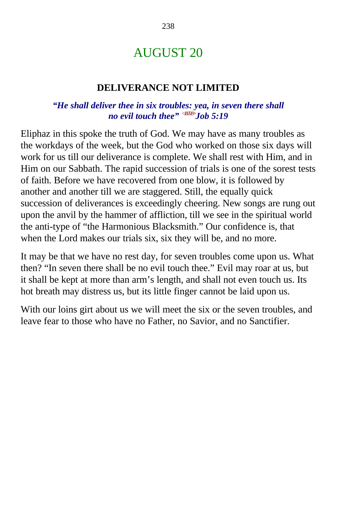#### **DELIVERANCE NOT LIMITED**

#### *"He shall deliver thee in six troubles: yea, in seven there shall no evil touch thee" <180519>Job 5:19*

Eliphaz in this spoke the truth of God. We may have as many troubles as the workdays of the week, but the God who worked on those six days will work for us till our deliverance is complete. We shall rest with Him, and in Him on our Sabbath. The rapid succession of trials is one of the sorest tests of faith. Before we have recovered from one blow, it is followed by another and another till we are staggered. Still, the equally quick succession of deliverances is exceedingly cheering. New songs are rung out upon the anvil by the hammer of affliction, till we see in the spiritual world the anti-type of "the Harmonious Blacksmith." Our confidence is, that when the Lord makes our trials six, six they will be, and no more.

It may be that we have no rest day, for seven troubles come upon us. What then? "In seven there shall be no evil touch thee." Evil may roar at us, but it shall be kept at more than arm's length, and shall not even touch us. Its hot breath may distress us, but its little finger cannot be laid upon us.

With our loins girt about us we will meet the six or the seven troubles, and leave fear to those who have no Father, no Savior, and no Sanctifier.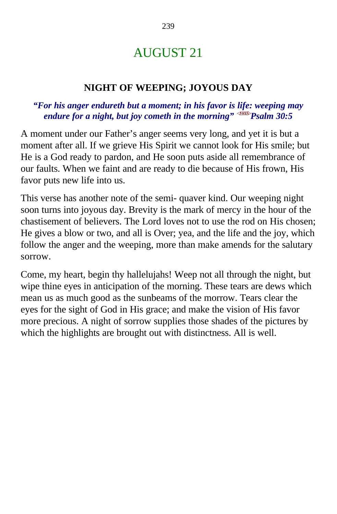#### **NIGHT OF WEEPING; JOYOUS DAY**

#### *"For his anger endureth but a moment; in his favor is life: weeping may endure for a night, but joy cometh in the morning" <193005>Psalm 30:5*

A moment under our Father's anger seems very long, and yet it is but a moment after all. If we grieve His Spirit we cannot look for His smile; but He is a God ready to pardon, and He soon puts aside all remembrance of our faults. When we faint and are ready to die because of His frown, His favor puts new life into us.

This verse has another note of the semi- quaver kind. Our weeping night soon turns into joyous day. Brevity is the mark of mercy in the hour of the chastisement of believers. The Lord loves not to use the rod on His chosen; He gives a blow or two, and all is Over; yea, and the life and the joy, which follow the anger and the weeping, more than make amends for the salutary sorrow.

Come, my heart, begin thy hallelujahs! Weep not all through the night, but wipe thine eyes in anticipation of the morning. These tears are dews which mean us as much good as the sunbeams of the morrow. Tears clear the eyes for the sight of God in His grace; and make the vision of His favor more precious. A night of sorrow supplies those shades of the pictures by which the highlights are brought out with distinctness. All is well.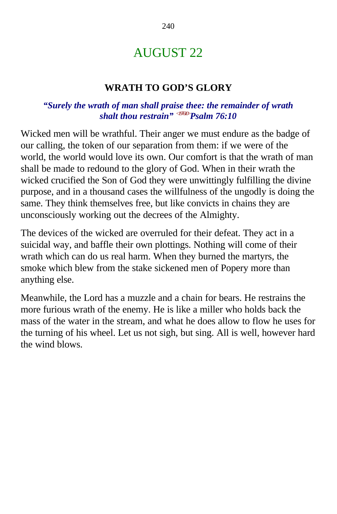#### **WRATH TO GOD'S GLORY**

#### *"Surely the wrath of man shall praise thee: the remainder of wrath shalt thou restrain" <197610>Psalm 76:10*

Wicked men will be wrathful. Their anger we must endure as the badge of our calling, the token of our separation from them: if we were of the world, the world would love its own. Our comfort is that the wrath of man shall be made to redound to the glory of God. When in their wrath the wicked crucified the Son of God they were unwittingly fulfilling the divine purpose, and in a thousand cases the willfulness of the ungodly is doing the same. They think themselves free, but like convicts in chains they are unconsciously working out the decrees of the Almighty.

The devices of the wicked are overruled for their defeat. They act in a suicidal way, and baffle their own plottings. Nothing will come of their wrath which can do us real harm. When they burned the martyrs, the smoke which blew from the stake sickened men of Popery more than anything else.

Meanwhile, the Lord has a muzzle and a chain for bears. He restrains the more furious wrath of the enemy. He is like a miller who holds back the mass of the water in the stream, and what he does allow to flow he uses for the turning of his wheel. Let us not sigh, but sing. All is well, however hard the wind blows.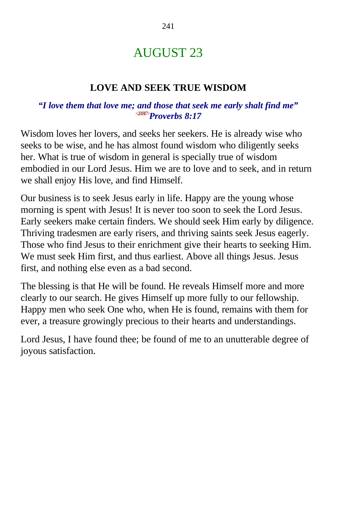#### **LOVE AND SEEK TRUE WISDOM**

#### *"I love them that love me; and those that seek me early shalt find me" <200817>Proverbs 8:17*

Wisdom loves her lovers, and seeks her seekers. He is already wise who seeks to be wise, and he has almost found wisdom who diligently seeks her. What is true of wisdom in general is specially true of wisdom embodied in our Lord Jesus. Him we are to love and to seek, and in return we shall enjoy His love, and find Himself.

Our business is to seek Jesus early in life. Happy are the young whose morning is spent with Jesus! It is never too soon to seek the Lord Jesus. Early seekers make certain finders. We should seek Him early by diligence. Thriving tradesmen are early risers, and thriving saints seek Jesus eagerly. Those who find Jesus to their enrichment give their hearts to seeking Him. We must seek Him first, and thus earliest. Above all things Jesus. Jesus first, and nothing else even as a bad second.

The blessing is that He will be found. He reveals Himself more and more clearly to our search. He gives Himself up more fully to our fellowship. Happy men who seek One who, when He is found, remains with them for ever, a treasure growingly precious to their hearts and understandings.

Lord Jesus, I have found thee; be found of me to an unutterable degree of joyous satisfaction.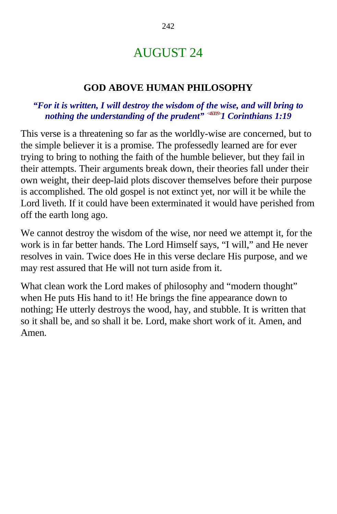#### **GOD ABOVE HUMAN PHILOSOPHY**

#### *"For it is written, I will destroy the wisdom of the wise, and will bring to nothing the understanding of the prudent*" <sup>4609</sup><sup>2</sup>1 Corinthians 1:19</sup>

This verse is a threatening so far as the worldly-wise are concerned, but to the simple believer it is a promise. The professedly learned are for ever trying to bring to nothing the faith of the humble believer, but they fail in their attempts. Their arguments break down, their theories fall under their own weight, their deep-laid plots discover themselves before their purpose is accomplished. The old gospel is not extinct yet, nor will it be while the Lord liveth. If it could have been exterminated it would have perished from off the earth long ago.

We cannot destroy the wisdom of the wise, nor need we attempt it, for the work is in far better hands. The Lord Himself says, "I will," and He never resolves in vain. Twice does He in this verse declare His purpose, and we may rest assured that He will not turn aside from it.

What clean work the Lord makes of philosophy and "modern thought" when He puts His hand to it! He brings the fine appearance down to nothing; He utterly destroys the wood, hay, and stubble. It is written that so it shall be, and so shall it be. Lord, make short work of it. Amen, and Amen.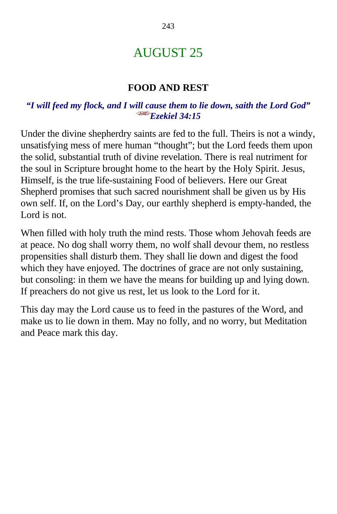#### **FOOD AND REST**

#### *"I will feed my flock, and I will cause them to lie down, saith the Lord God" <263415>Ezekiel 34:15*

Under the divine shepherdry saints are fed to the full. Theirs is not a windy, unsatisfying mess of mere human "thought"; but the Lord feeds them upon the solid, substantial truth of divine revelation. There is real nutriment for the soul in Scripture brought home to the heart by the Holy Spirit. Jesus, Himself, is the true life-sustaining Food of believers. Here our Great Shepherd promises that such sacred nourishment shall be given us by His own self. If, on the Lord's Day, our earthly shepherd is empty-handed, the Lord is not.

When filled with holy truth the mind rests. Those whom Jehovah feeds are at peace. No dog shall worry them, no wolf shall devour them, no restless propensities shall disturb them. They shall lie down and digest the food which they have enjoyed. The doctrines of grace are not only sustaining, but consoling: in them we have the means for building up and lying down. If preachers do not give us rest, let us look to the Lord for it.

This day may the Lord cause us to feed in the pastures of the Word, and make us to lie down in them. May no folly, and no worry, but Meditation and Peace mark this day.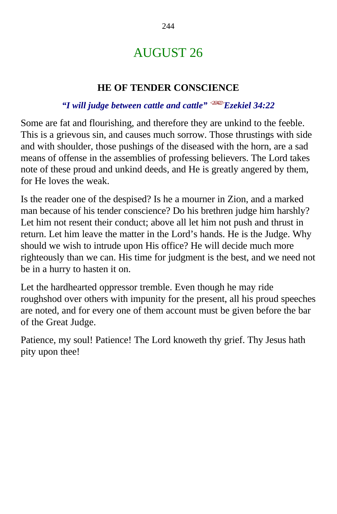#### **HE OF TENDER CONSCIENCE**

#### *"I will judge between cattle and cattle"* <sup>2642</sup>*Ezekiel 34:22*

Some are fat and flourishing, and therefore they are unkind to the feeble. This is a grievous sin, and causes much sorrow. Those thrustings with side and with shoulder, those pushings of the diseased with the horn, are a sad means of offense in the assemblies of professing believers. The Lord takes note of these proud and unkind deeds, and He is greatly angered by them, for He loves the weak.

Is the reader one of the despised? Is he a mourner in Zion, and a marked man because of his tender conscience? Do his brethren judge him harshly? Let him not resent their conduct; above all let him not push and thrust in return. Let him leave the matter in the Lord's hands. He is the Judge. Why should we wish to intrude upon His office? He will decide much more righteously than we can. His time for judgment is the best, and we need not be in a hurry to hasten it on.

Let the hardhearted oppressor tremble. Even though he may ride roughshod over others with impunity for the present, all his proud speeches are noted, and for every one of them account must be given before the bar of the Great Judge.

Patience, my soul! Patience! The Lord knoweth thy grief. Thy Jesus hath pity upon thee!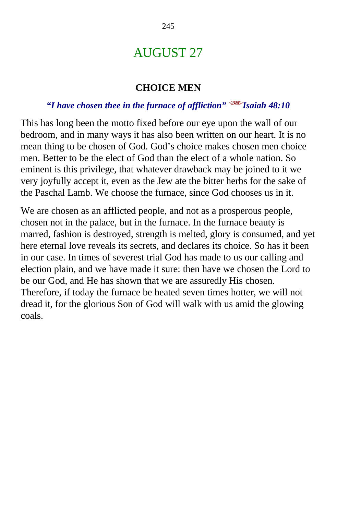#### **CHOICE MEN**

#### *"I have chosen thee in the furnace of affliction" <234810>Isaiah 48:10*

This has long been the motto fixed before our eye upon the wall of our bedroom, and in many ways it has also been written on our heart. It is no mean thing to be chosen of God. God's choice makes chosen men choice men. Better to be the elect of God than the elect of a whole nation. So eminent is this privilege, that whatever drawback may be joined to it we very joyfully accept it, even as the Jew ate the bitter herbs for the sake of the Paschal Lamb. We choose the furnace, since God chooses us in it.

We are chosen as an afflicted people, and not as a prosperous people, chosen not in the palace, but in the furnace. In the furnace beauty is marred, fashion is destroyed, strength is melted, glory is consumed, and yet here eternal love reveals its secrets, and declares its choice. So has it been in our case. In times of severest trial God has made to us our calling and election plain, and we have made it sure: then have we chosen the Lord to be our God, and He has shown that we are assuredly His chosen. Therefore, if today the furnace be heated seven times hotter, we will not dread it, for the glorious Son of God will walk with us amid the glowing coals.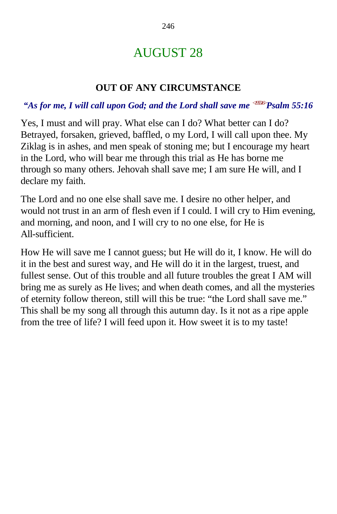#### **OUT OF ANY CIRCUMSTANCE**

#### *"As for me, I will call upon God; and the Lord shall save me* <sup> $\sigma$ *<sub>255</sub>6</sup> Psalm 55:16*</sup>

Yes, I must and will pray. What else can I do? What better can I do? Betrayed, forsaken, grieved, baffled, o my Lord, I will call upon thee. My Ziklag is in ashes, and men speak of stoning me; but I encourage my heart in the Lord, who will bear me through this trial as He has borne me through so many others. Jehovah shall save me; I am sure He will, and I declare my faith.

The Lord and no one else shall save me. I desire no other helper, and would not trust in an arm of flesh even if I could. I will cry to Him evening, and morning, and noon, and I will cry to no one else, for He is All-sufficient.

How He will save me I cannot guess; but He will do it, I know. He will do it in the best and surest way, and He will do it in the largest, truest, and fullest sense. Out of this trouble and all future troubles the great I AM will bring me as surely as He lives; and when death comes, and all the mysteries of eternity follow thereon, still will this be true: "the Lord shall save me." This shall be my song all through this autumn day. Is it not as a ripe apple from the tree of life? I will feed upon it. How sweet it is to my taste!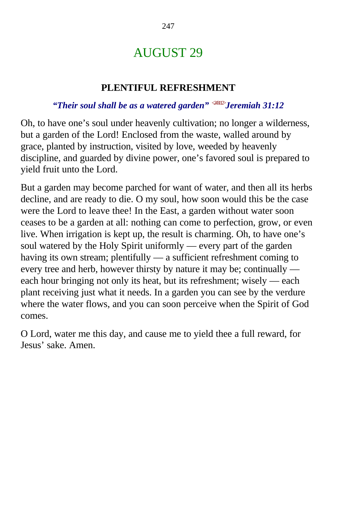#### **PLENTIFUL REFRESHMENT**

#### *"Their soul shall be as a watered garden" <243112>Jeremiah 31:12*

Oh, to have one's soul under heavenly cultivation; no longer a wilderness, but a garden of the Lord! Enclosed from the waste, walled around by grace, planted by instruction, visited by love, weeded by heavenly discipline, and guarded by divine power, one's favored soul is prepared to yield fruit unto the Lord.

But a garden may become parched for want of water, and then all its herbs decline, and are ready to die. O my soul, how soon would this be the case were the Lord to leave thee! In the East, a garden without water soon ceases to be a garden at all: nothing can come to perfection, grow, or even live. When irrigation is kept up, the result is charming. Oh, to have one's soul watered by the Holy Spirit uniformly — every part of the garden having its own stream; plentifully — a sufficient refreshment coming to every tree and herb, however thirsty by nature it may be; continually each hour bringing not only its heat, but its refreshment; wisely — each plant receiving just what it needs. In a garden you can see by the verdure where the water flows, and you can soon perceive when the Spirit of God comes.

O Lord, water me this day, and cause me to yield thee a full reward, for Jesus' sake. Amen.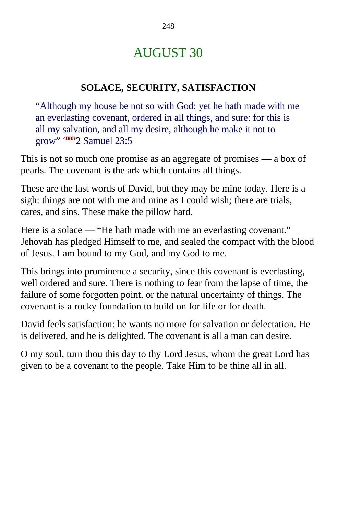#### **SOLACE, SECURITY, SATISFACTION**

"Although my house be not so with God; yet he hath made with me an everlasting covenant, ordered in all things, and sure: for this is all my salvation, and all my desire, although he make it not to grow" **<102305>**2 Samuel 23:5

This is not so much one promise as an aggregate of promises — a box of pearls. The covenant is the ark which contains all things.

These are the last words of David, but they may be mine today. Here is a sigh: things are not with me and mine as I could wish; there are trials, cares, and sins. These make the pillow hard.

Here is a solace — "He hath made with me an everlasting covenant." Jehovah has pledged Himself to me, and sealed the compact with the blood of Jesus. I am bound to my God, and my God to me.

This brings into prominence a security, since this covenant is everlasting, well ordered and sure. There is nothing to fear from the lapse of time, the failure of some forgotten point, or the natural uncertainty of things. The covenant is a rocky foundation to build on for life or for death.

David feels satisfaction: he wants no more for salvation or delectation. He is delivered, and he is delighted. The covenant is all a man can desire.

O my soul, turn thou this day to thy Lord Jesus, whom the great Lord has given to be a covenant to the people. Take Him to be thine all in all.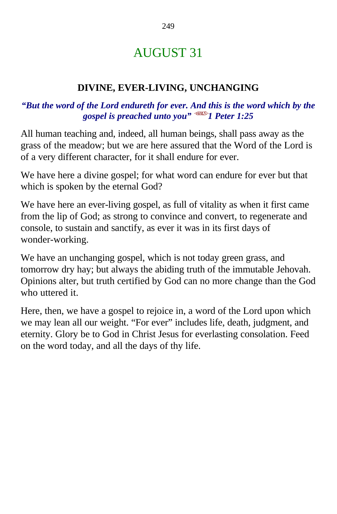#### **DIVINE, EVER-LIVING, UNCHANGING**

#### *"But the word of the Lord endureth for ever. And this is the word which by the gospel is preached unto you" <600125>1 Peter 1:25*

All human teaching and, indeed, all human beings, shall pass away as the grass of the meadow; but we are here assured that the Word of the Lord is of a very different character, for it shall endure for ever.

We have here a divine gospel; for what word can endure for ever but that which is spoken by the eternal God?

We have here an ever-living gospel, as full of vitality as when it first came from the lip of God; as strong to convince and convert, to regenerate and console, to sustain and sanctify, as ever it was in its first days of wonder-working.

We have an unchanging gospel, which is not today green grass, and tomorrow dry hay; but always the abiding truth of the immutable Jehovah. Opinions alter, but truth certified by God can no more change than the God who uttered it.

Here, then, we have a gospel to rejoice in, a word of the Lord upon which we may lean all our weight. "For ever" includes life, death, judgment, and eternity. Glory be to God in Christ Jesus for everlasting consolation. Feed on the word today, and all the days of thy life.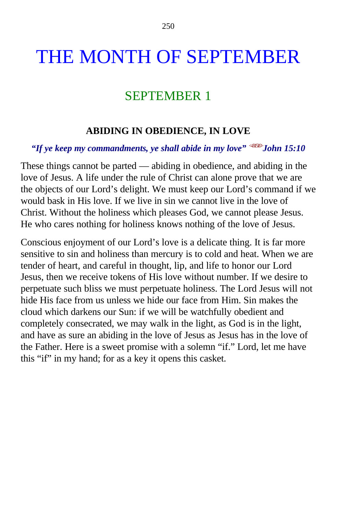# THE MONTH OF SEPTEMBER

### SEPTEMBER 1

#### **ABIDING IN OBEDIENCE, IN LOVE**

#### *"If ye keep my commandments, ye shall abide in my love" <431510>John 15:10*

These things cannot be parted — abiding in obedience, and abiding in the love of Jesus. A life under the rule of Christ can alone prove that we are the objects of our Lord's delight. We must keep our Lord's command if we would bask in His love. If we live in sin we cannot live in the love of Christ. Without the holiness which pleases God, we cannot please Jesus. He who cares nothing for holiness knows nothing of the love of Jesus.

Conscious enjoyment of our Lord's love is a delicate thing. It is far more sensitive to sin and holiness than mercury is to cold and heat. When we are tender of heart, and careful in thought, lip, and life to honor our Lord Jesus, then we receive tokens of His love without number. If we desire to perpetuate such bliss we must perpetuate holiness. The Lord Jesus will not hide His face from us unless we hide our face from Him. Sin makes the cloud which darkens our Sun: if we will be watchfully obedient and completely consecrated, we may walk in the light, as God is in the light, and have as sure an abiding in the love of Jesus as Jesus has in the love of the Father. Here is a sweet promise with a solemn "if." Lord, let me have this "if" in my hand; for as a key it opens this casket.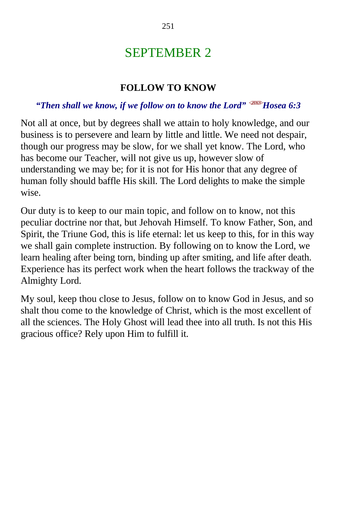# SEPTEMBER 2

#### **FOLLOW TO KNOW**

#### *"Then shall we know, if we follow on to know the Lord"* <sup>2868</sup>*Hosea 6:3*

Not all at once, but by degrees shall we attain to holy knowledge, and our business is to persevere and learn by little and little. We need not despair, though our progress may be slow, for we shall yet know. The Lord, who has become our Teacher, will not give us up, however slow of understanding we may be; for it is not for His honor that any degree of human folly should baffle His skill. The Lord delights to make the simple wise.

Our duty is to keep to our main topic, and follow on to know, not this peculiar doctrine nor that, but Jehovah Himself. To know Father, Son, and Spirit, the Triune God, this is life eternal: let us keep to this, for in this way we shall gain complete instruction. By following on to know the Lord, we learn healing after being torn, binding up after smiting, and life after death. Experience has its perfect work when the heart follows the trackway of the Almighty Lord.

My soul, keep thou close to Jesus, follow on to know God in Jesus, and so shalt thou come to the knowledge of Christ, which is the most excellent of all the sciences. The Holy Ghost will lead thee into all truth. Is not this His gracious office? Rely upon Him to fulfill it.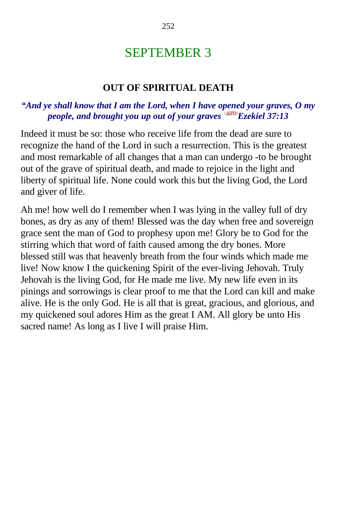### SEPTEMBER 3

#### **OUT OF SPIRITUAL DEATH**

#### *"And ye shall know that I am the Lord, when I have opened your graves, O my people, and brought you up out of your graves*  $\frac{2678}{252}$  *Ezekiel 37:13*

Indeed it must be so: those who receive life from the dead are sure to recognize the hand of the Lord in such a resurrection. This is the greatest and most remarkable of all changes that a man can undergo -to be brought out of the grave of spiritual death, and made to rejoice in the light and liberty of spiritual life. None could work this but the living God, the Lord and giver of life.

Ah me! how well do I remember when I was lying in the valley full of dry bones, as dry as any of them! Blessed was the day when free and sovereign grace sent the man of God to prophesy upon me! Glory be to God for the stirring which that word of faith caused among the dry bones. More blessed still was that heavenly breath from the four winds which made me live! Now know I the quickening Spirit of the ever-living Jehovah. Truly Jehovah is the living God, for He made me live. My new life even in its pinings and sorrowings is clear proof to me that the Lord can kill and make alive. He is the only God. He is all that is great, gracious, and glorious, and my quickened soul adores Him as the great I AM. All glory be unto His sacred name! As long as I live I will praise Him.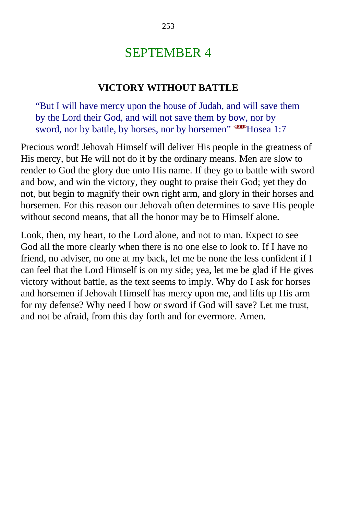#### **VICTORY WITHOUT BATTLE**

"But I will have mercy upon the house of Judah, and will save them by the Lord their God, and will not save them by bow, nor by sword, nor by battle, by horses, nor by horsemen" **<280107>**Hosea 1:7

Precious word! Jehovah Himself will deliver His people in the greatness of His mercy, but He will not do it by the ordinary means. Men are slow to render to God the glory due unto His name. If they go to battle with sword and bow, and win the victory, they ought to praise their God; yet they do not, but begin to magnify their own right arm, and glory in their horses and horsemen. For this reason our Jehovah often determines to save His people without second means, that all the honor may be to Himself alone.

Look, then, my heart, to the Lord alone, and not to man. Expect to see God all the more clearly when there is no one else to look to. If I have no friend, no adviser, no one at my back, let me be none the less confident if I can feel that the Lord Himself is on my side; yea, let me be glad if He gives victory without battle, as the text seems to imply. Why do I ask for horses and horsemen if Jehovah Himself has mercy upon me, and lifts up His arm for my defense? Why need I bow or sword if God will save? Let me trust, and not be afraid, from this day forth and for evermore. Amen.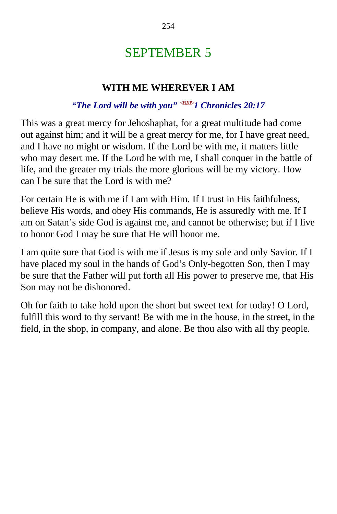## **WITH ME WHEREVER I AM**

## *"The Lord will be with you" <132001>1 Chronicles 20:17*

This was a great mercy for Jehoshaphat, for a great multitude had come out against him; and it will be a great mercy for me, for I have great need, and I have no might or wisdom. If the Lord be with me, it matters little who may desert me. If the Lord be with me, I shall conquer in the battle of life, and the greater my trials the more glorious will be my victory. How can I be sure that the Lord is with me?

For certain He is with me if I am with Him. If I trust in His faithfulness, believe His words, and obey His commands, He is assuredly with me. If I am on Satan's side God is against me, and cannot be otherwise; but if I live to honor God I may be sure that He will honor me.

I am quite sure that God is with me if Jesus is my sole and only Savior. If I have placed my soul in the hands of God's Only-begotten Son, then I may be sure that the Father will put forth all His power to preserve me, that His Son may not be dishonored.

Oh for faith to take hold upon the short but sweet text for today! O Lord, fulfill this word to thy servant! Be with me in the house, in the street, in the field, in the shop, in company, and alone. Be thou also with all thy people.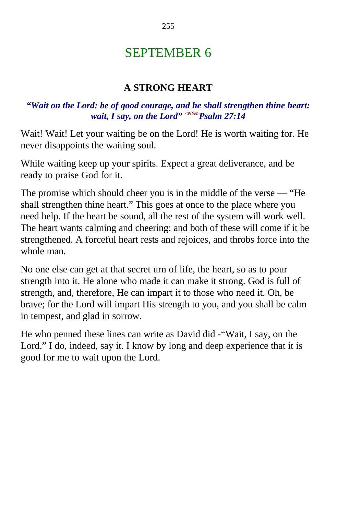## **A STRONG HEART**

### *"Wait on the Lord: be of good courage, and he shall strengthen thine heart: wait, I say, on the Lord*" <sup>*<0274</sup>Psalm 27:14*</sup>

Wait! Wait! Let your waiting be on the Lord! He is worth waiting for. He never disappoints the waiting soul.

While waiting keep up your spirits. Expect a great deliverance, and be ready to praise God for it.

The promise which should cheer you is in the middle of the verse — "He shall strengthen thine heart." This goes at once to the place where you need help. If the heart be sound, all the rest of the system will work well. The heart wants calming and cheering; and both of these will come if it be strengthened. A forceful heart rests and rejoices, and throbs force into the whole man.

No one else can get at that secret urn of life, the heart, so as to pour strength into it. He alone who made it can make it strong. God is full of strength, and, therefore, He can impart it to those who need it. Oh, be brave; for the Lord will impart His strength to you, and you shall be calm in tempest, and glad in sorrow.

He who penned these lines can write as David did -"Wait, I say, on the Lord." I do, indeed, say it. I know by long and deep experience that it is good for me to wait upon the Lord.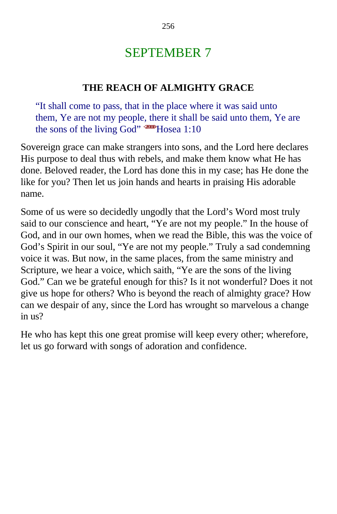## **THE REACH OF ALMIGHTY GRACE**

"It shall come to pass, that in the place where it was said unto them, Ye are not my people, there it shall be said unto them, Ye are the sons of the living God" **<280110>**Hosea 1:10

Sovereign grace can make strangers into sons, and the Lord here declares His purpose to deal thus with rebels, and make them know what He has done. Beloved reader, the Lord has done this in my case; has He done the like for you? Then let us join hands and hearts in praising His adorable name.

Some of us were so decidedly ungodly that the Lord's Word most truly said to our conscience and heart, "Ye are not my people." In the house of God, and in our own homes, when we read the Bible, this was the voice of God's Spirit in our soul, "Ye are not my people." Truly a sad condemning voice it was. But now, in the same places, from the same ministry and Scripture, we hear a voice, which saith, "Ye are the sons of the living God." Can we be grateful enough for this? Is it not wonderful? Does it not give us hope for others? Who is beyond the reach of almighty grace? How can we despair of any, since the Lord has wrought so marvelous a change in us?

He who has kept this one great promise will keep every other; wherefore, let us go forward with songs of adoration and confidence.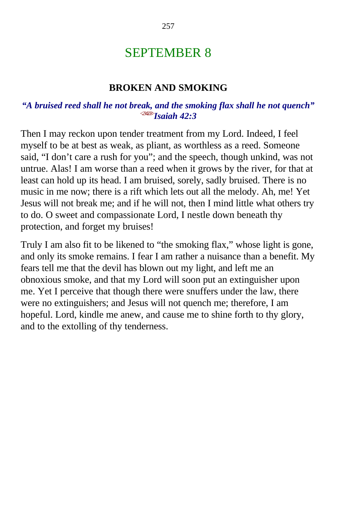#### **BROKEN AND SMOKING**

#### *"A bruised reed shall he not break, and the smoking flax shall he not quench" <234203>Isaiah 42:3*

Then I may reckon upon tender treatment from my Lord. Indeed, I feel myself to be at best as weak, as pliant, as worthless as a reed. Someone said, "I don't care a rush for you"; and the speech, though unkind, was not untrue. Alas! I am worse than a reed when it grows by the river, for that at least can hold up its head. I am bruised, sorely, sadly bruised. There is no music in me now; there is a rift which lets out all the melody. Ah, me! Yet Jesus will not break me; and if he will not, then I mind little what others try to do. O sweet and compassionate Lord, I nestle down beneath thy protection, and forget my bruises!

Truly I am also fit to be likened to "the smoking flax," whose light is gone, and only its smoke remains. I fear I am rather a nuisance than a benefit. My fears tell me that the devil has blown out my light, and left me an obnoxious smoke, and that my Lord will soon put an extinguisher upon me. Yet I perceive that though there were snuffers under the law, there were no extinguishers; and Jesus will not quench me; therefore, I am hopeful. Lord, kindle me anew, and cause me to shine forth to thy glory, and to the extolling of thy tenderness.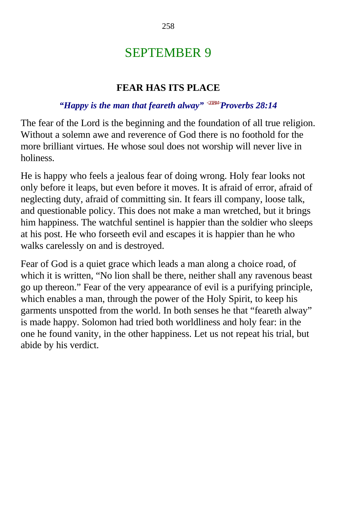## **FEAR HAS ITS PLACE**

## *"Happy is the man that feareth alway"* <sup>*ARM*</sup> *Proverbs 28:14*

The fear of the Lord is the beginning and the foundation of all true religion. Without a solemn awe and reverence of God there is no foothold for the more brilliant virtues. He whose soul does not worship will never live in holiness.

He is happy who feels a jealous fear of doing wrong. Holy fear looks not only before it leaps, but even before it moves. It is afraid of error, afraid of neglecting duty, afraid of committing sin. It fears ill company, loose talk, and questionable policy. This does not make a man wretched, but it brings him happiness. The watchful sentinel is happier than the soldier who sleeps at his post. He who forseeth evil and escapes it is happier than he who walks carelessly on and is destroyed.

Fear of God is a quiet grace which leads a man along a choice road, of which it is written, "No lion shall be there, neither shall any ravenous beast go up thereon." Fear of the very appearance of evil is a purifying principle, which enables a man, through the power of the Holy Spirit, to keep his garments unspotted from the world. In both senses he that "feareth alway" is made happy. Solomon had tried both worldliness and holy fear: in the one he found vanity, in the other happiness. Let us not repeat his trial, but abide by his verdict.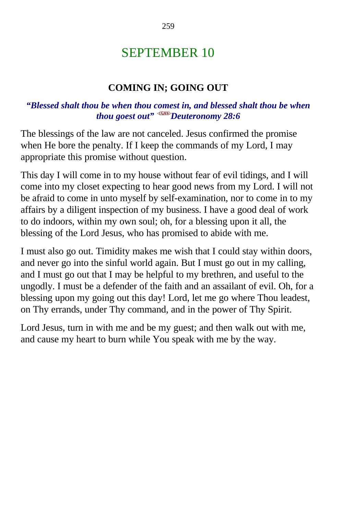## **COMING IN; GOING OUT**

### *"Blessed shalt thou be when thou comest in, and blessed shalt thou be when thou goest out" <052806>Deuteronomy 28:6*

The blessings of the law are not canceled. Jesus confirmed the promise when He bore the penalty. If I keep the commands of my Lord, I may appropriate this promise without question.

This day I will come in to my house without fear of evil tidings, and I will come into my closet expecting to hear good news from my Lord. I will not be afraid to come in unto myself by self-examination, nor to come in to my affairs by a diligent inspection of my business. I have a good deal of work to do indoors, within my own soul; oh, for a blessing upon it all, the blessing of the Lord Jesus, who has promised to abide with me.

I must also go out. Timidity makes me wish that I could stay within doors, and never go into the sinful world again. But I must go out in my calling, and I must go out that I may be helpful to my brethren, and useful to the ungodly. I must be a defender of the faith and an assailant of evil. Oh, for a blessing upon my going out this day! Lord, let me go where Thou leadest, on Thy errands, under Thy command, and in the power of Thy Spirit.

Lord Jesus, turn in with me and be my guest; and then walk out with me, and cause my heart to burn while You speak with me by the way.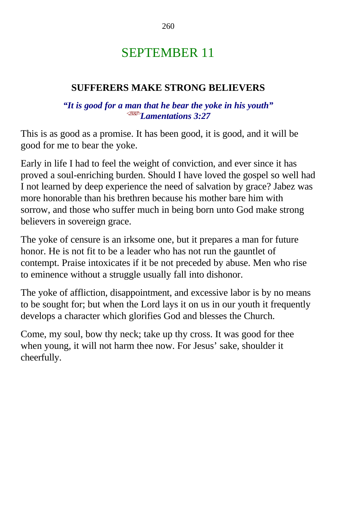### **SUFFERERS MAKE STRONG BELIEVERS**

*"It is good for a man that he bear the yoke in his youth" <250327>Lamentations 3:27*

This is as good as a promise. It has been good, it is good, and it will be good for me to bear the yoke.

Early in life I had to feel the weight of conviction, and ever since it has proved a soul-enriching burden. Should I have loved the gospel so well had I not learned by deep experience the need of salvation by grace? Jabez was more honorable than his brethren because his mother bare him with sorrow, and those who suffer much in being born unto God make strong believers in sovereign grace.

The yoke of censure is an irksome one, but it prepares a man for future honor. He is not fit to be a leader who has not run the gauntlet of contempt. Praise intoxicates if it be not preceded by abuse. Men who rise to eminence without a struggle usually fall into dishonor.

The yoke of affliction, disappointment, and excessive labor is by no means to be sought for; but when the Lord lays it on us in our youth it frequently develops a character which glorifies God and blesses the Church.

Come, my soul, bow thy neck; take up thy cross. It was good for thee when young, it will not harm thee now. For Jesus' sake, shoulder it cheerfully.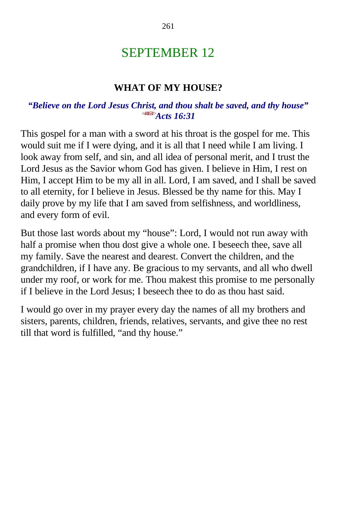### **WHAT OF MY HOUSE?**

#### *"Believe on the Lord Jesus Christ, and thou shalt be saved, and thy house" <441631>Acts 16:31*

This gospel for a man with a sword at his throat is the gospel for me. This would suit me if I were dying, and it is all that I need while I am living. I look away from self, and sin, and all idea of personal merit, and I trust the Lord Jesus as the Savior whom God has given. I believe in Him, I rest on Him, I accept Him to be my all in all. Lord, I am saved, and I shall be saved to all eternity, for I believe in Jesus. Blessed be thy name for this. May I daily prove by my life that I am saved from selfishness, and worldliness, and every form of evil.

But those last words about my "house": Lord, I would not run away with half a promise when thou dost give a whole one. I beseech thee, save all my family. Save the nearest and dearest. Convert the children, and the grandchildren, if I have any. Be gracious to my servants, and all who dwell under my roof, or work for me. Thou makest this promise to me personally if I believe in the Lord Jesus; I beseech thee to do as thou hast said.

I would go over in my prayer every day the names of all my brothers and sisters, parents, children, friends, relatives, servants, and give thee no rest till that word is fulfilled, "and thy house."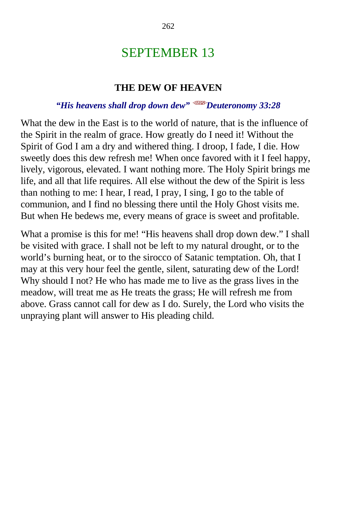#### **THE DEW OF HEAVEN**

## *"His heavens shall drop down dew"*  $\sqrt{2532}$ Deuteronomy 33:28

What the dew in the East is to the world of nature, that is the influence of the Spirit in the realm of grace. How greatly do I need it! Without the Spirit of God I am a dry and withered thing. I droop, I fade, I die. How sweetly does this dew refresh me! When once favored with it I feel happy, lively, vigorous, elevated. I want nothing more. The Holy Spirit brings me life, and all that life requires. All else without the dew of the Spirit is less than nothing to me: I hear, I read, I pray, I sing, I go to the table of communion, and I find no blessing there until the Holy Ghost visits me. But when He bedews me, every means of grace is sweet and profitable.

What a promise is this for me! "His heavens shall drop down dew." I shall be visited with grace. I shall not be left to my natural drought, or to the world's burning heat, or to the sirocco of Satanic temptation. Oh, that I may at this very hour feel the gentle, silent, saturating dew of the Lord! Why should I not? He who has made me to live as the grass lives in the meadow, will treat me as He treats the grass; He will refresh me from above. Grass cannot call for dew as I do. Surely, the Lord who visits the unpraying plant will answer to His pleading child.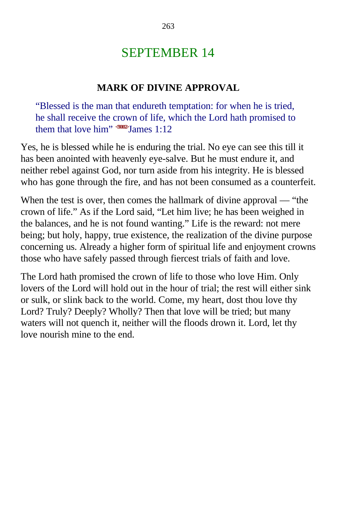### **MARK OF DIVINE APPROVAL**

"Blessed is the man that endureth temptation: for when he is tried, he shall receive the crown of life, which the Lord hath promised to them that love him" **SUL**James 1:12

Yes, he is blessed while he is enduring the trial. No eye can see this till it has been anointed with heavenly eye-salve. But he must endure it, and neither rebel against God, nor turn aside from his integrity. He is blessed who has gone through the fire, and has not been consumed as a counterfeit.

When the test is over, then comes the hallmark of divine approval — "the crown of life." As if the Lord said, "Let him live; he has been weighed in the balances, and he is not found wanting." Life is the reward: not mere being; but holy, happy, true existence, the realization of the divine purpose concerning us. Already a higher form of spiritual life and enjoyment crowns those who have safely passed through fiercest trials of faith and love.

The Lord hath promised the crown of life to those who love Him. Only lovers of the Lord will hold out in the hour of trial; the rest will either sink or sulk, or slink back to the world. Come, my heart, dost thou love thy Lord? Truly? Deeply? Wholly? Then that love will be tried; but many waters will not quench it, neither will the floods drown it. Lord, let thy love nourish mine to the end.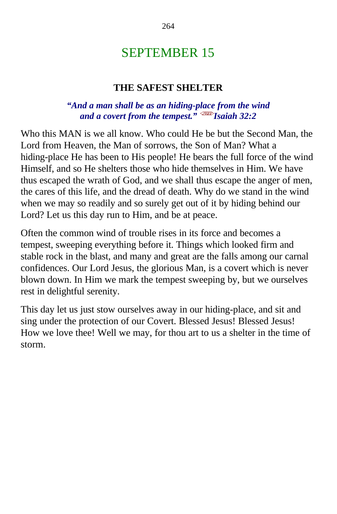### **THE SAFEST SHELTER**

### *"And a man shall be as an hiding-place from the wind and a covert from the tempest.*" <sup>2332</sup>*Isaiah 32:2*

Who this MAN is we all know. Who could He be but the Second Man, the Lord from Heaven, the Man of sorrows, the Son of Man? What a hiding-place He has been to His people! He bears the full force of the wind Himself, and so He shelters those who hide themselves in Him. We have thus escaped the wrath of God, and we shall thus escape the anger of men, the cares of this life, and the dread of death. Why do we stand in the wind when we may so readily and so surely get out of it by hiding behind our Lord? Let us this day run to Him, and be at peace.

Often the common wind of trouble rises in its force and becomes a tempest, sweeping everything before it. Things which looked firm and stable rock in the blast, and many and great are the falls among our carnal confidences. Our Lord Jesus, the glorious Man, is a covert which is never blown down. In Him we mark the tempest sweeping by, but we ourselves rest in delightful serenity.

This day let us just stow ourselves away in our hiding-place, and sit and sing under the protection of our Covert. Blessed Jesus! Blessed Jesus! How we love thee! Well we may, for thou art to us a shelter in the time of storm.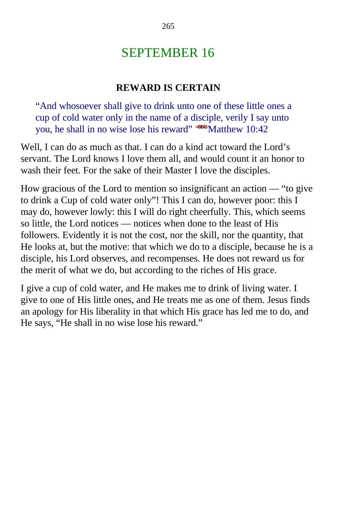## **REWARD IS CERTAIN**

"And whosoever shall give to drink unto one of these little ones a cup of cold water only in the name of a disciple, verily I say unto you, he shall in no wise lose his reward" **ADD**<sup>2</sup>Matthew 10:42

Well, I can do as much as that. I can do a kind act toward the Lord's servant. The Lord knows I love them all, and would count it an honor to wash their feet. For the sake of their Master I love the disciples.

How gracious of the Lord to mention so insignificant an action — "to give to drink a Cup of cold water only"! This I can do, however poor: this I may do, however lowly: this I will do right cheerfully. This, which seems so little, the Lord notices — notices when done to the least of His followers. Evidently it is not the cost, nor the skill, nor the quantity, that He looks at, but the motive: that which we do to a disciple, because he is a disciple, his Lord observes, and recompenses. He does not reward us for the merit of what we do, but according to the riches of His grace.

I give a cup of cold water, and He makes me to drink of living water. I give to one of His little ones, and He treats me as one of them. Jesus finds an apology for His liberality in that which His grace has led me to do, and He says, "He shall in no wise lose his reward."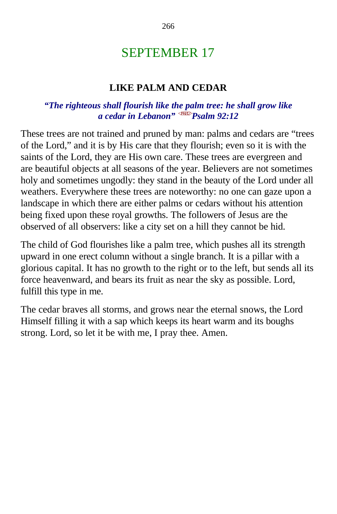## **LIKE PALM AND CEDAR**

### *"The righteous shall flourish like the palm tree: he shall grow like a cedar in Lebanon" <199212>Psalm 92:12*

These trees are not trained and pruned by man: palms and cedars are "trees of the Lord," and it is by His care that they flourish; even so it is with the saints of the Lord, they are His own care. These trees are evergreen and are beautiful objects at all seasons of the year. Believers are not sometimes holy and sometimes ungodly: they stand in the beauty of the Lord under all weathers. Everywhere these trees are noteworthy: no one can gaze upon a landscape in which there are either palms or cedars without his attention being fixed upon these royal growths. The followers of Jesus are the observed of all observers: like a city set on a hill they cannot be hid.

The child of God flourishes like a palm tree, which pushes all its strength upward in one erect column without a single branch. It is a pillar with a glorious capital. It has no growth to the right or to the left, but sends all its force heavenward, and bears its fruit as near the sky as possible. Lord, fulfill this type in me.

The cedar braves all storms, and grows near the eternal snows, the Lord Himself filling it with a sap which keeps its heart warm and its boughs strong. Lord, so let it be with me, I pray thee. Amen.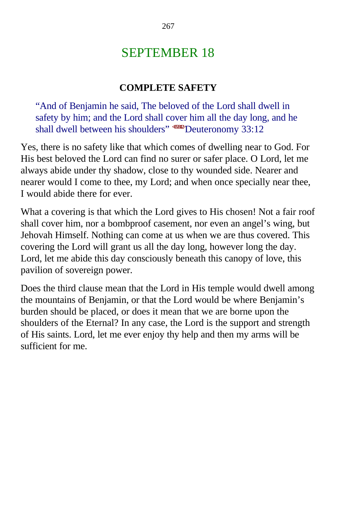### **COMPLETE SAFETY**

"And of Benjamin he said, The beloved of the Lord shall dwell in safety by him; and the Lord shall cover him all the day long, and he shall dwell between his shoulders" **EEP** Deuteronomy 33:12

Yes, there is no safety like that which comes of dwelling near to God. For His best beloved the Lord can find no surer or safer place. O Lord, let me always abide under thy shadow, close to thy wounded side. Nearer and nearer would I come to thee, my Lord; and when once specially near thee, I would abide there for ever.

What a covering is that which the Lord gives to His chosen! Not a fair roof shall cover him, nor a bombproof casement, nor even an angel's wing, but Jehovah Himself. Nothing can come at us when we are thus covered. This covering the Lord will grant us all the day long, however long the day. Lord, let me abide this day consciously beneath this canopy of love, this pavilion of sovereign power.

Does the third clause mean that the Lord in His temple would dwell among the mountains of Benjamin, or that the Lord would be where Benjamin's burden should be placed, or does it mean that we are borne upon the shoulders of the Eternal? In any case, the Lord is the support and strength of His saints. Lord, let me ever enjoy thy help and then my arms will be sufficient for me.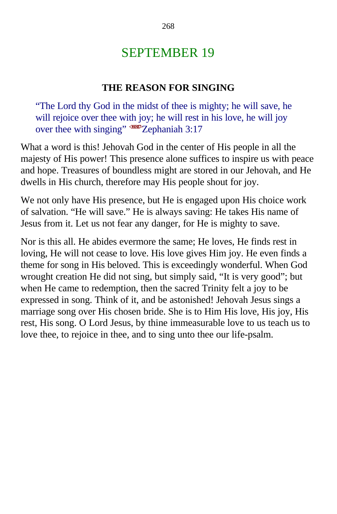## **THE REASON FOR SINGING**

"The Lord thy God in the midst of thee is mighty; he will save, he will rejoice over thee with joy; he will rest in his love, he will joy over thee with singing" *ABD* Zephaniah 3:17

What a word is this! Jehovah God in the center of His people in all the majesty of His power! This presence alone suffices to inspire us with peace and hope. Treasures of boundless might are stored in our Jehovah, and He dwells in His church, therefore may His people shout for joy.

We not only have His presence, but He is engaged upon His choice work of salvation. "He will save." He is always saving: He takes His name of Jesus from it. Let us not fear any danger, for He is mighty to save.

Nor is this all. He abides evermore the same; He loves, He finds rest in loving, He will not cease to love. His love gives Him joy. He even finds a theme for song in His beloved. This is exceedingly wonderful. When God wrought creation He did not sing, but simply said, "It is very good"; but when He came to redemption, then the sacred Trinity felt a joy to be expressed in song. Think of it, and be astonished! Jehovah Jesus sings a marriage song over His chosen bride. She is to Him His love, His joy, His rest, His song. O Lord Jesus, by thine immeasurable love to us teach us to love thee, to rejoice in thee, and to sing unto thee our life-psalm.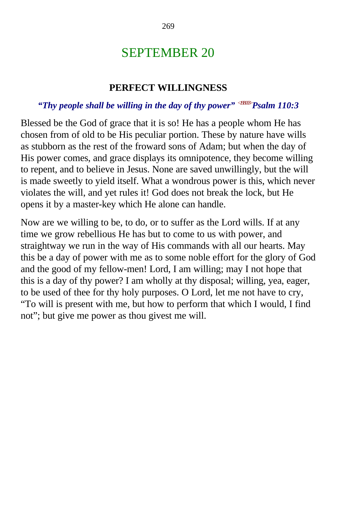### **PERFECT WILLINGNESS**

### *"Thy people shall be willing in the day of thy power" <19B003>Psalm 110:3*

Blessed be the God of grace that it is so! He has a people whom He has chosen from of old to be His peculiar portion. These by nature have wills as stubborn as the rest of the froward sons of Adam; but when the day of His power comes, and grace displays its omnipotence, they become willing to repent, and to believe in Jesus. None are saved unwillingly, but the will is made sweetly to yield itself. What a wondrous power is this, which never violates the will, and yet rules it! God does not break the lock, but He opens it by a master-key which He alone can handle.

Now are we willing to be, to do, or to suffer as the Lord wills. If at any time we grow rebellious He has but to come to us with power, and straightway we run in the way of His commands with all our hearts. May this be a day of power with me as to some noble effort for the glory of God and the good of my fellow-men! Lord, I am willing; may I not hope that this is a day of thy power? I am wholly at thy disposal; willing, yea, eager, to be used of thee for thy holy purposes. O Lord, let me not have to cry, "To will is present with me, but how to perform that which I would, I find not"; but give me power as thou givest me will.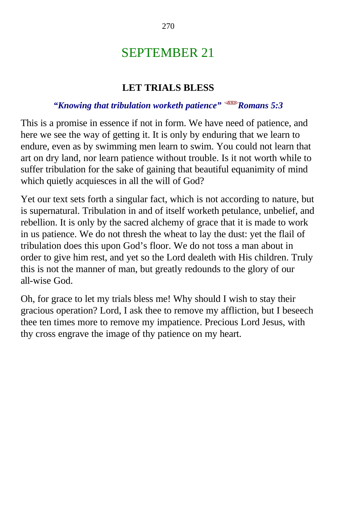## **LET TRIALS BLESS**

### *"Knowing that tribulation worketh patience" <450503>Romans 5:3*

This is a promise in essence if not in form. We have need of patience, and here we see the way of getting it. It is only by enduring that we learn to endure, even as by swimming men learn to swim. You could not learn that art on dry land, nor learn patience without trouble. Is it not worth while to suffer tribulation for the sake of gaining that beautiful equanimity of mind which quietly acquiesces in all the will of God?

Yet our text sets forth a singular fact, which is not according to nature, but is supernatural. Tribulation in and of itself worketh petulance, unbelief, and rebellion. It is only by the sacred alchemy of grace that it is made to work in us patience. We do not thresh the wheat to lay the dust: yet the flail of tribulation does this upon God's floor. We do not toss a man about in order to give him rest, and yet so the Lord dealeth with His children. Truly this is not the manner of man, but greatly redounds to the glory of our all-wise God.

Oh, for grace to let my trials bless me! Why should I wish to stay their gracious operation? Lord, I ask thee to remove my affliction, but I beseech thee ten times more to remove my impatience. Precious Lord Jesus, with thy cross engrave the image of thy patience on my heart.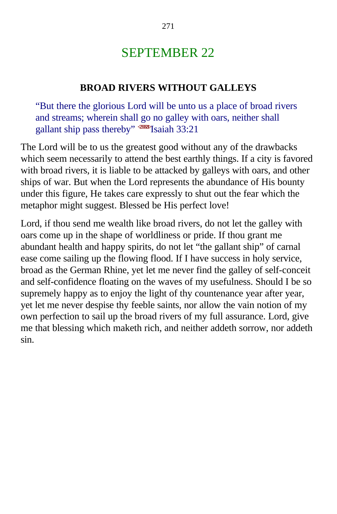### **BROAD RIVERS WITHOUT GALLEYS**

"But there the glorious Lord will be unto us a place of broad rivers and streams; wherein shall go no galley with oars, neither shall gallant ship pass thereby" **<233321>**Isaiah 33:21

The Lord will be to us the greatest good without any of the drawbacks which seem necessarily to attend the best earthly things. If a city is favored with broad rivers, it is liable to be attacked by galleys with oars, and other ships of war. But when the Lord represents the abundance of His bounty under this figure, He takes care expressly to shut out the fear which the metaphor might suggest. Blessed be His perfect love!

Lord, if thou send me wealth like broad rivers, do not let the galley with oars come up in the shape of worldliness or pride. If thou grant me abundant health and happy spirits, do not let "the gallant ship" of carnal ease come sailing up the flowing flood. If I have success in holy service, broad as the German Rhine, yet let me never find the galley of self-conceit and self-confidence floating on the waves of my usefulness. Should I be so supremely happy as to enjoy the light of thy countenance year after year, yet let me never despise thy feeble saints, nor allow the vain notion of my own perfection to sail up the broad rivers of my full assurance. Lord, give me that blessing which maketh rich, and neither addeth sorrow, nor addeth sin.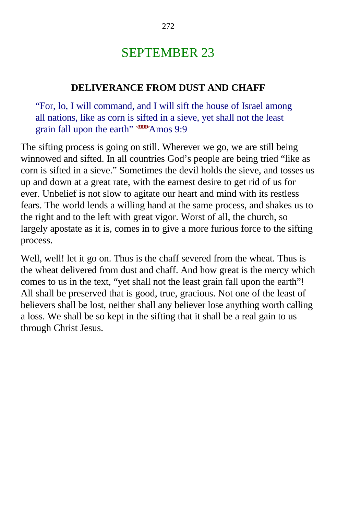#### **DELIVERANCE FROM DUST AND CHAFF**

"For, lo, I will command, and I will sift the house of Israel among all nations, like as corn is sifted in a sieve, yet shall not the least grain fall upon the earth"  $\frac{3000}{2}$ Amos 9:9

The sifting process is going on still. Wherever we go, we are still being winnowed and sifted. In all countries God's people are being tried "like as corn is sifted in a sieve." Sometimes the devil holds the sieve, and tosses us up and down at a great rate, with the earnest desire to get rid of us for ever. Unbelief is not slow to agitate our heart and mind with its restless fears. The world lends a willing hand at the same process, and shakes us to the right and to the left with great vigor. Worst of all, the church, so largely apostate as it is, comes in to give a more furious force to the sifting process.

Well, well! let it go on. Thus is the chaff severed from the wheat. Thus is the wheat delivered from dust and chaff. And how great is the mercy which comes to us in the text, "yet shall not the least grain fall upon the earth"! All shall be preserved that is good, true, gracious. Not one of the least of believers shall be lost, neither shall any believer lose anything worth calling a loss. We shall be so kept in the sifting that it shall be a real gain to us through Christ Jesus.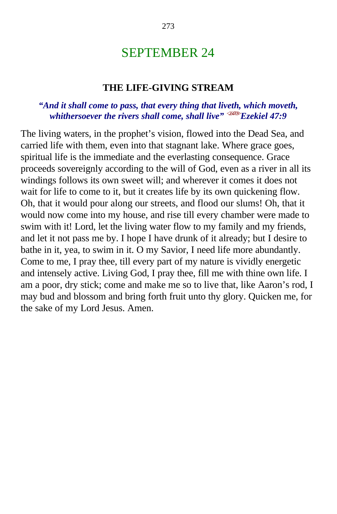#### **THE LIFE-GIVING STREAM**

#### *"And it shall come to pass, that every thing that liveth, which moveth, whithersoever the rivers shall come, shall live*" <sup>26409</sup> Ezekiel 47:9

The living waters, in the prophet's vision, flowed into the Dead Sea, and carried life with them, even into that stagnant lake. Where grace goes, spiritual life is the immediate and the everlasting consequence. Grace proceeds sovereignly according to the will of God, even as a river in all its windings follows its own sweet will; and wherever it comes it does not wait for life to come to it, but it creates life by its own quickening flow. Oh, that it would pour along our streets, and flood our slums! Oh, that it would now come into my house, and rise till every chamber were made to swim with it! Lord, let the living water flow to my family and my friends, and let it not pass me by. I hope I have drunk of it already; but I desire to bathe in it, yea, to swim in it. O my Savior, I need life more abundantly. Come to me, I pray thee, till every part of my nature is vividly energetic and intensely active. Living God, I pray thee, fill me with thine own life. I am a poor, dry stick; come and make me so to live that, like Aaron's rod, I may bud and blossom and bring forth fruit unto thy glory. Quicken me, for the sake of my Lord Jesus. Amen.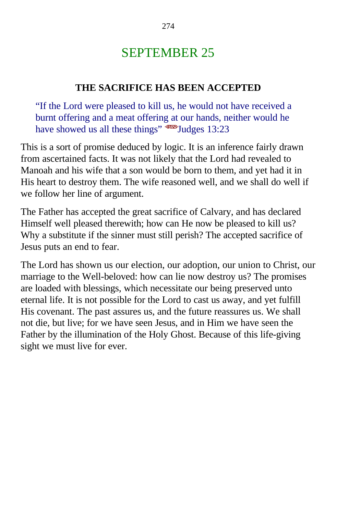### **THE SACRIFICE HAS BEEN ACCEPTED**

"If the Lord were pleased to kill us, he would not have received a burnt offering and a meat offering at our hands, neither would he have showed us all these things" *ITES*Judges 13:23

This is a sort of promise deduced by logic. It is an inference fairly drawn from ascertained facts. It was not likely that the Lord had revealed to Manoah and his wife that a son would be born to them, and yet had it in His heart to destroy them. The wife reasoned well, and we shall do well if we follow her line of argument.

The Father has accepted the great sacrifice of Calvary, and has declared Himself well pleased therewith; how can He now be pleased to kill us? Why a substitute if the sinner must still perish? The accepted sacrifice of Jesus puts an end to fear.

The Lord has shown us our election, our adoption, our union to Christ, our marriage to the Well-beloved: how can lie now destroy us? The promises are loaded with blessings, which necessitate our being preserved unto eternal life. It is not possible for the Lord to cast us away, and yet fulfill His covenant. The past assures us, and the future reassures us. We shall not die, but live; for we have seen Jesus, and in Him we have seen the Father by the illumination of the Holy Ghost. Because of this life-giving sight we must live for ever.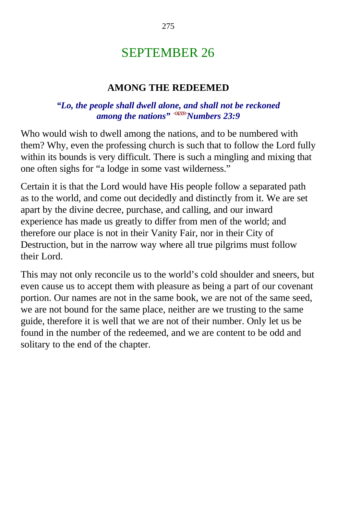## **AMONG THE REDEEMED**

### *"Lo, the people shall dwell alone, and shall not be reckoned among the nations" <042309>Numbers 23:9*

Who would wish to dwell among the nations, and to be numbered with them? Why, even the professing church is such that to follow the Lord fully within its bounds is very difficult. There is such a mingling and mixing that one often sighs for "a lodge in some vast wilderness."

Certain it is that the Lord would have His people follow a separated path as to the world, and come out decidedly and distinctly from it. We are set apart by the divine decree, purchase, and calling, and our inward experience has made us greatly to differ from men of the world; and therefore our place is not in their Vanity Fair, nor in their City of Destruction, but in the narrow way where all true pilgrims must follow their Lord.

This may not only reconcile us to the world's cold shoulder and sneers, but even cause us to accept them with pleasure as being a part of our covenant portion. Our names are not in the same book, we are not of the same seed, we are not bound for the same place, neither are we trusting to the same guide, therefore it is well that we are not of their number. Only let us be found in the number of the redeemed, and we are content to be odd and solitary to the end of the chapter.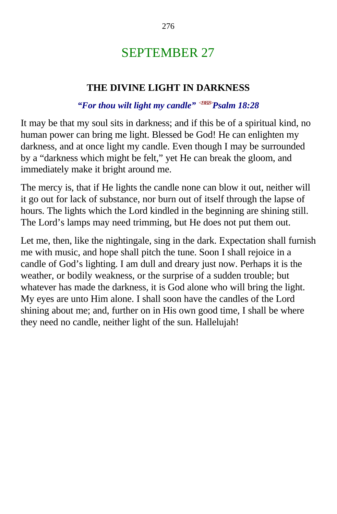### **THE DIVINE LIGHT IN DARKNESS**

### *"For thou wilt light my candle" <191828>Psalm 18:28*

It may be that my soul sits in darkness; and if this be of a spiritual kind, no human power can bring me light. Blessed be God! He can enlighten my darkness, and at once light my candle. Even though I may be surrounded by a "darkness which might be felt," yet He can break the gloom, and immediately make it bright around me.

The mercy is, that if He lights the candle none can blow it out, neither will it go out for lack of substance, nor burn out of itself through the lapse of hours. The lights which the Lord kindled in the beginning are shining still. The Lord's lamps may need trimming, but He does not put them out.

Let me, then, like the nightingale, sing in the dark. Expectation shall furnish me with music, and hope shall pitch the tune. Soon I shall rejoice in a candle of God's lighting. I am dull and dreary just now. Perhaps it is the weather, or bodily weakness, or the surprise of a sudden trouble; but whatever has made the darkness, it is God alone who will bring the light. My eyes are unto Him alone. I shall soon have the candles of the Lord shining about me; and, further on in His own good time, I shall be where they need no candle, neither light of the sun. Hallelujah!

276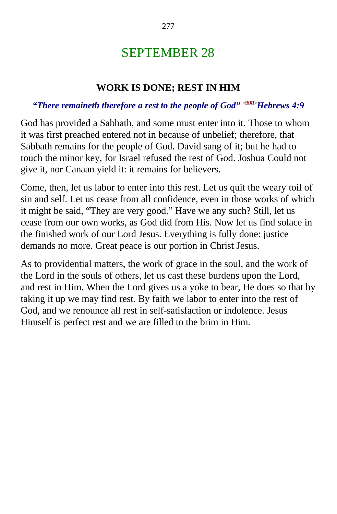### **WORK IS DONE; REST IN HIM**

### *"There remaineth therefore a rest to the people of God"*  $\frac{\text{SMD}}{\text{SMD}}$ *Hebrews 4:9*

God has provided a Sabbath, and some must enter into it. Those to whom it was first preached entered not in because of unbelief; therefore, that Sabbath remains for the people of God. David sang of it; but he had to touch the minor key, for Israel refused the rest of God. Joshua Could not give it, nor Canaan yield it: it remains for believers.

Come, then, let us labor to enter into this rest. Let us quit the weary toil of sin and self. Let us cease from all confidence, even in those works of which it might be said, "They are very good." Have we any such? Still, let us cease from our own works, as God did from His. Now let us find solace in the finished work of our Lord Jesus. Everything is fully done: justice demands no more. Great peace is our portion in Christ Jesus.

As to providential matters, the work of grace in the soul, and the work of the Lord in the souls of others, let us cast these burdens upon the Lord, and rest in Him. When the Lord gives us a yoke to bear, He does so that by taking it up we may find rest. By faith we labor to enter into the rest of God, and we renounce all rest in self-satisfaction or indolence. Jesus Himself is perfect rest and we are filled to the brim in Him.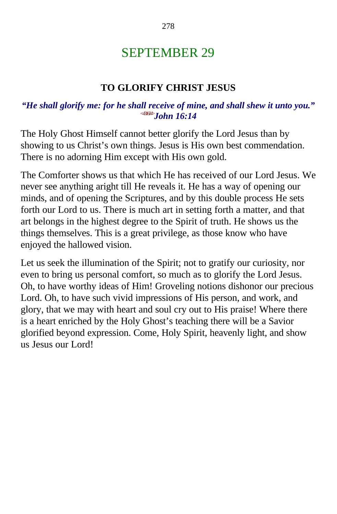### **TO GLORIFY CHRIST JESUS**

### *"He shall glorify me: for he shall receive of mine, and shall shew it unto you." <431614>John 16:14*

The Holy Ghost Himself cannot better glorify the Lord Jesus than by showing to us Christ's own things. Jesus is His own best commendation. There is no adorning Him except with His own gold.

The Comforter shows us that which He has received of our Lord Jesus. We never see anything aright till He reveals it. He has a way of opening our minds, and of opening the Scriptures, and by this double process He sets forth our Lord to us. There is much art in setting forth a matter, and that art belongs in the highest degree to the Spirit of truth. He shows us the things themselves. This is a great privilege, as those know who have enjoyed the hallowed vision.

Let us seek the illumination of the Spirit; not to gratify our curiosity, nor even to bring us personal comfort, so much as to glorify the Lord Jesus. Oh, to have worthy ideas of Him! Groveling notions dishonor our precious Lord. Oh, to have such vivid impressions of His person, and work, and glory, that we may with heart and soul cry out to His praise! Where there is a heart enriched by the Holy Ghost's teaching there will be a Savior glorified beyond expression. Come, Holy Spirit, heavenly light, and show us Jesus our Lord!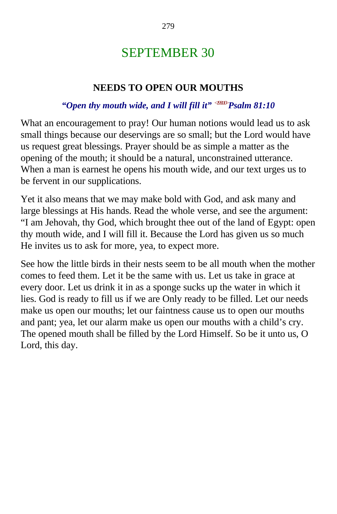### **NEEDS TO OPEN OUR MOUTHS**

### *"Open thy mouth wide, and I will fill it"* <sup> $\triangle B2D$ </sup> *Psalm 81:10*

What an encouragement to pray! Our human notions would lead us to ask small things because our deservings are so small; but the Lord would have us request great blessings. Prayer should be as simple a matter as the opening of the mouth; it should be a natural, unconstrained utterance. When a man is earnest he opens his mouth wide, and our text urges us to be fervent in our supplications.

Yet it also means that we may make bold with God, and ask many and large blessings at His hands. Read the whole verse, and see the argument: "I am Jehovah, thy God, which brought thee out of the land of Egypt: open thy mouth wide, and I will fill it. Because the Lord has given us so much He invites us to ask for more, yea, to expect more.

See how the little birds in their nests seem to be all mouth when the mother comes to feed them. Let it be the same with us. Let us take in grace at every door. Let us drink it in as a sponge sucks up the water in which it lies. God is ready to fill us if we are Only ready to be filled. Let our needs make us open our mouths; let our faintness cause us to open our mouths and pant; yea, let our alarm make us open our mouths with a child's cry. The opened mouth shall be filled by the Lord Himself. So be it unto us, O Lord, this day.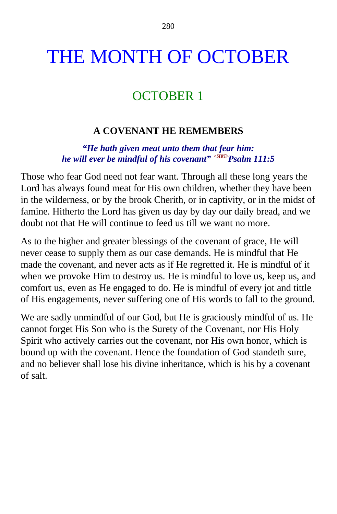# THE MONTH OF OCTOBER

## OCTOBER 1

## **A COVENANT HE REMEMBERS**

*"He hath given meat unto them that fear him: he will ever be mindful of his covenant" <19B105>Psalm 111:5*

Those who fear God need not fear want. Through all these long years the Lord has always found meat for His own children, whether they have been in the wilderness, or by the brook Cherith, or in captivity, or in the midst of famine. Hitherto the Lord has given us day by day our daily bread, and we doubt not that He will continue to feed us till we want no more.

As to the higher and greater blessings of the covenant of grace, He will never cease to supply them as our case demands. He is mindful that He made the covenant, and never acts as if He regretted it. He is mindful of it when we provoke Him to destroy us. He is mindful to love us, keep us, and comfort us, even as He engaged to do. He is mindful of every jot and tittle of His engagements, never suffering one of His words to fall to the ground.

We are sadly unmindful of our God, but He is graciously mindful of us. He cannot forget His Son who is the Surety of the Covenant, nor His Holy Spirit who actively carries out the covenant, nor His own honor, which is bound up with the covenant. Hence the foundation of God standeth sure, and no believer shall lose his divine inheritance, which is his by a covenant of salt.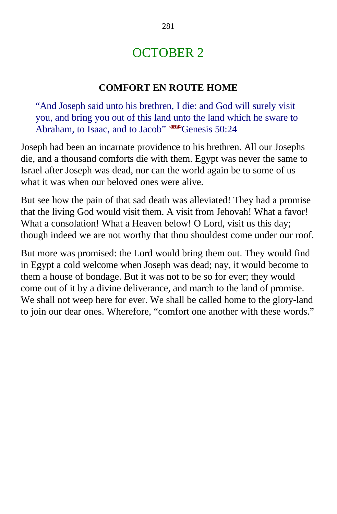### **COMFORT EN ROUTE HOME**

"And Joseph said unto his brethren, I die: and God will surely visit you, and bring you out of this land unto the land which he sware to Abraham, to Isaac, and to Jacob" **<015024>**Genesis 50:24

Joseph had been an incarnate providence to his brethren. All our Josephs die, and a thousand comforts die with them. Egypt was never the same to Israel after Joseph was dead, nor can the world again be to some of us what it was when our beloved ones were alive.

But see how the pain of that sad death was alleviated! They had a promise that the living God would visit them. A visit from Jehovah! What a favor! What a consolation! What a Heaven below! O Lord, visit us this day; though indeed we are not worthy that thou shouldest come under our roof.

But more was promised: the Lord would bring them out. They would find in Egypt a cold welcome when Joseph was dead; nay, it would become to them a house of bondage. But it was not to be so for ever; they would come out of it by a divine deliverance, and march to the land of promise. We shall not weep here for ever. We shall be called home to the glory-land to join our dear ones. Wherefore, "comfort one another with these words."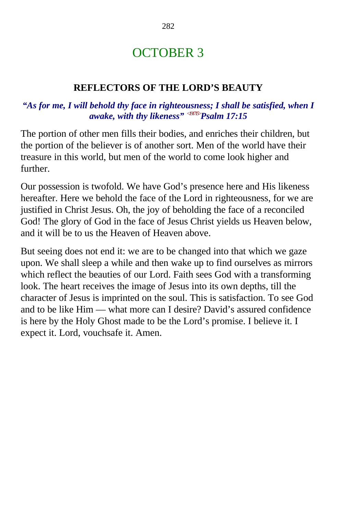### **REFLECTORS OF THE LORD'S BEAUTY**

### *"As for me, I will behold thy face in righteousness; I shall be satisfied, when I awake, with thy likeness" <191715>Psalm 17:15*

The portion of other men fills their bodies, and enriches their children, but the portion of the believer is of another sort. Men of the world have their treasure in this world, but men of the world to come look higher and further.

Our possession is twofold. We have God's presence here and His likeness hereafter. Here we behold the face of the Lord in righteousness, for we are justified in Christ Jesus. Oh, the joy of beholding the face of a reconciled God! The glory of God in the face of Jesus Christ yields us Heaven below, and it will be to us the Heaven of Heaven above.

But seeing does not end it: we are to be changed into that which we gaze upon. We shall sleep a while and then wake up to find ourselves as mirrors which reflect the beauties of our Lord. Faith sees God with a transforming look. The heart receives the image of Jesus into its own depths, till the character of Jesus is imprinted on the soul. This is satisfaction. To see God and to be like Him — what more can I desire? David's assured confidence is here by the Holy Ghost made to be the Lord's promise. I believe it. I expect it. Lord, vouchsafe it. Amen.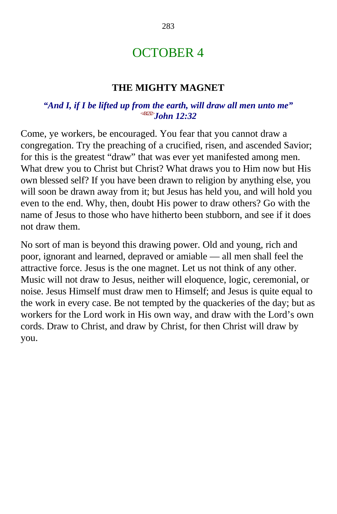#### **THE MIGHTY MAGNET**

#### *"And I, if I be lifted up from the earth, will draw all men unto me" <431232>John 12:32*

Come, ye workers, be encouraged. You fear that you cannot draw a congregation. Try the preaching of a crucified, risen, and ascended Savior; for this is the greatest "draw" that was ever yet manifested among men. What drew you to Christ but Christ? What draws you to Him now but His own blessed self? If you have been drawn to religion by anything else, you will soon be drawn away from it; but Jesus has held you, and will hold you even to the end. Why, then, doubt His power to draw others? Go with the name of Jesus to those who have hitherto been stubborn, and see if it does not draw them.

No sort of man is beyond this drawing power. Old and young, rich and poor, ignorant and learned, depraved or amiable — all men shall feel the attractive force. Jesus is the one magnet. Let us not think of any other. Music will not draw to Jesus, neither will eloquence, logic, ceremonial, or noise. Jesus Himself must draw men to Himself; and Jesus is quite equal to the work in every case. Be not tempted by the quackeries of the day; but as workers for the Lord work in His own way, and draw with the Lord's own cords. Draw to Christ, and draw by Christ, for then Christ will draw by you.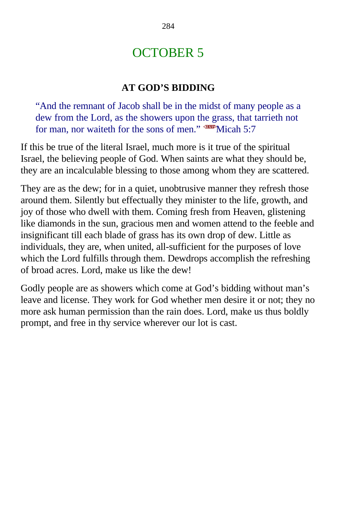## **AT GOD'S BIDDING**

"And the remnant of Jacob shall be in the midst of many people as a dew from the Lord, as the showers upon the grass, that tarrieth not for man, nor waiteth for the sons of men." **ANDIMEX** 5:7

If this be true of the literal Israel, much more is it true of the spiritual Israel, the believing people of God. When saints are what they should be, they are an incalculable blessing to those among whom they are scattered.

They are as the dew; for in a quiet, unobtrusive manner they refresh those around them. Silently but effectually they minister to the life, growth, and joy of those who dwell with them. Coming fresh from Heaven, glistening like diamonds in the sun, gracious men and women attend to the feeble and insignificant till each blade of grass has its own drop of dew. Little as individuals, they are, when united, all-sufficient for the purposes of love which the Lord fulfills through them. Dewdrops accomplish the refreshing of broad acres. Lord, make us like the dew!

Godly people are as showers which come at God's bidding without man's leave and license. They work for God whether men desire it or not; they no more ask human permission than the rain does. Lord, make us thus boldly prompt, and free in thy service wherever our lot is cast.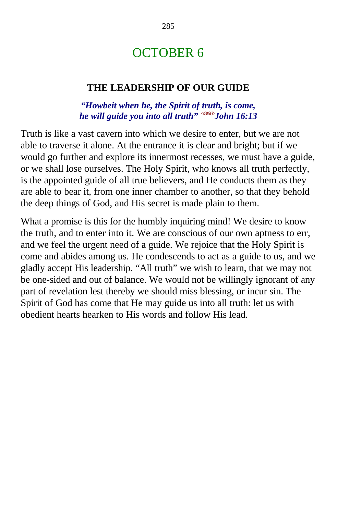### **THE LEADERSHIP OF OUR GUIDE**

#### *"Howbeit when he, the Spirit of truth, is come, he will guide you into all truth*" <sup>*AKB3*</sup>*John 16:13*

Truth is like a vast cavern into which we desire to enter, but we are not able to traverse it alone. At the entrance it is clear and bright; but if we would go further and explore its innermost recesses, we must have a guide, or we shall lose ourselves. The Holy Spirit, who knows all truth perfectly, is the appointed guide of all true believers, and He conducts them as they are able to bear it, from one inner chamber to another, so that they behold the deep things of God, and His secret is made plain to them.

What a promise is this for the humbly inquiring mind! We desire to know the truth, and to enter into it. We are conscious of our own aptness to err, and we feel the urgent need of a guide. We rejoice that the Holy Spirit is come and abides among us. He condescends to act as a guide to us, and we gladly accept His leadership. "All truth" we wish to learn, that we may not be one-sided and out of balance. We would not be willingly ignorant of any part of revelation lest thereby we should miss blessing, or incur sin. The Spirit of God has come that He may guide us into all truth: let us with obedient hearts hearken to His words and follow His lead.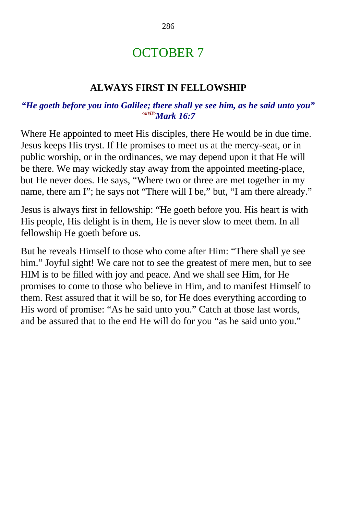### **ALWAYS FIRST IN FELLOWSHIP**

### *"He goeth before you into Galilee; there shall ye see him, as he said unto you" <411607>Mark 16:7*

Where He appointed to meet His disciples, there He would be in due time. Jesus keeps His tryst. If He promises to meet us at the mercy-seat, or in public worship, or in the ordinances, we may depend upon it that He will be there. We may wickedly stay away from the appointed meeting-place, but He never does. He says, "Where two or three are met together in my name, there am I"; he says not "There will I be," but, "I am there already."

Jesus is always first in fellowship: "He goeth before you. His heart is with His people, His delight is in them, He is never slow to meet them. In all fellowship He goeth before us.

But he reveals Himself to those who come after Him: "There shall ye see him." Joyful sight! We care not to see the greatest of mere men, but to see HIM is to be filled with joy and peace. And we shall see Him, for He promises to come to those who believe in Him, and to manifest Himself to them. Rest assured that it will be so, for He does everything according to His word of promise: "As he said unto you." Catch at those last words, and be assured that to the end He will do for you "as he said unto you."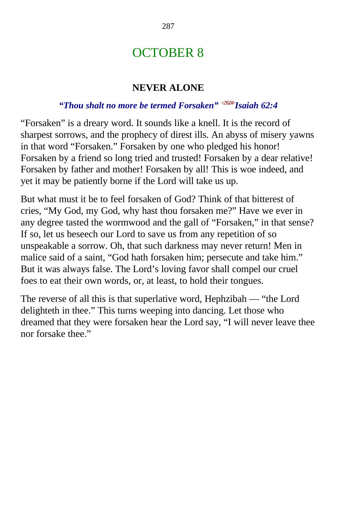### **NEVER ALONE**

### *"Thou shalt no more be termed Forsaken" <236204>Isaiah 62:4*

"Forsaken" is a dreary word. It sounds like a knell. It is the record of sharpest sorrows, and the prophecy of direst ills. An abyss of misery yawns in that word "Forsaken." Forsaken by one who pledged his honor! Forsaken by a friend so long tried and trusted! Forsaken by a dear relative! Forsaken by father and mother! Forsaken by all! This is woe indeed, and yet it may be patiently borne if the Lord will take us up.

But what must it be to feel forsaken of God? Think of that bitterest of cries, "My God, my God, why hast thou forsaken me?" Have we ever in any degree tasted the wormwood and the gall of "Forsaken," in that sense? If so, let us beseech our Lord to save us from any repetition of so unspeakable a sorrow. Oh, that such darkness may never return! Men in malice said of a saint, "God hath forsaken him; persecute and take him." But it was always false. The Lord's loving favor shall compel our cruel foes to eat their own words, or, at least, to hold their tongues.

The reverse of all this is that superlative word, Hephzibah — "the Lord delighteth in thee." This turns weeping into dancing. Let those who dreamed that they were forsaken hear the Lord say, "I will never leave thee nor forsake thee."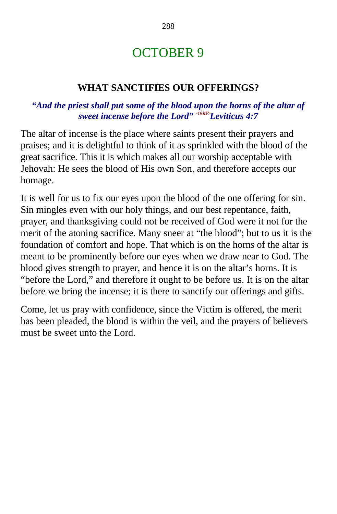## **WHAT SANCTIFIES OUR OFFERINGS?**

### *"And the priest shall put some of the blood upon the horns of the altar of sweet incense before the Lord*<sup>*n*</sup>  $\frac{\partial 0}{\partial T}$ *Leviticus* 4:7

The altar of incense is the place where saints present their prayers and praises; and it is delightful to think of it as sprinkled with the blood of the great sacrifice. This it is which makes all our worship acceptable with Jehovah: He sees the blood of His own Son, and therefore accepts our homage.

It is well for us to fix our eyes upon the blood of the one offering for sin. Sin mingles even with our holy things, and our best repentance, faith, prayer, and thanksgiving could not be received of God were it not for the merit of the atoning sacrifice. Many sneer at "the blood"; but to us it is the foundation of comfort and hope. That which is on the horns of the altar is meant to be prominently before our eyes when we draw near to God. The blood gives strength to prayer, and hence it is on the altar's horns. It is "before the Lord," and therefore it ought to be before us. It is on the altar before we bring the incense; it is there to sanctify our offerings and gifts.

Come, let us pray with confidence, since the Victim is offered, the merit has been pleaded, the blood is within the veil, and the prayers of believers must be sweet unto the Lord.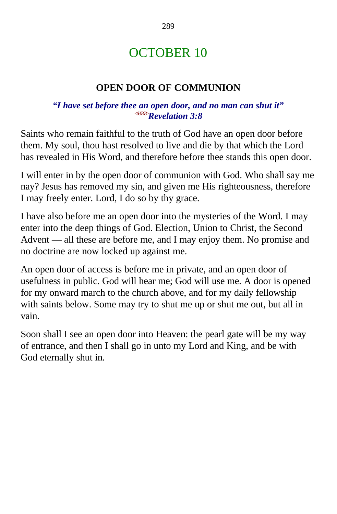### **OPEN DOOR OF COMMUNION**

#### *"I have set before thee an open door, and no man can shut it" <660308>Revelation 3:8*

Saints who remain faithful to the truth of God have an open door before them. My soul, thou hast resolved to live and die by that which the Lord has revealed in His Word, and therefore before thee stands this open door.

I will enter in by the open door of communion with God. Who shall say me nay? Jesus has removed my sin, and given me His righteousness, therefore I may freely enter. Lord, I do so by thy grace.

I have also before me an open door into the mysteries of the Word. I may enter into the deep things of God. Election, Union to Christ, the Second Advent — all these are before me, and I may enjoy them. No promise and no doctrine are now locked up against me.

An open door of access is before me in private, and an open door of usefulness in public. God will hear me; God will use me. A door is opened for my onward march to the church above, and for my daily fellowship with saints below. Some may try to shut me up or shut me out, but all in vain.

Soon shall I see an open door into Heaven: the pearl gate will be my way of entrance, and then I shall go in unto my Lord and King, and be with God eternally shut in.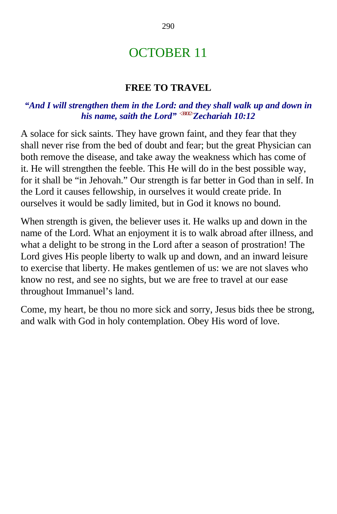### **FREE TO TRAVEL**

#### *"And I will strengthen them in the Lord: and they shall walk up and down in his name, saith the Lord" <381012>Zechariah 10:12*

A solace for sick saints. They have grown faint, and they fear that they shall never rise from the bed of doubt and fear; but the great Physician can both remove the disease, and take away the weakness which has come of it. He will strengthen the feeble. This He will do in the best possible way, for it shall be "in Jehovah." Our strength is far better in God than in self. In the Lord it causes fellowship, in ourselves it would create pride. In ourselves it would be sadly limited, but in God it knows no bound.

When strength is given, the believer uses it. He walks up and down in the name of the Lord. What an enjoyment it is to walk abroad after illness, and what a delight to be strong in the Lord after a season of prostration! The Lord gives His people liberty to walk up and down, and an inward leisure to exercise that liberty. He makes gentlemen of us: we are not slaves who know no rest, and see no sights, but we are free to travel at our ease throughout Immanuel's land.

Come, my heart, be thou no more sick and sorry, Jesus bids thee be strong, and walk with God in holy contemplation. Obey His word of love.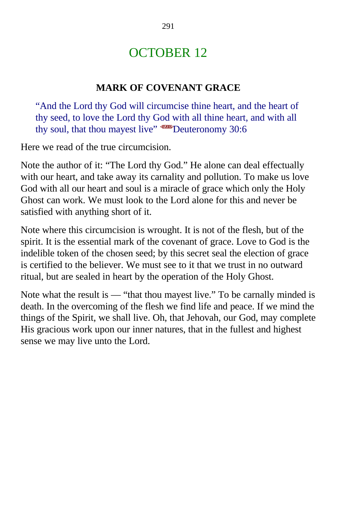#### **MARK OF COVENANT GRACE**

"And the Lord thy God will circumcise thine heart, and the heart of thy seed, to love the Lord thy God with all thine heart, and with all thy soul, that thou mayest live" **EUG** Deuteronomy 30:6

Here we read of the true circumcision.

Note the author of it: "The Lord thy God." He alone can deal effectually with our heart, and take away its carnality and pollution. To make us love God with all our heart and soul is a miracle of grace which only the Holy Ghost can work. We must look to the Lord alone for this and never be satisfied with anything short of it.

Note where this circumcision is wrought. It is not of the flesh, but of the spirit. It is the essential mark of the covenant of grace. Love to God is the indelible token of the chosen seed; by this secret seal the election of grace is certified to the believer. We must see to it that we trust in no outward ritual, but are sealed in heart by the operation of the Holy Ghost.

Note what the result is — "that thou mayest live." To be carnally minded is death. In the overcoming of the flesh we find life and peace. If we mind the things of the Spirit, we shall live. Oh, that Jehovah, our God, may complete His gracious work upon our inner natures, that in the fullest and highest sense we may live unto the Lord.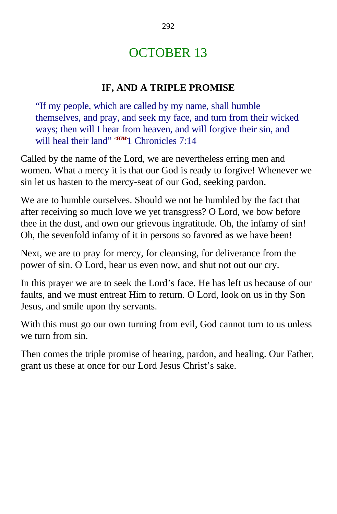### **IF, AND A TRIPLE PROMISE**

"If my people, which are called by my name, shall humble themselves, and pray, and seek my face, and turn from their wicked ways; then will I hear from heaven, and will forgive their sin, and will heal their land"  $\frac{4304}{1}$  Chronicles 7:14

Called by the name of the Lord, we are nevertheless erring men and women. What a mercy it is that our God is ready to forgive! Whenever we sin let us hasten to the mercy-seat of our God, seeking pardon.

We are to humble ourselves. Should we not be humbled by the fact that after receiving so much love we yet transgress? O Lord, we bow before thee in the dust, and own our grievous ingratitude. Oh, the infamy of sin! Oh, the sevenfold infamy of it in persons so favored as we have been!

Next, we are to pray for mercy, for cleansing, for deliverance from the power of sin. O Lord, hear us even now, and shut not out our cry.

In this prayer we are to seek the Lord's face. He has left us because of our faults, and we must entreat Him to return. O Lord, look on us in thy Son Jesus, and smile upon thy servants.

With this must go our own turning from evil, God cannot turn to us unless we turn from sin.

Then comes the triple promise of hearing, pardon, and healing. Our Father, grant us these at once for our Lord Jesus Christ's sake.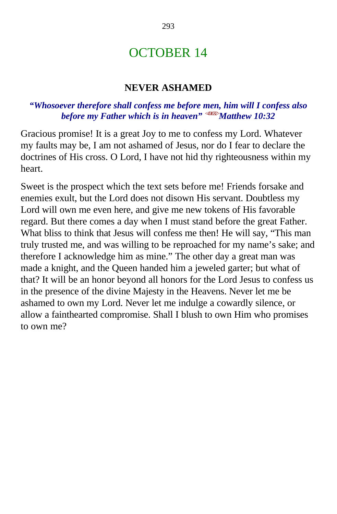#### **NEVER ASHAMED**

#### *"Whosoever therefore shall confess me before men, him will I confess also before my Father which is in heaven*<sup>"</sup> <sup>4002</sup> *Matthew 10:32*

Gracious promise! It is a great Joy to me to confess my Lord. Whatever my faults may be, I am not ashamed of Jesus, nor do I fear to declare the doctrines of His cross. O Lord, I have not hid thy righteousness within my heart.

Sweet is the prospect which the text sets before me! Friends forsake and enemies exult, but the Lord does not disown His servant. Doubtless my Lord will own me even here, and give me new tokens of His favorable regard. But there comes a day when I must stand before the great Father. What bliss to think that Jesus will confess me then! He will say, "This man truly trusted me, and was willing to be reproached for my name's sake; and therefore I acknowledge him as mine." The other day a great man was made a knight, and the Queen handed him a jeweled garter; but what of that? It will be an honor beyond all honors for the Lord Jesus to confess us in the presence of the divine Majesty in the Heavens. Never let me be ashamed to own my Lord. Never let me indulge a cowardly silence, or allow a fainthearted compromise. Shall I blush to own Him who promises to own me?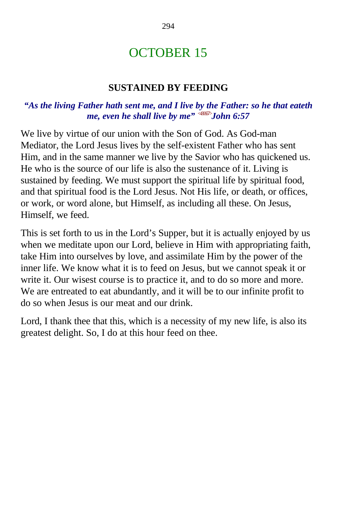### **SUSTAINED BY FEEDING**

### *"As the living Father hath sent me, and I live by the Father: so he that eateth me, even he shall live by me" <430657>John 6:57*

We live by virtue of our union with the Son of God. As God-man Mediator, the Lord Jesus lives by the self-existent Father who has sent Him, and in the same manner we live by the Savior who has quickened us. He who is the source of our life is also the sustenance of it. Living is sustained by feeding. We must support the spiritual life by spiritual food, and that spiritual food is the Lord Jesus. Not His life, or death, or offices, or work, or word alone, but Himself, as including all these. On Jesus, Himself, we feed.

This is set forth to us in the Lord's Supper, but it is actually enjoyed by us when we meditate upon our Lord, believe in Him with appropriating faith, take Him into ourselves by love, and assimilate Him by the power of the inner life. We know what it is to feed on Jesus, but we cannot speak it or write it. Our wisest course is to practice it, and to do so more and more. We are entreated to eat abundantly, and it will be to our infinite profit to do so when Jesus is our meat and our drink.

Lord, I thank thee that this, which is a necessity of my new life, is also its greatest delight. So, I do at this hour feed on thee.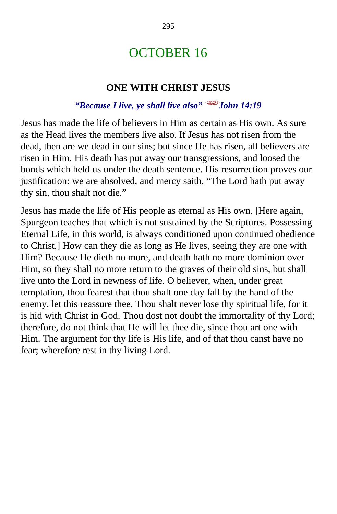#### **ONE WITH CHRIST JESUS**

#### *"Because I live, ye shall live also"* <sup>*AHD*</sup>*John 14:19*

Jesus has made the life of believers in Him as certain as His own. As sure as the Head lives the members live also. If Jesus has not risen from the dead, then are we dead in our sins; but since He has risen, all believers are risen in Him. His death has put away our transgressions, and loosed the bonds which held us under the death sentence. His resurrection proves our justification: we are absolved, and mercy saith, "The Lord hath put away thy sin, thou shalt not die."

Jesus has made the life of His people as eternal as His own. [Here again, Spurgeon teaches that which is not sustained by the Scriptures. Possessing Eternal Life, in this world, is always conditioned upon continued obedience to Christ.] How can they die as long as He lives, seeing they are one with Him? Because He dieth no more, and death hath no more dominion over Him, so they shall no more return to the graves of their old sins, but shall live unto the Lord in newness of life. O believer, when, under great temptation, thou fearest that thou shalt one day fall by the hand of the enemy, let this reassure thee. Thou shalt never lose thy spiritual life, for it is hid with Christ in God. Thou dost not doubt the immortality of thy Lord; therefore, do not think that He will let thee die, since thou art one with Him. The argument for thy life is His life, and of that thou canst have no fear; wherefore rest in thy living Lord.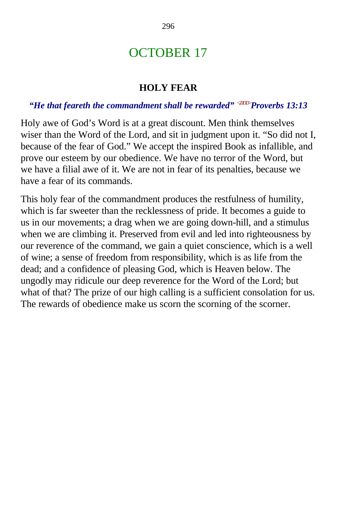#### **HOLY FEAR**

### *"He that feareth the commandment shall be rewarded" <201313>Proverbs 13:13*

Holy awe of God's Word is at a great discount. Men think themselves wiser than the Word of the Lord, and sit in judgment upon it. "So did not I, because of the fear of God." We accept the inspired Book as infallible, and prove our esteem by our obedience. We have no terror of the Word, but we have a filial awe of it. We are not in fear of its penalties, because we have a fear of its commands.

This holy fear of the commandment produces the restfulness of humility, which is far sweeter than the recklessness of pride. It becomes a guide to us in our movements; a drag when we are going down-hill, and a stimulus when we are climbing it. Preserved from evil and led into righteousness by our reverence of the command, we gain a quiet conscience, which is a well of wine; a sense of freedom from responsibility, which is as life from the dead; and a confidence of pleasing God, which is Heaven below. The ungodly may ridicule our deep reverence for the Word of the Lord; but what of that? The prize of our high calling is a sufficient consolation for us. The rewards of obedience make us scorn the scorning of the scorner.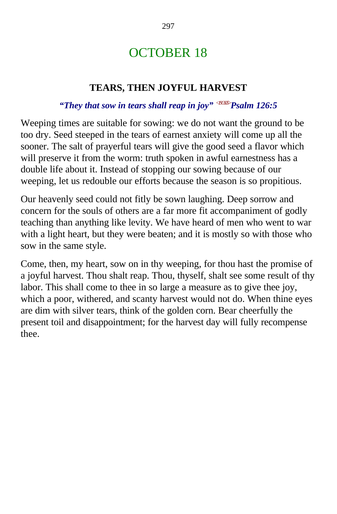### **TEARS, THEN JOYFUL HARVEST**

#### *"They that sow in tears shall reap in joy" <sup>2006</sup>Psalm 126:5*

Weeping times are suitable for sowing: we do not want the ground to be too dry. Seed steeped in the tears of earnest anxiety will come up all the sooner. The salt of prayerful tears will give the good seed a flavor which will preserve it from the worm: truth spoken in awful earnestness has a double life about it. Instead of stopping our sowing because of our weeping, let us redouble our efforts because the season is so propitious.

Our heavenly seed could not fitly be sown laughing. Deep sorrow and concern for the souls of others are a far more fit accompaniment of godly teaching than anything like levity. We have heard of men who went to war with a light heart, but they were beaten; and it is mostly so with those who sow in the same style.

Come, then, my heart, sow on in thy weeping, for thou hast the promise of a joyful harvest. Thou shalt reap. Thou, thyself, shalt see some result of thy labor. This shall come to thee in so large a measure as to give thee joy, which a poor, withered, and scanty harvest would not do. When thine eyes are dim with silver tears, think of the golden corn. Bear cheerfully the present toil and disappointment; for the harvest day will fully recompense thee.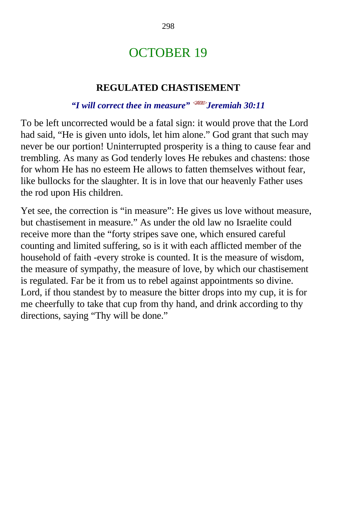#### **REGULATED CHASTISEMENT**

### *"I will correct thee in measure" <243011>Jeremiah 30:11*

To be left uncorrected would be a fatal sign: it would prove that the Lord had said, "He is given unto idols, let him alone." God grant that such may never be our portion! Uninterrupted prosperity is a thing to cause fear and trembling. As many as God tenderly loves He rebukes and chastens: those for whom He has no esteem He allows to fatten themselves without fear, like bullocks for the slaughter. It is in love that our heavenly Father uses the rod upon His children.

Yet see, the correction is "in measure": He gives us love without measure, but chastisement in measure." As under the old law no Israelite could receive more than the "forty stripes save one, which ensured careful counting and limited suffering, so is it with each afflicted member of the household of faith -every stroke is counted. It is the measure of wisdom, the measure of sympathy, the measure of love, by which our chastisement is regulated. Far be it from us to rebel against appointments so divine. Lord, if thou standest by to measure the bitter drops into my cup, it is for me cheerfully to take that cup from thy hand, and drink according to thy directions, saying "Thy will be done."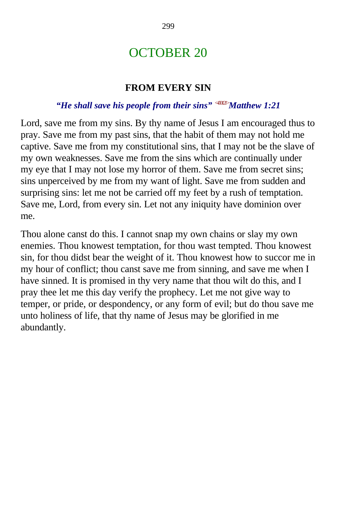#### **FROM EVERY SIN**

#### *"He shall save his people from their sins" <400121>Matthew 1:21*

Lord, save me from my sins. By thy name of Jesus I am encouraged thus to pray. Save me from my past sins, that the habit of them may not hold me captive. Save me from my constitutional sins, that I may not be the slave of my own weaknesses. Save me from the sins which are continually under my eye that I may not lose my horror of them. Save me from secret sins; sins unperceived by me from my want of light. Save me from sudden and surprising sins: let me not be carried off my feet by a rush of temptation. Save me, Lord, from every sin. Let not any iniquity have dominion over me.

Thou alone canst do this. I cannot snap my own chains or slay my own enemies. Thou knowest temptation, for thou wast tempted. Thou knowest sin, for thou didst bear the weight of it. Thou knowest how to succor me in my hour of conflict; thou canst save me from sinning, and save me when I have sinned. It is promised in thy very name that thou wilt do this, and I pray thee let me this day verify the prophecy. Let me not give way to temper, or pride, or despondency, or any form of evil; but do thou save me unto holiness of life, that thy name of Jesus may be glorified in me abundantly.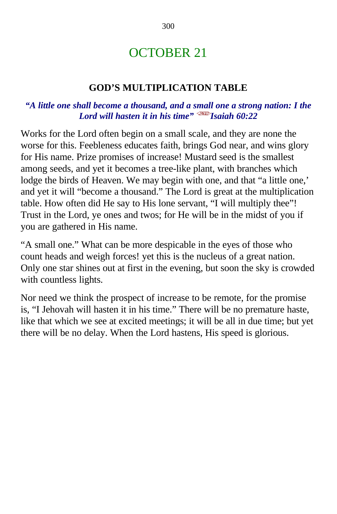### **GOD'S MULTIPLICATION TABLE**

#### *"A little one shall become a thousand, and a small one a strong nation: I the Lord will hasten it in his time" <236022>Isaiah 60:22*

Works for the Lord often begin on a small scale, and they are none the worse for this. Feebleness educates faith, brings God near, and wins glory for His name. Prize promises of increase! Mustard seed is the smallest among seeds, and yet it becomes a tree-like plant, with branches which lodge the birds of Heaven. We may begin with one, and that "a little one,' and yet it will "become a thousand." The Lord is great at the multiplication table. How often did He say to His lone servant, "I will multiply thee"! Trust in the Lord, ye ones and twos; for He will be in the midst of you if you are gathered in His name.

"A small one." What can be more despicable in the eyes of those who count heads and weigh forces! yet this is the nucleus of a great nation. Only one star shines out at first in the evening, but soon the sky is crowded with countless lights.

Nor need we think the prospect of increase to be remote, for the promise is, "I Jehovah will hasten it in his time." There will be no premature haste, like that which we see at excited meetings; it will be all in due time; but yet there will be no delay. When the Lord hastens, His speed is glorious.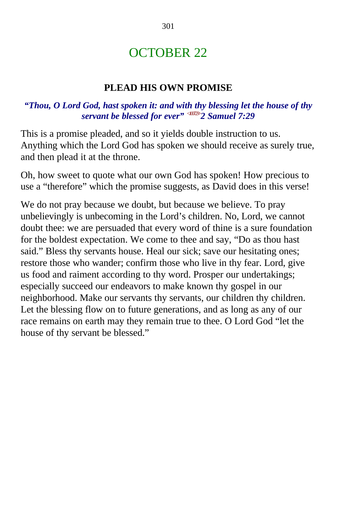### **PLEAD HIS OWN PROMISE**

#### *"Thou, O Lord God, hast spoken it: and with thy blessing let the house of thy servant be blessed for ever" <100729>2 Samuel 7:29*

This is a promise pleaded, and so it yields double instruction to us. Anything which the Lord God has spoken we should receive as surely true, and then plead it at the throne.

Oh, how sweet to quote what our own God has spoken! How precious to use a "therefore" which the promise suggests, as David does in this verse!

We do not pray because we doubt, but because we believe. To pray unbelievingly is unbecoming in the Lord's children. No, Lord, we cannot doubt thee: we are persuaded that every word of thine is a sure foundation for the boldest expectation. We come to thee and say, "Do as thou hast said." Bless thy servants house. Heal our sick; save our hesitating ones; restore those who wander; confirm those who live in thy fear. Lord, give us food and raiment according to thy word. Prosper our undertakings; especially succeed our endeavors to make known thy gospel in our neighborhood. Make our servants thy servants, our children thy children. Let the blessing flow on to future generations, and as long as any of our race remains on earth may they remain true to thee. O Lord God "let the house of thy servant be blessed."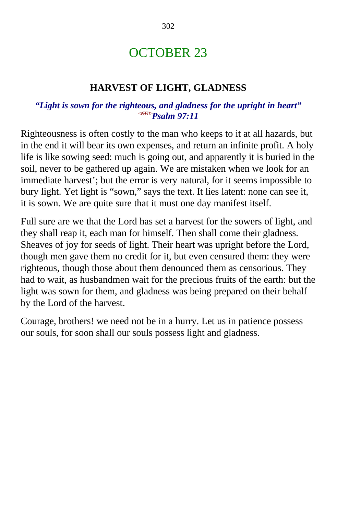### **HARVEST OF LIGHT, GLADNESS**

#### *"Light is sown for the righteous, and gladness for the upright in heart" <199711>Psalm 97:11*

Righteousness is often costly to the man who keeps to it at all hazards, but in the end it will bear its own expenses, and return an infinite profit. A holy life is like sowing seed: much is going out, and apparently it is buried in the soil, never to be gathered up again. We are mistaken when we look for an immediate harvest'; but the error is very natural, for it seems impossible to bury light. Yet light is "sown," says the text. It lies latent: none can see it, it is sown. We are quite sure that it must one day manifest itself.

Full sure are we that the Lord has set a harvest for the sowers of light, and they shall reap it, each man for himself. Then shall come their gladness. Sheaves of joy for seeds of light. Their heart was upright before the Lord, though men gave them no credit for it, but even censured them: they were righteous, though those about them denounced them as censorious. They had to wait, as husbandmen wait for the precious fruits of the earth: but the light was sown for them, and gladness was being prepared on their behalf by the Lord of the harvest.

Courage, brothers! we need not be in a hurry. Let us in patience possess our souls, for soon shall our souls possess light and gladness.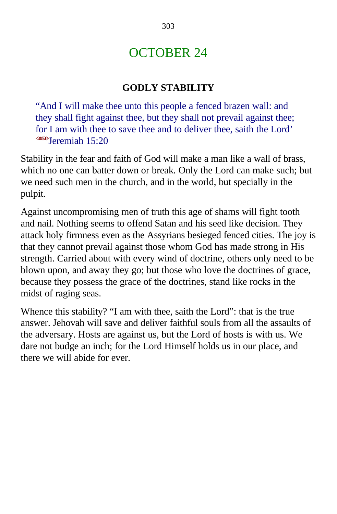### **GODLY STABILITY**

"And I will make thee unto this people a fenced brazen wall: and they shall fight against thee, but they shall not prevail against thee; for I am with thee to save thee and to deliver thee, saith the Lord' **<241520>**Jeremiah 15:20

Stability in the fear and faith of God will make a man like a wall of brass, which no one can batter down or break. Only the Lord can make such; but we need such men in the church, and in the world, but specially in the pulpit.

Against uncompromising men of truth this age of shams will fight tooth and nail. Nothing seems to offend Satan and his seed like decision. They attack holy firmness even as the Assyrians besieged fenced cities. The joy is that they cannot prevail against those whom God has made strong in His strength. Carried about with every wind of doctrine, others only need to be blown upon, and away they go; but those who love the doctrines of grace, because they possess the grace of the doctrines, stand like rocks in the midst of raging seas.

Whence this stability? "I am with thee, saith the Lord": that is the true answer. Jehovah will save and deliver faithful souls from all the assaults of the adversary. Hosts are against us, but the Lord of hosts is with us. We dare not budge an inch; for the Lord Himself holds us in our place, and there we will abide for ever.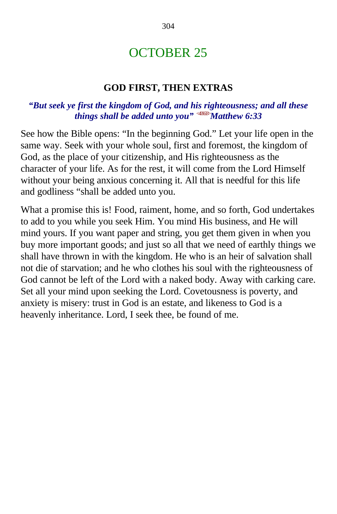### **GOD FIRST, THEN EXTRAS**

#### *"But seek ye first the kingdom of God, and his righteousness; and all these things shall be added unto you" <400633>Matthew 6:33*

See how the Bible opens: "In the beginning God." Let your life open in the same way. Seek with your whole soul, first and foremost, the kingdom of God, as the place of your citizenship, and His righteousness as the character of your life. As for the rest, it will come from the Lord Himself without your being anxious concerning it. All that is needful for this life and godliness "shall be added unto you.

What a promise this is! Food, raiment, home, and so forth, God undertakes to add to you while you seek Him. You mind His business, and He will mind yours. If you want paper and string, you get them given in when you buy more important goods; and just so all that we need of earthly things we shall have thrown in with the kingdom. He who is an heir of salvation shall not die of starvation; and he who clothes his soul with the righteousness of God cannot be left of the Lord with a naked body. Away with carking care. Set all your mind upon seeking the Lord. Covetousness is poverty, and anxiety is misery: trust in God is an estate, and likeness to God is a heavenly inheritance. Lord, I seek thee, be found of me.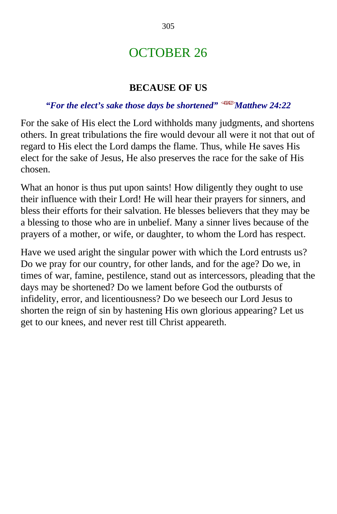#### **BECAUSE OF US**

### *"For the elect's sake those days be shortened"* <sup>*ABD*</sup> *Matthew 24:22*

For the sake of His elect the Lord withholds many judgments, and shortens others. In great tribulations the fire would devour all were it not that out of regard to His elect the Lord damps the flame. Thus, while He saves His elect for the sake of Jesus, He also preserves the race for the sake of His chosen.

What an honor is thus put upon saints! How diligently they ought to use their influence with their Lord! He will hear their prayers for sinners, and bless their efforts for their salvation. He blesses believers that they may be a blessing to those who are in unbelief. Many a sinner lives because of the prayers of a mother, or wife, or daughter, to whom the Lord has respect.

Have we used aright the singular power with which the Lord entrusts us? Do we pray for our country, for other lands, and for the age? Do we, in times of war, famine, pestilence, stand out as intercessors, pleading that the days may be shortened? Do we lament before God the outbursts of infidelity, error, and licentiousness? Do we beseech our Lord Jesus to shorten the reign of sin by hastening His own glorious appearing? Let us get to our knees, and never rest till Christ appeareth.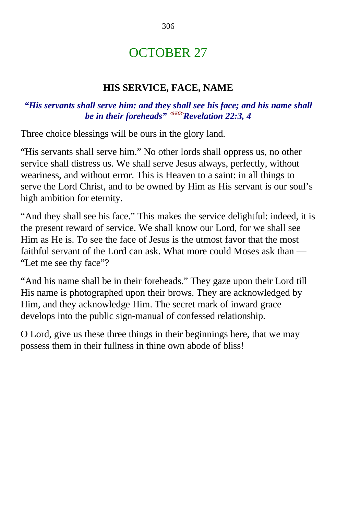### **HIS SERVICE, FACE, NAME**

### *"His servants shall serve him: and they shall see his face; and his name shall be in their foreheads*<sup>*n*</sup>  $\frac{dE}{dt}$ *Revelation 22:3, 4*

Three choice blessings will be ours in the glory land.

"His servants shall serve him." No other lords shall oppress us, no other service shall distress us. We shall serve Jesus always, perfectly, without weariness, and without error. This is Heaven to a saint: in all things to serve the Lord Christ, and to be owned by Him as His servant is our soul's high ambition for eternity.

"And they shall see his face." This makes the service delightful: indeed, it is the present reward of service. We shall know our Lord, for we shall see Him as He is. To see the face of Jesus is the utmost favor that the most faithful servant of the Lord can ask. What more could Moses ask than — "Let me see thy face"?

"And his name shall be in their foreheads." They gaze upon their Lord till His name is photographed upon their brows. They are acknowledged by Him, and they acknowledge Him. The secret mark of inward grace develops into the public sign-manual of confessed relationship.

O Lord, give us these three things in their beginnings here, that we may possess them in their fullness in thine own abode of bliss!

306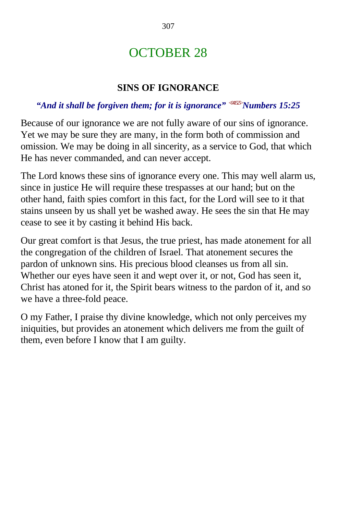### **SINS OF IGNORANCE**

### *"And it shall be forgiven them; for it is ignorance" <041525>Numbers 15:25*

Because of our ignorance we are not fully aware of our sins of ignorance. Yet we may be sure they are many, in the form both of commission and omission. We may be doing in all sincerity, as a service to God, that which He has never commanded, and can never accept.

The Lord knows these sins of ignorance every one. This may well alarm us, since in justice He will require these trespasses at our hand; but on the other hand, faith spies comfort in this fact, for the Lord will see to it that stains unseen by us shall yet be washed away. He sees the sin that He may cease to see it by casting it behind His back.

Our great comfort is that Jesus, the true priest, has made atonement for all the congregation of the children of Israel. That atonement secures the pardon of unknown sins. His precious blood cleanses us from all sin. Whether our eyes have seen it and wept over it, or not, God has seen it, Christ has atoned for it, the Spirit bears witness to the pardon of it, and so we have a three-fold peace.

O my Father, I praise thy divine knowledge, which not only perceives my iniquities, but provides an atonement which delivers me from the guilt of them, even before I know that I am guilty.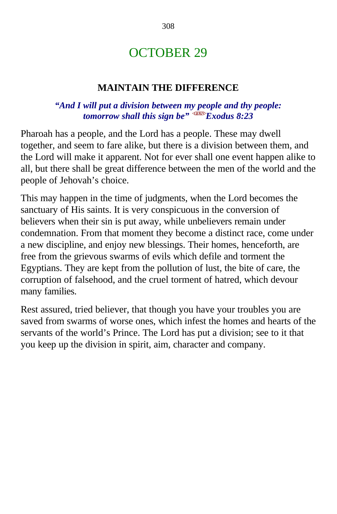### **MAINTAIN THE DIFFERENCE**

#### *"And I will put a division between my people and thy people: tomorrow shall this sign be"*  $\frac{d^{20}x}{dx^{20}}$ *Exodus 8:23*

Pharoah has a people, and the Lord has a people. These may dwell together, and seem to fare alike, but there is a division between them, and the Lord will make it apparent. Not for ever shall one event happen alike to all, but there shall be great difference between the men of the world and the people of Jehovah's choice.

This may happen in the time of judgments, when the Lord becomes the sanctuary of His saints. It is very conspicuous in the conversion of believers when their sin is put away, while unbelievers remain under condemnation. From that moment they become a distinct race, come under a new discipline, and enjoy new blessings. Their homes, henceforth, are free from the grievous swarms of evils which defile and torment the Egyptians. They are kept from the pollution of lust, the bite of care, the corruption of falsehood, and the cruel torment of hatred, which devour many families.

Rest assured, tried believer, that though you have your troubles you are saved from swarms of worse ones, which infest the homes and hearts of the servants of the world's Prince. The Lord has put a division; see to it that you keep up the division in spirit, aim, character and company.

308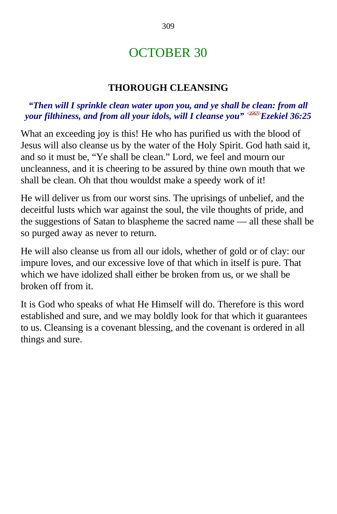### **THOROUGH CLEANSING**

#### *"Then will I sprinkle clean water upon you, and ye shall be clean: from all your filthiness, and from all your idols, will I cleanse you" <263625>Ezekiel 36:25*

What an exceeding joy is this! He who has purified us with the blood of Jesus will also cleanse us by the water of the Holy Spirit. God hath said it, and so it must be, "Ye shall be clean." Lord, we feel and mourn our uncleanness, and it is cheering to be assured by thine own mouth that we shall be clean. Oh that thou wouldst make a speedy work of it!

He will deliver us from our worst sins. The uprisings of unbelief, and the deceitful lusts which war against the soul, the vile thoughts of pride, and the suggestions of Satan to blaspheme the sacred name — all these shall be so purged away as never to return.

He will also cleanse us from all our idols, whether of gold or of clay: our impure loves, and our excessive love of that which in itself is pure. That which we have idolized shall either be broken from us, or we shall be broken off from it.

It is God who speaks of what He Himself will do. Therefore is this word established and sure, and we may boldly look for that which it guarantees to us. Cleansing is a covenant blessing, and the covenant is ordered in all things and sure.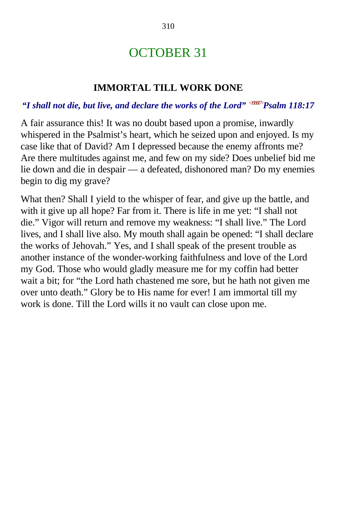### **IMMORTAL TILL WORK DONE**

### *"I shall not die, but live, and declare the works of the Lord" <sup><HNI</sup><sup>2</sup>Psalm 118:17</sup>*

A fair assurance this! It was no doubt based upon a promise, inwardly whispered in the Psalmist's heart, which he seized upon and enjoyed. Is my case like that of David? Am I depressed because the enemy affronts me? Are there multitudes against me, and few on my side? Does unbelief bid me lie down and die in despair — a defeated, dishonored man? Do my enemies begin to dig my grave?

What then? Shall I yield to the whisper of fear, and give up the battle, and with it give up all hope? Far from it. There is life in me yet: "I shall not die." Vigor will return and remove my weakness: "I shall live." The Lord lives, and I shall live also. My mouth shall again be opened: "I shall declare the works of Jehovah." Yes, and I shall speak of the present trouble as another instance of the wonder-working faithfulness and love of the Lord my God. Those who would gladly measure me for my coffin had better wait a bit; for "the Lord hath chastened me sore, but he hath not given me over unto death." Glory be to His name for ever! I am immortal till my work is done. Till the Lord wills it no vault can close upon me.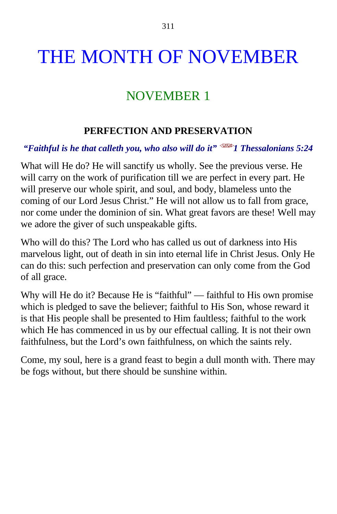# THE MONTH OF NOVEMBER

### NOVEMBER 1

### **PERFECTION AND PRESERVATION**

### *"Faithful is he that calleth you, who also will do it"*  $\frac{\text{SNB}}{\text{S1}}$  Thessalonians 5:24

What will He do? He will sanctify us wholly. See the previous verse. He will carry on the work of purification till we are perfect in every part. He will preserve our whole spirit, and soul, and body, blameless unto the coming of our Lord Jesus Christ." He will not allow us to fall from grace, nor come under the dominion of sin. What great favors are these! Well may we adore the giver of such unspeakable gifts.

Who will do this? The Lord who has called us out of darkness into His marvelous light, out of death in sin into eternal life in Christ Jesus. Only He can do this: such perfection and preservation can only come from the God of all grace.

Why will He do it? Because He is "faithful" — faithful to His own promise which is pledged to save the believer; faithful to His Son, whose reward it is that His people shall be presented to Him faultless; faithful to the work which He has commenced in us by our effectual calling. It is not their own faithfulness, but the Lord's own faithfulness, on which the saints rely.

Come, my soul, here is a grand feast to begin a dull month with. There may be fogs without, but there should be sunshine within.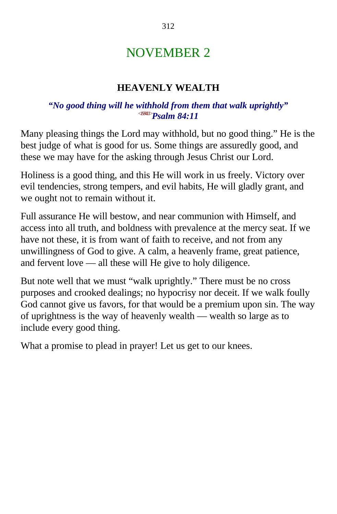### **HEAVENLY WEALTH**

#### *"No good thing will he withhold from them that walk uprightly" <198411>Psalm 84:11*

Many pleasing things the Lord may withhold, but no good thing." He is the best judge of what is good for us. Some things are assuredly good, and these we may have for the asking through Jesus Christ our Lord.

Holiness is a good thing, and this He will work in us freely. Victory over evil tendencies, strong tempers, and evil habits, He will gladly grant, and we ought not to remain without it.

Full assurance He will bestow, and near communion with Himself, and access into all truth, and boldness with prevalence at the mercy seat. If we have not these, it is from want of faith to receive, and not from any unwillingness of God to give. A calm, a heavenly frame, great patience, and fervent love — all these will He give to holy diligence.

But note well that we must "walk uprightly." There must be no cross purposes and crooked dealings; no hypocrisy nor deceit. If we walk foully God cannot give us favors, for that would be a premium upon sin. The way of uprightness is the way of heavenly wealth — wealth so large as to include every good thing.

What a promise to plead in prayer! Let us get to our knees.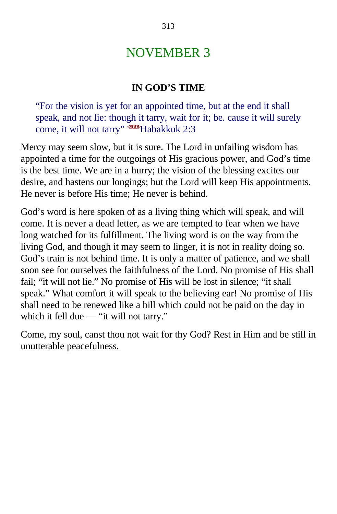### **IN GOD'S TIME**

"For the vision is yet for an appointed time, but at the end it shall speak, and not lie: though it tarry, wait for it; be. cause it will surely come, it will not tarry" **<350203>**Habakkuk 2:3

Mercy may seem slow, but it is sure. The Lord in unfailing wisdom has appointed a time for the outgoings of His gracious power, and God's time is the best time. We are in a hurry; the vision of the blessing excites our desire, and hastens our longings; but the Lord will keep His appointments. He never is before His time; He never is behind.

God's word is here spoken of as a living thing which will speak, and will come. It is never a dead letter, as we are tempted to fear when we have long watched for its fulfillment. The living word is on the way from the living God, and though it may seem to linger, it is not in reality doing so. God's train is not behind time. It is only a matter of patience, and we shall soon see for ourselves the faithfulness of the Lord. No promise of His shall fail; "it will not lie." No promise of His will be lost in silence; "it shall speak." What comfort it will speak to the believing ear! No promise of His shall need to be renewed like a bill which could not be paid on the day in which it fell due — "it will not tarry."

Come, my soul, canst thou not wait for thy God? Rest in Him and be still in unutterable peacefulness.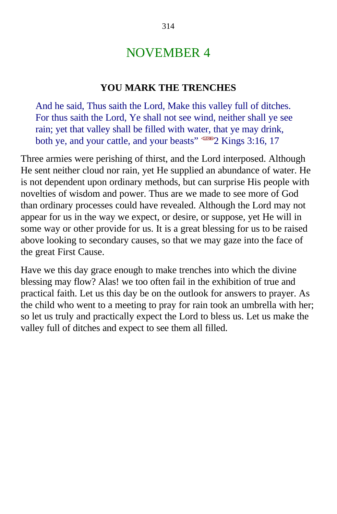#### **YOU MARK THE TRENCHES**

And he said, Thus saith the Lord, Make this valley full of ditches. For thus saith the Lord, Ye shall not see wind, neither shall ye see rain; yet that valley shall be filled with water, that ye may drink, both ye, and your cattle, and your beasts"  $\frac{42006}{2}$  Kings 3:16, 17

Three armies were perishing of thirst, and the Lord interposed. Although He sent neither cloud nor rain, yet He supplied an abundance of water. He is not dependent upon ordinary methods, but can surprise His people with novelties of wisdom and power. Thus are we made to see more of God than ordinary processes could have revealed. Although the Lord may not appear for us in the way we expect, or desire, or suppose, yet He will in some way or other provide for us. It is a great blessing for us to be raised above looking to secondary causes, so that we may gaze into the face of the great First Cause.

Have we this day grace enough to make trenches into which the divine blessing may flow? Alas! we too often fail in the exhibition of true and practical faith. Let us this day be on the outlook for answers to prayer. As the child who went to a meeting to pray for rain took an umbrella with her; so let us truly and practically expect the Lord to bless us. Let us make the valley full of ditches and expect to see them all filled.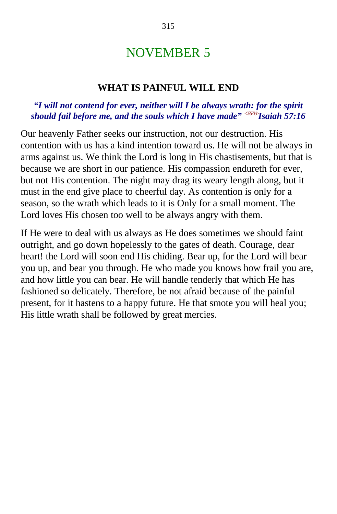#### **WHAT IS PAINFUL WILL END**

#### *"I will not contend for ever, neither will I be always wrath: for the spirit should fail before me, and the souls which I have made*" <sup>2376</sup>*Isaiah 57:16*

Our heavenly Father seeks our instruction, not our destruction. His contention with us has a kind intention toward us. He will not be always in arms against us. We think the Lord is long in His chastisements, but that is because we are short in our patience. His compassion endureth for ever, but not His contention. The night may drag its weary length along, but it must in the end give place to cheerful day. As contention is only for a season, so the wrath which leads to it is Only for a small moment. The Lord loves His chosen too well to be always angry with them.

If He were to deal with us always as He does sometimes we should faint outright, and go down hopelessly to the gates of death. Courage, dear heart! the Lord will soon end His chiding. Bear up, for the Lord will bear you up, and bear you through. He who made you knows how frail you are, and how little you can bear. He will handle tenderly that which He has fashioned so delicately. Therefore, be not afraid because of the painful present, for it hastens to a happy future. He that smote you will heal you; His little wrath shall be followed by great mercies.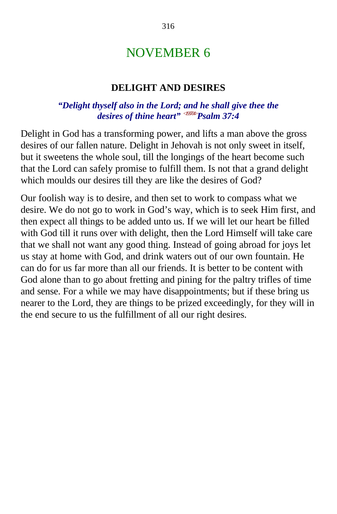### **DELIGHT AND DESIRES**

#### *"Delight thyself also in the Lord; and he shall give thee the desires of thine heart" <193704>Psalm 37:4*

Delight in God has a transforming power, and lifts a man above the gross desires of our fallen nature. Delight in Jehovah is not only sweet in itself, but it sweetens the whole soul, till the longings of the heart become such that the Lord can safely promise to fulfill them. Is not that a grand delight which moulds our desires till they are like the desires of God?

Our foolish way is to desire, and then set to work to compass what we desire. We do not go to work in God's way, which is to seek Him first, and then expect all things to be added unto us. If we will let our heart be filled with God till it runs over with delight, then the Lord Himself will take care that we shall not want any good thing. Instead of going abroad for joys let us stay at home with God, and drink waters out of our own fountain. He can do for us far more than all our friends. It is better to be content with God alone than to go about fretting and pining for the paltry trifles of time and sense. For a while we may have disappointments; but if these bring us nearer to the Lord, they are things to be prized exceedingly, for they will in the end secure to us the fulfillment of all our right desires.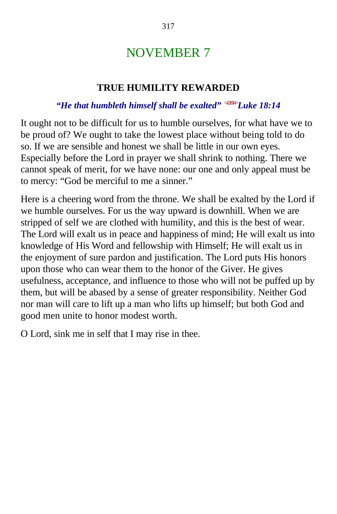### **TRUE HUMILITY REWARDED**

### *"He that humbleth himself shall be exalted" <421814>Luke 18:14*

It ought not to be difficult for us to humble ourselves, for what have we to be proud of? We ought to take the lowest place without being told to do so. If we are sensible and honest we shall be little in our own eyes. Especially before the Lord in prayer we shall shrink to nothing. There we cannot speak of merit, for we have none: our one and only appeal must be to mercy: "God be merciful to me a sinner."

Here is a cheering word from the throne. We shall be exalted by the Lord if we humble ourselves. For us the way upward is downhill. When we are stripped of self we are clothed with humility, and this is the best of wear. The Lord will exalt us in peace and happiness of mind; He will exalt us into knowledge of His Word and fellowship with Himself; He will exalt us in the enjoyment of sure pardon and justification. The Lord puts His honors upon those who can wear them to the honor of the Giver. He gives usefulness, acceptance, and influence to those who will not be puffed up by them, but will be abased by a sense of greater responsibility. Neither God nor man will care to lift up a man who lifts up himself; but both God and good men unite to honor modest worth.

O Lord, sink me in self that I may rise in thee.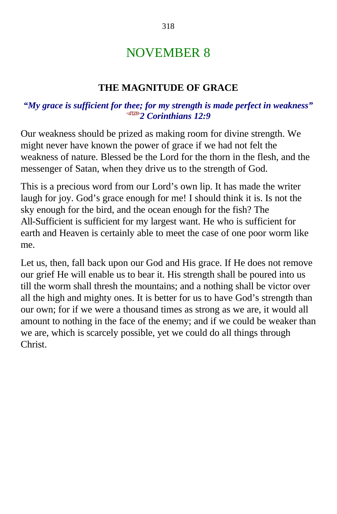### **THE MAGNITUDE OF GRACE**

#### *"My grace is sufficient for thee; for my strength is made perfect in weakness" <471209>2 Corinthians 12:9*

Our weakness should be prized as making room for divine strength. We might never have known the power of grace if we had not felt the weakness of nature. Blessed be the Lord for the thorn in the flesh, and the messenger of Satan, when they drive us to the strength of God.

This is a precious word from our Lord's own lip. It has made the writer laugh for joy. God's grace enough for me! I should think it is. Is not the sky enough for the bird, and the ocean enough for the fish? The All-Sufficient is sufficient for my largest want. He who is sufficient for earth and Heaven is certainly able to meet the case of one poor worm like me.

Let us, then, fall back upon our God and His grace. If He does not remove our grief He will enable us to bear it. His strength shall be poured into us till the worm shall thresh the mountains; and a nothing shall be victor over all the high and mighty ones. It is better for us to have God's strength than our own; for if we were a thousand times as strong as we are, it would all amount to nothing in the face of the enemy; and if we could be weaker than we are, which is scarcely possible, yet we could do all things through Christ.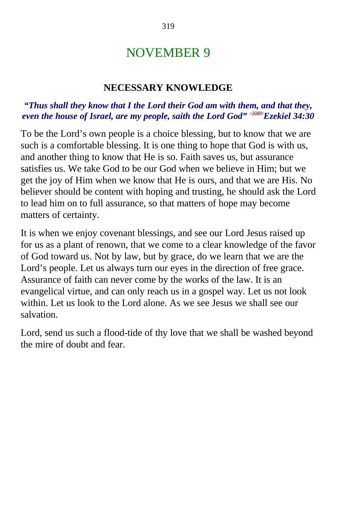#### **NECESSARY KNOWLEDGE**

#### *"Thus shall they know that I the Lord their God am with them, and that they, even the house of Israel, are my people, saith the Lord God"*  $\frac{\partial^2 B}{\partial x^2}$  Ezekiel 34:30

To be the Lord's own people is a choice blessing, but to know that we are such is a comfortable blessing. It is one thing to hope that God is with us, and another thing to know that He is so. Faith saves us, but assurance satisfies us. We take God to be our God when we believe in Him; but we get the joy of Him when we know that He is ours, and that we are His. No believer should be content with hoping and trusting, he should ask the Lord to lead him on to full assurance, so that matters of hope may become matters of certainty.

It is when we enjoy covenant blessings, and see our Lord Jesus raised up for us as a plant of renown, that we come to a clear knowledge of the favor of God toward us. Not by law, but by grace, do we learn that we are the Lord's people. Let us always turn our eyes in the direction of free grace. Assurance of faith can never come by the works of the law. It is an evangelical virtue, and can only reach us in a gospel way. Let us not look within. Let us look to the Lord alone. As we see Jesus we shall see our salvation.

Lord, send us such a flood-tide of thy love that we shall be washed beyond the mire of doubt and fear.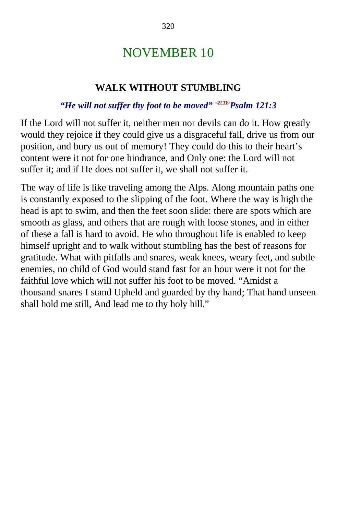#### **WALK WITHOUT STUMBLING**

### *"He will not suffer thy foot to be moved" <sup><9CID</sup>Psalm 121:3*

If the Lord will not suffer it, neither men nor devils can do it. How greatly would they rejoice if they could give us a disgraceful fall, drive us from our position, and bury us out of memory! They could do this to their heart's content were it not for one hindrance, and Only one: the Lord will not suffer it; and if He does not suffer it, we shall not suffer it.

The way of life is like traveling among the Alps. Along mountain paths one is constantly exposed to the slipping of the foot. Where the way is high the head is apt to swim, and then the feet soon slide: there are spots which are smooth as glass, and others that are rough with loose stones, and in either of these a fall is hard to avoid. He who throughout life is enabled to keep himself upright and to walk without stumbling has the best of reasons for gratitude. What with pitfalls and snares, weak knees, weary feet, and subtle enemies, no child of God would stand fast for an hour were it not for the faithful love which will not suffer his foot to be moved. "Amidst a thousand snares I stand Upheld and guarded by thy hand; That hand unseen shall hold me still, And lead me to thy holy hill."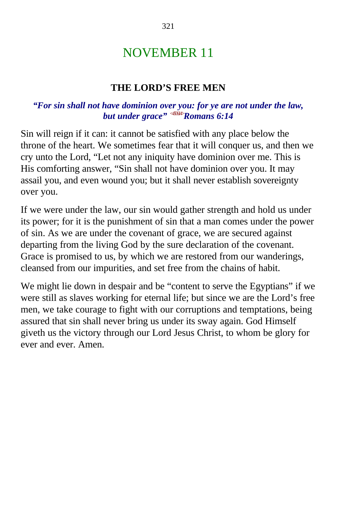### **THE LORD'S FREE MEN**

#### *"For sin shall not have dominion over you: for ye are not under the law, but under grace" <450614>Romans 6:14*

Sin will reign if it can: it cannot be satisfied with any place below the throne of the heart. We sometimes fear that it will conquer us, and then we cry unto the Lord, "Let not any iniquity have dominion over me. This is His comforting answer, "Sin shall not have dominion over you. It may assail you, and even wound you; but it shall never establish sovereignty over you.

If we were under the law, our sin would gather strength and hold us under its power; for it is the punishment of sin that a man comes under the power of sin. As we are under the covenant of grace, we are secured against departing from the living God by the sure declaration of the covenant. Grace is promised to us, by which we are restored from our wanderings, cleansed from our impurities, and set free from the chains of habit.

We might lie down in despair and be "content to serve the Egyptians" if we were still as slaves working for eternal life; but since we are the Lord's free men, we take courage to fight with our corruptions and temptations, being assured that sin shall never bring us under its sway again. God Himself giveth us the victory through our Lord Jesus Christ, to whom be glory for ever and ever. Amen.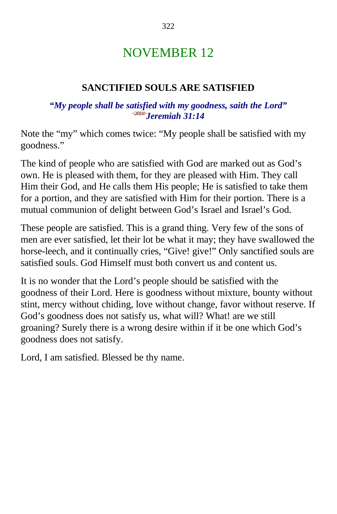#### **SANCTIFIED SOULS ARE SATISFIED**

#### *"My people shall be satisfied with my goodness, saith the Lord" <243114>Jeremiah 31:14*

Note the "my" which comes twice: "My people shall be satisfied with my goodness."

The kind of people who are satisfied with God are marked out as God's own. He is pleased with them, for they are pleased with Him. They call Him their God, and He calls them His people; He is satisfied to take them for a portion, and they are satisfied with Him for their portion. There is a mutual communion of delight between God's Israel and Israel's God.

These people are satisfied. This is a grand thing. Very few of the sons of men are ever satisfied, let their lot be what it may; they have swallowed the horse-leech, and it continually cries, "Give! give!" Only sanctified souls are satisfied souls. God Himself must both convert us and content us.

It is no wonder that the Lord's people should be satisfied with the goodness of their Lord. Here is goodness without mixture, bounty without stint, mercy without chiding, love without change, favor without reserve. If God's goodness does not satisfy us, what will? What! are we still groaning? Surely there is a wrong desire within if it be one which God's goodness does not satisfy.

Lord, I am satisfied. Blessed be thy name.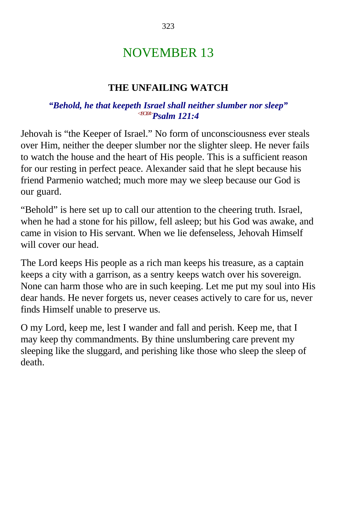### **THE UNFAILING WATCH**

#### *"Behold, he that keepeth Israel shall neither slumber nor sleep" <19C104>Psalm 121:4*

Jehovah is "the Keeper of Israel." No form of unconsciousness ever steals over Him, neither the deeper slumber nor the slighter sleep. He never fails to watch the house and the heart of His people. This is a sufficient reason for our resting in perfect peace. Alexander said that he slept because his friend Parmenio watched; much more may we sleep because our God is our guard.

"Behold" is here set up to call our attention to the cheering truth. Israel, when he had a stone for his pillow, fell asleep; but his God was awake, and came in vision to His servant. When we lie defenseless, Jehovah Himself will cover our head.

The Lord keeps His people as a rich man keeps his treasure, as a captain keeps a city with a garrison, as a sentry keeps watch over his sovereign. None can harm those who are in such keeping. Let me put my soul into His dear hands. He never forgets us, never ceases actively to care for us, never finds Himself unable to preserve us.

O my Lord, keep me, lest I wander and fall and perish. Keep me, that I may keep thy commandments. By thine unslumbering care prevent my sleeping like the sluggard, and perishing like those who sleep the sleep of death.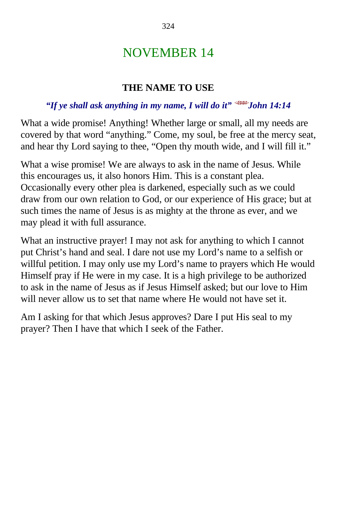### **THE NAME TO USE**

### *"If ye shall ask anything in my name, I will do it"* <sup>«BH45</sup>John 14:14

What a wide promise! Anything! Whether large or small, all my needs are covered by that word "anything." Come, my soul, be free at the mercy seat, and hear thy Lord saying to thee, "Open thy mouth wide, and I will fill it."

What a wise promise! We are always to ask in the name of Jesus. While this encourages us, it also honors Him. This is a constant plea. Occasionally every other plea is darkened, especially such as we could draw from our own relation to God, or our experience of His grace; but at such times the name of Jesus is as mighty at the throne as ever, and we may plead it with full assurance.

What an instructive prayer! I may not ask for anything to which I cannot put Christ's hand and seal. I dare not use my Lord's name to a selfish or willful petition. I may only use my Lord's name to prayers which He would Himself pray if He were in my case. It is a high privilege to be authorized to ask in the name of Jesus as if Jesus Himself asked; but our love to Him will never allow us to set that name where He would not have set it.

Am I asking for that which Jesus approves? Dare I put His seal to my prayer? Then I have that which I seek of the Father.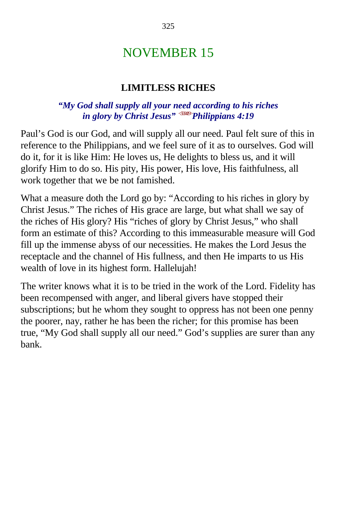### **LIMITLESS RICHES**

### *"My God shall supply all your need according to his riches in glory by Christ Jesus*<sup>"</sup> <sup>*ADAD*</sup>>*Philippians 4:19*

Paul's God is our God, and will supply all our need. Paul felt sure of this in reference to the Philippians, and we feel sure of it as to ourselves. God will do it, for it is like Him: He loves us, He delights to bless us, and it will glorify Him to do so. His pity, His power, His love, His faithfulness, all work together that we be not famished.

What a measure doth the Lord go by: "According to his riches in glory by Christ Jesus." The riches of His grace are large, but what shall we say of the riches of His glory? His "riches of glory by Christ Jesus," who shall form an estimate of this? According to this immeasurable measure will God fill up the immense abyss of our necessities. He makes the Lord Jesus the receptacle and the channel of His fullness, and then He imparts to us His wealth of love in its highest form. Hallelujah!

The writer knows what it is to be tried in the work of the Lord. Fidelity has been recompensed with anger, and liberal givers have stopped their subscriptions; but he whom they sought to oppress has not been one penny the poorer, nay, rather he has been the richer; for this promise has been true, "My God shall supply all our need." God's supplies are surer than any bank.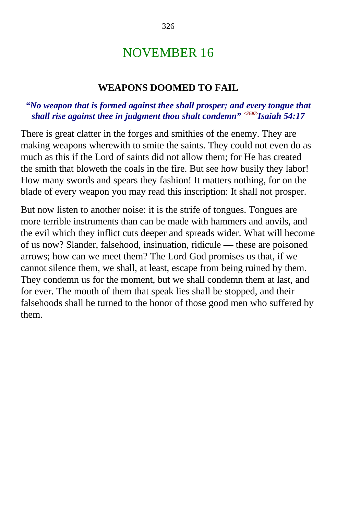#### **WEAPONS DOOMED TO FAIL**

### *"No weapon that is formed against thee shall prosper; and every tongue that shall rise against thee in judgment thou shalt condemn" <235417>Isaiah 54:17*

There is great clatter in the forges and smithies of the enemy. They are making weapons wherewith to smite the saints. They could not even do as much as this if the Lord of saints did not allow them; for He has created the smith that bloweth the coals in the fire. But see how busily they labor! How many swords and spears they fashion! It matters nothing, for on the blade of every weapon you may read this inscription: It shall not prosper.

But now listen to another noise: it is the strife of tongues. Tongues are more terrible instruments than can be made with hammers and anvils, and the evil which they inflict cuts deeper and spreads wider. What will become of us now? Slander, falsehood, insinuation, ridicule — these are poisoned arrows; how can we meet them? The Lord God promises us that, if we cannot silence them, we shall, at least, escape from being ruined by them. They condemn us for the moment, but we shall condemn them at last, and for ever. The mouth of them that speak lies shall be stopped, and their falsehoods shall be turned to the honor of those good men who suffered by them.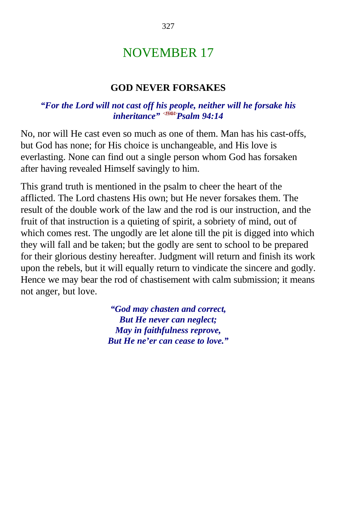#### **GOD NEVER FORSAKES**

#### *"For the Lord will not cast off his people, neither will he forsake his inheritance" <199414>Psalm 94:14*

No, nor will He cast even so much as one of them. Man has his cast-offs, but God has none; for His choice is unchangeable, and His love is everlasting. None can find out a single person whom God has forsaken after having revealed Himself savingly to him.

This grand truth is mentioned in the psalm to cheer the heart of the afflicted. The Lord chastens His own; but He never forsakes them. The result of the double work of the law and the rod is our instruction, and the fruit of that instruction is a quieting of spirit, a sobriety of mind, out of which comes rest. The ungodly are let alone till the pit is digged into which they will fall and be taken; but the godly are sent to school to be prepared for their glorious destiny hereafter. Judgment will return and finish its work upon the rebels, but it will equally return to vindicate the sincere and godly. Hence we may bear the rod of chastisement with calm submission; it means not anger, but love.

> *"God may chasten and correct, But He never can neglect; May in faithfulness reprove, But He ne'er can cease to love."*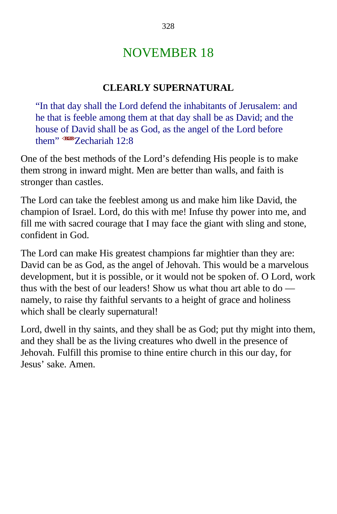### **CLEARLY SUPERNATURAL**

"In that day shall the Lord defend the inhabitants of Jerusalem: and he that is feeble among them at that day shall be as David; and the house of David shall be as God, as the angel of the Lord before them" **<381208>**Zechariah 12:8

One of the best methods of the Lord's defending His people is to make them strong in inward might. Men are better than walls, and faith is stronger than castles.

The Lord can take the feeblest among us and make him like David, the champion of Israel. Lord, do this with me! Infuse thy power into me, and fill me with sacred courage that I may face the giant with sling and stone, confident in God.

The Lord can make His greatest champions far mightier than they are: David can be as God, as the angel of Jehovah. This would be a marvelous development, but it is possible, or it would not be spoken of. O Lord, work thus with the best of our leaders! Show us what thou art able to  $d\sigma$  namely, to raise thy faithful servants to a height of grace and holiness which shall be clearly supernatural!

Lord, dwell in thy saints, and they shall be as God; put thy might into them, and they shall be as the living creatures who dwell in the presence of Jehovah. Fulfill this promise to thine entire church in this our day, for Jesus' sake. Amen.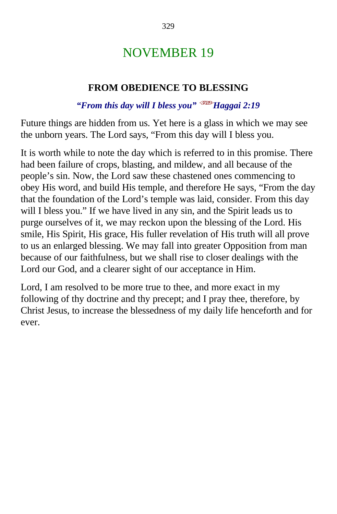#### **FROM OBEDIENCE TO BLESSING**

#### *"From this day will I bless you" <370219>Haggai 2:19*

Future things are hidden from us. Yet here is a glass in which we may see the unborn years. The Lord says, "From this day will I bless you.

It is worth while to note the day which is referred to in this promise. There had been failure of crops, blasting, and mildew, and all because of the people's sin. Now, the Lord saw these chastened ones commencing to obey His word, and build His temple, and therefore He says, "From the day that the foundation of the Lord's temple was laid, consider. From this day will I bless you." If we have lived in any sin, and the Spirit leads us to purge ourselves of it, we may reckon upon the blessing of the Lord. His smile, His Spirit, His grace, His fuller revelation of His truth will all prove to us an enlarged blessing. We may fall into greater Opposition from man because of our faithfulness, but we shall rise to closer dealings with the Lord our God, and a clearer sight of our acceptance in Him.

Lord, I am resolved to be more true to thee, and more exact in my following of thy doctrine and thy precept; and I pray thee, therefore, by Christ Jesus, to increase the blessedness of my daily life henceforth and for ever.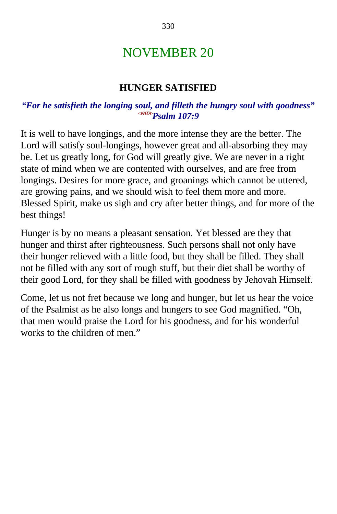### **HUNGER SATISFIED**

### *"For he satisfieth the longing soul, and filleth the hungry soul with goodness" <19A709>Psalm 107:9*

It is well to have longings, and the more intense they are the better. The Lord will satisfy soul-longings, however great and all-absorbing they may be. Let us greatly long, for God will greatly give. We are never in a right state of mind when we are contented with ourselves, and are free from longings. Desires for more grace, and groanings which cannot be uttered, are growing pains, and we should wish to feel them more and more. Blessed Spirit, make us sigh and cry after better things, and for more of the best things!

Hunger is by no means a pleasant sensation. Yet blessed are they that hunger and thirst after righteousness. Such persons shall not only have their hunger relieved with a little food, but they shall be filled. They shall not be filled with any sort of rough stuff, but their diet shall be worthy of their good Lord, for they shall be filled with goodness by Jehovah Himself.

Come, let us not fret because we long and hunger, but let us hear the voice of the Psalmist as he also longs and hungers to see God magnified. "Oh, that men would praise the Lord for his goodness, and for his wonderful works to the children of men."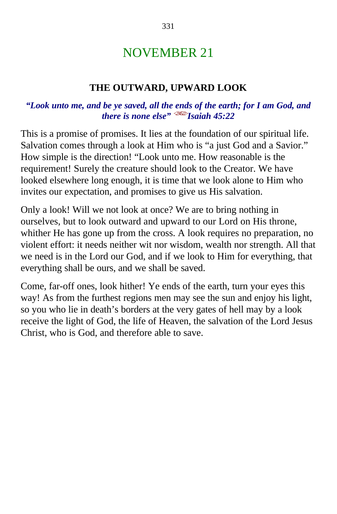### **THE OUTWARD, UPWARD LOOK**

### *"Look unto me, and be ye saved, all the ends of the earth; for I am God, and there is none else" <234522>Isaiah 45:22*

This is a promise of promises. It lies at the foundation of our spiritual life. Salvation comes through a look at Him who is "a just God and a Savior." How simple is the direction! "Look unto me. How reasonable is the requirement! Surely the creature should look to the Creator. We have looked elsewhere long enough, it is time that we look alone to Him who invites our expectation, and promises to give us His salvation.

Only a look! Will we not look at once? We are to bring nothing in ourselves, but to look outward and upward to our Lord on His throne, whither He has gone up from the cross. A look requires no preparation, no violent effort: it needs neither wit nor wisdom, wealth nor strength. All that we need is in the Lord our God, and if we look to Him for everything, that everything shall be ours, and we shall be saved.

Come, far-off ones, look hither! Ye ends of the earth, turn your eyes this way! As from the furthest regions men may see the sun and enjoy his light, so you who lie in death's borders at the very gates of hell may by a look receive the light of God, the life of Heaven, the salvation of the Lord Jesus Christ, who is God, and therefore able to save.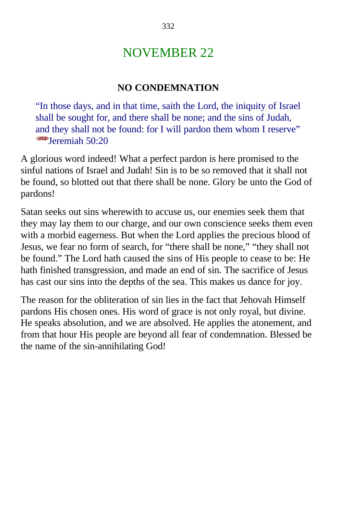### **NO CONDEMNATION**

"In those days, and in that time, saith the Lord, the iniquity of Israel shall be sought for, and there shall be none; and the sins of Judah, and they shall not be found: for I will pardon them whom I reserve" **<245020>**Jeremiah 50:20

A glorious word indeed! What a perfect pardon is here promised to the sinful nations of Israel and Judah! Sin is to be so removed that it shall not be found, so blotted out that there shall be none. Glory be unto the God of pardons!

Satan seeks out sins wherewith to accuse us, our enemies seek them that they may lay them to our charge, and our own conscience seeks them even with a morbid eagerness. But when the Lord applies the precious blood of Jesus, we fear no form of search, for "there shall be none," "they shall not be found." The Lord hath caused the sins of His people to cease to be: He hath finished transgression, and made an end of sin. The sacrifice of Jesus has cast our sins into the depths of the sea. This makes us dance for joy.

The reason for the obliteration of sin lies in the fact that Jehovah Himself pardons His chosen ones. His word of grace is not only royal, but divine. He speaks absolution, and we are absolved. He applies the atonement, and from that hour His people are beyond all fear of condemnation. Blessed be the name of the sin-annihilating God!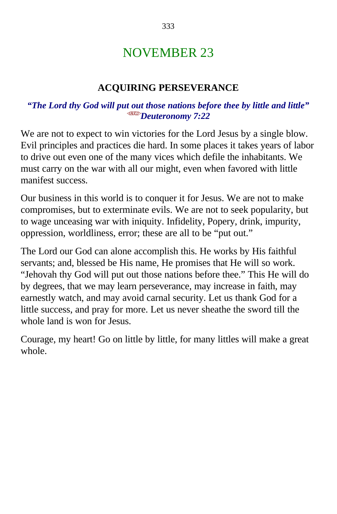### **ACQUIRING PERSEVERANCE**

### *"The Lord thy God will put out those nations before thee by little and little" <050722>Deuteronomy 7:22*

We are not to expect to win victories for the Lord Jesus by a single blow. Evil principles and practices die hard. In some places it takes years of labor to drive out even one of the many vices which defile the inhabitants. We must carry on the war with all our might, even when favored with little manifest success.

Our business in this world is to conquer it for Jesus. We are not to make compromises, but to exterminate evils. We are not to seek popularity, but to wage unceasing war with iniquity. Infidelity, Popery, drink, impurity, oppression, worldliness, error; these are all to be "put out."

The Lord our God can alone accomplish this. He works by His faithful servants; and, blessed be His name, He promises that He will so work. "Jehovah thy God will put out those nations before thee." This He will do by degrees, that we may learn perseverance, may increase in faith, may earnestly watch, and may avoid carnal security. Let us thank God for a little success, and pray for more. Let us never sheathe the sword till the whole land is won for Jesus.

Courage, my heart! Go on little by little, for many littles will make a great whole.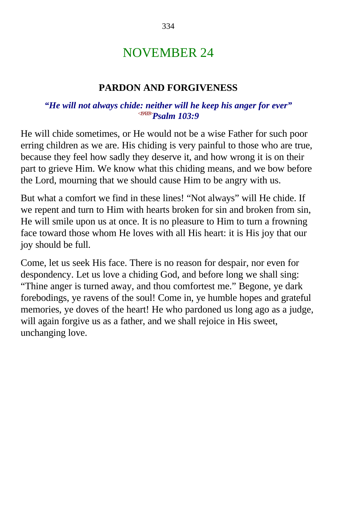### **PARDON AND FORGIVENESS**

#### *"He will not always chide: neither will he keep his anger for ever" <19A309>Psalm 103:9*

He will chide sometimes, or He would not be a wise Father for such poor erring children as we are. His chiding is very painful to those who are true, because they feel how sadly they deserve it, and how wrong it is on their part to grieve Him. We know what this chiding means, and we bow before the Lord, mourning that we should cause Him to be angry with us.

But what a comfort we find in these lines! "Not always" will He chide. If we repent and turn to Him with hearts broken for sin and broken from sin, He will smile upon us at once. It is no pleasure to Him to turn a frowning face toward those whom He loves with all His heart: it is His joy that our joy should be full.

Come, let us seek His face. There is no reason for despair, nor even for despondency. Let us love a chiding God, and before long we shall sing: "Thine anger is turned away, and thou comfortest me." Begone, ye dark forebodings, ye ravens of the soul! Come in, ye humble hopes and grateful memories, ye doves of the heart! He who pardoned us long ago as a judge, will again forgive us as a father, and we shall rejoice in His sweet, unchanging love.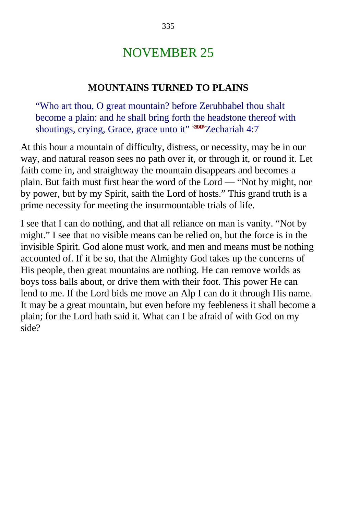#### **MOUNTAINS TURNED TO PLAINS**

"Who art thou, O great mountain? before Zerubbabel thou shalt become a plain: and he shall bring forth the headstone thereof with shoutings, crying, Grace, grace unto it" <amation 4:7

At this hour a mountain of difficulty, distress, or necessity, may be in our way, and natural reason sees no path over it, or through it, or round it. Let faith come in, and straightway the mountain disappears and becomes a plain. But faith must first hear the word of the Lord — "Not by might, nor by power, but by my Spirit, saith the Lord of hosts." This grand truth is a prime necessity for meeting the insurmountable trials of life.

I see that I can do nothing, and that all reliance on man is vanity. "Not by might." I see that no visible means can be relied on, but the force is in the invisible Spirit. God alone must work, and men and means must be nothing accounted of. If it be so, that the Almighty God takes up the concerns of His people, then great mountains are nothing. He can remove worlds as boys toss balls about, or drive them with their foot. This power He can lend to me. If the Lord bids me move an Alp I can do it through His name. It may be a great mountain, but even before my feebleness it shall become a plain; for the Lord hath said it. What can I be afraid of with God on my side?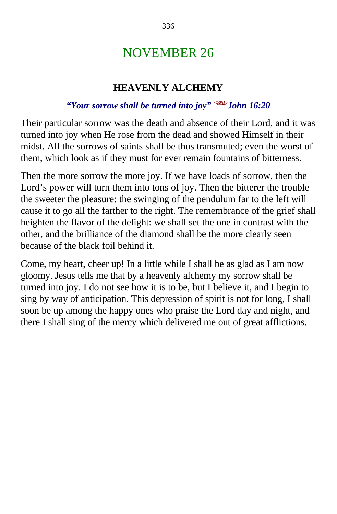### **HEAVENLY ALCHEMY**

### *"Your sorrow shall be turned into joy"* <sup>4860</sup>*John 16:20*

Their particular sorrow was the death and absence of their Lord, and it was turned into joy when He rose from the dead and showed Himself in their midst. All the sorrows of saints shall be thus transmuted; even the worst of them, which look as if they must for ever remain fountains of bitterness.

Then the more sorrow the more joy. If we have loads of sorrow, then the Lord's power will turn them into tons of joy. Then the bitterer the trouble the sweeter the pleasure: the swinging of the pendulum far to the left will cause it to go all the farther to the right. The remembrance of the grief shall heighten the flavor of the delight: we shall set the one in contrast with the other, and the brilliance of the diamond shall be the more clearly seen because of the black foil behind it.

Come, my heart, cheer up! In a little while I shall be as glad as I am now gloomy. Jesus tells me that by a heavenly alchemy my sorrow shall be turned into joy. I do not see how it is to be, but I believe it, and I begin to sing by way of anticipation. This depression of spirit is not for long, I shall soon be up among the happy ones who praise the Lord day and night, and there I shall sing of the mercy which delivered me out of great afflictions.

336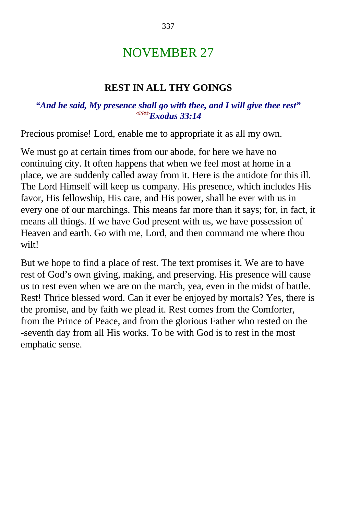### **REST IN ALL THY GOINGS**

#### *"And he said, My presence shall go with thee, and I will give thee rest" <023314>Exodus 33:14*

Precious promise! Lord, enable me to appropriate it as all my own.

We must go at certain times from our abode, for here we have no continuing city. It often happens that when we feel most at home in a place, we are suddenly called away from it. Here is the antidote for this ill. The Lord Himself will keep us company. His presence, which includes His favor, His fellowship, His care, and His power, shall be ever with us in every one of our marchings. This means far more than it says; for, in fact, it means all things. If we have God present with us, we have possession of Heaven and earth. Go with me, Lord, and then command me where thou wilt!

But we hope to find a place of rest. The text promises it. We are to have rest of God's own giving, making, and preserving. His presence will cause us to rest even when we are on the march, yea, even in the midst of battle. Rest! Thrice blessed word. Can it ever be enjoyed by mortals? Yes, there is the promise, and by faith we plead it. Rest comes from the Comforter, from the Prince of Peace, and from the glorious Father who rested on the -seventh day from all His works. To be with God is to rest in the most emphatic sense.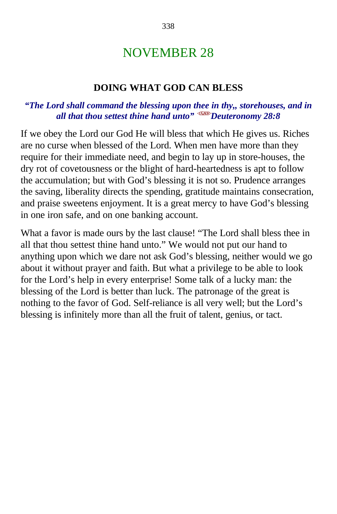### **DOING WHAT GOD CAN BLESS**

#### *"The Lord shall command the blessing upon thee in thy,, storehouses, and in all that thou settest thine hand unto" <052808>Deuteronomy 28:8*

If we obey the Lord our God He will bless that which He gives us. Riches are no curse when blessed of the Lord. When men have more than they require for their immediate need, and begin to lay up in store-houses, the dry rot of covetousness or the blight of hard-heartedness is apt to follow the accumulation; but with God's blessing it is not so. Prudence arranges the saving, liberality directs the spending, gratitude maintains consecration, and praise sweetens enjoyment. It is a great mercy to have God's blessing in one iron safe, and on one banking account.

What a favor is made ours by the last clause! "The Lord shall bless thee in all that thou settest thine hand unto." We would not put our hand to anything upon which we dare not ask God's blessing, neither would we go about it without prayer and faith. But what a privilege to be able to look for the Lord's help in every enterprise! Some talk of a lucky man: the blessing of the Lord is better than luck. The patronage of the great is nothing to the favor of God. Self-reliance is all very well; but the Lord's blessing is infinitely more than all the fruit of talent, genius, or tact.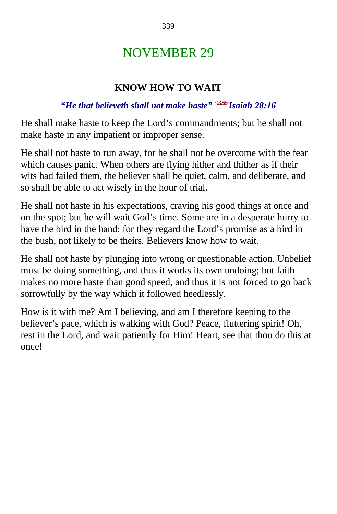### **KNOW HOW TO WAIT**

### *"He that believeth shall not make haste" <232816>Isaiah 28:16*

He shall make haste to keep the Lord's commandments; but he shall not make haste in any impatient or improper sense.

He shall not haste to run away, for he shall not be overcome with the fear which causes panic. When others are flying hither and thither as if their wits had failed them, the believer shall be quiet, calm, and deliberate, and so shall be able to act wisely in the hour of trial.

He shall not haste in his expectations, craving his good things at once and on the spot; but he will wait God's time. Some are in a desperate hurry to have the bird in the hand; for they regard the Lord's promise as a bird in the bush, not likely to be theirs. Believers know how to wait.

He shall not haste by plunging into wrong or questionable action. Unbelief must be doing something, and thus it works its own undoing; but faith makes no more haste than good speed, and thus it is not forced to go back sorrowfully by the way which it followed heedlessly.

How is it with me? Am I believing, and am I therefore keeping to the believer's pace, which is walking with God? Peace, fluttering spirit! Oh, rest in the Lord, and wait patiently for Him! Heart, see that thou do this at once!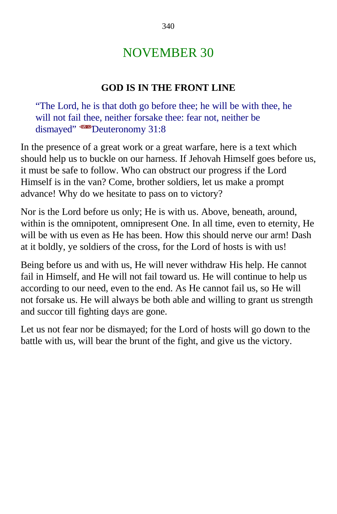### **GOD IS IN THE FRONT LINE**

"The Lord, he is that doth go before thee; he will be with thee, he will not fail thee, neither forsake thee: fear not, neither be dismayed" <a>B<br/>Deuteronomy 31:8

In the presence of a great work or a great warfare, here is a text which should help us to buckle on our harness. If Jehovah Himself goes before us, it must be safe to follow. Who can obstruct our progress if the Lord Himself is in the van? Come, brother soldiers, let us make a prompt advance! Why do we hesitate to pass on to victory?

Nor is the Lord before us only; He is with us. Above, beneath, around, within is the omnipotent, omnipresent One. In all time, even to eternity, He will be with us even as He has been. How this should nerve our arm! Dash at it boldly, ye soldiers of the cross, for the Lord of hosts is with us!

Being before us and with us, He will never withdraw His help. He cannot fail in Himself, and He will not fail toward us. He will continue to help us according to our need, even to the end. As He cannot fail us, so He will not forsake us. He will always be both able and willing to grant us strength and succor till fighting days are gone.

Let us not fear nor be dismayed; for the Lord of hosts will go down to the battle with us, will bear the brunt of the fight, and give us the victory.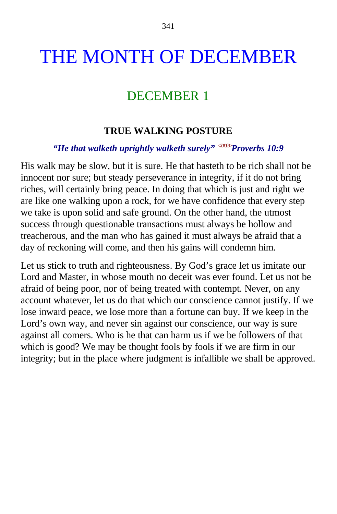# THE MONTH OF DECEMBER

## DECEMBER 1

### **TRUE WALKING POSTURE**

### *"He that walketh uprightly walketh surely" <201009>Proverbs 10:9*

His walk may be slow, but it is sure. He that hasteth to be rich shall not be innocent nor sure; but steady perseverance in integrity, if it do not bring riches, will certainly bring peace. In doing that which is just and right we are like one walking upon a rock, for we have confidence that every step we take is upon solid and safe ground. On the other hand, the utmost success through questionable transactions must always be hollow and treacherous, and the man who has gained it must always be afraid that a day of reckoning will come, and then his gains will condemn him.

Let us stick to truth and righteousness. By God's grace let us imitate our Lord and Master, in whose mouth no deceit was ever found. Let us not be afraid of being poor, nor of being treated with contempt. Never, on any account whatever, let us do that which our conscience cannot justify. If we lose inward peace, we lose more than a fortune can buy. If we keep in the Lord's own way, and never sin against our conscience, our way is sure against all comers. Who is he that can harm us if we be followers of that which is good? We may be thought fools by fools if we are firm in our integrity; but in the place where judgment is infallible we shall be approved.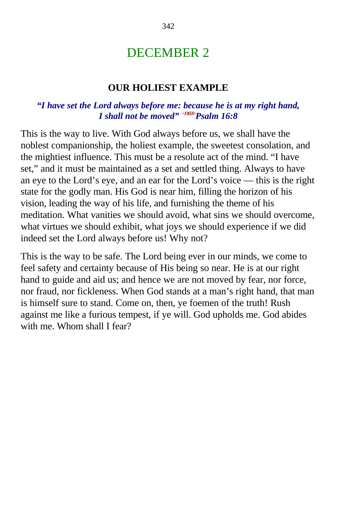### **OUR HOLIEST EXAMPLE**

#### *"I have set the Lord always before me: because he is at my right hand, I shall not be moved" <191608>Psalm 16:8*

This is the way to live. With God always before us, we shall have the noblest companionship, the holiest example, the sweetest consolation, and the mightiest influence. This must be a resolute act of the mind. "I have set," and it must be maintained as a set and settled thing. Always to have an eye to the Lord's eye, and an ear for the Lord's voice — this is the right state for the godly man. His God is near him, filling the horizon of his vision, leading the way of his life, and furnishing the theme of his meditation. What vanities we should avoid, what sins we should overcome, what virtues we should exhibit, what joys we should experience if we did indeed set the Lord always before us! Why not?

This is the way to be safe. The Lord being ever in our minds, we come to feel safety and certainty because of His being so near. He is at our right hand to guide and aid us; and hence we are not moved by fear, nor force, nor fraud, nor fickleness. When God stands at a man's right hand, that man is himself sure to stand. Come on, then, ye foemen of the truth! Rush against me like a furious tempest, if ye will. God upholds me. God abides with me. Whom shall I fear?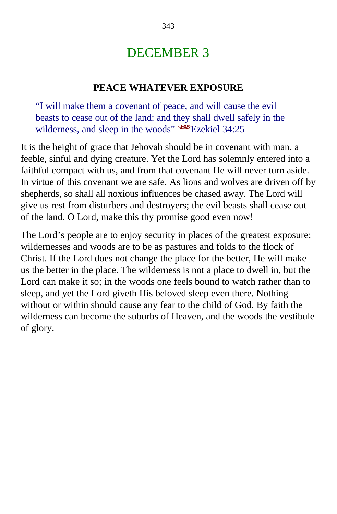#### **PEACE WHATEVER EXPOSURE**

"I will make them a covenant of peace, and will cause the evil beasts to cease out of the land: and they shall dwell safely in the wilderness, and sleep in the woods" **<sup>3625</sup>Ezekiel** 34:25

It is the height of grace that Jehovah should be in covenant with man, a feeble, sinful and dying creature. Yet the Lord has solemnly entered into a faithful compact with us, and from that covenant He will never turn aside. In virtue of this covenant we are safe. As lions and wolves are driven off by shepherds, so shall all noxious influences be chased away. The Lord will give us rest from disturbers and destroyers; the evil beasts shall cease out of the land. O Lord, make this thy promise good even now!

The Lord's people are to enjoy security in places of the greatest exposure: wildernesses and woods are to be as pastures and folds to the flock of Christ. If the Lord does not change the place for the better, He will make us the better in the place. The wilderness is not a place to dwell in, but the Lord can make it so; in the woods one feels bound to watch rather than to sleep, and yet the Lord giveth His beloved sleep even there. Nothing without or within should cause any fear to the child of God. By faith the wilderness can become the suburbs of Heaven, and the woods the vestibule of glory.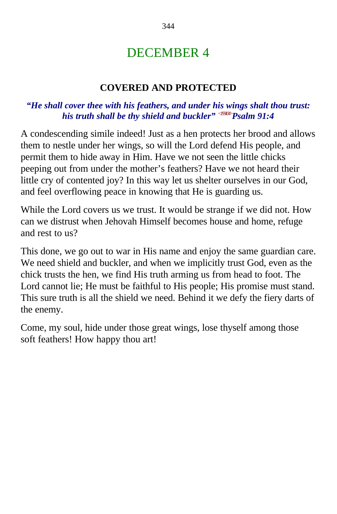### **COVERED AND PROTECTED**

### *"He shall cover thee with his feathers, and under his wings shalt thou trust: his truth shall be thy shield and buckler" <199104>Psalm 91:4*

A condescending simile indeed! Just as a hen protects her brood and allows them to nestle under her wings, so will the Lord defend His people, and permit them to hide away in Him. Have we not seen the little chicks peeping out from under the mother's feathers? Have we not heard their little cry of contented joy? In this way let us shelter ourselves in our God, and feel overflowing peace in knowing that He is guarding us.

While the Lord covers us we trust. It would be strange if we did not. How can we distrust when Jehovah Himself becomes house and home, refuge and rest to us?

This done, we go out to war in His name and enjoy the same guardian care. We need shield and buckler, and when we implicitly trust God, even as the chick trusts the hen, we find His truth arming us from head to foot. The Lord cannot lie; He must be faithful to His people; His promise must stand. This sure truth is all the shield we need. Behind it we defy the fiery darts of the enemy.

Come, my soul, hide under those great wings, lose thyself among those soft feathers! How happy thou art!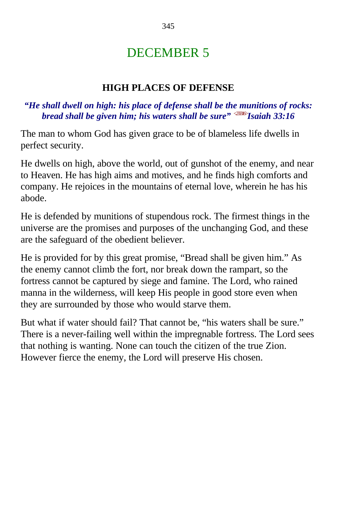### **HIGH PLACES OF DEFENSE**

### *"He shall dwell on high: his place of defense shall be the munitions of rocks: bread shall be given him; his waters shall be sure*" <sup>2336</sup>*Isaiah 33:16*

The man to whom God has given grace to be of blameless life dwells in perfect security.

He dwells on high, above the world, out of gunshot of the enemy, and near to Heaven. He has high aims and motives, and he finds high comforts and company. He rejoices in the mountains of eternal love, wherein he has his abode.

He is defended by munitions of stupendous rock. The firmest things in the universe are the promises and purposes of the unchanging God, and these are the safeguard of the obedient believer.

He is provided for by this great promise, "Bread shall be given him." As the enemy cannot climb the fort, nor break down the rampart, so the fortress cannot be captured by siege and famine. The Lord, who rained manna in the wilderness, will keep His people in good store even when they are surrounded by those who would starve them.

But what if water should fail? That cannot be, "his waters shall be sure." There is a never-failing well within the impregnable fortress. The Lord sees that nothing is wanting. None can touch the citizen of the true Zion. However fierce the enemy, the Lord will preserve His chosen.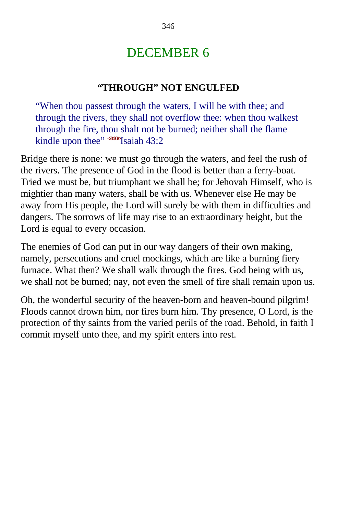### **"THROUGH" NOT ENGULFED**

"When thou passest through the waters, I will be with thee; and through the rivers, they shall not overflow thee: when thou walkest through the fire, thou shalt not be burned; neither shall the flame kindle upon thee" <sup>23802</sup>Isaiah 43:2

Bridge there is none: we must go through the waters, and feel the rush of the rivers. The presence of God in the flood is better than a ferry-boat. Tried we must be, but triumphant we shall be; for Jehovah Himself, who is mightier than many waters, shall be with us. Whenever else He may be away from His people, the Lord will surely be with them in difficulties and dangers. The sorrows of life may rise to an extraordinary height, but the Lord is equal to every occasion.

The enemies of God can put in our way dangers of their own making, namely, persecutions and cruel mockings, which are like a burning fiery furnace. What then? We shall walk through the fires. God being with us, we shall not be burned; nay, not even the smell of fire shall remain upon us.

Oh, the wonderful security of the heaven-born and heaven-bound pilgrim! Floods cannot drown him, nor fires burn him. Thy presence, O Lord, is the protection of thy saints from the varied perils of the road. Behold, in faith I commit myself unto thee, and my spirit enters into rest.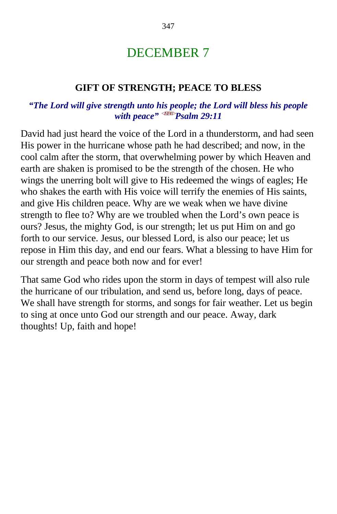#### **GIFT OF STRENGTH; PEACE TO BLESS**

#### *"The Lord will give strength unto his people; the Lord will bless his people with peace" <192911>Psalm 29:11*

David had just heard the voice of the Lord in a thunderstorm, and had seen His power in the hurricane whose path he had described; and now, in the cool calm after the storm, that overwhelming power by which Heaven and earth are shaken is promised to be the strength of the chosen. He who wings the unerring bolt will give to His redeemed the wings of eagles; He who shakes the earth with His voice will terrify the enemies of His saints, and give His children peace. Why are we weak when we have divine strength to flee to? Why are we troubled when the Lord's own peace is ours? Jesus, the mighty God, is our strength; let us put Him on and go forth to our service. Jesus, our blessed Lord, is also our peace; let us repose in Him this day, and end our fears. What a blessing to have Him for our strength and peace both now and for ever!

That same God who rides upon the storm in days of tempest will also rule the hurricane of our tribulation, and send us, before long, days of peace. We shall have strength for storms, and songs for fair weather. Let us begin to sing at once unto God our strength and our peace. Away, dark thoughts! Up, faith and hope!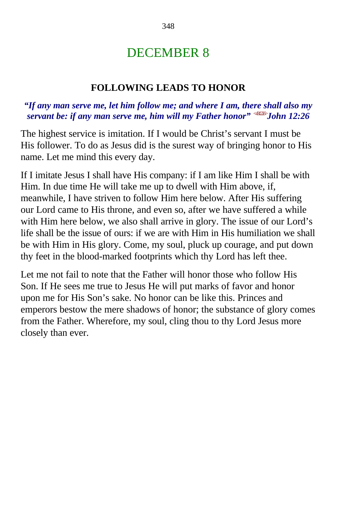### **FOLLOWING LEADS TO HONOR**

#### *"If any man serve me, let him follow me; and where I am, there shall also my servant be: if any man serve me, him will my Father honor*" <sup>*AREXAD</sup> John 12:26*</sup>

The highest service is imitation. If I would be Christ's servant I must be His follower. To do as Jesus did is the surest way of bringing honor to His name. Let me mind this every day.

If I imitate Jesus I shall have His company: if I am like Him I shall be with Him. In due time He will take me up to dwell with Him above, if, meanwhile, I have striven to follow Him here below. After His suffering our Lord came to His throne, and even so, after we have suffered a while with Him here below, we also shall arrive in glory. The issue of our Lord's life shall be the issue of ours: if we are with Him in His humiliation we shall be with Him in His glory. Come, my soul, pluck up courage, and put down thy feet in the blood-marked footprints which thy Lord has left thee.

Let me not fail to note that the Father will honor those who follow His Son. If He sees me true to Jesus He will put marks of favor and honor upon me for His Son's sake. No honor can be like this. Princes and emperors bestow the mere shadows of honor; the substance of glory comes from the Father. Wherefore, my soul, cling thou to thy Lord Jesus more closely than ever.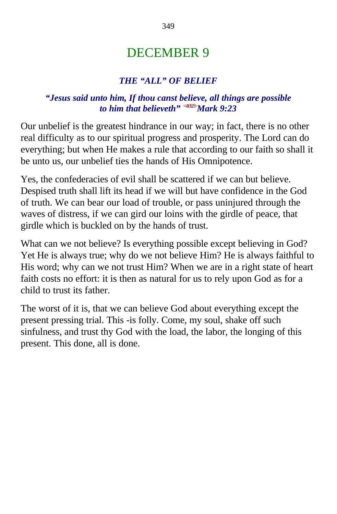### *THE "ALL" OF BELIEF*

#### *"Jesus said unto him, If thou canst believe, all things are possible to him that believeth" <410923>Mark 9:23*

Our unbelief is the greatest hindrance in our way; in fact, there is no other real difficulty as to our spiritual progress and prosperity. The Lord can do everything; but when He makes a rule that according to our faith so shall it be unto us, our unbelief ties the hands of His Omnipotence.

Yes, the confederacies of evil shall be scattered if we can but believe. Despised truth shall lift its head if we will but have confidence in the God of truth. We can bear our load of trouble, or pass uninjured through the waves of distress, if we can gird our loins with the girdle of peace, that girdle which is buckled on by the hands of trust.

What can we not believe? Is everything possible except believing in God? Yet He is always true; why do we not believe Him? He is always faithful to His word; why can we not trust Him? When we are in a right state of heart faith costs no effort: it is then as natural for us to rely upon God as for a child to trust its father.

The worst of it is, that we can believe God about everything except the present pressing trial. This -is folly. Come, my soul, shake off such sinfulness, and trust thy God with the load, the labor, the longing of this present. This done, all is done.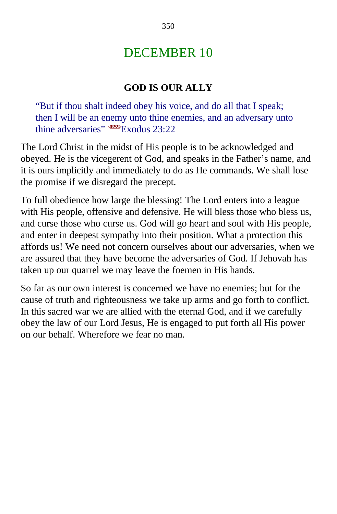### **GOD IS OUR ALLY**

"But if thou shalt indeed obey his voice, and do all that I speak; then I will be an enemy unto thine enemies, and an adversary unto thine adversaries" **Exodus** 23:22

The Lord Christ in the midst of His people is to be acknowledged and obeyed. He is the vicegerent of God, and speaks in the Father's name, and it is ours implicitly and immediately to do as He commands. We shall lose the promise if we disregard the precept.

To full obedience how large the blessing! The Lord enters into a league with His people, offensive and defensive. He will bless those who bless us, and curse those who curse us. God will go heart and soul with His people, and enter in deepest sympathy into their position. What a protection this affords us! We need not concern ourselves about our adversaries, when we are assured that they have become the adversaries of God. If Jehovah has taken up our quarrel we may leave the foemen in His hands.

So far as our own interest is concerned we have no enemies; but for the cause of truth and righteousness we take up arms and go forth to conflict. In this sacred war we are allied with the eternal God, and if we carefully obey the law of our Lord Jesus, He is engaged to put forth all His power on our behalf. Wherefore we fear no man.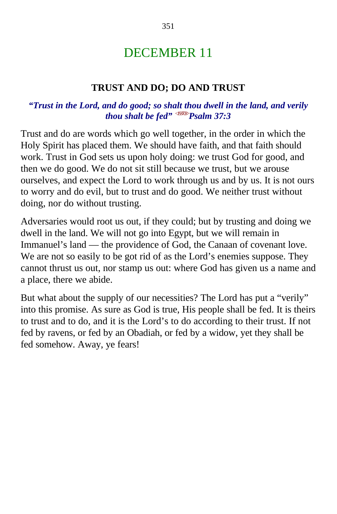### **TRUST AND DO; DO AND TRUST**

#### *"Trust in the Lord, and do good; so shalt thou dwell in the land, and verily thou shalt be fed" <193703>Psalm 37:3*

Trust and do are words which go well together, in the order in which the Holy Spirit has placed them. We should have faith, and that faith should work. Trust in God sets us upon holy doing: we trust God for good, and then we do good. We do not sit still because we trust, but we arouse ourselves, and expect the Lord to work through us and by us. It is not ours to worry and do evil, but to trust and do good. We neither trust without doing, nor do without trusting.

Adversaries would root us out, if they could; but by trusting and doing we dwell in the land. We will not go into Egypt, but we will remain in Immanuel's land — the providence of God, the Canaan of covenant love. We are not so easily to be got rid of as the Lord's enemies suppose. They cannot thrust us out, nor stamp us out: where God has given us a name and a place, there we abide.

But what about the supply of our necessities? The Lord has put a "verily" into this promise. As sure as God is true, His people shall be fed. It is theirs to trust and to do, and it is the Lord's to do according to their trust. If not fed by ravens, or fed by an Obadiah, or fed by a widow, yet they shall be fed somehow. Away, ye fears!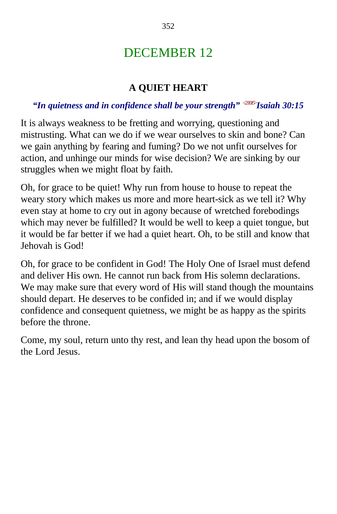### **A QUIET HEART**

### *"In quietness and in confidence shall be your strength"* <sup>2305</sup>*Isaiah 30:15*

It is always weakness to be fretting and worrying, questioning and mistrusting. What can we do if we wear ourselves to skin and bone? Can we gain anything by fearing and fuming? Do we not unfit ourselves for action, and unhinge our minds for wise decision? We are sinking by our struggles when we might float by faith.

Oh, for grace to be quiet! Why run from house to house to repeat the weary story which makes us more and more heart-sick as we tell it? Why even stay at home to cry out in agony because of wretched forebodings which may never be fulfilled? It would be well to keep a quiet tongue, but it would be far better if we had a quiet heart. Oh, to be still and know that Jehovah is God!

Oh, for grace to be confident in God! The Holy One of Israel must defend and deliver His own. He cannot run back from His solemn declarations. We may make sure that every word of His will stand though the mountains should depart. He deserves to be confided in; and if we would display confidence and consequent quietness, we might be as happy as the spirits before the throne.

Come, my soul, return unto thy rest, and lean thy head upon the bosom of the Lord Jesus.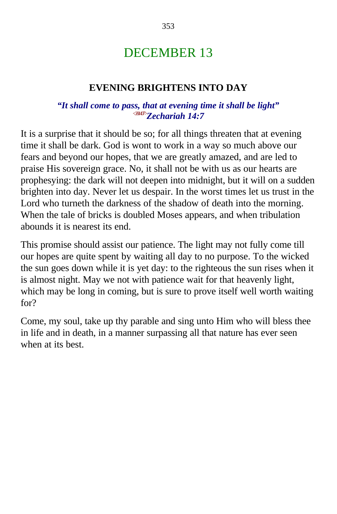### **EVENING BRIGHTENS INTO DAY**

#### *"It shall come to pass, that at evening time it shall be light" <381407>Zechariah 14:7*

It is a surprise that it should be so; for all things threaten that at evening time it shall be dark. God is wont to work in a way so much above our fears and beyond our hopes, that we are greatly amazed, and are led to praise His sovereign grace. No, it shall not be with us as our hearts are prophesying: the dark will not deepen into midnight, but it will on a sudden brighten into day. Never let us despair. In the worst times let us trust in the Lord who turneth the darkness of the shadow of death into the morning. When the tale of bricks is doubled Moses appears, and when tribulation abounds it is nearest its end.

This promise should assist our patience. The light may not fully come till our hopes are quite spent by waiting all day to no purpose. To the wicked the sun goes down while it is yet day: to the righteous the sun rises when it is almost night. May we not with patience wait for that heavenly light, which may be long in coming, but is sure to prove itself well worth waiting for?

Come, my soul, take up thy parable and sing unto Him who will bless thee in life and in death, in a manner surpassing all that nature has ever seen when at its best.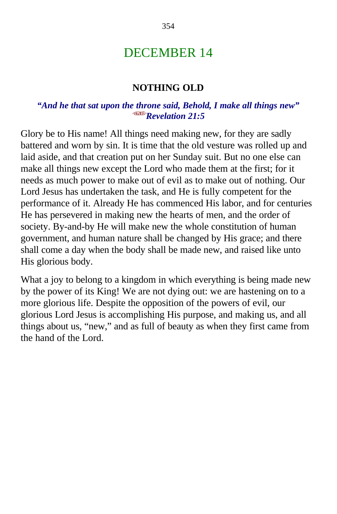#### **NOTHING OLD**

#### *"And he that sat upon the throne said, Behold, I make all things new" <662105>Revelation 21:5*

Glory be to His name! All things need making new, for they are sadly battered and worn by sin. It is time that the old vesture was rolled up and laid aside, and that creation put on her Sunday suit. But no one else can make all things new except the Lord who made them at the first; for it needs as much power to make out of evil as to make out of nothing. Our Lord Jesus has undertaken the task, and He is fully competent for the performance of it. Already He has commenced His labor, and for centuries He has persevered in making new the hearts of men, and the order of society. By-and-by He will make new the whole constitution of human government, and human nature shall be changed by His grace; and there shall come a day when the body shall be made new, and raised like unto His glorious body.

What a joy to belong to a kingdom in which everything is being made new by the power of its King! We are not dying out: we are hastening on to a more glorious life. Despite the opposition of the powers of evil, our glorious Lord Jesus is accomplishing His purpose, and making us, and all things about us, "new," and as full of beauty as when they first came from the hand of the Lord.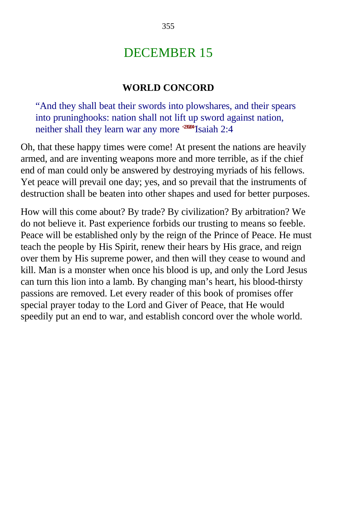#### **WORLD CONCORD**

"And they shall beat their swords into plowshares, and their spears into pruninghooks: nation shall not lift up sword against nation, neither shall they learn war any more **<230204>**Isaiah 2:4

Oh, that these happy times were come! At present the nations are heavily armed, and are inventing weapons more and more terrible, as if the chief end of man could only be answered by destroying myriads of his fellows. Yet peace will prevail one day; yes, and so prevail that the instruments of destruction shall be beaten into other shapes and used for better purposes.

How will this come about? By trade? By civilization? By arbitration? We do not believe it. Past experience forbids our trusting to means so feeble. Peace will be established only by the reign of the Prince of Peace. He must teach the people by His Spirit, renew their hears by His grace, and reign over them by His supreme power, and then will they cease to wound and kill. Man is a monster when once his blood is up, and only the Lord Jesus can turn this lion into a lamb. By changing man's heart, his blood-thirsty passions are removed. Let every reader of this book of promises offer special prayer today to the Lord and Giver of Peace, that He would speedily put an end to war, and establish concord over the whole world.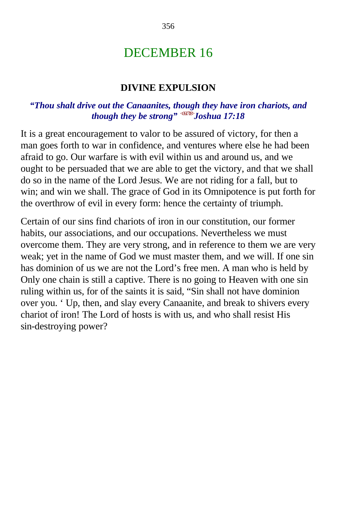### **DIVINE EXPULSION**

### *"Thou shalt drive out the Canaanites, though they have iron chariots, and though they be strong*" <sup>46778</sup>*Joshua 17:18*

It is a great encouragement to valor to be assured of victory, for then a man goes forth to war in confidence, and ventures where else he had been afraid to go. Our warfare is with evil within us and around us, and we ought to be persuaded that we are able to get the victory, and that we shall do so in the name of the Lord Jesus. We are not riding for a fall, but to win; and win we shall. The grace of God in its Omnipotence is put forth for the overthrow of evil in every form: hence the certainty of triumph.

Certain of our sins find chariots of iron in our constitution, our former habits, our associations, and our occupations. Nevertheless we must overcome them. They are very strong, and in reference to them we are very weak; yet in the name of God we must master them, and we will. If one sin has dominion of us we are not the Lord's free men. A man who is held by Only one chain is still a captive. There is no going to Heaven with one sin ruling within us, for of the saints it is said, "Sin shall not have dominion over you. ' Up, then, and slay every Canaanite, and break to shivers every chariot of iron! The Lord of hosts is with us, and who shall resist His sin-destroying power?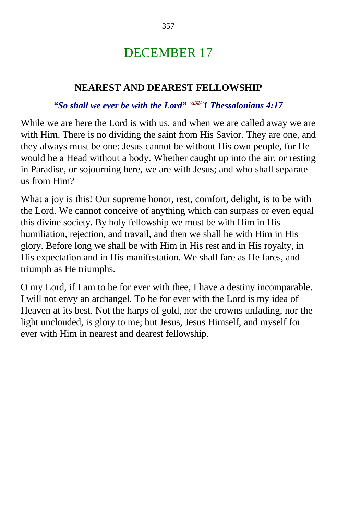### **NEAREST AND DEAREST FELLOWSHIP**

*"So shall we ever be with the Lord"*  $\sqrt{2M/2}I$  Thessalonians 4:17

While we are here the Lord is with us, and when we are called away we are with Him. There is no dividing the saint from His Savior. They are one, and they always must be one: Jesus cannot be without His own people, for He would be a Head without a body. Whether caught up into the air, or resting in Paradise, or sojourning here, we are with Jesus; and who shall separate us from Him?

What a joy is this! Our supreme honor, rest, comfort, delight, is to be with the Lord. We cannot conceive of anything which can surpass or even equal this divine society. By holy fellowship we must be with Him in His humiliation, rejection, and travail, and then we shall be with Him in His glory. Before long we shall be with Him in His rest and in His royalty, in His expectation and in His manifestation. We shall fare as He fares, and triumph as He triumphs.

O my Lord, if I am to be for ever with thee, I have a destiny incomparable. I will not envy an archangel. To be for ever with the Lord is my idea of Heaven at its best. Not the harps of gold, nor the crowns unfading, nor the light unclouded, is glory to me; but Jesus, Jesus Himself, and myself for ever with Him in nearest and dearest fellowship.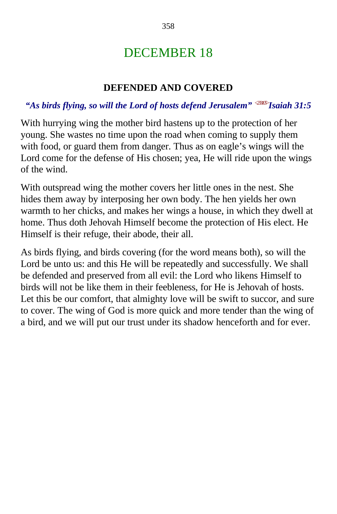### **DEFENDED AND COVERED**

### *"As birds flying, so will the Lord of hosts defend Jerusalem" <233105>Isaiah 31:5*

With hurrying wing the mother bird hastens up to the protection of her young. She wastes no time upon the road when coming to supply them with food, or guard them from danger. Thus as on eagle's wings will the Lord come for the defense of His chosen; yea, He will ride upon the wings of the wind.

With outspread wing the mother covers her little ones in the nest. She hides them away by interposing her own body. The hen yields her own warmth to her chicks, and makes her wings a house, in which they dwell at home. Thus doth Jehovah Himself become the protection of His elect. He Himself is their refuge, their abode, their all.

As birds flying, and birds covering (for the word means both), so will the Lord be unto us: and this He will be repeatedly and successfully. We shall be defended and preserved from all evil: the Lord who likens Himself to birds will not be like them in their feebleness, for He is Jehovah of hosts. Let this be our comfort, that almighty love will be swift to succor, and sure to cover. The wing of God is more quick and more tender than the wing of a bird, and we will put our trust under its shadow henceforth and for ever.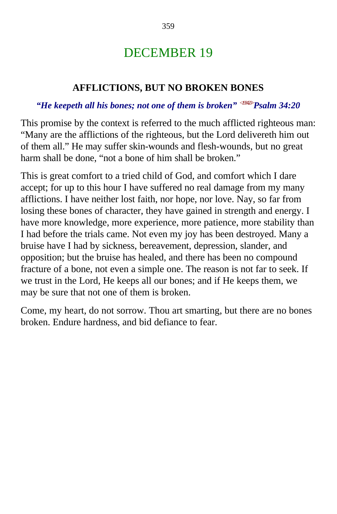### **AFFLICTIONS, BUT NO BROKEN BONES**

#### *"He keepeth all his bones; not one of them is broken" <193420>Psalm 34:20*

This promise by the context is referred to the much afflicted righteous man: "Many are the afflictions of the righteous, but the Lord delivereth him out of them all." He may suffer skin-wounds and flesh-wounds, but no great harm shall be done, "not a bone of him shall be broken."

This is great comfort to a tried child of God, and comfort which I dare accept; for up to this hour I have suffered no real damage from my many afflictions. I have neither lost faith, nor hope, nor love. Nay, so far from losing these bones of character, they have gained in strength and energy. I have more knowledge, more experience, more patience, more stability than I had before the trials came. Not even my joy has been destroyed. Many a bruise have I had by sickness, bereavement, depression, slander, and opposition; but the bruise has healed, and there has been no compound fracture of a bone, not even a simple one. The reason is not far to seek. If we trust in the Lord, He keeps all our bones; and if He keeps them, we may be sure that not one of them is broken.

Come, my heart, do not sorrow. Thou art smarting, but there are no bones broken. Endure hardness, and bid defiance to fear.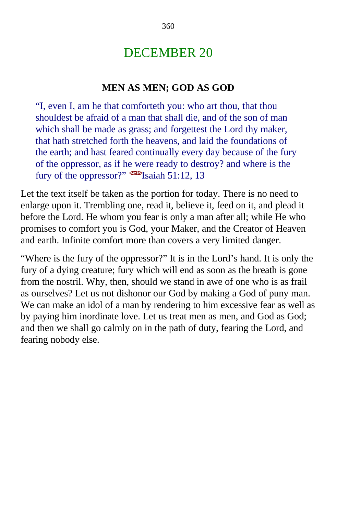#### **MEN AS MEN; GOD AS GOD**

"I, even I, am he that comforteth you: who art thou, that thou shouldest be afraid of a man that shall die, and of the son of man which shall be made as grass; and forgettest the Lord thy maker, that hath stretched forth the heavens, and laid the foundations of the earth; and hast feared continually every day because of the fury of the oppressor, as if he were ready to destroy? and where is the fury of the oppressor?" **<235112>**Isaiah 51:12, 13

Let the text itself be taken as the portion for today. There is no need to enlarge upon it. Trembling one, read it, believe it, feed on it, and plead it before the Lord. He whom you fear is only a man after all; while He who promises to comfort you is God, your Maker, and the Creator of Heaven and earth. Infinite comfort more than covers a very limited danger.

"Where is the fury of the oppressor?" It is in the Lord's hand. It is only the fury of a dying creature; fury which will end as soon as the breath is gone from the nostril. Why, then, should we stand in awe of one who is as frail as ourselves? Let us not dishonor our God by making a God of puny man. We can make an idol of a man by rendering to him excessive fear as well as by paying him inordinate love. Let us treat men as men, and God as God; and then we shall go calmly on in the path of duty, fearing the Lord, and fearing nobody else.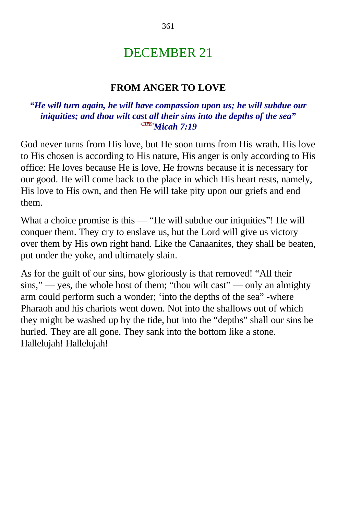### **FROM ANGER TO LOVE**

#### *"He will turn again, he will have compassion upon us; he will subdue our iniquities; and thou wilt cast all their sins into the depths of the sea" <330719>Micah 7:19*

God never turns from His love, but He soon turns from His wrath. His love to His chosen is according to His nature, His anger is only according to His office: He loves because He is love, He frowns because it is necessary for our good. He will come back to the place in which His heart rests, namely, His love to His own, and then He will take pity upon our griefs and end them.

What a choice promise is this — "He will subdue our iniquities"! He will conquer them. They cry to enslave us, but the Lord will give us victory over them by His own right hand. Like the Canaanites, they shall be beaten, put under the yoke, and ultimately slain.

As for the guilt of our sins, how gloriously is that removed! "All their sins," — yes, the whole host of them; "thou wilt cast" — only an almighty arm could perform such a wonder; 'into the depths of the sea" -where Pharaoh and his chariots went down. Not into the shallows out of which they might be washed up by the tide, but into the "depths" shall our sins be hurled. They are all gone. They sank into the bottom like a stone. Hallelujah! Hallelujah!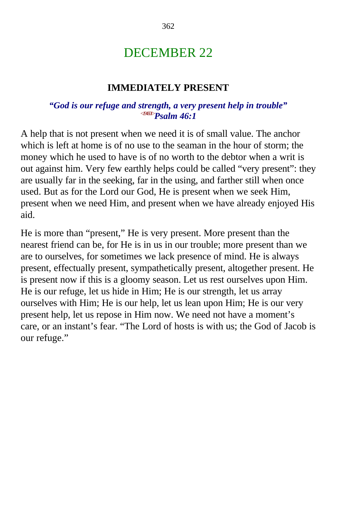### **IMMEDIATELY PRESENT**

#### *"God is our refuge and strength, a very present help in trouble" <194601>Psalm 46:1*

A help that is not present when we need it is of small value. The anchor which is left at home is of no use to the seaman in the hour of storm; the money which he used to have is of no worth to the debtor when a writ is out against him. Very few earthly helps could be called "very present": they are usually far in the seeking, far in the using, and farther still when once used. But as for the Lord our God, He is present when we seek Him, present when we need Him, and present when we have already enjoyed His aid.

He is more than "present," He is very present. More present than the nearest friend can be, for He is in us in our trouble; more present than we are to ourselves, for sometimes we lack presence of mind. He is always present, effectually present, sympathetically present, altogether present. He is present now if this is a gloomy season. Let us rest ourselves upon Him. He is our refuge, let us hide in Him; He is our strength, let us array ourselves with Him; He is our help, let us lean upon Him; He is our very present help, let us repose in Him now. We need not have a moment's care, or an instant's fear. "The Lord of hosts is with us; the God of Jacob is our refuge."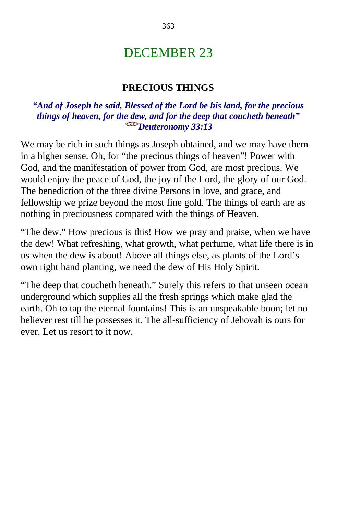### **PRECIOUS THINGS**

### *"And of Joseph he said, Blessed of the Lord be his land, for the precious things of heaven, for the dew, and for the deep that coucheth beneath" <053313>Deuteronomy 33:13*

We may be rich in such things as Joseph obtained, and we may have them in a higher sense. Oh, for "the precious things of heaven"! Power with God, and the manifestation of power from God, are most precious. We would enjoy the peace of God, the joy of the Lord, the glory of our God. The benediction of the three divine Persons in love, and grace, and fellowship we prize beyond the most fine gold. The things of earth are as nothing in preciousness compared with the things of Heaven.

"The dew." How precious is this! How we pray and praise, when we have the dew! What refreshing, what growth, what perfume, what life there is in us when the dew is about! Above all things else, as plants of the Lord's own right hand planting, we need the dew of His Holy Spirit.

"The deep that coucheth beneath." Surely this refers to that unseen ocean underground which supplies all the fresh springs which make glad the earth. Oh to tap the eternal fountains! This is an unspeakable boon; let no believer rest till he possesses it. The all-sufficiency of Jehovah is ours for ever. Let us resort to it now.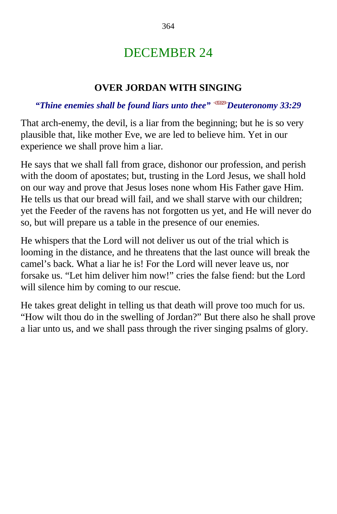### **OVER JORDAN WITH SINGING**

### *"Thine enemies shall be found liars unto thee"* <sup>45339</sup>*Deuteronomy 33:29*

That arch-enemy, the devil, is a liar from the beginning; but he is so very plausible that, like mother Eve, we are led to believe him. Yet in our experience we shall prove him a liar.

He says that we shall fall from grace, dishonor our profession, and perish with the doom of apostates; but, trusting in the Lord Jesus, we shall hold on our way and prove that Jesus loses none whom His Father gave Him. He tells us that our bread will fail, and we shall starve with our children; yet the Feeder of the ravens has not forgotten us yet, and He will never do so, but will prepare us a table in the presence of our enemies.

He whispers that the Lord will not deliver us out of the trial which is looming in the distance, and he threatens that the last ounce will break the camel's back. What a liar he is! For the Lord will never leave us, nor forsake us. "Let him deliver him now!" cries the false fiend: but the Lord will silence him by coming to our rescue.

He takes great delight in telling us that death will prove too much for us. "How wilt thou do in the swelling of Jordan?" But there also he shall prove a liar unto us, and we shall pass through the river singing psalms of glory.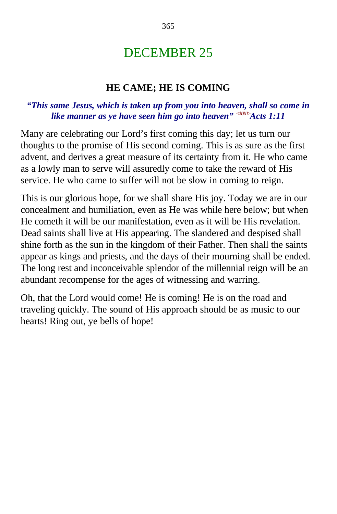### **HE CAME; HE IS COMING**

### *"This same Jesus, which is taken up from you into heaven, shall so come in like manner as ye have seen him go into heaven" <440111>Acts 1:11*

Many are celebrating our Lord's first coming this day; let us turn our thoughts to the promise of His second coming. This is as sure as the first advent, and derives a great measure of its certainty from it. He who came as a lowly man to serve will assuredly come to take the reward of His service. He who came to suffer will not be slow in coming to reign.

This is our glorious hope, for we shall share His joy. Today we are in our concealment and humiliation, even as He was while here below; but when He cometh it will be our manifestation, even as it will be His revelation. Dead saints shall live at His appearing. The slandered and despised shall shine forth as the sun in the kingdom of their Father. Then shall the saints appear as kings and priests, and the days of their mourning shall be ended. The long rest and inconceivable splendor of the millennial reign will be an abundant recompense for the ages of witnessing and warring.

Oh, that the Lord would come! He is coming! He is on the road and traveling quickly. The sound of His approach should be as music to our hearts! Ring out, ye bells of hope!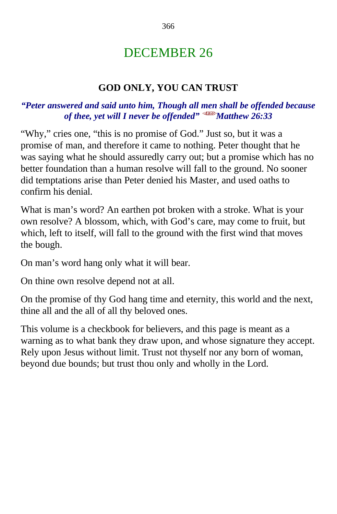## **GOD ONLY, YOU CAN TRUST**

### *"Peter answered and said unto him, Though all men shall be offended because of thee, yet will I never be offended" <402633>Matthew 26:33*

"Why," cries one, "this is no promise of God." Just so, but it was a promise of man, and therefore it came to nothing. Peter thought that he was saying what he should assuredly carry out; but a promise which has no better foundation than a human resolve will fall to the ground. No sooner did temptations arise than Peter denied his Master, and used oaths to confirm his denial.

What is man's word? An earthen pot broken with a stroke. What is your own resolve? A blossom, which, with God's care, may come to fruit, but which, left to itself, will fall to the ground with the first wind that moves the bough.

On man's word hang only what it will bear.

On thine own resolve depend not at all.

On the promise of thy God hang time and eternity, this world and the next, thine all and the all of all thy beloved ones.

This volume is a checkbook for believers, and this page is meant as a warning as to what bank they draw upon, and whose signature they accept. Rely upon Jesus without limit. Trust not thyself nor any born of woman, beyond due bounds; but trust thou only and wholly in the Lord.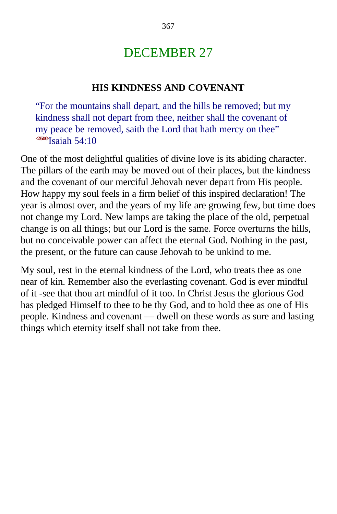### **HIS KINDNESS AND COVENANT**

"For the mountains shall depart, and the hills be removed; but my kindness shall not depart from thee, neither shall the covenant of my peace be removed, saith the Lord that hath mercy on thee" **<235410>**Isaiah 54:10

One of the most delightful qualities of divine love is its abiding character. The pillars of the earth may be moved out of their places, but the kindness and the covenant of our merciful Jehovah never depart from His people. How happy my soul feels in a firm belief of this inspired declaration! The year is almost over, and the years of my life are growing few, but time does not change my Lord. New lamps are taking the place of the old, perpetual change is on all things; but our Lord is the same. Force overturns the hills, but no conceivable power can affect the eternal God. Nothing in the past, the present, or the future can cause Jehovah to be unkind to me.

My soul, rest in the eternal kindness of the Lord, who treats thee as one near of kin. Remember also the everlasting covenant. God is ever mindful of it -see that thou art mindful of it too. In Christ Jesus the glorious God has pledged Himself to thee to be thy God, and to hold thee as one of His people. Kindness and covenant — dwell on these words as sure and lasting things which eternity itself shall not take from thee.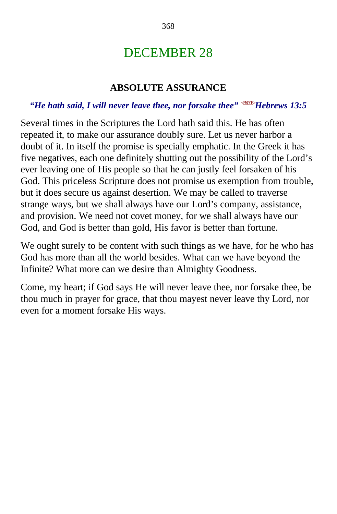### **ABSOLUTE ASSURANCE**

### *"He hath said, I will never leave thee, nor forsake thee" <581305>Hebrews 13:5*

Several times in the Scriptures the Lord hath said this. He has often repeated it, to make our assurance doubly sure. Let us never harbor a doubt of it. In itself the promise is specially emphatic. In the Greek it has five negatives, each one definitely shutting out the possibility of the Lord's ever leaving one of His people so that he can justly feel forsaken of his God. This priceless Scripture does not promise us exemption from trouble, but it does secure us against desertion. We may be called to traverse strange ways, but we shall always have our Lord's company, assistance, and provision. We need not covet money, for we shall always have our God, and God is better than gold, His favor is better than fortune.

We ought surely to be content with such things as we have, for he who has God has more than all the world besides. What can we have beyond the Infinite? What more can we desire than Almighty Goodness.

Come, my heart; if God says He will never leave thee, nor forsake thee, be thou much in prayer for grace, that thou mayest never leave thy Lord, nor even for a moment forsake His ways.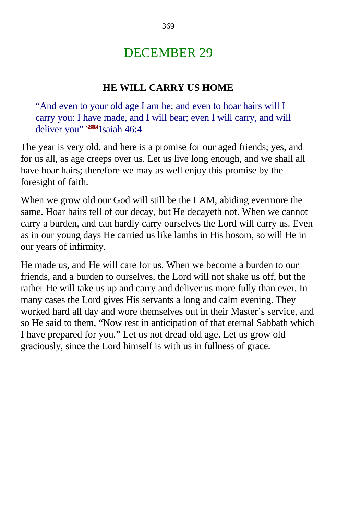## **HE WILL CARRY US HOME**

"And even to your old age I am he; and even to hoar hairs will I carry you: I have made, and I will bear; even I will carry, and will deliver you" **<234604>**Isaiah 46:4

The year is very old, and here is a promise for our aged friends; yes, and for us all, as age creeps over us. Let us live long enough, and we shall all have hoar hairs; therefore we may as well enjoy this promise by the foresight of faith.

When we grow old our God will still be the I AM, abiding evermore the same. Hoar hairs tell of our decay, but He decayeth not. When we cannot carry a burden, and can hardly carry ourselves the Lord will carry us. Even as in our young days He carried us like lambs in His bosom, so will He in our years of infirmity.

He made us, and He will care for us. When we become a burden to our friends, and a burden to ourselves, the Lord will not shake us off, but the rather He will take us up and carry and deliver us more fully than ever. In many cases the Lord gives His servants a long and calm evening. They worked hard all day and wore themselves out in their Master's service, and so He said to them, "Now rest in anticipation of that eternal Sabbath which I have prepared for you." Let us not dread old age. Let us grow old graciously, since the Lord himself is with us in fullness of grace.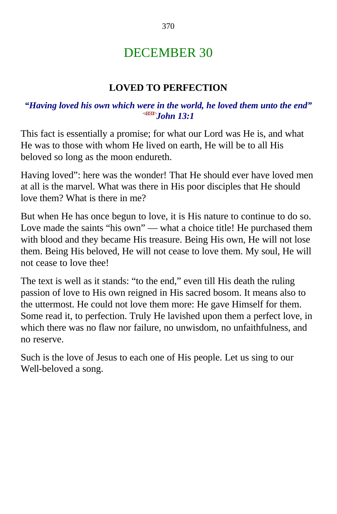## **LOVED TO PERFECTION**

#### *"Having loved his own which were in the world, he loved them unto the end" <431301>John 13:1*

This fact is essentially a promise; for what our Lord was He is, and what He was to those with whom He lived on earth, He will be to all His beloved so long as the moon endureth.

Having loved": here was the wonder! That He should ever have loved men at all is the marvel. What was there in His poor disciples that He should love them? What is there in me?

But when He has once begun to love, it is His nature to continue to do so. Love made the saints "his own" — what a choice title! He purchased them with blood and they became His treasure. Being His own, He will not lose them. Being His beloved, He will not cease to love them. My soul, He will not cease to love thee!

The text is well as it stands: "to the end," even till His death the ruling passion of love to His own reigned in His sacred bosom. It means also to the uttermost. He could not love them more: He gave Himself for them. Some read it, to perfection. Truly He lavished upon them a perfect love, in which there was no flaw nor failure, no unwisdom, no unfaithfulness, and no reserve.

Such is the love of Jesus to each one of His people. Let us sing to our Well-beloved a song.